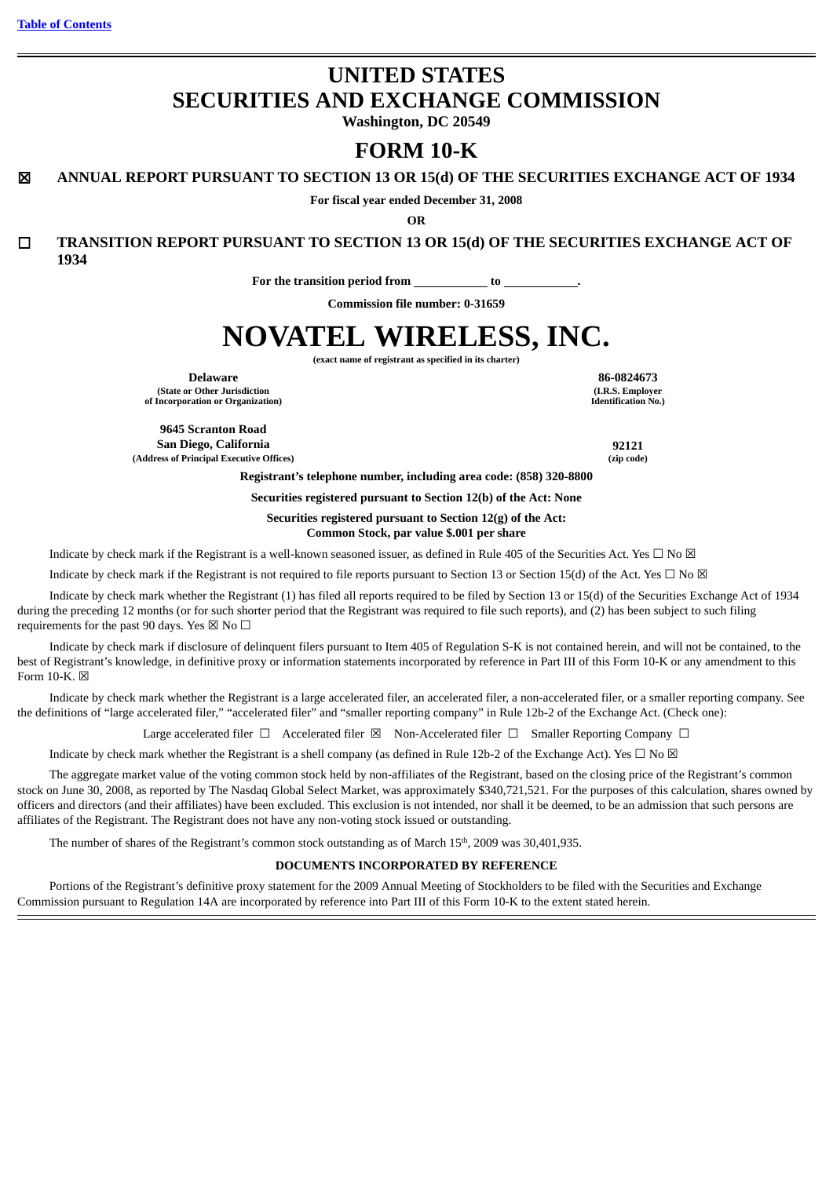# **UNITED STATES SECURITIES AND EXCHANGE COMMISSION**

**Washington, DC 20549**

# **FORM 10-K**

☒ **ANNUAL REPORT PURSUANT TO SECTION 13 OR 15(d) OF THE SECURITIES EXCHANGE ACT OF 1934**

**For fiscal year ended December 31, 2008**

**OR**

☐ **TRANSITION REPORT PURSUANT TO SECTION 13 OR 15(d) OF THE SECURITIES EXCHANGE ACT OF 1934**

For the transition period from \_\_\_\_\_\_\_\_\_\_\_\_ to \_

**Commission file number: 0-31659**

# **NOVATEL WIRELESS, INC.**

**(exact name of registrant as specified in its charter)**

**(State or Other Jurisdiction of Incorporation or Organization)**

**9645 Scranton Road San Diego, California 92121 (Address of Principal Executive Offices) (zip code)**

**Delaware 86-0824673 (I.R.S. Employer Identification No.)**

**Registrant's telephone number, including area code: (858) 320-8800**

**Securities registered pursuant to Section 12(b) of the Act: None**

**Securities registered pursuant to Section 12(g) of the Act:**

**Common Stock, par value \$.001 per share**

Indicate by check mark if the Registrant is a well-known seasoned issuer, as defined in Rule 405 of the Securities Act. Yes  $\Box$  No  $\boxtimes$ 

Indicate by check mark if the Registrant is not required to file reports pursuant to Section 13 or Section 15(d) of the Act. Yes  $\Box$  No  $\boxtimes$ 

Indicate by check mark whether the Registrant (1) has filed all reports required to be filed by Section 13 or 15(d) of the Securities Exchange Act of 1934 during the preceding 12 months (or for such shorter period that the Registrant was required to file such reports), and (2) has been subject to such filing requirements for the past 90 days. Yes  $\boxtimes$  No  $\Box$ 

Indicate by check mark if disclosure of delinquent filers pursuant to Item 405 of Regulation S-K is not contained herein, and will not be contained, to the best of Registrant's knowledge, in definitive proxy or information statements incorporated by reference in Part III of this Form 10-K or any amendment to this Form 10-K.  $\boxtimes$ 

Indicate by check mark whether the Registrant is a large accelerated filer, an accelerated filer, a non-accelerated filer, or a smaller reporting company. See the definitions of "large accelerated filer," "accelerated filer" and "smaller reporting company" in Rule 12b-2 of the Exchange Act. (Check one):

Large accelerated filer □ Accelerated filer ⊠ Non-Accelerated filer □ Smaller Reporting Company □

Indicate by check mark whether the Registrant is a shell company (as defined in Rule 12b-2 of the Exchange Act). Yes  $\Box$  No  $\boxtimes$ 

The aggregate market value of the voting common stock held by non-affiliates of the Registrant, based on the closing price of the Registrant's common stock on June 30, 2008, as reported by The Nasdaq Global Select Market, was approximately \$340,721,521. For the purposes of this calculation, shares owned by officers and directors (and their affiliates) have been excluded. This exclusion is not intended, nor shall it be deemed, to be an admission that such persons are affiliates of the Registrant. The Registrant does not have any non-voting stock issued or outstanding.

The number of shares of the Registrant's common stock outstanding as of March 15<sup>th</sup>, 2009 was 30,401,935.

#### **DOCUMENTS INCORPORATED BY REFERENCE**

Portions of the Registrant's definitive proxy statement for the 2009 Annual Meeting of Stockholders to be filed with the Securities and Exchange Commission pursuant to Regulation 14A are incorporated by reference into Part III of this Form 10-K to the extent stated herein.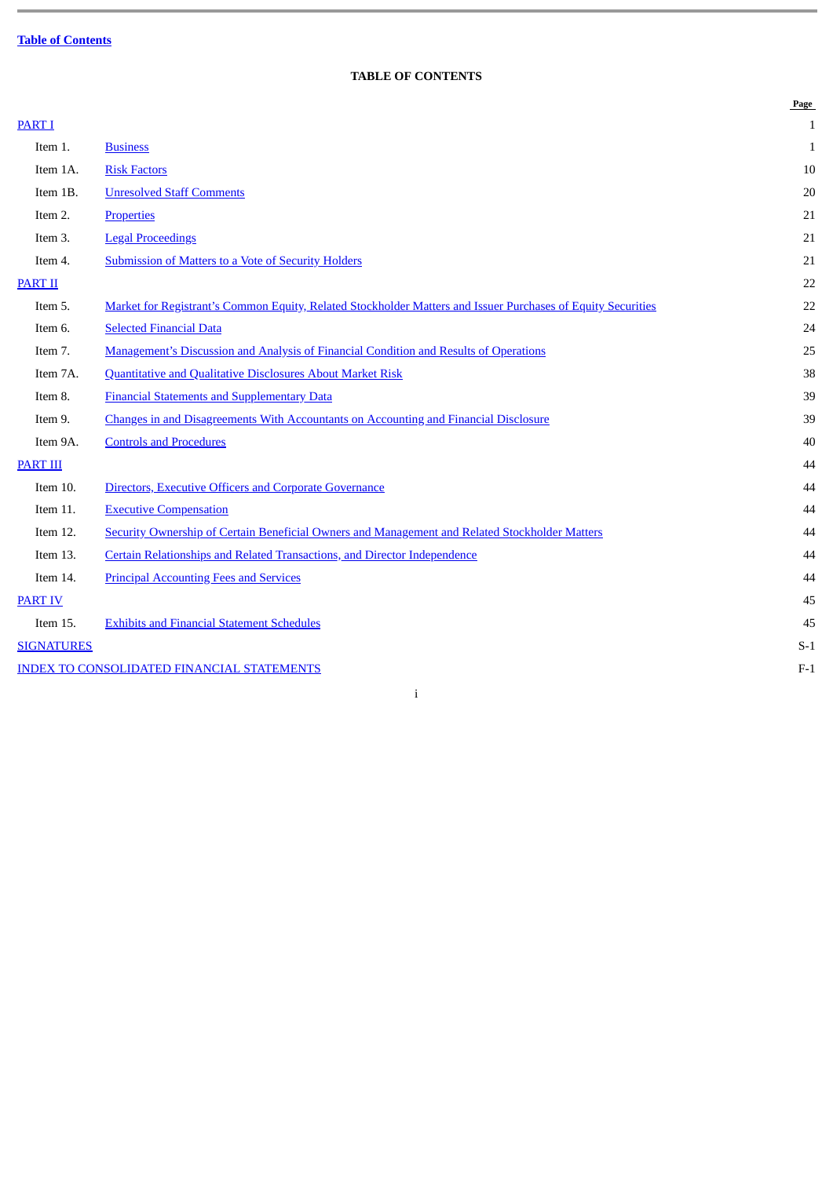# **TABLE OF CONTENTS**

<span id="page-1-0"></span>

|                   |                                                                                                              | Page         |
|-------------------|--------------------------------------------------------------------------------------------------------------|--------------|
| <b>PART I</b>     |                                                                                                              | $\mathbf{1}$ |
| Item 1.           | <b>Business</b>                                                                                              | $\mathbf{1}$ |
| Item 1A.          | <b>Risk Factors</b>                                                                                          | 10           |
| Item 1B.          | <b>Unresolved Staff Comments</b>                                                                             | 20           |
| Item 2.           | <b>Properties</b>                                                                                            | 21           |
| Item 3.           | <b>Legal Proceedings</b>                                                                                     | 21           |
| Item 4.           | <b>Submission of Matters to a Vote of Security Holders</b>                                                   | 21           |
| <b>PART II</b>    |                                                                                                              | 22           |
| Item 5.           | Market for Registrant's Common Equity, Related Stockholder Matters and Issuer Purchases of Equity Securities | 22           |
| Item 6.           | <b>Selected Financial Data</b>                                                                               | 24           |
| Item 7.           | Management's Discussion and Analysis of Financial Condition and Results of Operations                        | 25           |
| Item 7A.          | Quantitative and Qualitative Disclosures About Market Risk                                                   | 38           |
| Item 8.           | <b>Financial Statements and Supplementary Data</b>                                                           | 39           |
| Item 9.           | <b>Changes in and Disagreements With Accountants on Accounting and Financial Disclosure</b>                  | 39           |
| Item 9A.          | <b>Controls and Procedures</b>                                                                               | 40           |
| <b>PART III</b>   |                                                                                                              | 44           |
| Item 10.          | Directors, Executive Officers and Corporate Governance                                                       | 44           |
| Item 11.          | <b>Executive Compensation</b>                                                                                | 44           |
| Item 12.          | Security Ownership of Certain Beneficial Owners and Management and Related Stockholder Matters               | 44           |
| Item 13.          | Certain Relationships and Related Transactions, and Director Independence                                    | 44           |
| Item 14.          | <b>Principal Accounting Fees and Services</b>                                                                | 44           |
| <b>PART IV</b>    |                                                                                                              | 45           |
| Item 15.          | <b>Exhibits and Financial Statement Schedules</b>                                                            | 45           |
| <b>SIGNATURES</b> |                                                                                                              | $S-1$        |
|                   | <b>INDEX TO CONSOLIDATED FINANCIAL STATEMENTS</b>                                                            | $F-1$        |

i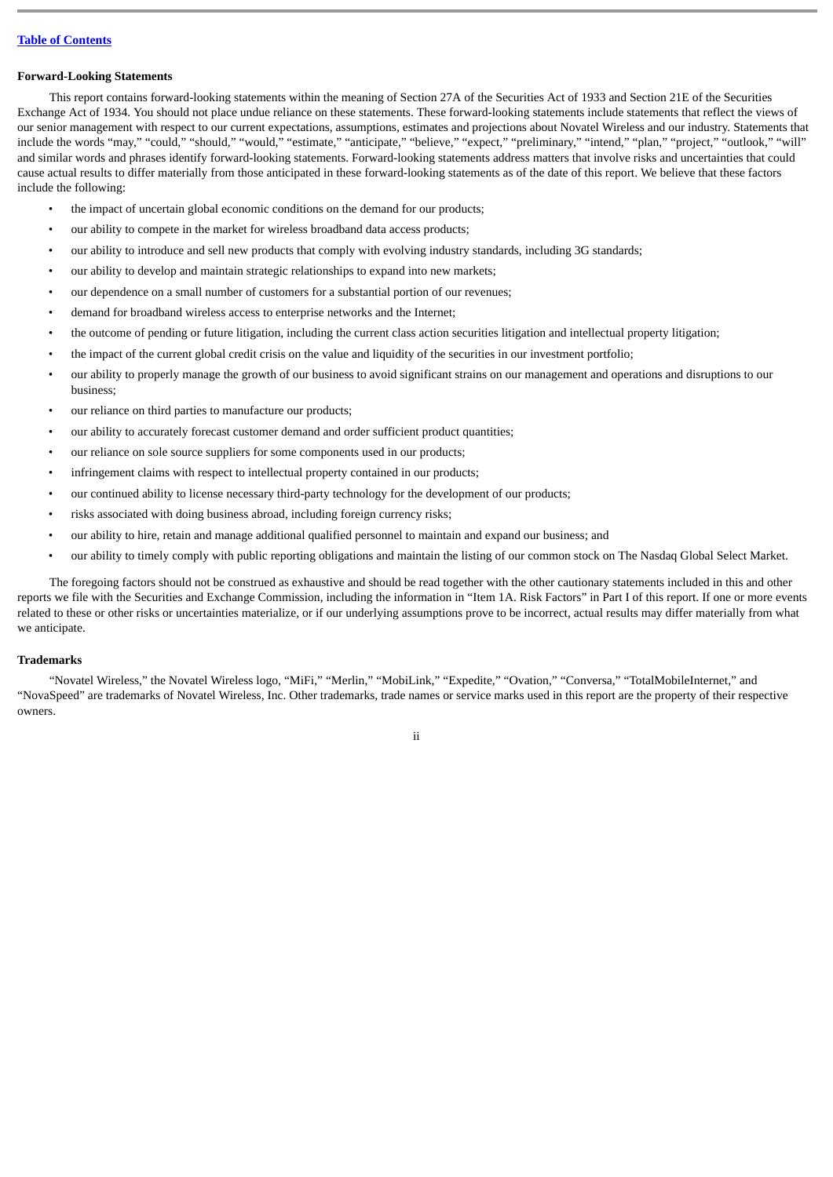#### **Forward-Looking Statements**

This report contains forward-looking statements within the meaning of Section 27A of the Securities Act of 1933 and Section 21E of the Securities Exchange Act of 1934. You should not place undue reliance on these statements. These forward-looking statements include statements that reflect the views of our senior management with respect to our current expectations, assumptions, estimates and projections about Novatel Wireless and our industry. Statements that include the words "may," "could," "should," "would," "estimate," "anticipate," "believe," "expect," "preliminary," "intend," "plan," "project," "outlook," "will" and similar words and phrases identify forward-looking statements. Forward-looking statements address matters that involve risks and uncertainties that could cause actual results to differ materially from those anticipated in these forward-looking statements as of the date of this report. We believe that these factors include the following:

- the impact of uncertain global economic conditions on the demand for our products;
- our ability to compete in the market for wireless broadband data access products;
- our ability to introduce and sell new products that comply with evolving industry standards, including 3G standards;
- our ability to develop and maintain strategic relationships to expand into new markets;
- our dependence on a small number of customers for a substantial portion of our revenues;
- demand for broadband wireless access to enterprise networks and the Internet;
- the outcome of pending or future litigation, including the current class action securities litigation and intellectual property litigation;
- the impact of the current global credit crisis on the value and liquidity of the securities in our investment portfolio;
- our ability to properly manage the growth of our business to avoid significant strains on our management and operations and disruptions to our business;
- our reliance on third parties to manufacture our products;
- our ability to accurately forecast customer demand and order sufficient product quantities;
- our reliance on sole source suppliers for some components used in our products;
- infringement claims with respect to intellectual property contained in our products;
- our continued ability to license necessary third-party technology for the development of our products;
- risks associated with doing business abroad, including foreign currency risks;
- our ability to hire, retain and manage additional qualified personnel to maintain and expand our business; and
- our ability to timely comply with public reporting obligations and maintain the listing of our common stock on The Nasdaq Global Select Market.

The foregoing factors should not be construed as exhaustive and should be read together with the other cautionary statements included in this and other reports we file with the Securities and Exchange Commission, including the information in "Item 1A. Risk Factors" in Part I of this report. If one or more events related to these or other risks or uncertainties materialize, or if our underlying assumptions prove to be incorrect, actual results may differ materially from what we anticipate.

#### **Trademarks**

"Novatel Wireless," the Novatel Wireless logo, "MiFi," "Merlin," "MobiLink," "Expedite," "Ovation," "Conversa," "TotalMobileInternet," and "NovaSpeed" are trademarks of Novatel Wireless, Inc. Other trademarks, trade names or service marks used in this report are the property of their respective owners.

ii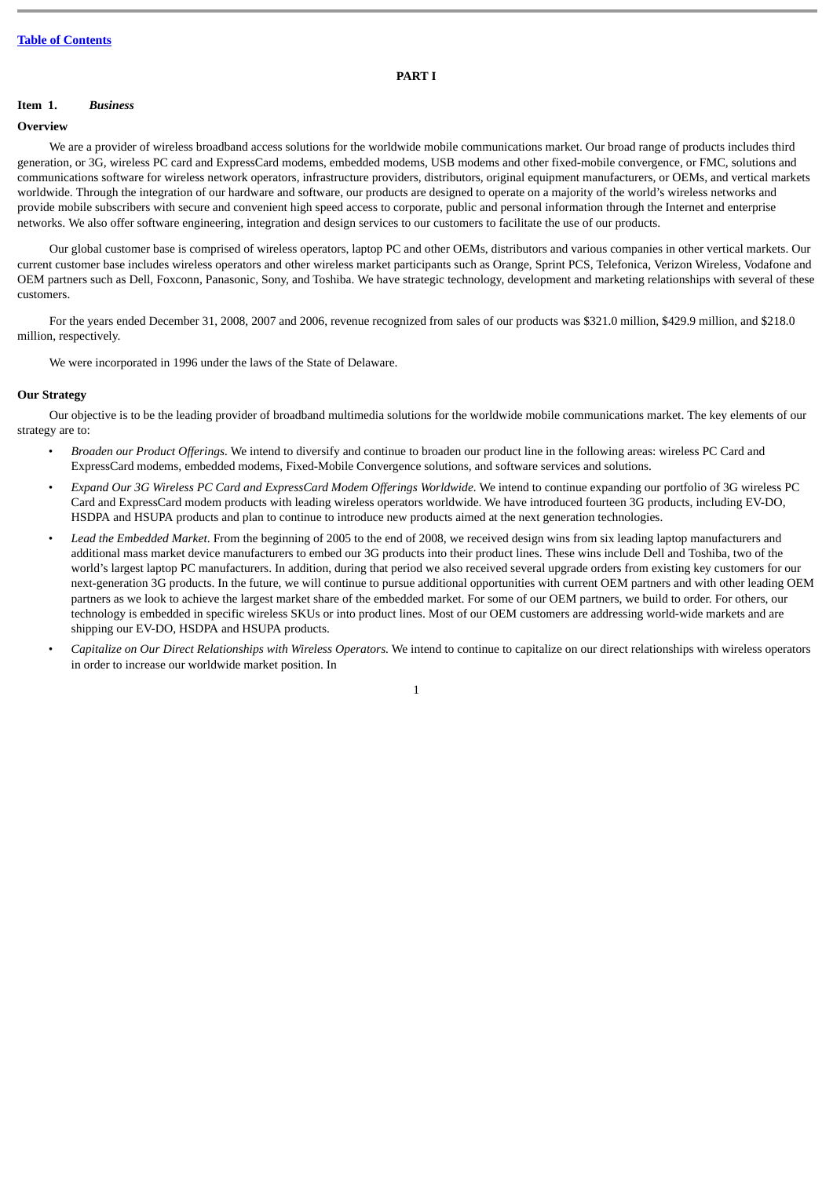#### **PART I**

# <span id="page-3-1"></span><span id="page-3-0"></span>**Item 1.** *Business*

#### **Overview**

We are a provider of wireless broadband access solutions for the worldwide mobile communications market. Our broad range of products includes third generation, or 3G, wireless PC card and ExpressCard modems, embedded modems, USB modems and other fixed-mobile convergence, or FMC, solutions and communications software for wireless network operators, infrastructure providers, distributors, original equipment manufacturers, or OEMs, and vertical markets worldwide. Through the integration of our hardware and software, our products are designed to operate on a majority of the world's wireless networks and provide mobile subscribers with secure and convenient high speed access to corporate, public and personal information through the Internet and enterprise networks. We also offer software engineering, integration and design services to our customers to facilitate the use of our products.

Our global customer base is comprised of wireless operators, laptop PC and other OEMs, distributors and various companies in other vertical markets. Our current customer base includes wireless operators and other wireless market participants such as Orange, Sprint PCS, Telefonica, Verizon Wireless, Vodafone and OEM partners such as Dell, Foxconn, Panasonic, Sony, and Toshiba. We have strategic technology, development and marketing relationships with several of these customers.

For the years ended December 31, 2008, 2007 and 2006, revenue recognized from sales of our products was \$321.0 million, \$429.9 million, and \$218.0 million, respectively.

We were incorporated in 1996 under the laws of the State of Delaware.

### **Our Strategy**

Our objective is to be the leading provider of broadband multimedia solutions for the worldwide mobile communications market. The key elements of our strategy are to:

- *Broaden our Product Offerings.* We intend to diversify and continue to broaden our product line in the following areas: wireless PC Card and ExpressCard modems, embedded modems, Fixed-Mobile Convergence solutions, and software services and solutions.
- *Expand Our 3G Wireless PC Card and ExpressCard Modem Offerings Worldwide.* We intend to continue expanding our portfolio of 3G wireless PC Card and ExpressCard modem products with leading wireless operators worldwide. We have introduced fourteen 3G products, including EV-DO, HSDPA and HSUPA products and plan to continue to introduce new products aimed at the next generation technologies.
- *Lead the Embedded Market*. From the beginning of 2005 to the end of 2008, we received design wins from six leading laptop manufacturers and additional mass market device manufacturers to embed our 3G products into their product lines. These wins include Dell and Toshiba, two of the world's largest laptop PC manufacturers. In addition, during that period we also received several upgrade orders from existing key customers for our next-generation 3G products. In the future, we will continue to pursue additional opportunities with current OEM partners and with other leading OEM partners as we look to achieve the largest market share of the embedded market. For some of our OEM partners, we build to order. For others, our technology is embedded in specific wireless SKUs or into product lines. Most of our OEM customers are addressing world-wide markets and are shipping our EV-DO, HSDPA and HSUPA products.
- *Capitalize on Our Direct Relationships with Wireless Operators.* We intend to continue to capitalize on our direct relationships with wireless operators in order to increase our worldwide market position. In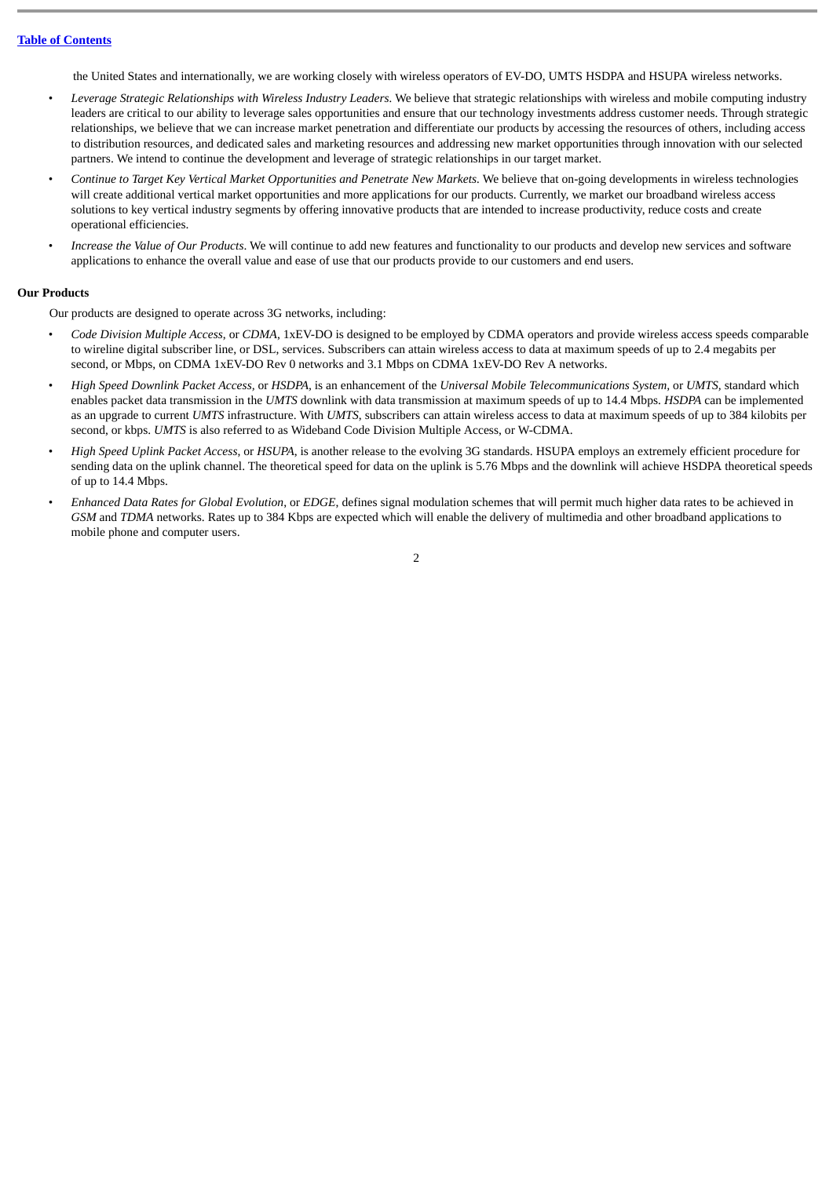the United States and internationally, we are working closely with wireless operators of EV-DO, UMTS HSDPA and HSUPA wireless networks.

- *Leverage Strategic Relationships with Wireless Industry Leaders.* We believe that strategic relationships with wireless and mobile computing industry leaders are critical to our ability to leverage sales opportunities and ensure that our technology investments address customer needs. Through strategic relationships, we believe that we can increase market penetration and differentiate our products by accessing the resources of others, including access to distribution resources, and dedicated sales and marketing resources and addressing new market opportunities through innovation with our selected partners. We intend to continue the development and leverage of strategic relationships in our target market.
- *Continue to Target Key Vertical Market Opportunities and Penetrate New Markets.* We believe that on-going developments in wireless technologies will create additional vertical market opportunities and more applications for our products. Currently, we market our broadband wireless access solutions to key vertical industry segments by offering innovative products that are intended to increase productivity, reduce costs and create operational efficiencies.
- *Increase the Value of Our Products*. We will continue to add new features and functionality to our products and develop new services and software applications to enhance the overall value and ease of use that our products provide to our customers and end users.

#### **Our Products**

Our products are designed to operate across 3G networks, including:

- *Code Division Multiple Access*, or *CDMA*, 1xEV-DO is designed to be employed by CDMA operators and provide wireless access speeds comparable to wireline digital subscriber line, or DSL, services. Subscribers can attain wireless access to data at maximum speeds of up to 2.4 megabits per second, or Mbps, on CDMA 1xEV-DO Rev 0 networks and 3.1 Mbps on CDMA 1xEV-DO Rev A networks.
- *High Speed Downlink Packet Access,* or *HSDPA,* is an enhancement of the *Universal Mobile Telecommunications System,* or *UMTS,* standard which enables packet data transmission in the *UMTS* downlink with data transmission at maximum speeds of up to 14.4 Mbps. *HSDPA* can be implemented as an upgrade to current *UMTS* infrastructure. With *UMTS*, subscribers can attain wireless access to data at maximum speeds of up to 384 kilobits per second, or kbps. *UMTS* is also referred to as Wideband Code Division Multiple Access, or W-CDMA.
- *High Speed Uplink Packet Access*, or *HSUPA*, is another release to the evolving 3G standards. HSUPA employs an extremely efficient procedure for sending data on the uplink channel. The theoretical speed for data on the uplink is 5.76 Mbps and the downlink will achieve HSDPA theoretical speeds of up to 14.4 Mbps.
- *Enhanced Data Rates for Global Evolution*, or *EDGE*, defines signal modulation schemes that will permit much higher data rates to be achieved in *GSM* and *TDMA* networks. Rates up to 384 Kbps are expected which will enable the delivery of multimedia and other broadband applications to mobile phone and computer users.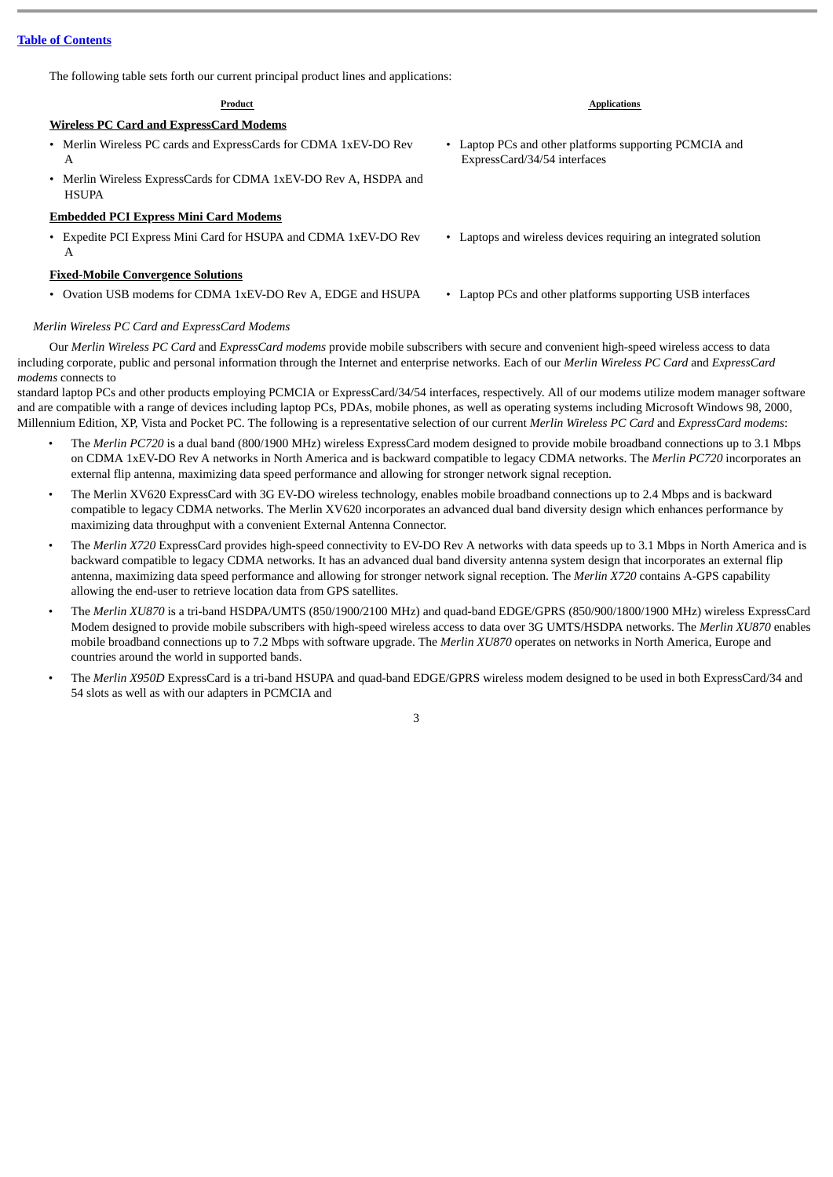The following table sets forth our current principal product lines and applications:

| Product                                                                        | <b>Applications</b>                                                                    |
|--------------------------------------------------------------------------------|----------------------------------------------------------------------------------------|
| <b>Wireless PC Card and ExpressCard Modems</b>                                 |                                                                                        |
| Merlin Wireless PC cards and ExpressCards for CDMA 1xEV-DO Rev<br>А            | • Laptop PCs and other platforms supporting PCMCIA and<br>ExpressCard/34/54 interfaces |
| Merlin Wireless ExpressCards for CDMA 1xEV-DO Rev A, HSDPA and<br><b>HSUPA</b> |                                                                                        |
| <b>Embedded PCI Express Mini Card Modems</b>                                   |                                                                                        |
| Expedite PCI Express Mini Card for HSUPA and CDMA 1xEV-DO Rev<br>А             | Laptops and wireless devices requiring an integrated solution                          |
| <b>Fixed-Mobile Convergence Solutions</b>                                      |                                                                                        |
| Ovation USB modems for CDMA 1xEV-DO Rev A, EDGE and HSUPA                      | • Laptop PCs and other platforms supporting USB interfaces                             |

# *Merlin Wireless PC Card and ExpressCard Modems*

Our *Merlin Wireless PC Card* and *ExpressCard modems* provide mobile subscribers with secure and convenient high-speed wireless access to data including corporate, public and personal information through the Internet and enterprise networks. Each of our *Merlin Wireless PC Card* and *ExpressCard modems* connects to

standard laptop PCs and other products employing PCMCIA or ExpressCard/34/54 interfaces, respectively. All of our modems utilize modem manager software and are compatible with a range of devices including laptop PCs, PDAs, mobile phones, as well as operating systems including Microsoft Windows 98, 2000, Millennium Edition, XP, Vista and Pocket PC. The following is a representative selection of our current *Merlin Wireless PC Card* and *ExpressCard modems*:

- The *Merlin PC720* is a dual band (800/1900 MHz) wireless ExpressCard modem designed to provide mobile broadband connections up to 3.1 Mbps on CDMA 1xEV-DO Rev A networks in North America and is backward compatible to legacy CDMA networks. The *Merlin PC720* incorporates an external flip antenna, maximizing data speed performance and allowing for stronger network signal reception.
- The Merlin XV620 ExpressCard with 3G EV-DO wireless technology, enables mobile broadband connections up to 2.4 Mbps and is backward compatible to legacy CDMA networks. The Merlin XV620 incorporates an advanced dual band diversity design which enhances performance by maximizing data throughput with a convenient External Antenna Connector.
- The *Merlin X720* ExpressCard provides high-speed connectivity to EV-DO Rev A networks with data speeds up to 3.1 Mbps in North America and is backward compatible to legacy CDMA networks. It has an advanced dual band diversity antenna system design that incorporates an external flip antenna, maximizing data speed performance and allowing for stronger network signal reception. The *Merlin X720* contains A-GPS capability allowing the end-user to retrieve location data from GPS satellites.
- The *Merlin XU870* is a tri-band HSDPA/UMTS (850/1900/2100 MHz) and quad-band EDGE/GPRS (850/900/1800/1900 MHz) wireless ExpressCard Modem designed to provide mobile subscribers with high-speed wireless access to data over 3G UMTS/HSDPA networks. The *Merlin XU870* enables mobile broadband connections up to 7.2 Mbps with software upgrade. The *Merlin XU870* operates on networks in North America, Europe and countries around the world in supported bands.
- The *Merlin X950D* ExpressCard is a tri-band HSUPA and quad-band EDGE/GPRS wireless modem designed to be used in both ExpressCard/34 and 54 slots as well as with our adapters in PCMCIA and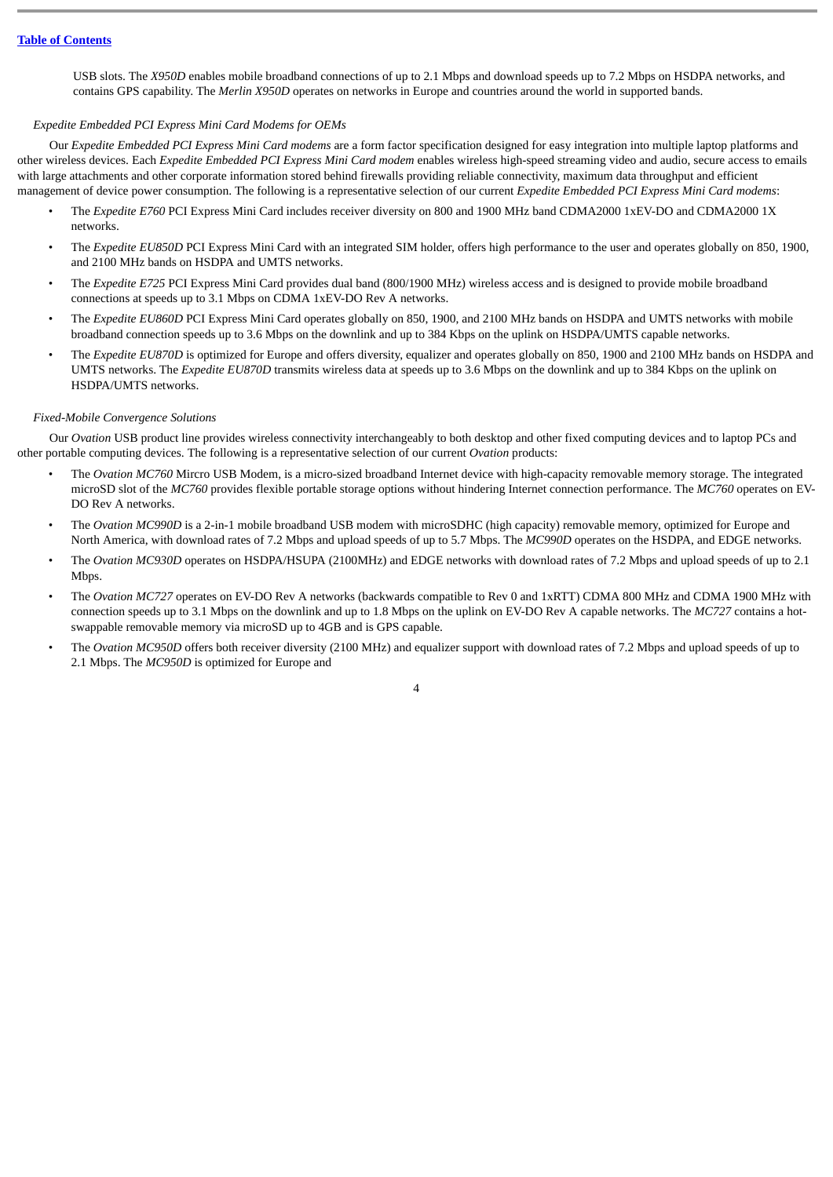USB slots. The *X950D* enables mobile broadband connections of up to 2.1 Mbps and download speeds up to 7.2 Mbps on HSDPA networks, and contains GPS capability. The *Merlin X950D* operates on networks in Europe and countries around the world in supported bands.

#### *Expedite Embedded PCI Express Mini Card Modems for OEMs*

Our *Expedite Embedded PCI Express Mini Card modems* are a form factor specification designed for easy integration into multiple laptop platforms and other wireless devices. Each *Expedite Embedded PCI Express Mini Card modem* enables wireless high-speed streaming video and audio, secure access to emails with large attachments and other corporate information stored behind firewalls providing reliable connectivity, maximum data throughput and efficient management of device power consumption. The following is a representative selection of our current *Expedite Embedded PCI Express Mini Card modems*:

- The *Expedite E760* PCI Express Mini Card includes receiver diversity on 800 and 1900 MHz band CDMA2000 1xEV-DO and CDMA2000 1X networks.
- The *Expedite EU850D* PCI Express Mini Card with an integrated SIM holder, offers high performance to the user and operates globally on 850, 1900, and 2100 MHz bands on HSDPA and UMTS networks.
- The *Expedite E725* PCI Express Mini Card provides dual band (800/1900 MHz) wireless access and is designed to provide mobile broadband connections at speeds up to 3.1 Mbps on CDMA 1xEV-DO Rev A networks.
- The *Expedite EU860D* PCI Express Mini Card operates globally on 850, 1900, and 2100 MHz bands on HSDPA and UMTS networks with mobile broadband connection speeds up to 3.6 Mbps on the downlink and up to 384 Kbps on the uplink on HSDPA/UMTS capable networks.
- The *Expedite EU870D* is optimized for Europe and offers diversity, equalizer and operates globally on 850, 1900 and 2100 MHz bands on HSDPA and UMTS networks. The *Expedite EU870D* transmits wireless data at speeds up to 3.6 Mbps on the downlink and up to 384 Kbps on the uplink on HSDPA/UMTS networks.

#### *Fixed-Mobile Convergence Solutions*

Our *Ovation* USB product line provides wireless connectivity interchangeably to both desktop and other fixed computing devices and to laptop PCs and other portable computing devices. The following is a representative selection of our current *Ovation* products:

- The *Ovation MC760* Mircro USB Modem, is a micro-sized broadband Internet device with high-capacity removable memory storage. The integrated microSD slot of the *MC760* provides flexible portable storage options without hindering Internet connection performance. The *MC760* operates on EV-DO Rev A networks.
- The *Ovation MC990D* is a 2-in-1 mobile broadband USB modem with microSDHC (high capacity) removable memory, optimized for Europe and North America, with download rates of 7.2 Mbps and upload speeds of up to 5.7 Mbps. The *MC990D* operates on the HSDPA, and EDGE networks.
- The *Ovation MC930D* operates on HSDPA/HSUPA (2100MHz) and EDGE networks with download rates of 7.2 Mbps and upload speeds of up to 2.1 Mbps.
- The *Ovation MC727* operates on EV-DO Rev A networks (backwards compatible to Rev 0 and 1xRTT) CDMA 800 MHz and CDMA 1900 MHz with connection speeds up to 3.1 Mbps on the downlink and up to 1.8 Mbps on the uplink on EV-DO Rev A capable networks. The *MC727* contains a hotswappable removable memory via microSD up to 4GB and is GPS capable.
- The *Ovation MC950D* offers both receiver diversity (2100 MHz) and equalizer support with download rates of 7.2 Mbps and upload speeds of up to 2.1 Mbps. The *MC950D* is optimized for Europe and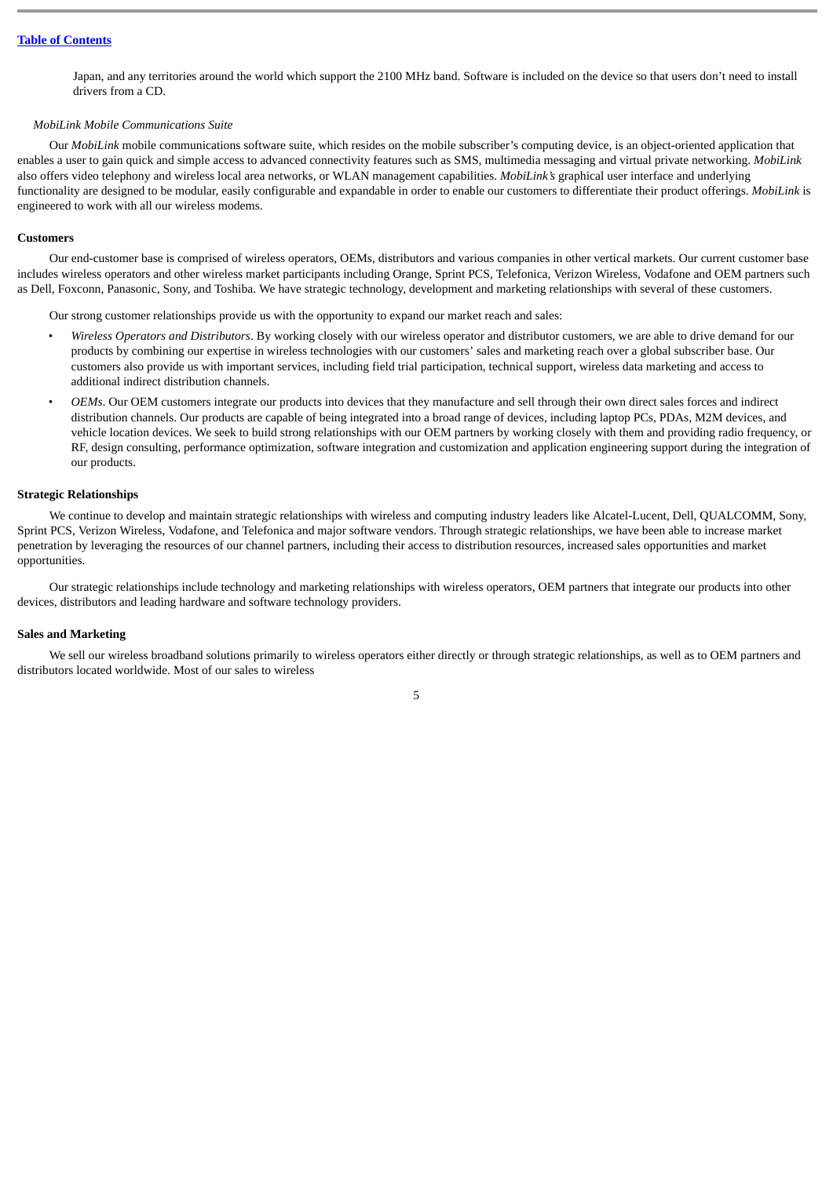Japan, and any territories around the world which support the 2100 MHz band. Software is included on the device so that users don't need to install drivers from a CD.

#### *MobiLink Mobile Communications Suite*

Our *MobiLink* mobile communications software suite, which resides on the mobile subscriber's computing device, is an object-oriented application that enables a user to gain quick and simple access to advanced connectivity features such as SMS, multimedia messaging and virtual private networking. *MobiLink* also offers video telephony and wireless local area networks, or WLAN management capabilities. *MobiLink's* graphical user interface and underlying functionality are designed to be modular, easily configurable and expandable in order to enable our customers to differentiate their product offerings. *MobiLink* is engineered to work with all our wireless modems.

#### **Customers**

Our end-customer base is comprised of wireless operators, OEMs, distributors and various companies in other vertical markets. Our current customer base includes wireless operators and other wireless market participants including Orange, Sprint PCS, Telefonica, Verizon Wireless, Vodafone and OEM partners such as Dell, Foxconn, Panasonic, Sony, and Toshiba. We have strategic technology, development and marketing relationships with several of these customers.

Our strong customer relationships provide us with the opportunity to expand our market reach and sales:

- *Wireless Operators and Distributors*. By working closely with our wireless operator and distributor customers, we are able to drive demand for our products by combining our expertise in wireless technologies with our customers' sales and marketing reach over a global subscriber base. Our customers also provide us with important services, including field trial participation, technical support, wireless data marketing and access to additional indirect distribution channels.
- *OEMs*. Our OEM customers integrate our products into devices that they manufacture and sell through their own direct sales forces and indirect distribution channels. Our products are capable of being integrated into a broad range of devices, including laptop PCs, PDAs, M2M devices, and vehicle location devices. We seek to build strong relationships with our OEM partners by working closely with them and providing radio frequency, or RF, design consulting, performance optimization, software integration and customization and application engineering support during the integration of our products.

# **Strategic Relationships**

We continue to develop and maintain strategic relationships with wireless and computing industry leaders like Alcatel-Lucent, Dell, QUALCOMM, Sony, Sprint PCS, Verizon Wireless, Vodafone, and Telefonica and major software vendors. Through strategic relationships, we have been able to increase market penetration by leveraging the resources of our channel partners, including their access to distribution resources, increased sales opportunities and market opportunities.

Our strategic relationships include technology and marketing relationships with wireless operators, OEM partners that integrate our products into other devices, distributors and leading hardware and software technology providers.

#### **Sales and Marketing**

We sell our wireless broadband solutions primarily to wireless operators either directly or through strategic relationships, as well as to OEM partners and distributors located worldwide. Most of our sales to wireless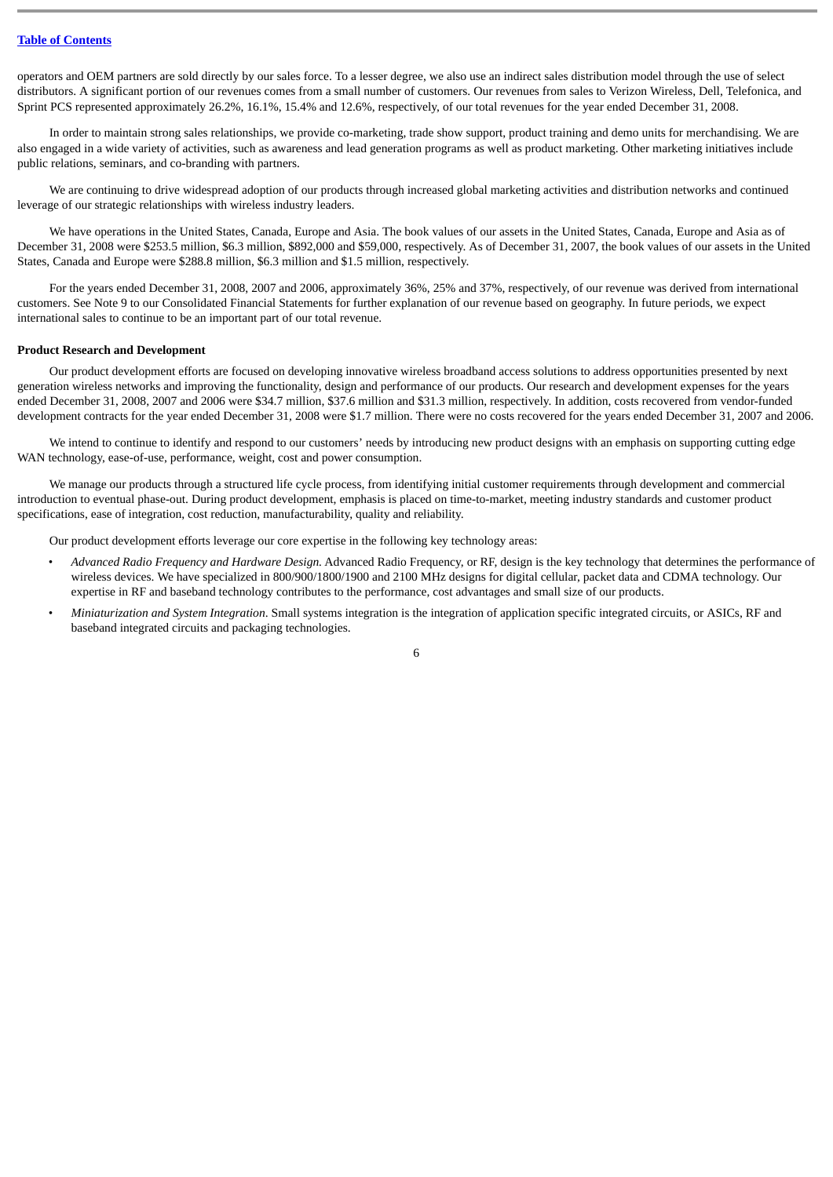operators and OEM partners are sold directly by our sales force. To a lesser degree, we also use an indirect sales distribution model through the use of select distributors. A significant portion of our revenues comes from a small number of customers. Our revenues from sales to Verizon Wireless, Dell, Telefonica, and Sprint PCS represented approximately 26.2%, 16.1%, 15.4% and 12.6%, respectively, of our total revenues for the year ended December 31, 2008.

In order to maintain strong sales relationships, we provide co-marketing, trade show support, product training and demo units for merchandising. We are also engaged in a wide variety of activities, such as awareness and lead generation programs as well as product marketing. Other marketing initiatives include public relations, seminars, and co-branding with partners.

We are continuing to drive widespread adoption of our products through increased global marketing activities and distribution networks and continued leverage of our strategic relationships with wireless industry leaders.

We have operations in the United States, Canada, Europe and Asia. The book values of our assets in the United States, Canada, Europe and Asia as of December 31, 2008 were \$253.5 million, \$6.3 million, \$892,000 and \$59,000, respectively. As of December 31, 2007, the book values of our assets in the United States, Canada and Europe were \$288.8 million, \$6.3 million and \$1.5 million, respectively.

For the years ended December 31, 2008, 2007 and 2006, approximately 36%, 25% and 37%, respectively, of our revenue was derived from international customers. See Note 9 to our Consolidated Financial Statements for further explanation of our revenue based on geography. In future periods, we expect international sales to continue to be an important part of our total revenue.

#### **Product Research and Development**

Our product development efforts are focused on developing innovative wireless broadband access solutions to address opportunities presented by next generation wireless networks and improving the functionality, design and performance of our products. Our research and development expenses for the years ended December 31, 2008, 2007 and 2006 were \$34.7 million, \$37.6 million and \$31.3 million, respectively. In addition, costs recovered from vendor-funded development contracts for the year ended December 31, 2008 were \$1.7 million. There were no costs recovered for the years ended December 31, 2007 and 2006.

We intend to continue to identify and respond to our customers' needs by introducing new product designs with an emphasis on supporting cutting edge WAN technology, ease-of-use, performance, weight, cost and power consumption.

We manage our products through a structured life cycle process, from identifying initial customer requirements through development and commercial introduction to eventual phase-out. During product development, emphasis is placed on time-to-market, meeting industry standards and customer product specifications, ease of integration, cost reduction, manufacturability, quality and reliability.

Our product development efforts leverage our core expertise in the following key technology areas:

- *Advanced Radio Frequency and Hardware Design.* Advanced Radio Frequency, or RF, design is the key technology that determines the performance of wireless devices. We have specialized in 800/900/1800/1900 and 2100 MHz designs for digital cellular, packet data and CDMA technology. Our expertise in RF and baseband technology contributes to the performance, cost advantages and small size of our products.
- *Miniaturization and System Integration*. Small systems integration is the integration of application specific integrated circuits, or ASICs, RF and baseband integrated circuits and packaging technologies.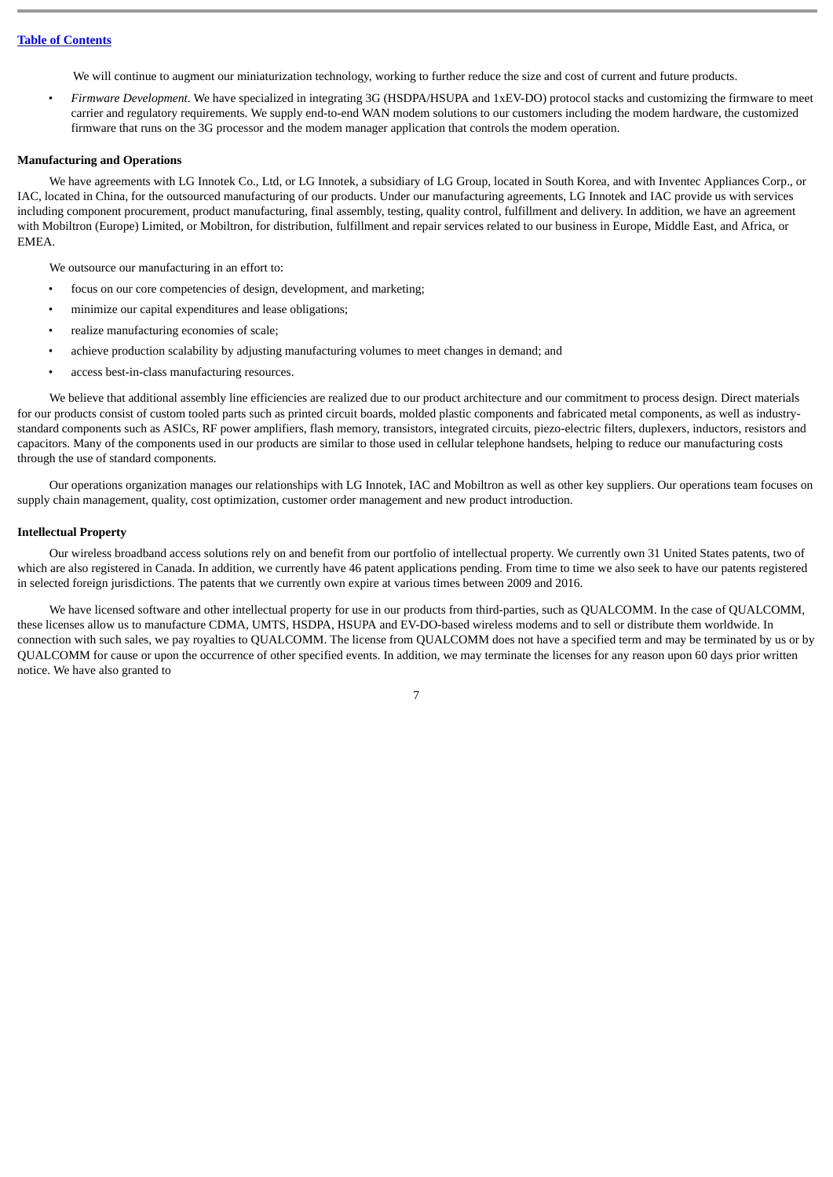We will continue to augment our miniaturization technology, working to further reduce the size and cost of current and future products.

• *Firmware Development.* We have specialized in integrating 3G (HSDPA/HSUPA and 1xEV-DO) protocol stacks and customizing the firmware to meet carrier and regulatory requirements. We supply end-to-end WAN modem solutions to our customers including the modem hardware, the customized firmware that runs on the 3G processor and the modem manager application that controls the modem operation.

# **Manufacturing and Operations**

We have agreements with LG Innotek Co., Ltd, or LG Innotek, a subsidiary of LG Group, located in South Korea, and with Inventec Appliances Corp., or IAC, located in China, for the outsourced manufacturing of our products. Under our manufacturing agreements, LG Innotek and IAC provide us with services including component procurement, product manufacturing, final assembly, testing, quality control, fulfillment and delivery. In addition, we have an agreement with Mobiltron (Europe) Limited, or Mobiltron, for distribution, fulfillment and repair services related to our business in Europe, Middle East, and Africa, or EMEA.

We outsource our manufacturing in an effort to:

- focus on our core competencies of design, development, and marketing;
- minimize our capital expenditures and lease obligations;
- realize manufacturing economies of scale;
- achieve production scalability by adjusting manufacturing volumes to meet changes in demand; and
- access best-in-class manufacturing resources.

We believe that additional assembly line efficiencies are realized due to our product architecture and our commitment to process design. Direct materials for our products consist of custom tooled parts such as printed circuit boards, molded plastic components and fabricated metal components, as well as industrystandard components such as ASICs, RF power amplifiers, flash memory, transistors, integrated circuits, piezo-electric filters, duplexers, inductors, resistors and capacitors. Many of the components used in our products are similar to those used in cellular telephone handsets, helping to reduce our manufacturing costs through the use of standard components.

Our operations organization manages our relationships with LG Innotek, IAC and Mobiltron as well as other key suppliers. Our operations team focuses on supply chain management, quality, cost optimization, customer order management and new product introduction.

#### **Intellectual Property**

Our wireless broadband access solutions rely on and benefit from our portfolio of intellectual property. We currently own 31 United States patents, two of which are also registered in Canada. In addition, we currently have 46 patent applications pending. From time to time we also seek to have our patents registered in selected foreign jurisdictions. The patents that we currently own expire at various times between 2009 and 2016.

We have licensed software and other intellectual property for use in our products from third-parties, such as QUALCOMM. In the case of QUALCOMM, these licenses allow us to manufacture CDMA, UMTS, HSDPA, HSUPA and EV-DO-based wireless modems and to sell or distribute them worldwide. In connection with such sales, we pay royalties to QUALCOMM. The license from QUALCOMM does not have a specified term and may be terminated by us or by QUALCOMM for cause or upon the occurrence of other specified events. In addition, we may terminate the licenses for any reason upon 60 days prior written notice. We have also granted to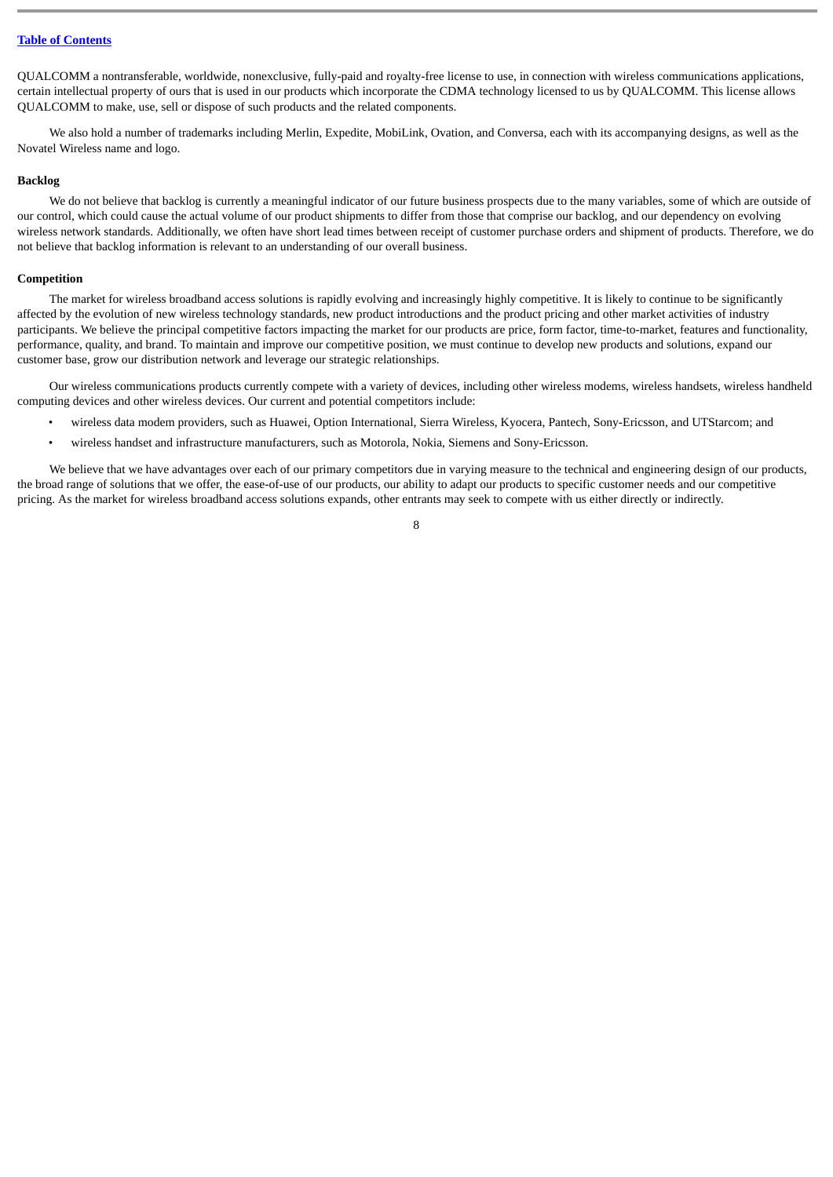#### **Table of [Contents](#page-1-0)**

QUALCOMM a nontransferable, worldwide, nonexclusive, fully-paid and royalty-free license to use, in connection with wireless communications applications, certain intellectual property of ours that is used in our products which incorporate the CDMA technology licensed to us by QUALCOMM. This license allows QUALCOMM to make, use, sell or dispose of such products and the related components.

We also hold a number of trademarks including Merlin, Expedite, MobiLink, Ovation, and Conversa, each with its accompanying designs, as well as the Novatel Wireless name and logo.

#### **Backlog**

We do not believe that backlog is currently a meaningful indicator of our future business prospects due to the many variables, some of which are outside of our control, which could cause the actual volume of our product shipments to differ from those that comprise our backlog, and our dependency on evolving wireless network standards. Additionally, we often have short lead times between receipt of customer purchase orders and shipment of products. Therefore, we do not believe that backlog information is relevant to an understanding of our overall business.

#### **Competition**

The market for wireless broadband access solutions is rapidly evolving and increasingly highly competitive. It is likely to continue to be significantly affected by the evolution of new wireless technology standards, new product introductions and the product pricing and other market activities of industry participants. We believe the principal competitive factors impacting the market for our products are price, form factor, time-to-market, features and functionality, performance, quality, and brand. To maintain and improve our competitive position, we must continue to develop new products and solutions, expand our customer base, grow our distribution network and leverage our strategic relationships.

Our wireless communications products currently compete with a variety of devices, including other wireless modems, wireless handsets, wireless handheld computing devices and other wireless devices. Our current and potential competitors include:

- wireless data modem providers, such as Huawei, Option International, Sierra Wireless, Kyocera, Pantech, Sony-Ericsson, and UTStarcom; and
- wireless handset and infrastructure manufacturers, such as Motorola, Nokia, Siemens and Sony-Ericsson.

We believe that we have advantages over each of our primary competitors due in varying measure to the technical and engineering design of our products, the broad range of solutions that we offer, the ease-of-use of our products, our ability to adapt our products to specific customer needs and our competitive pricing. As the market for wireless broadband access solutions expands, other entrants may seek to compete with us either directly or indirectly.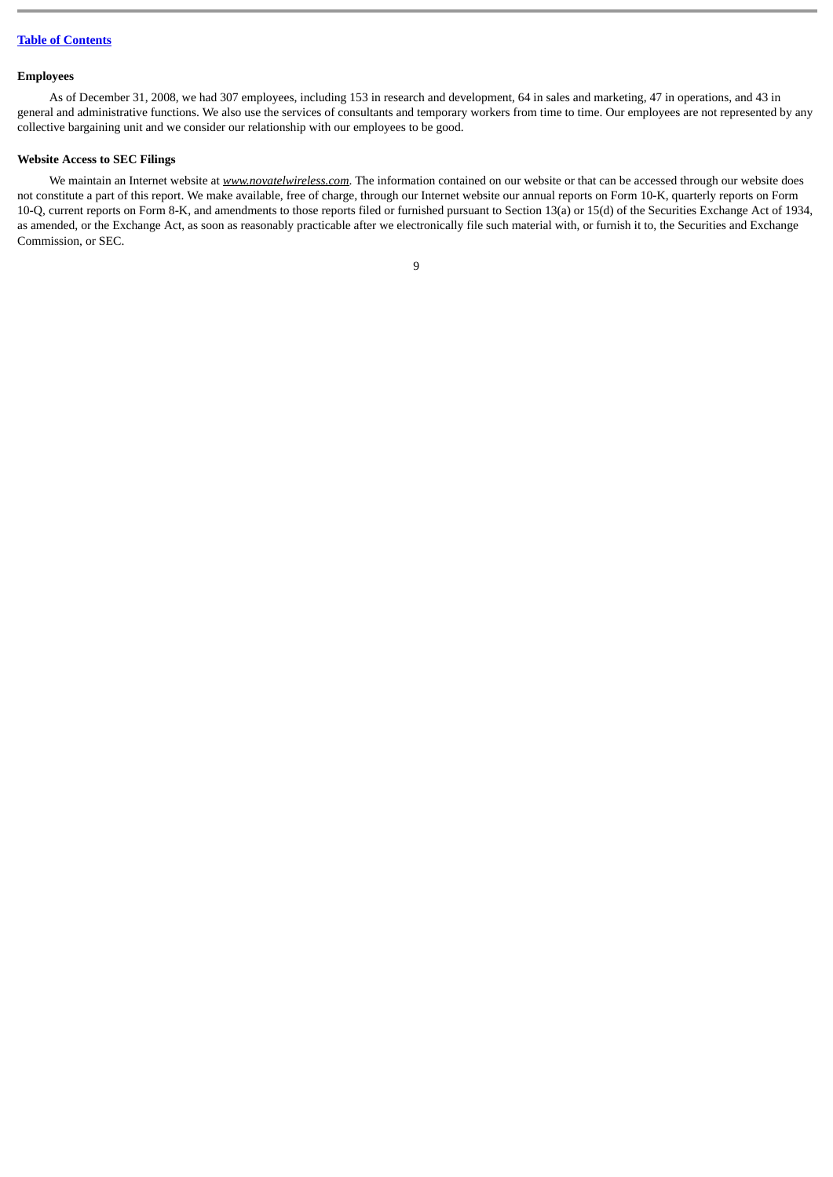# **Employees**

As of December 31, 2008, we had 307 employees, including 153 in research and development, 64 in sales and marketing, 47 in operations, and 43 in general and administrative functions. We also use the services of consultants and temporary workers from time to time. Our employees are not represented by any collective bargaining unit and we consider our relationship with our employees to be good.

# **Website Access to SEC Filings**

We maintain an Internet website at *www.novatelwireless.com*. The information contained on our website or that can be accessed through our website does not constitute a part of this report. We make available, free of charge, through our Internet website our annual reports on Form 10-K, quarterly reports on Form 10-Q, current reports on Form 8-K, and amendments to those reports filed or furnished pursuant to Section 13(a) or 15(d) of the Securities Exchange Act of 1934, as amended, or the Exchange Act, as soon as reasonably practicable after we electronically file such material with, or furnish it to, the Securities and Exchange Commission, or SEC.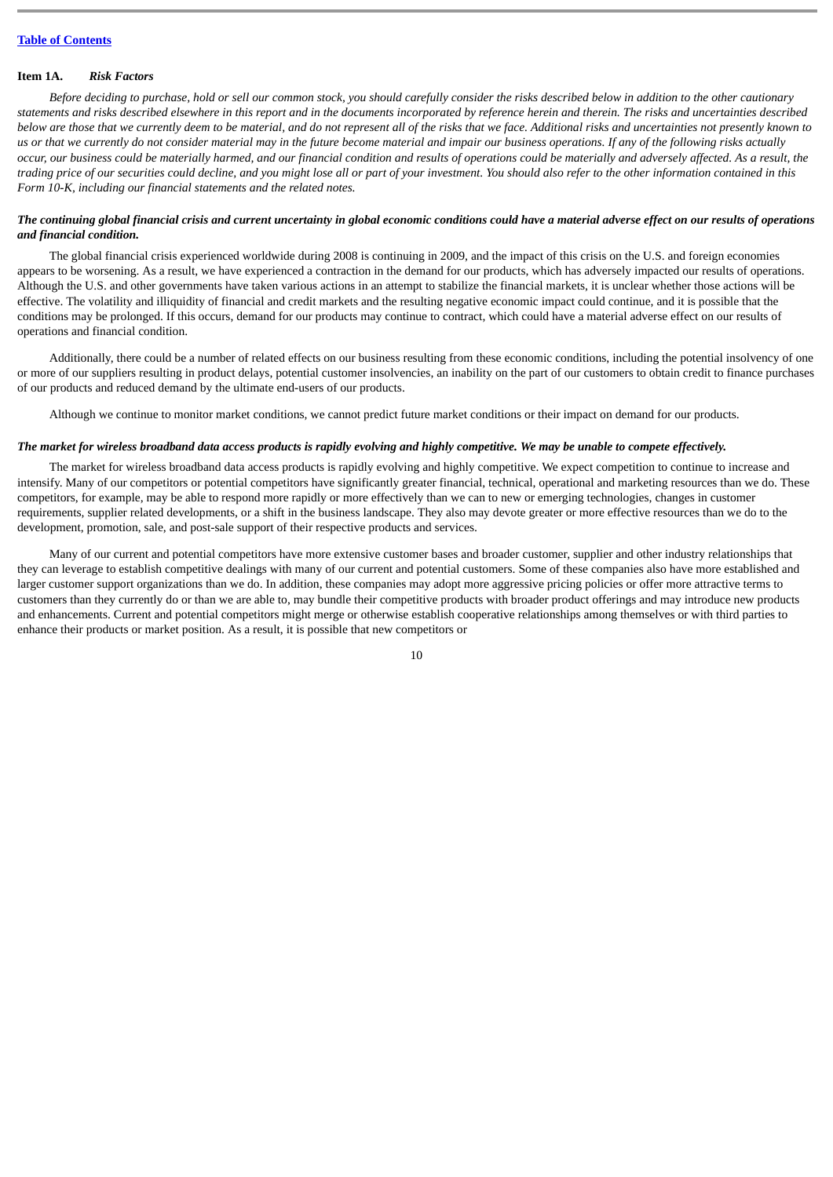#### <span id="page-12-0"></span>**Item 1A.** *Risk Factors*

*Before deciding to purchase, hold or sell our common stock, you should carefully consider the risks described below in addition to the other cautionary statements and risks described elsewhere in this report and in the documents incorporated by reference herein and therein. The risks and uncertainties described below are those that we currently deem to be material, and do not represent all of the risks that we face. Additional risks and uncertainties not presently known to us or that we currently do not consider material may in the future become material and impair our business operations. If any of the following risks actually occur, our business could be materially harmed, and our financial condition and results of operations could be materially and adversely affected. As a result, the trading price of our securities could decline, and you might lose all or part of your investment. You should also refer to the other information contained in this Form 10-K, including our financial statements and the related notes.*

# *The continuing global financial crisis and current uncertainty in global economic conditions could have a material adverse effect on our results of operations and financial condition.*

The global financial crisis experienced worldwide during 2008 is continuing in 2009, and the impact of this crisis on the U.S. and foreign economies appears to be worsening. As a result, we have experienced a contraction in the demand for our products, which has adversely impacted our results of operations. Although the U.S. and other governments have taken various actions in an attempt to stabilize the financial markets, it is unclear whether those actions will be effective. The volatility and illiquidity of financial and credit markets and the resulting negative economic impact could continue, and it is possible that the conditions may be prolonged. If this occurs, demand for our products may continue to contract, which could have a material adverse effect on our results of operations and financial condition.

Additionally, there could be a number of related effects on our business resulting from these economic conditions, including the potential insolvency of one or more of our suppliers resulting in product delays, potential customer insolvencies, an inability on the part of our customers to obtain credit to finance purchases of our products and reduced demand by the ultimate end-users of our products.

Although we continue to monitor market conditions, we cannot predict future market conditions or their impact on demand for our products.

#### *The market for wireless broadband data access products is rapidly evolving and highly competitive. We may be unable to compete effectively.*

The market for wireless broadband data access products is rapidly evolving and highly competitive. We expect competition to continue to increase and intensify. Many of our competitors or potential competitors have significantly greater financial, technical, operational and marketing resources than we do. These competitors, for example, may be able to respond more rapidly or more effectively than we can to new or emerging technologies, changes in customer requirements, supplier related developments, or a shift in the business landscape. They also may devote greater or more effective resources than we do to the development, promotion, sale, and post-sale support of their respective products and services.

Many of our current and potential competitors have more extensive customer bases and broader customer, supplier and other industry relationships that they can leverage to establish competitive dealings with many of our current and potential customers. Some of these companies also have more established and larger customer support organizations than we do. In addition, these companies may adopt more aggressive pricing policies or offer more attractive terms to customers than they currently do or than we are able to, may bundle their competitive products with broader product offerings and may introduce new products and enhancements. Current and potential competitors might merge or otherwise establish cooperative relationships among themselves or with third parties to enhance their products or market position. As a result, it is possible that new competitors or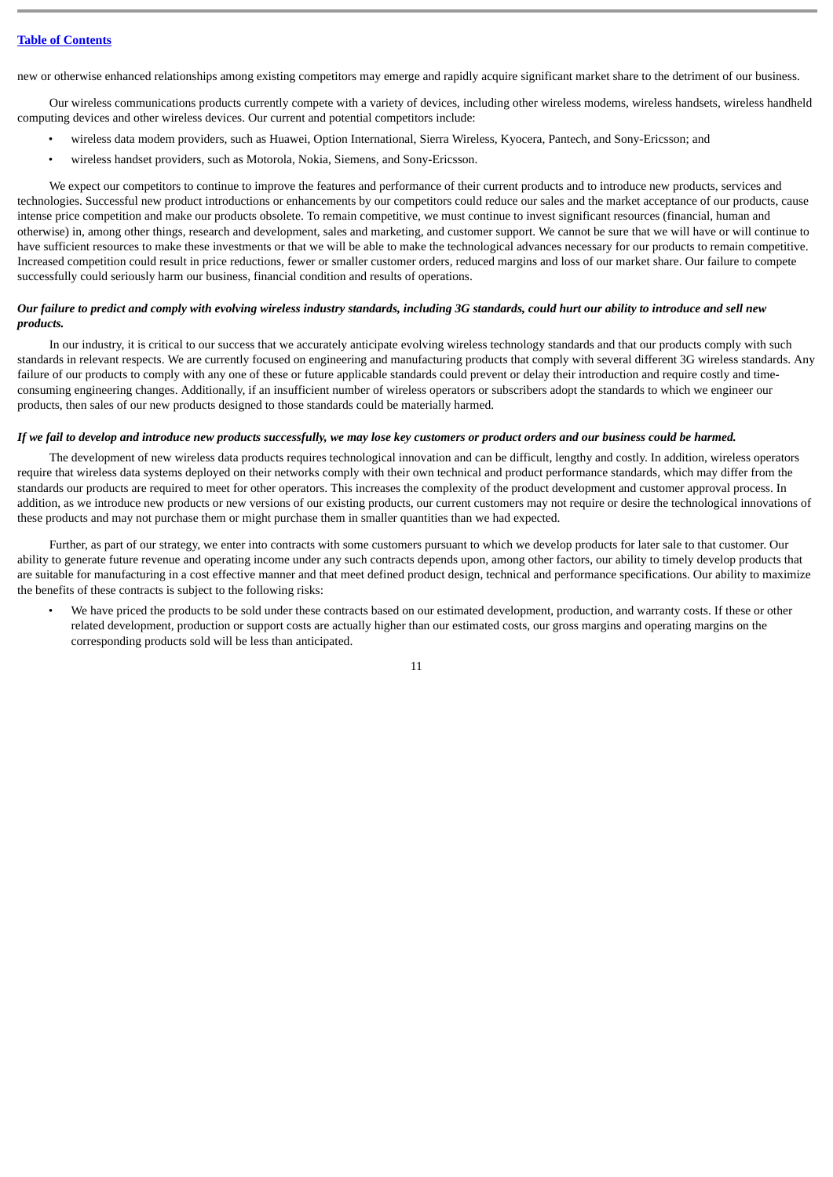new or otherwise enhanced relationships among existing competitors may emerge and rapidly acquire significant market share to the detriment of our business.

Our wireless communications products currently compete with a variety of devices, including other wireless modems, wireless handsets, wireless handheld computing devices and other wireless devices. Our current and potential competitors include:

- wireless data modem providers, such as Huawei, Option International, Sierra Wireless, Kyocera, Pantech, and Sony-Ericsson; and
- wireless handset providers, such as Motorola, Nokia, Siemens, and Sony-Ericsson.

We expect our competitors to continue to improve the features and performance of their current products and to introduce new products, services and technologies. Successful new product introductions or enhancements by our competitors could reduce our sales and the market acceptance of our products, cause intense price competition and make our products obsolete. To remain competitive, we must continue to invest significant resources (financial, human and otherwise) in, among other things, research and development, sales and marketing, and customer support. We cannot be sure that we will have or will continue to have sufficient resources to make these investments or that we will be able to make the technological advances necessary for our products to remain competitive. Increased competition could result in price reductions, fewer or smaller customer orders, reduced margins and loss of our market share. Our failure to compete successfully could seriously harm our business, financial condition and results of operations.

### *Our failure to predict and comply with evolving wireless industry standards, including 3G standards, could hurt our ability to introduce and sell new products.*

In our industry, it is critical to our success that we accurately anticipate evolving wireless technology standards and that our products comply with such standards in relevant respects. We are currently focused on engineering and manufacturing products that comply with several different 3G wireless standards. Any failure of our products to comply with any one of these or future applicable standards could prevent or delay their introduction and require costly and timeconsuming engineering changes. Additionally, if an insufficient number of wireless operators or subscribers adopt the standards to which we engineer our products, then sales of our new products designed to those standards could be materially harmed.

#### *If we fail to develop and introduce new products successfully, we may lose key customers or product orders and our business could be harmed.*

The development of new wireless data products requires technological innovation and can be difficult, lengthy and costly. In addition, wireless operators require that wireless data systems deployed on their networks comply with their own technical and product performance standards, which may differ from the standards our products are required to meet for other operators. This increases the complexity of the product development and customer approval process. In addition, as we introduce new products or new versions of our existing products, our current customers may not require or desire the technological innovations of these products and may not purchase them or might purchase them in smaller quantities than we had expected.

Further, as part of our strategy, we enter into contracts with some customers pursuant to which we develop products for later sale to that customer. Our ability to generate future revenue and operating income under any such contracts depends upon, among other factors, our ability to timely develop products that are suitable for manufacturing in a cost effective manner and that meet defined product design, technical and performance specifications. Our ability to maximize the benefits of these contracts is subject to the following risks:

• We have priced the products to be sold under these contracts based on our estimated development, production, and warranty costs. If these or other related development, production or support costs are actually higher than our estimated costs, our gross margins and operating margins on the corresponding products sold will be less than anticipated.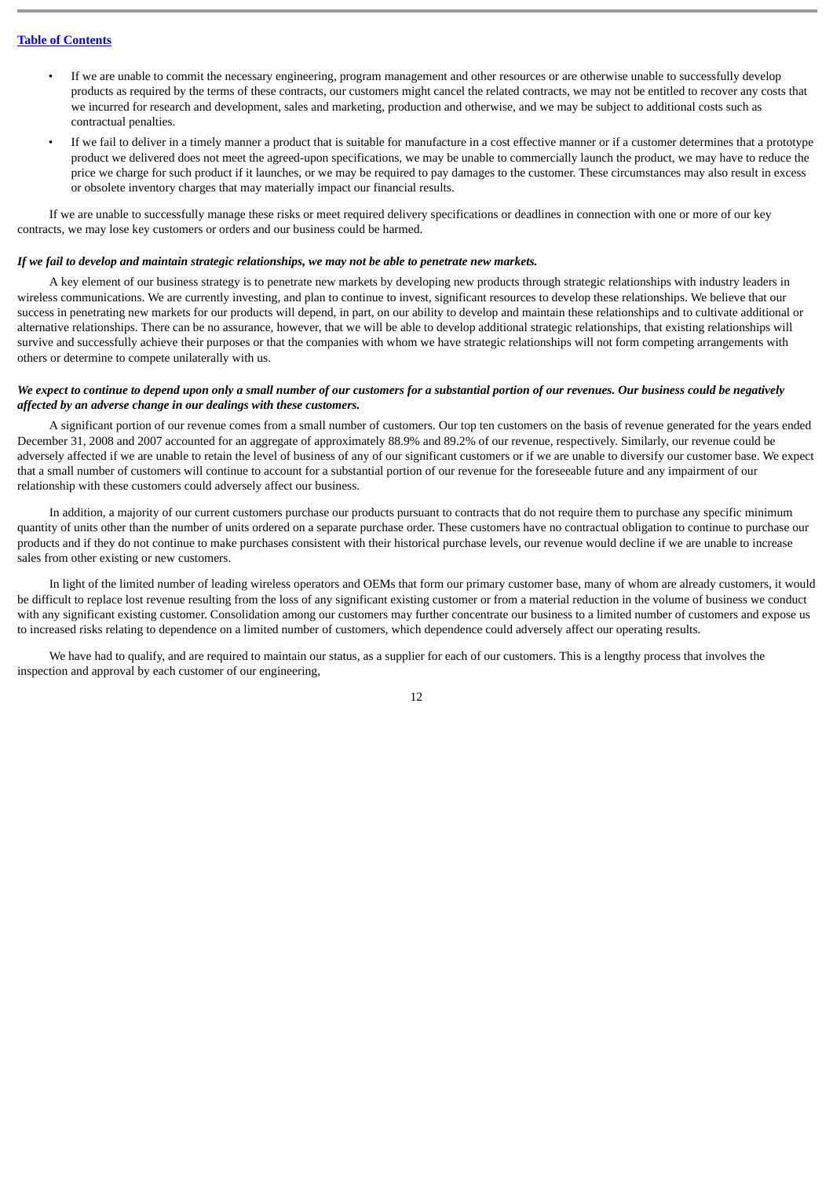# **Table of [Contents](#page-1-0)**

- If we are unable to commit the necessary engineering, program management and other resources or are otherwise unable to successfully develop products as required by the terms of these contracts, our customers might cancel the related contracts, we may not be entitled to recover any costs that we incurred for research and development, sales and marketing, production and otherwise, and we may be subject to additional costs such as contractual penalties.
- If we fail to deliver in a timely manner a product that is suitable for manufacture in a cost effective manner or if a customer determines that a prototype product we delivered does not meet the agreed-upon specifications, we may be unable to commercially launch the product, we may have to reduce the price we charge for such product if it launches, or we may be required to pay damages to the customer. These circumstances may also result in excess or obsolete inventory charges that may materially impact our financial results.

If we are unable to successfully manage these risks or meet required delivery specifications or deadlines in connection with one or more of our key contracts, we may lose key customers or orders and our business could be harmed.

#### *If we fail to develop and maintain strategic relationships, we may not be able to penetrate new markets.*

A key element of our business strategy is to penetrate new markets by developing new products through strategic relationships with industry leaders in wireless communications. We are currently investing, and plan to continue to invest, significant resources to develop these relationships. We believe that our success in penetrating new markets for our products will depend, in part, on our ability to develop and maintain these relationships and to cultivate additional or alternative relationships. There can be no assurance, however, that we will be able to develop additional strategic relationships, that existing relationships will survive and successfully achieve their purposes or that the companies with whom we have strategic relationships will not form competing arrangements with others or determine to compete unilaterally with us.

# *We expect to continue to depend upon only a small number of our customers for a substantial portion of our revenues. Our business could be negatively affected by an adverse change in our dealings with these customers.*

A significant portion of our revenue comes from a small number of customers. Our top ten customers on the basis of revenue generated for the years ended December 31, 2008 and 2007 accounted for an aggregate of approximately 88.9% and 89.2% of our revenue, respectively. Similarly, our revenue could be adversely affected if we are unable to retain the level of business of any of our significant customers or if we are unable to diversify our customer base. We expect that a small number of customers will continue to account for a substantial portion of our revenue for the foreseeable future and any impairment of our relationship with these customers could adversely affect our business.

In addition, a majority of our current customers purchase our products pursuant to contracts that do not require them to purchase any specific minimum quantity of units other than the number of units ordered on a separate purchase order. These customers have no contractual obligation to continue to purchase our products and if they do not continue to make purchases consistent with their historical purchase levels, our revenue would decline if we are unable to increase sales from other existing or new customers.

In light of the limited number of leading wireless operators and OEMs that form our primary customer base, many of whom are already customers, it would be difficult to replace lost revenue resulting from the loss of any significant existing customer or from a material reduction in the volume of business we conduct with any significant existing customer. Consolidation among our customers may further concentrate our business to a limited number of customers and expose us to increased risks relating to dependence on a limited number of customers, which dependence could adversely affect our operating results.

We have had to qualify, and are required to maintain our status, as a supplier for each of our customers. This is a lengthy process that involves the inspection and approval by each customer of our engineering,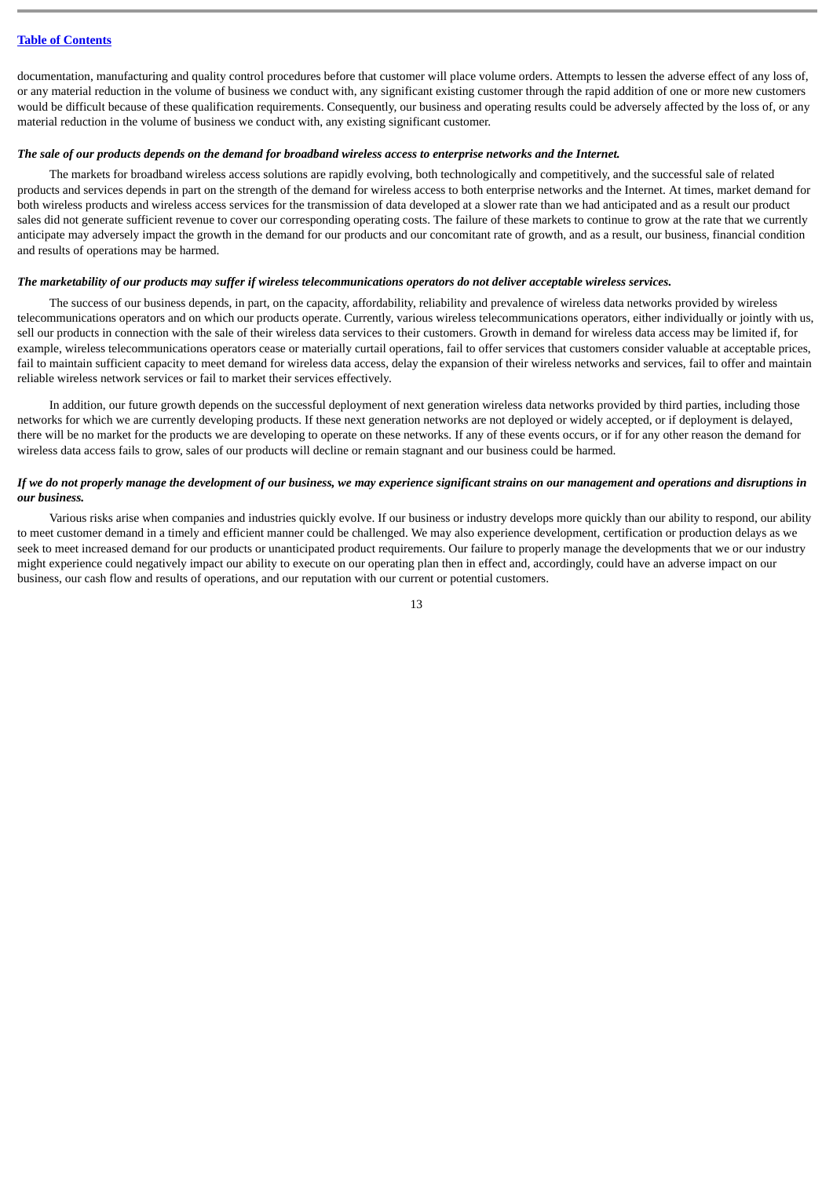documentation, manufacturing and quality control procedures before that customer will place volume orders. Attempts to lessen the adverse effect of any loss of, or any material reduction in the volume of business we conduct with, any significant existing customer through the rapid addition of one or more new customers would be difficult because of these qualification requirements. Consequently, our business and operating results could be adversely affected by the loss of, or any material reduction in the volume of business we conduct with, any existing significant customer.

#### *The sale of our products depends on the demand for broadband wireless access to enterprise networks and the Internet.*

The markets for broadband wireless access solutions are rapidly evolving, both technologically and competitively, and the successful sale of related products and services depends in part on the strength of the demand for wireless access to both enterprise networks and the Internet. At times, market demand for both wireless products and wireless access services for the transmission of data developed at a slower rate than we had anticipated and as a result our product sales did not generate sufficient revenue to cover our corresponding operating costs. The failure of these markets to continue to grow at the rate that we currently anticipate may adversely impact the growth in the demand for our products and our concomitant rate of growth, and as a result, our business, financial condition and results of operations may be harmed.

### *The marketability of our products may suffer if wireless telecommunications operators do not deliver acceptable wireless services.*

The success of our business depends, in part, on the capacity, affordability, reliability and prevalence of wireless data networks provided by wireless telecommunications operators and on which our products operate. Currently, various wireless telecommunications operators, either individually or jointly with us, sell our products in connection with the sale of their wireless data services to their customers. Growth in demand for wireless data access may be limited if, for example, wireless telecommunications operators cease or materially curtail operations, fail to offer services that customers consider valuable at acceptable prices, fail to maintain sufficient capacity to meet demand for wireless data access, delay the expansion of their wireless networks and services, fail to offer and maintain reliable wireless network services or fail to market their services effectively.

In addition, our future growth depends on the successful deployment of next generation wireless data networks provided by third parties, including those networks for which we are currently developing products. If these next generation networks are not deployed or widely accepted, or if deployment is delayed, there will be no market for the products we are developing to operate on these networks. If any of these events occurs, or if for any other reason the demand for wireless data access fails to grow, sales of our products will decline or remain stagnant and our business could be harmed.

# *If we do not properly manage the development of our business, we may experience significant strains on our management and operations and disruptions in our business.*

Various risks arise when companies and industries quickly evolve. If our business or industry develops more quickly than our ability to respond, our ability to meet customer demand in a timely and efficient manner could be challenged. We may also experience development, certification or production delays as we seek to meet increased demand for our products or unanticipated product requirements. Our failure to properly manage the developments that we or our industry might experience could negatively impact our ability to execute on our operating plan then in effect and, accordingly, could have an adverse impact on our business, our cash flow and results of operations, and our reputation with our current or potential customers.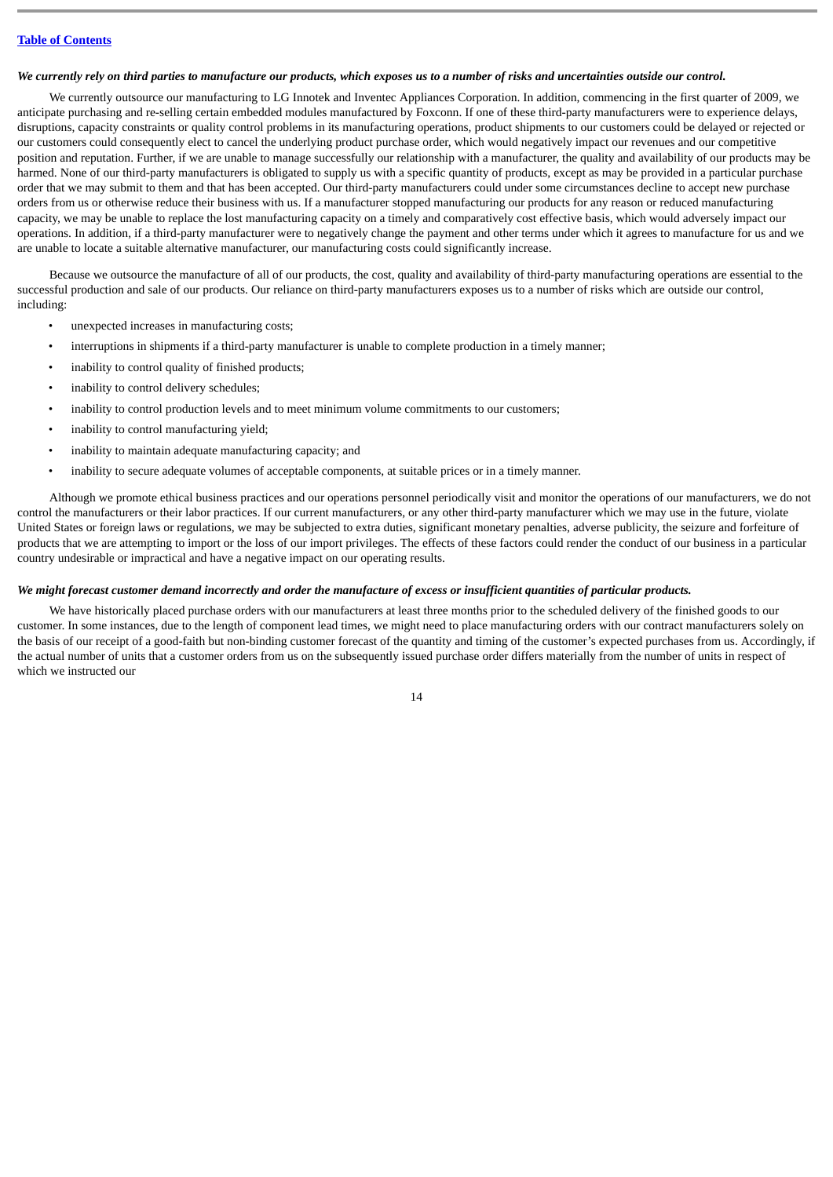#### *We currently rely on third parties to manufacture our products, which exposes us to a number of risks and uncertainties outside our control.*

We currently outsource our manufacturing to LG Innotek and Inventec Appliances Corporation. In addition, commencing in the first quarter of 2009, we anticipate purchasing and re-selling certain embedded modules manufactured by Foxconn. If one of these third-party manufacturers were to experience delays, disruptions, capacity constraints or quality control problems in its manufacturing operations, product shipments to our customers could be delayed or rejected or our customers could consequently elect to cancel the underlying product purchase order, which would negatively impact our revenues and our competitive position and reputation. Further, if we are unable to manage successfully our relationship with a manufacturer, the quality and availability of our products may be harmed. None of our third-party manufacturers is obligated to supply us with a specific quantity of products, except as may be provided in a particular purchase order that we may submit to them and that has been accepted. Our third-party manufacturers could under some circumstances decline to accept new purchase orders from us or otherwise reduce their business with us. If a manufacturer stopped manufacturing our products for any reason or reduced manufacturing capacity, we may be unable to replace the lost manufacturing capacity on a timely and comparatively cost effective basis, which would adversely impact our operations. In addition, if a third-party manufacturer were to negatively change the payment and other terms under which it agrees to manufacture for us and we are unable to locate a suitable alternative manufacturer, our manufacturing costs could significantly increase.

Because we outsource the manufacture of all of our products, the cost, quality and availability of third-party manufacturing operations are essential to the successful production and sale of our products. Our reliance on third-party manufacturers exposes us to a number of risks which are outside our control, including:

- unexpected increases in manufacturing costs;
- interruptions in shipments if a third-party manufacturer is unable to complete production in a timely manner;
- inability to control quality of finished products;
- inability to control delivery schedules;
- inability to control production levels and to meet minimum volume commitments to our customers;
- inability to control manufacturing yield;
- inability to maintain adequate manufacturing capacity; and
- inability to secure adequate volumes of acceptable components, at suitable prices or in a timely manner.

Although we promote ethical business practices and our operations personnel periodically visit and monitor the operations of our manufacturers, we do not control the manufacturers or their labor practices. If our current manufacturers, or any other third-party manufacturer which we may use in the future, violate United States or foreign laws or regulations, we may be subjected to extra duties, significant monetary penalties, adverse publicity, the seizure and forfeiture of products that we are attempting to import or the loss of our import privileges. The effects of these factors could render the conduct of our business in a particular country undesirable or impractical and have a negative impact on our operating results.

# *We might forecast customer demand incorrectly and order the manufacture of excess or insufficient quantities of particular products.*

We have historically placed purchase orders with our manufacturers at least three months prior to the scheduled delivery of the finished goods to our customer. In some instances, due to the length of component lead times, we might need to place manufacturing orders with our contract manufacturers solely on the basis of our receipt of a good-faith but non-binding customer forecast of the quantity and timing of the customer's expected purchases from us. Accordingly, if the actual number of units that a customer orders from us on the subsequently issued purchase order differs materially from the number of units in respect of which we instructed our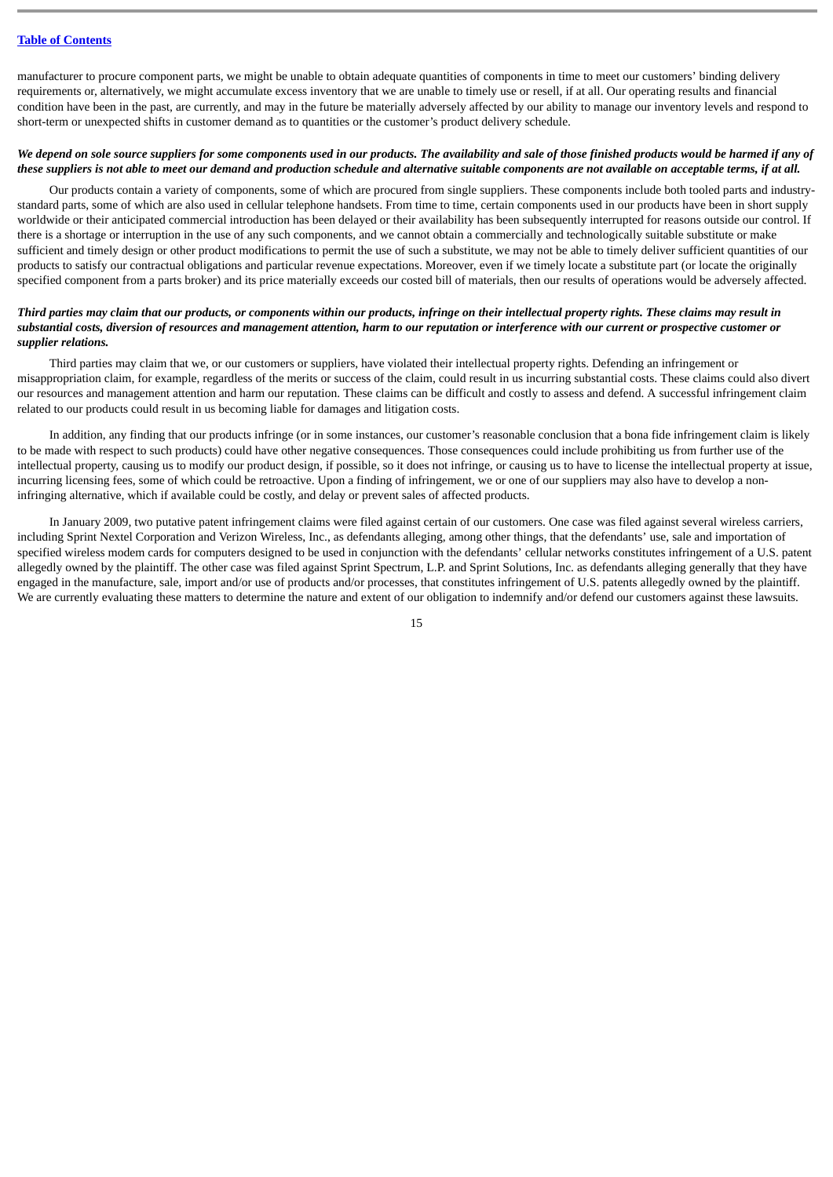manufacturer to procure component parts, we might be unable to obtain adequate quantities of components in time to meet our customers' binding delivery requirements or, alternatively, we might accumulate excess inventory that we are unable to timely use or resell, if at all. Our operating results and financial condition have been in the past, are currently, and may in the future be materially adversely affected by our ability to manage our inventory levels and respond to short-term or unexpected shifts in customer demand as to quantities or the customer's product delivery schedule.

# *We depend on sole source suppliers for some components used in our products. The availability and sale of those finished products would be harmed if any of these suppliers is not able to meet our demand and production schedule and alternative suitable components are not available on acceptable terms, if at all.*

Our products contain a variety of components, some of which are procured from single suppliers. These components include both tooled parts and industrystandard parts, some of which are also used in cellular telephone handsets. From time to time, certain components used in our products have been in short supply worldwide or their anticipated commercial introduction has been delayed or their availability has been subsequently interrupted for reasons outside our control. If there is a shortage or interruption in the use of any such components, and we cannot obtain a commercially and technologically suitable substitute or make sufficient and timely design or other product modifications to permit the use of such a substitute, we may not be able to timely deliver sufficient quantities of our products to satisfy our contractual obligations and particular revenue expectations. Moreover, even if we timely locate a substitute part (or locate the originally specified component from a parts broker) and its price materially exceeds our costed bill of materials, then our results of operations would be adversely affected.

# *Third parties may claim that our products, or components within our products, infringe on their intellectual property rights. These claims may result in substantial costs, diversion of resources and management attention, harm to our reputation or interference with our current or prospective customer or supplier relations.*

Third parties may claim that we, or our customers or suppliers, have violated their intellectual property rights. Defending an infringement or misappropriation claim, for example, regardless of the merits or success of the claim, could result in us incurring substantial costs. These claims could also divert our resources and management attention and harm our reputation. These claims can be difficult and costly to assess and defend. A successful infringement claim related to our products could result in us becoming liable for damages and litigation costs.

In addition, any finding that our products infringe (or in some instances, our customer's reasonable conclusion that a bona fide infringement claim is likely to be made with respect to such products) could have other negative consequences. Those consequences could include prohibiting us from further use of the intellectual property, causing us to modify our product design, if possible, so it does not infringe, or causing us to have to license the intellectual property at issue, incurring licensing fees, some of which could be retroactive. Upon a finding of infringement, we or one of our suppliers may also have to develop a noninfringing alternative, which if available could be costly, and delay or prevent sales of affected products.

In January 2009, two putative patent infringement claims were filed against certain of our customers. One case was filed against several wireless carriers, including Sprint Nextel Corporation and Verizon Wireless, Inc., as defendants alleging, among other things, that the defendants' use, sale and importation of specified wireless modem cards for computers designed to be used in conjunction with the defendants' cellular networks constitutes infringement of a U.S. patent allegedly owned by the plaintiff. The other case was filed against Sprint Spectrum, L.P. and Sprint Solutions, Inc. as defendants alleging generally that they have engaged in the manufacture, sale, import and/or use of products and/or processes, that constitutes infringement of U.S. patents allegedly owned by the plaintiff. We are currently evaluating these matters to determine the nature and extent of our obligation to indemnify and/or defend our customers against these lawsuits.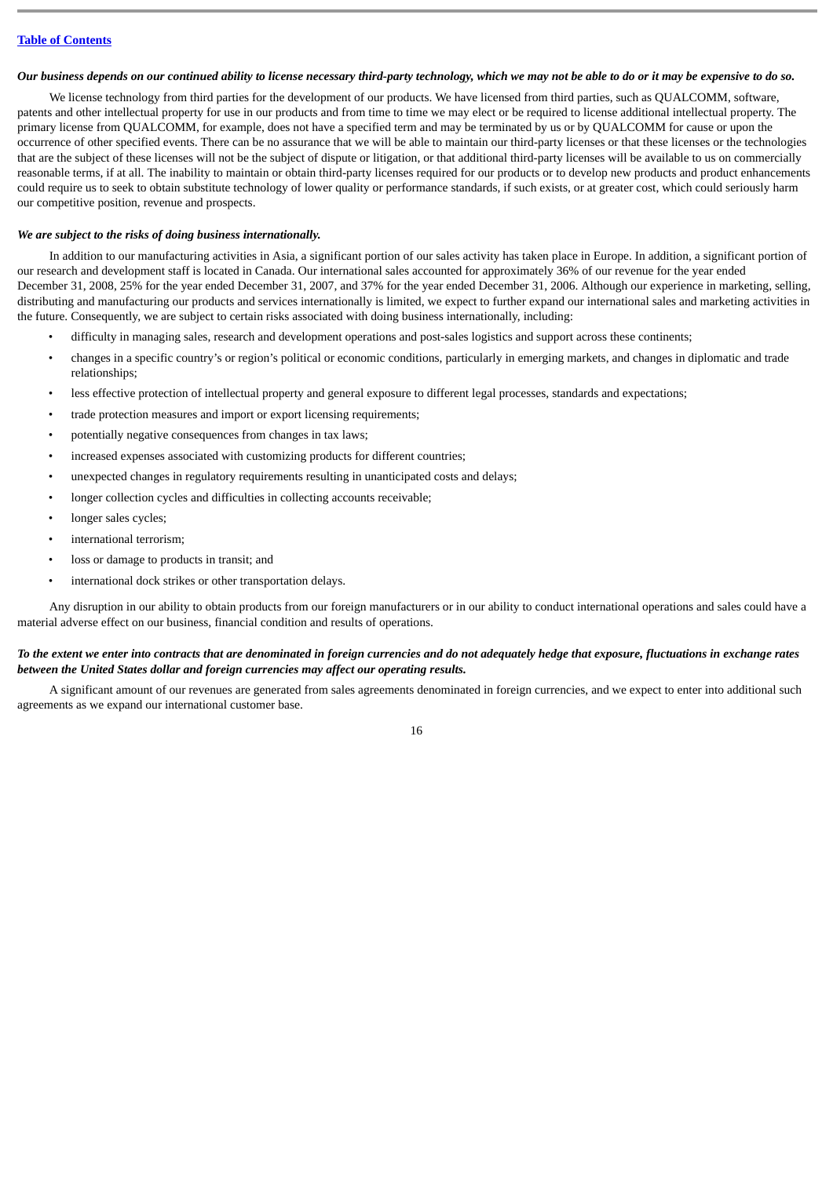#### *Our business depends on our continued ability to license necessary third-party technology, which we may not be able to do or it may be expensive to do so.*

We license technology from third parties for the development of our products. We have licensed from third parties, such as QUALCOMM, software, patents and other intellectual property for use in our products and from time to time we may elect or be required to license additional intellectual property. The primary license from QUALCOMM, for example, does not have a specified term and may be terminated by us or by QUALCOMM for cause or upon the occurrence of other specified events. There can be no assurance that we will be able to maintain our third-party licenses or that these licenses or the technologies that are the subject of these licenses will not be the subject of dispute or litigation, or that additional third-party licenses will be available to us on commercially reasonable terms, if at all. The inability to maintain or obtain third-party licenses required for our products or to develop new products and product enhancements could require us to seek to obtain substitute technology of lower quality or performance standards, if such exists, or at greater cost, which could seriously harm our competitive position, revenue and prospects.

# *We are subject to the risks of doing business internationally.*

In addition to our manufacturing activities in Asia, a significant portion of our sales activity has taken place in Europe. In addition, a significant portion of our research and development staff is located in Canada. Our international sales accounted for approximately 36% of our revenue for the year ended December 31, 2008, 25% for the year ended December 31, 2007, and 37% for the year ended December 31, 2006. Although our experience in marketing, selling, distributing and manufacturing our products and services internationally is limited, we expect to further expand our international sales and marketing activities in the future. Consequently, we are subject to certain risks associated with doing business internationally, including:

- difficulty in managing sales, research and development operations and post-sales logistics and support across these continents;
- changes in a specific country's or region's political or economic conditions, particularly in emerging markets, and changes in diplomatic and trade relationships;
- less effective protection of intellectual property and general exposure to different legal processes, standards and expectations;
- trade protection measures and import or export licensing requirements;
- potentially negative consequences from changes in tax laws;
- increased expenses associated with customizing products for different countries;
- unexpected changes in regulatory requirements resulting in unanticipated costs and delays;
- longer collection cycles and difficulties in collecting accounts receivable;
- longer sales cycles:
- international terrorism;
- loss or damage to products in transit; and
- international dock strikes or other transportation delays.

Any disruption in our ability to obtain products from our foreign manufacturers or in our ability to conduct international operations and sales could have a material adverse effect on our business, financial condition and results of operations.

# *To the extent we enter into contracts that are denominated in foreign currencies and do not adequately hedge that exposure, fluctuations in exchange rates between the United States dollar and foreign currencies may affect our operating results.*

A significant amount of our revenues are generated from sales agreements denominated in foreign currencies, and we expect to enter into additional such agreements as we expand our international customer base.

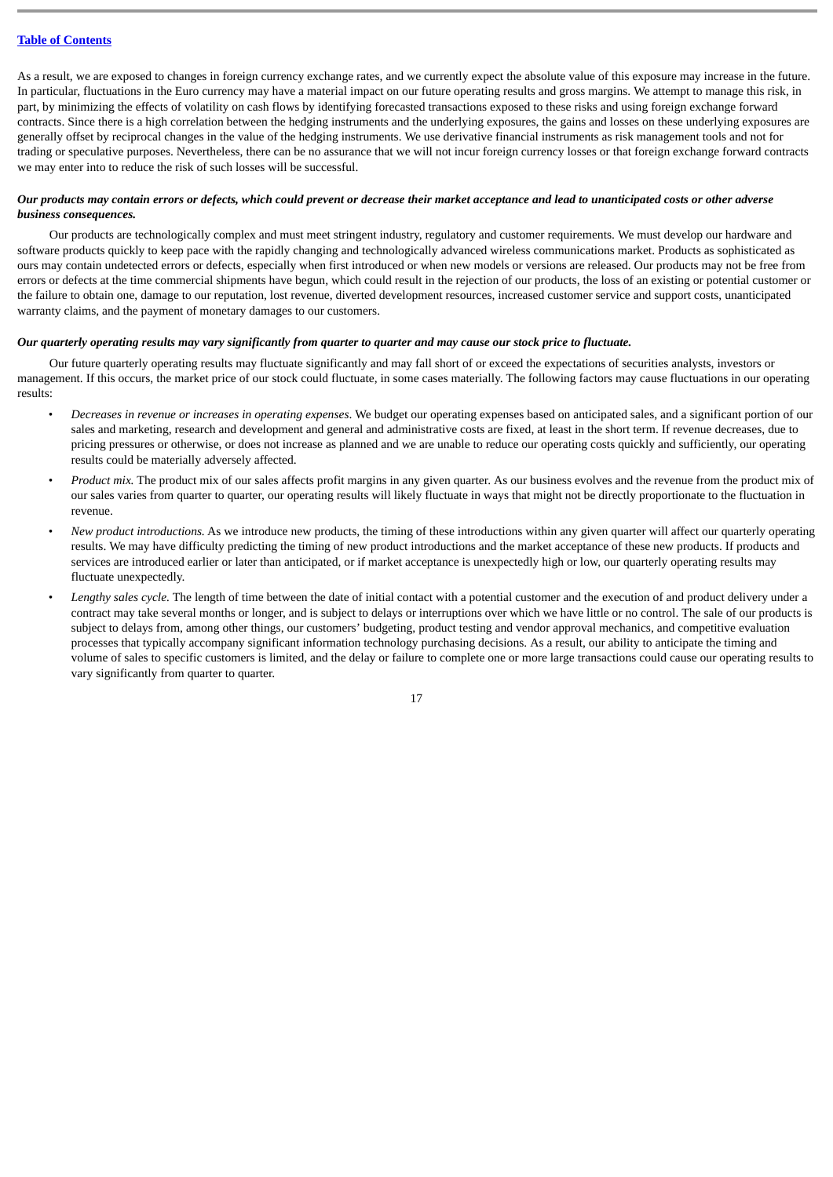### **Table of [Contents](#page-1-0)**

As a result, we are exposed to changes in foreign currency exchange rates, and we currently expect the absolute value of this exposure may increase in the future. In particular, fluctuations in the Euro currency may have a material impact on our future operating results and gross margins. We attempt to manage this risk, in part, by minimizing the effects of volatility on cash flows by identifying forecasted transactions exposed to these risks and using foreign exchange forward contracts. Since there is a high correlation between the hedging instruments and the underlying exposures, the gains and losses on these underlying exposures are generally offset by reciprocal changes in the value of the hedging instruments. We use derivative financial instruments as risk management tools and not for trading or speculative purposes. Nevertheless, there can be no assurance that we will not incur foreign currency losses or that foreign exchange forward contracts we may enter into to reduce the risk of such losses will be successful.

# *Our products may contain errors or defects, which could prevent or decrease their market acceptance and lead to unanticipated costs or other adverse business consequences.*

Our products are technologically complex and must meet stringent industry, regulatory and customer requirements. We must develop our hardware and software products quickly to keep pace with the rapidly changing and technologically advanced wireless communications market. Products as sophisticated as ours may contain undetected errors or defects, especially when first introduced or when new models or versions are released. Our products may not be free from errors or defects at the time commercial shipments have begun, which could result in the rejection of our products, the loss of an existing or potential customer or the failure to obtain one, damage to our reputation, lost revenue, diverted development resources, increased customer service and support costs, unanticipated warranty claims, and the payment of monetary damages to our customers.

# *Our quarterly operating results may vary significantly from quarter to quarter and may cause our stock price to fluctuate.*

Our future quarterly operating results may fluctuate significantly and may fall short of or exceed the expectations of securities analysts, investors or management. If this occurs, the market price of our stock could fluctuate, in some cases materially. The following factors may cause fluctuations in our operating results:

- *Decreases in revenue or increases in operating expenses*. We budget our operating expenses based on anticipated sales, and a significant portion of our sales and marketing, research and development and general and administrative costs are fixed, at least in the short term. If revenue decreases, due to pricing pressures or otherwise, or does not increase as planned and we are unable to reduce our operating costs quickly and sufficiently, our operating results could be materially adversely affected.
- *Product mix.* The product mix of our sales affects profit margins in any given quarter. As our business evolves and the revenue from the product mix of our sales varies from quarter to quarter, our operating results will likely fluctuate in ways that might not be directly proportionate to the fluctuation in revenue.
- New product introductions. As we introduce new products, the timing of these introductions within any given quarter will affect our quarterly operating results. We may have difficulty predicting the timing of new product introductions and the market acceptance of these new products. If products and services are introduced earlier or later than anticipated, or if market acceptance is unexpectedly high or low, our quarterly operating results may fluctuate unexpectedly.
- *Lengthy sales cycle.* The length of time between the date of initial contact with a potential customer and the execution of and product delivery under a contract may take several months or longer, and is subject to delays or interruptions over which we have little or no control. The sale of our products is subject to delays from, among other things, our customers' budgeting, product testing and vendor approval mechanics, and competitive evaluation processes that typically accompany significant information technology purchasing decisions. As a result, our ability to anticipate the timing and volume of sales to specific customers is limited, and the delay or failure to complete one or more large transactions could cause our operating results to vary significantly from quarter to quarter.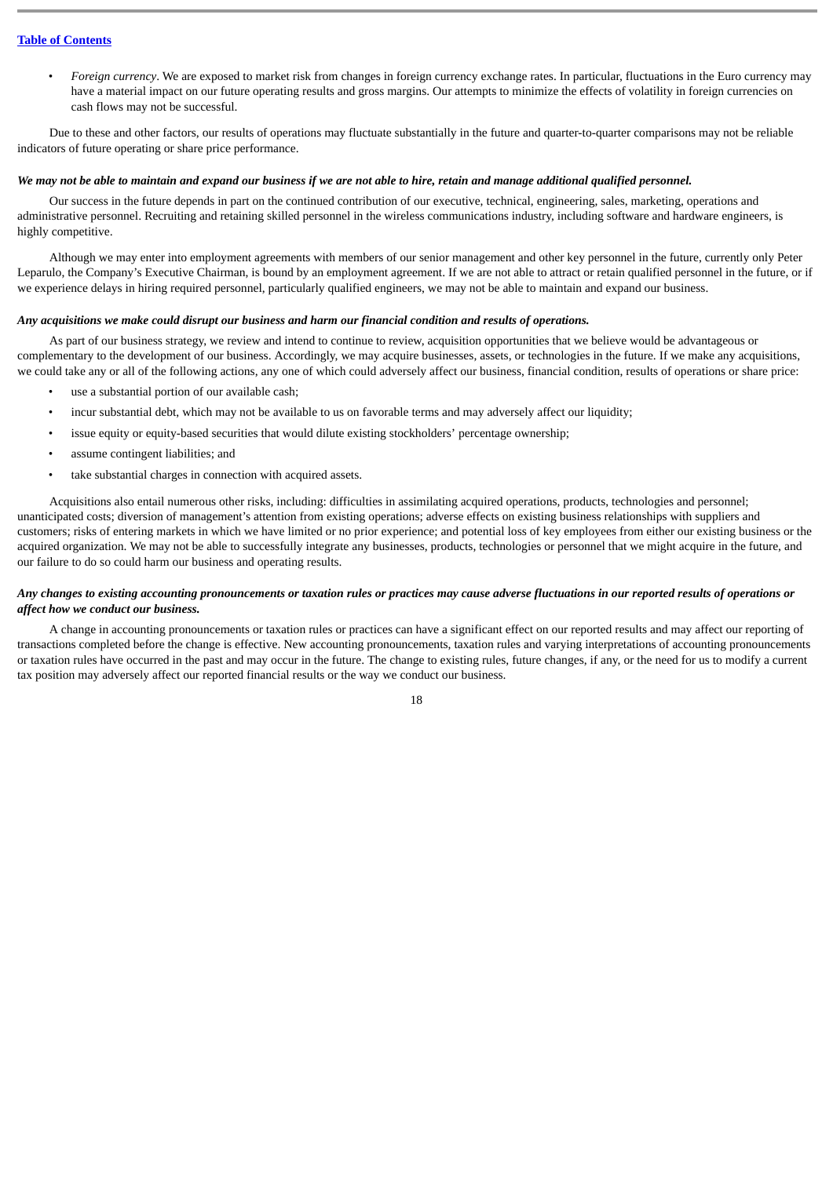# **Table of [Contents](#page-1-0)**

• *Foreign currency*. We are exposed to market risk from changes in foreign currency exchange rates. In particular, fluctuations in the Euro currency may have a material impact on our future operating results and gross margins. Our attempts to minimize the effects of volatility in foreign currencies on cash flows may not be successful.

Due to these and other factors, our results of operations may fluctuate substantially in the future and quarter-to-quarter comparisons may not be reliable indicators of future operating or share price performance.

# *We may not be able to maintain and expand our business if we are not able to hire, retain and manage additional qualified personnel.*

Our success in the future depends in part on the continued contribution of our executive, technical, engineering, sales, marketing, operations and administrative personnel. Recruiting and retaining skilled personnel in the wireless communications industry, including software and hardware engineers, is highly competitive.

Although we may enter into employment agreements with members of our senior management and other key personnel in the future, currently only Peter Leparulo, the Company's Executive Chairman, is bound by an employment agreement. If we are not able to attract or retain qualified personnel in the future, or if we experience delays in hiring required personnel, particularly qualified engineers, we may not be able to maintain and expand our business.

#### *Any acquisitions we make could disrupt our business and harm our financial condition and results of operations.*

As part of our business strategy, we review and intend to continue to review, acquisition opportunities that we believe would be advantageous or complementary to the development of our business. Accordingly, we may acquire businesses, assets, or technologies in the future. If we make any acquisitions, we could take any or all of the following actions, any one of which could adversely affect our business, financial condition, results of operations or share price:

- use a substantial portion of our available cash;
- incur substantial debt, which may not be available to us on favorable terms and may adversely affect our liquidity;
- issue equity or equity-based securities that would dilute existing stockholders' percentage ownership;
- assume contingent liabilities; and
- take substantial charges in connection with acquired assets.

Acquisitions also entail numerous other risks, including: difficulties in assimilating acquired operations, products, technologies and personnel; unanticipated costs; diversion of management's attention from existing operations; adverse effects on existing business relationships with suppliers and customers; risks of entering markets in which we have limited or no prior experience; and potential loss of key employees from either our existing business or the acquired organization. We may not be able to successfully integrate any businesses, products, technologies or personnel that we might acquire in the future, and our failure to do so could harm our business and operating results.

# *Any changes to existing accounting pronouncements or taxation rules or practices may cause adverse fluctuations in our reported results of operations or affect how we conduct our business.*

A change in accounting pronouncements or taxation rules or practices can have a significant effect on our reported results and may affect our reporting of transactions completed before the change is effective. New accounting pronouncements, taxation rules and varying interpretations of accounting pronouncements or taxation rules have occurred in the past and may occur in the future. The change to existing rules, future changes, if any, or the need for us to modify a current tax position may adversely affect our reported financial results or the way we conduct our business.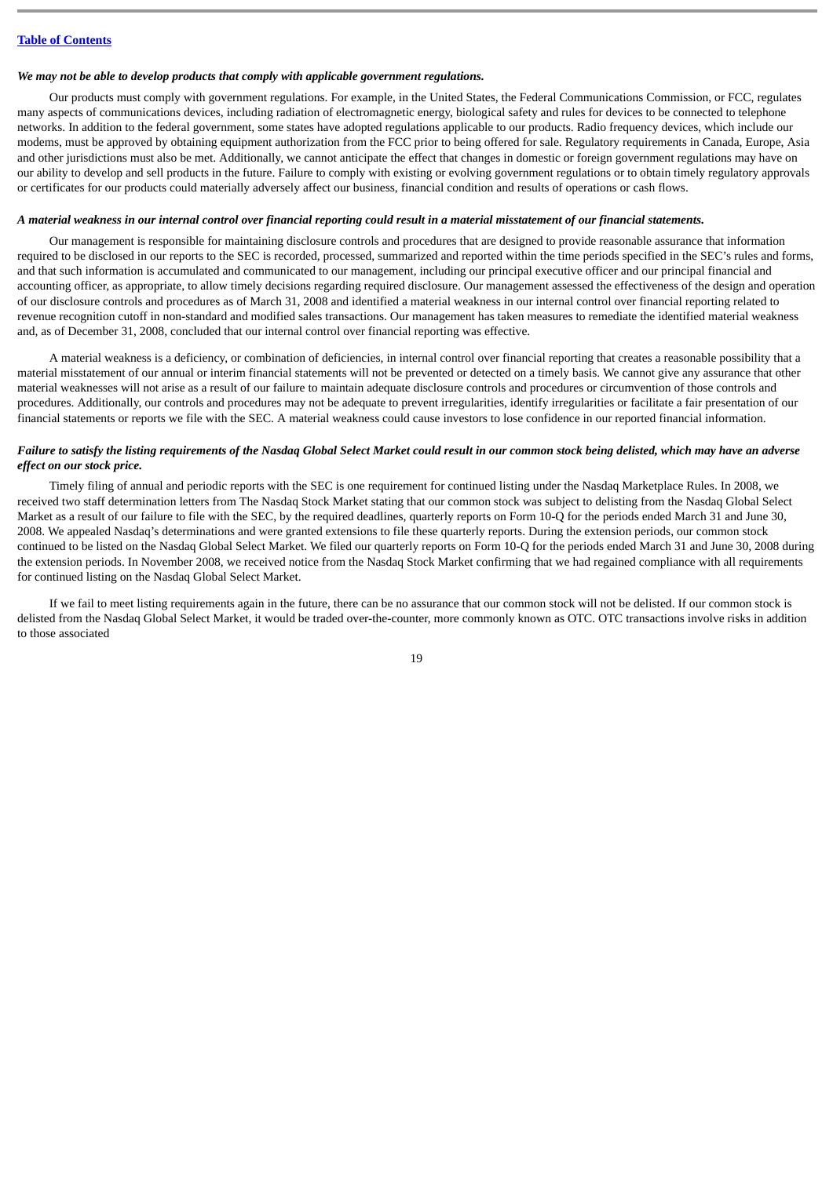#### *We may not be able to develop products that comply with applicable government regulations.*

Our products must comply with government regulations. For example, in the United States, the Federal Communications Commission, or FCC, regulates many aspects of communications devices, including radiation of electromagnetic energy, biological safety and rules for devices to be connected to telephone networks. In addition to the federal government, some states have adopted regulations applicable to our products. Radio frequency devices, which include our modems, must be approved by obtaining equipment authorization from the FCC prior to being offered for sale. Regulatory requirements in Canada, Europe, Asia and other jurisdictions must also be met. Additionally, we cannot anticipate the effect that changes in domestic or foreign government regulations may have on our ability to develop and sell products in the future. Failure to comply with existing or evolving government regulations or to obtain timely regulatory approvals or certificates for our products could materially adversely affect our business, financial condition and results of operations or cash flows.

### *A material weakness in our internal control over financial reporting could result in a material misstatement of our financial statements.*

Our management is responsible for maintaining disclosure controls and procedures that are designed to provide reasonable assurance that information required to be disclosed in our reports to the SEC is recorded, processed, summarized and reported within the time periods specified in the SEC's rules and forms, and that such information is accumulated and communicated to our management, including our principal executive officer and our principal financial and accounting officer, as appropriate, to allow timely decisions regarding required disclosure. Our management assessed the effectiveness of the design and operation of our disclosure controls and procedures as of March 31, 2008 and identified a material weakness in our internal control over financial reporting related to revenue recognition cutoff in non-standard and modified sales transactions. Our management has taken measures to remediate the identified material weakness and, as of December 31, 2008, concluded that our internal control over financial reporting was effective.

A material weakness is a deficiency, or combination of deficiencies, in internal control over financial reporting that creates a reasonable possibility that a material misstatement of our annual or interim financial statements will not be prevented or detected on a timely basis. We cannot give any assurance that other material weaknesses will not arise as a result of our failure to maintain adequate disclosure controls and procedures or circumvention of those controls and procedures. Additionally, our controls and procedures may not be adequate to prevent irregularities, identify irregularities or facilitate a fair presentation of our financial statements or reports we file with the SEC. A material weakness could cause investors to lose confidence in our reported financial information.

# *Failure to satisfy the listing requirements of the Nasdaq Global Select Market could result in our common stock being delisted, which may have an adverse effect on our stock price.*

Timely filing of annual and periodic reports with the SEC is one requirement for continued listing under the Nasdaq Marketplace Rules. In 2008, we received two staff determination letters from The Nasdaq Stock Market stating that our common stock was subject to delisting from the Nasdaq Global Select Market as a result of our failure to file with the SEC, by the required deadlines, quarterly reports on Form 10-Q for the periods ended March 31 and June 30, 2008. We appealed Nasdaq's determinations and were granted extensions to file these quarterly reports. During the extension periods, our common stock continued to be listed on the Nasdaq Global Select Market. We filed our quarterly reports on Form 10-Q for the periods ended March 31 and June 30, 2008 during the extension periods. In November 2008, we received notice from the Nasdaq Stock Market confirming that we had regained compliance with all requirements for continued listing on the Nasdaq Global Select Market.

If we fail to meet listing requirements again in the future, there can be no assurance that our common stock will not be delisted. If our common stock is delisted from the Nasdaq Global Select Market, it would be traded over-the-counter, more commonly known as OTC. OTC transactions involve risks in addition to those associated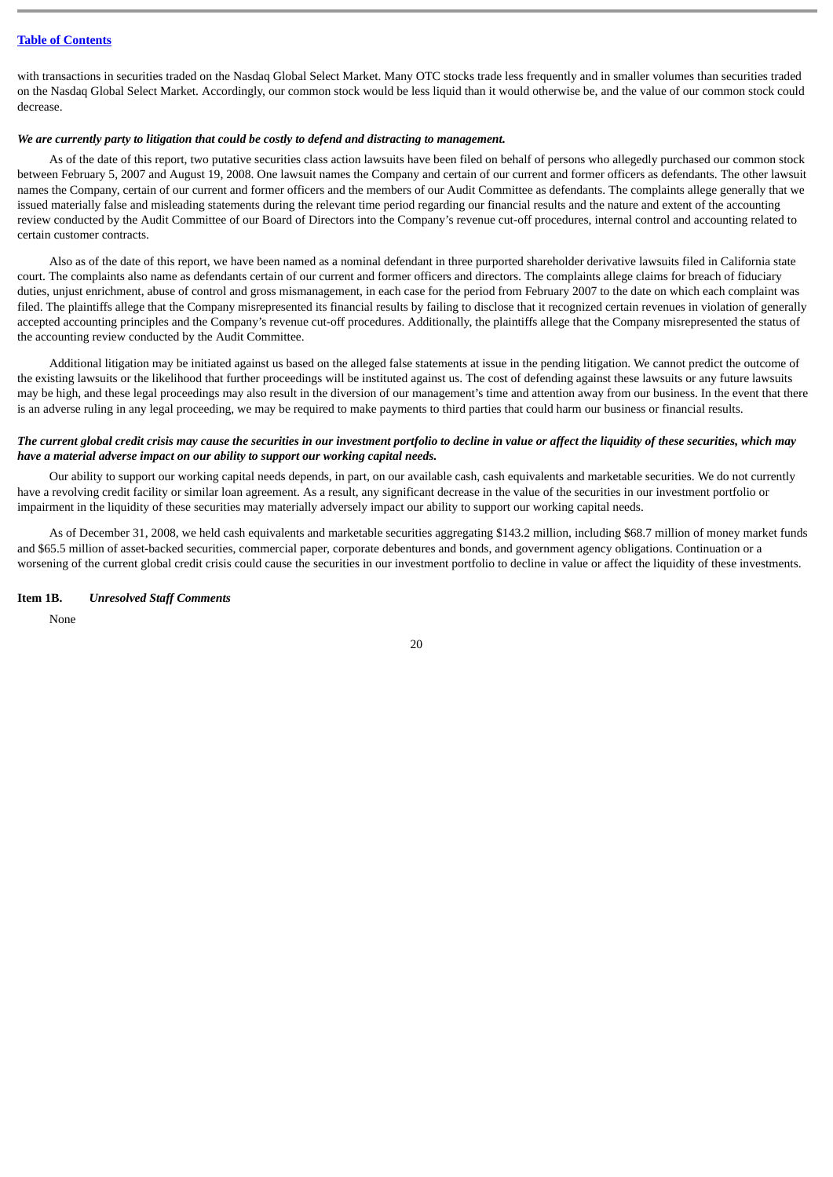with transactions in securities traded on the Nasdaq Global Select Market. Many OTC stocks trade less frequently and in smaller volumes than securities traded on the Nasdaq Global Select Market. Accordingly, our common stock would be less liquid than it would otherwise be, and the value of our common stock could decrease.

#### *We are currently party to litigation that could be costly to defend and distracting to management.*

As of the date of this report, two putative securities class action lawsuits have been filed on behalf of persons who allegedly purchased our common stock between February 5, 2007 and August 19, 2008. One lawsuit names the Company and certain of our current and former officers as defendants. The other lawsuit names the Company, certain of our current and former officers and the members of our Audit Committee as defendants. The complaints allege generally that we issued materially false and misleading statements during the relevant time period regarding our financial results and the nature and extent of the accounting review conducted by the Audit Committee of our Board of Directors into the Company's revenue cut-off procedures, internal control and accounting related to certain customer contracts.

Also as of the date of this report, we have been named as a nominal defendant in three purported shareholder derivative lawsuits filed in California state court. The complaints also name as defendants certain of our current and former officers and directors. The complaints allege claims for breach of fiduciary duties, unjust enrichment, abuse of control and gross mismanagement, in each case for the period from February 2007 to the date on which each complaint was filed. The plaintiffs allege that the Company misrepresented its financial results by failing to disclose that it recognized certain revenues in violation of generally accepted accounting principles and the Company's revenue cut-off procedures. Additionally, the plaintiffs allege that the Company misrepresented the status of the accounting review conducted by the Audit Committee.

Additional litigation may be initiated against us based on the alleged false statements at issue in the pending litigation. We cannot predict the outcome of the existing lawsuits or the likelihood that further proceedings will be instituted against us. The cost of defending against these lawsuits or any future lawsuits may be high, and these legal proceedings may also result in the diversion of our management's time and attention away from our business. In the event that there is an adverse ruling in any legal proceeding, we may be required to make payments to third parties that could harm our business or financial results.

# *The current global credit crisis may cause the securities in our investment portfolio to decline in value or affect the liquidity of these securities, which may have a material adverse impact on our ability to support our working capital needs.*

Our ability to support our working capital needs depends, in part, on our available cash, cash equivalents and marketable securities. We do not currently have a revolving credit facility or similar loan agreement. As a result, any significant decrease in the value of the securities in our investment portfolio or impairment in the liquidity of these securities may materially adversely impact our ability to support our working capital needs.

As of December 31, 2008, we held cash equivalents and marketable securities aggregating \$143.2 million, including \$68.7 million of money market funds and \$65.5 million of asset-backed securities, commercial paper, corporate debentures and bonds, and government agency obligations. Continuation or a worsening of the current global credit crisis could cause the securities in our investment portfolio to decline in value or affect the liquidity of these investments.

#### <span id="page-22-0"></span>**Item 1B.** *Unresolved Staff Comments*

None

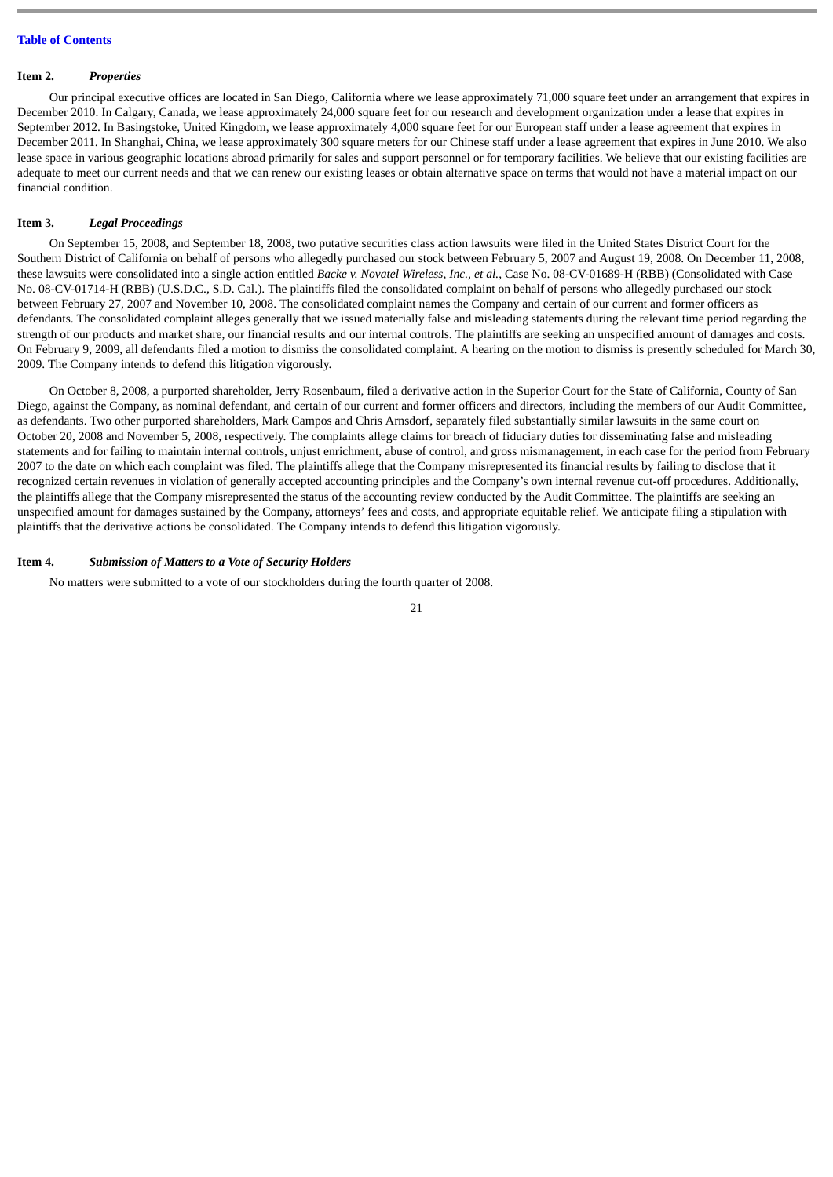#### <span id="page-23-0"></span>**Item 2.** *Properties*

Our principal executive offices are located in San Diego, California where we lease approximately 71,000 square feet under an arrangement that expires in December 2010. In Calgary, Canada, we lease approximately 24,000 square feet for our research and development organization under a lease that expires in September 2012. In Basingstoke, United Kingdom, we lease approximately 4,000 square feet for our European staff under a lease agreement that expires in December 2011. In Shanghai, China, we lease approximately 300 square meters for our Chinese staff under a lease agreement that expires in June 2010. We also lease space in various geographic locations abroad primarily for sales and support personnel or for temporary facilities. We believe that our existing facilities are adequate to meet our current needs and that we can renew our existing leases or obtain alternative space on terms that would not have a material impact on our financial condition.

# <span id="page-23-1"></span>**Item 3.** *Legal Proceedings*

On September 15, 2008, and September 18, 2008, two putative securities class action lawsuits were filed in the United States District Court for the Southern District of California on behalf of persons who allegedly purchased our stock between February 5, 2007 and August 19, 2008. On December 11, 2008, these lawsuits were consolidated into a single action entitled *Backe v. Novatel Wireless, Inc., et al.*, Case No. 08-CV-01689-H (RBB) (Consolidated with Case No. 08-CV-01714-H (RBB) (U.S.D.C., S.D. Cal.). The plaintiffs filed the consolidated complaint on behalf of persons who allegedly purchased our stock between February 27, 2007 and November 10, 2008. The consolidated complaint names the Company and certain of our current and former officers as defendants. The consolidated complaint alleges generally that we issued materially false and misleading statements during the relevant time period regarding the strength of our products and market share, our financial results and our internal controls. The plaintiffs are seeking an unspecified amount of damages and costs. On February 9, 2009, all defendants filed a motion to dismiss the consolidated complaint. A hearing on the motion to dismiss is presently scheduled for March 30, 2009. The Company intends to defend this litigation vigorously.

On October 8, 2008, a purported shareholder, Jerry Rosenbaum, filed a derivative action in the Superior Court for the State of California, County of San Diego, against the Company, as nominal defendant, and certain of our current and former officers and directors, including the members of our Audit Committee, as defendants. Two other purported shareholders, Mark Campos and Chris Arnsdorf, separately filed substantially similar lawsuits in the same court on October 20, 2008 and November 5, 2008, respectively. The complaints allege claims for breach of fiduciary duties for disseminating false and misleading statements and for failing to maintain internal controls, unjust enrichment, abuse of control, and gross mismanagement, in each case for the period from February 2007 to the date on which each complaint was filed. The plaintiffs allege that the Company misrepresented its financial results by failing to disclose that it recognized certain revenues in violation of generally accepted accounting principles and the Company's own internal revenue cut-off procedures. Additionally, the plaintiffs allege that the Company misrepresented the status of the accounting review conducted by the Audit Committee. The plaintiffs are seeking an unspecified amount for damages sustained by the Company, attorneys' fees and costs, and appropriate equitable relief. We anticipate filing a stipulation with plaintiffs that the derivative actions be consolidated. The Company intends to defend this litigation vigorously.

### <span id="page-23-2"></span>**Item 4.** *Submission of Matters to a Vote of Security Holders*

No matters were submitted to a vote of our stockholders during the fourth quarter of 2008.

<sup>21</sup>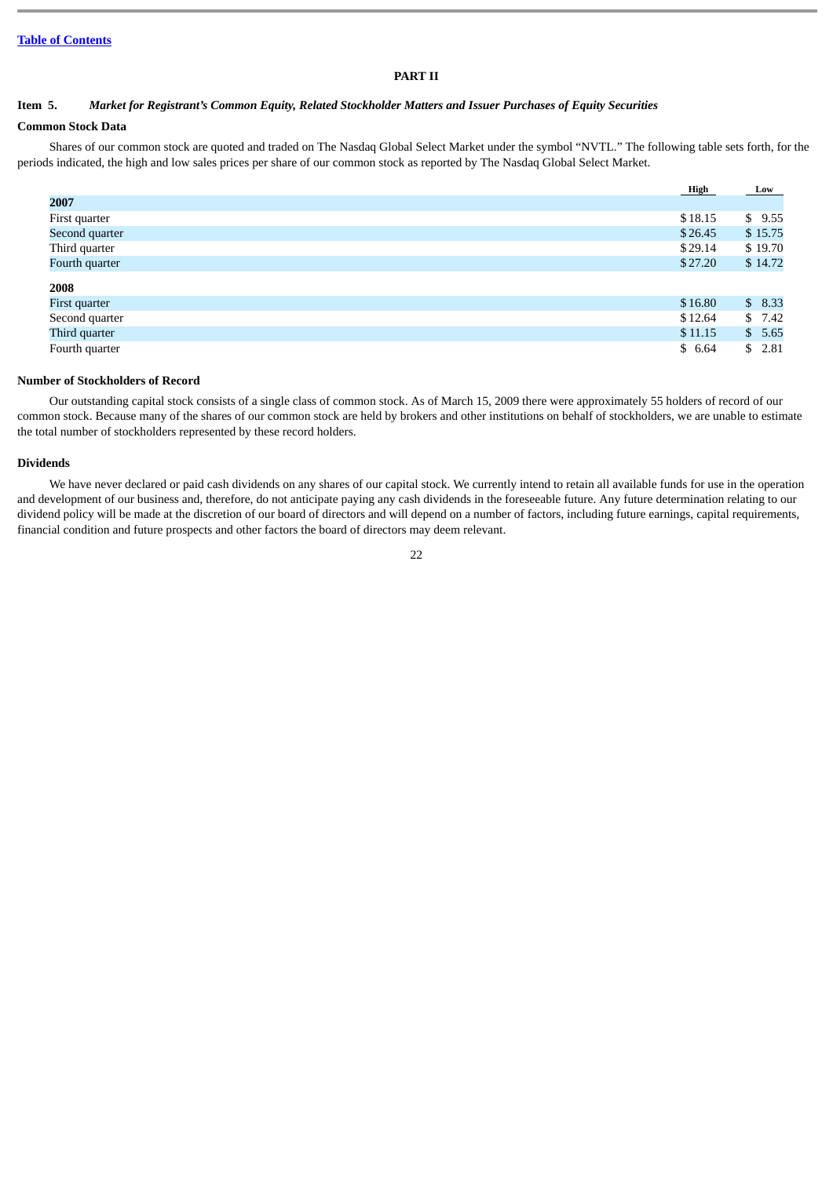# **PART II**

# <span id="page-24-1"></span><span id="page-24-0"></span>**Item 5.** *Market for Registrant's Common Equity, Related Stockholder Matters and Issuer Purchases of Equity Securities*

# **Common Stock Data**

Shares of our common stock are quoted and traded on The Nasdaq Global Select Market under the symbol "NVTL." The following table sets forth, for the periods indicated, the high and low sales prices per share of our common stock as reported by The Nasdaq Global Select Market.

|                | High    | <b>Low</b> |
|----------------|---------|------------|
| 2007           |         |            |
| First quarter  | \$18.15 | \$9.55     |
| Second quarter | \$26.45 | \$15.75    |
| Third quarter  | \$29.14 | \$19.70    |
| Fourth quarter | \$27.20 | \$14.72    |
| 2008           |         |            |
| First quarter  | \$16.80 | \$8.33     |
| Second quarter | \$12.64 | \$7.42     |
| Third quarter  | \$11.15 | \$5.65     |
| Fourth quarter | \$6.64  | \$2.81     |

# **Number of Stockholders of Record**

Our outstanding capital stock consists of a single class of common stock. As of March 15, 2009 there were approximately 55 holders of record of our common stock. Because many of the shares of our common stock are held by brokers and other institutions on behalf of stockholders, we are unable to estimate the total number of stockholders represented by these record holders.

#### **Dividends**

We have never declared or paid cash dividends on any shares of our capital stock. We currently intend to retain all available funds for use in the operation and development of our business and, therefore, do not anticipate paying any cash dividends in the foreseeable future. Any future determination relating to our dividend policy will be made at the discretion of our board of directors and will depend on a number of factors, including future earnings, capital requirements, financial condition and future prospects and other factors the board of directors may deem relevant.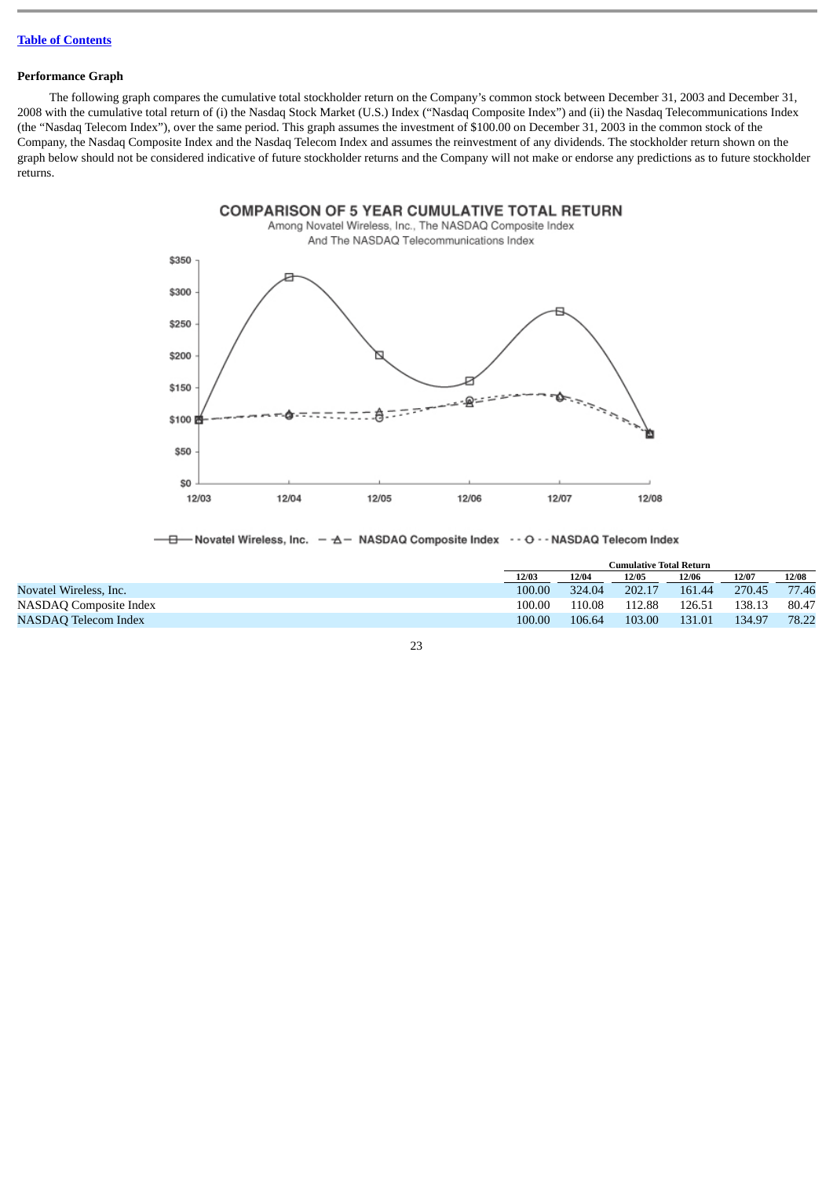# **Table of [Contents](#page-1-0)**

#### **Performance Graph**

The following graph compares the cumulative total stockholder return on the Company's common stock between December 31, 2003 and December 31, 2008 with the cumulative total return of (i) the Nasdaq Stock Market (U.S.) Index ("Nasdaq Composite Index") and (ii) the Nasdaq Telecommunications Index (the "Nasdaq Telecom Index"), over the same period. This graph assumes the investment of \$100.00 on December 31, 2003 in the common stock of the Company, the Nasdaq Composite Index and the Nasdaq Telecom Index and assumes the reinvestment of any dividends. The stockholder return shown on the graph below should not be considered indicative of future stockholder returns and the Company will not make or endorse any predictions as to future stockholder returns.



-B--- Novatel Wireless, Inc. - - A - NASDAQ Composite Index · · - O · - NASDAQ Telecom Index

|                        | <b>Cumulative Total Return</b> |        |        |        |        |       |
|------------------------|--------------------------------|--------|--------|--------|--------|-------|
|                        | 12/03                          | 12/04  | 12/05  | 12/06  | 12/07  | 12/08 |
| Novatel Wireless, Inc. | 100.00                         | 324.04 | 202.17 | 161.44 | 270.45 | 77.46 |
| NASDAQ Composite Index | 100.00                         | 110.08 | 112.88 | 126.51 | 138.13 | 80.47 |
| NASDAO Telecom Index   | 100.00                         | 106.64 | 103.00 | 131.01 | 134.97 | 78.22 |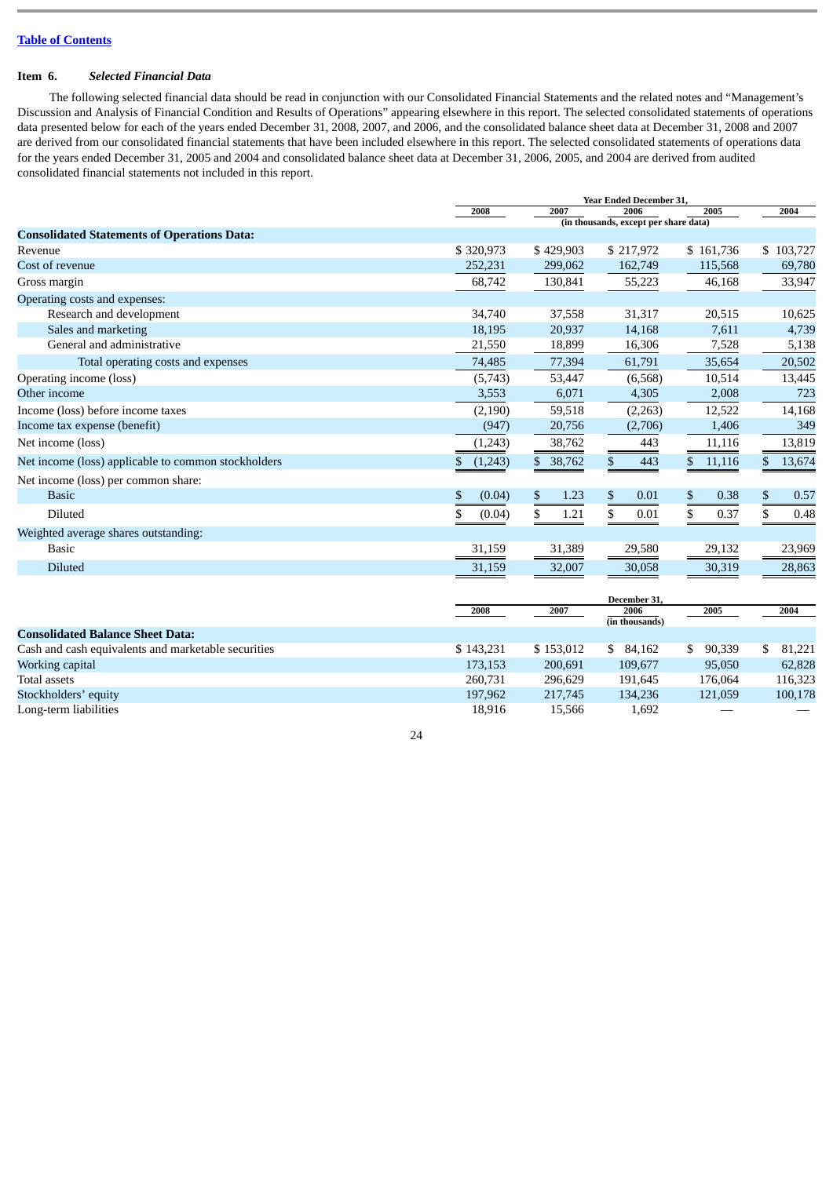# <span id="page-26-0"></span>**Item 6.** *Selected Financial Data*

The following selected financial data should be read in conjunction with our Consolidated Financial Statements and the related notes and "Management's Discussion and Analysis of Financial Condition and Results of Operations" appearing elsewhere in this report. The selected consolidated statements of operations data presented below for each of the years ended December 31, 2008, 2007, and 2006, and the consolidated balance sheet data at December 31, 2008 and 2007 are derived from our consolidated financial statements that have been included elsewhere in this report. The selected consolidated statements of operations data for the years ended December 31, 2005 and 2004 and consolidated balance sheet data at December 31, 2006, 2005, and 2004 are derived from audited consolidated financial statements not included in this report.

|                                                     |               | Year Ended December 31,               |                        |               |              |  |  |  |
|-----------------------------------------------------|---------------|---------------------------------------|------------------------|---------------|--------------|--|--|--|
|                                                     | 2008          | 2007<br>2005<br>2006                  |                        |               |              |  |  |  |
| <b>Consolidated Statements of Operations Data:</b>  |               | (in thousands, except per share data) |                        |               |              |  |  |  |
| Revenue                                             | \$320,973     | \$429,903                             | \$217,972              | \$161,736     | \$103,727    |  |  |  |
| Cost of revenue                                     | 252,231       | 299,062                               | 162,749                | 115,568       | 69,780       |  |  |  |
| Gross margin                                        | 68,742        | 130,841                               | 55,223                 | 46,168        | 33,947       |  |  |  |
| Operating costs and expenses:                       |               |                                       |                        |               |              |  |  |  |
| Research and development                            | 34,740        | 37,558                                | 31,317                 | 20,515        | 10,625       |  |  |  |
| Sales and marketing                                 | 18,195        | 20,937                                | 14,168                 | 7,611         | 4,739        |  |  |  |
| General and administrative                          | 21,550        | 18,899                                | 16,306                 | 7,528         | 5,138        |  |  |  |
| Total operating costs and expenses                  | 74,485        | 77,394                                | 61,791                 | 35,654        | 20,502       |  |  |  |
| Operating income (loss)                             | (5,743)       | 53,447                                | (6,568)                | 10,514        | 13,445       |  |  |  |
| Other income                                        | 3,553         | 6,071                                 | 4,305                  | 2,008         | 723          |  |  |  |
| Income (loss) before income taxes                   | (2, 190)      | 59,518                                | (2, 263)               | 12,522        | 14,168       |  |  |  |
| Income tax expense (benefit)                        | (947)         | 20,756                                | (2,706)                | 1,406         | 349          |  |  |  |
| Net income (loss)                                   | (1, 243)      | 38,762                                | 443                    | 11,116        | 13,819       |  |  |  |
| Net income (loss) applicable to common stockholders | \$<br>(1,243) | $\mathbb{S}$<br>38,762                | \$<br>443              | \$<br>11,116  | \$<br>13,674 |  |  |  |
| Net income (loss) per common share:                 |               |                                       |                        |               |              |  |  |  |
| <b>Basic</b>                                        | \$<br>(0.04)  | \$<br>1.23                            | \$<br>0.01             | 0.38<br>\$    | \$<br>0.57   |  |  |  |
| Diluted                                             | \$<br>(0.04)  | \$<br>1.21                            | \$<br>0.01             | \$<br>0.37    | \$<br>0.48   |  |  |  |
| Weighted average shares outstanding:                |               |                                       |                        |               |              |  |  |  |
| <b>Basic</b>                                        | 31,159        | 31,389                                | 29,580                 | 29,132        | 23,969       |  |  |  |
| <b>Diluted</b>                                      | 31,159        | 32,007                                | 30,058                 | 30,319        | 28,863       |  |  |  |
|                                                     |               |                                       | December 31,           |               |              |  |  |  |
|                                                     | 2008          | 2007                                  | 2006<br>(in thousands) | 2005          | 2004         |  |  |  |
| <b>Consolidated Balance Sheet Data:</b>             |               |                                       |                        |               |              |  |  |  |
| Cash and cash equivalents and marketable securities | \$143,231     | \$153,012                             | \$84,162               | 90,339<br>\$. | 81,221<br>\$ |  |  |  |
| Working capital                                     | 173,153       | 200,691                               | 109,677                | 95,050        | 62,828       |  |  |  |
| <b>Total assets</b>                                 | 260,731       | 296,629                               | 191,645                | 176,064       | 116,323      |  |  |  |
| Stockholders' equity                                | 197,962       | 217,745                               | 134,236                | 121,059       | 100,178      |  |  |  |
| Long-term liabilities                               | 18,916        | 15,566                                | 1,692                  |               |              |  |  |  |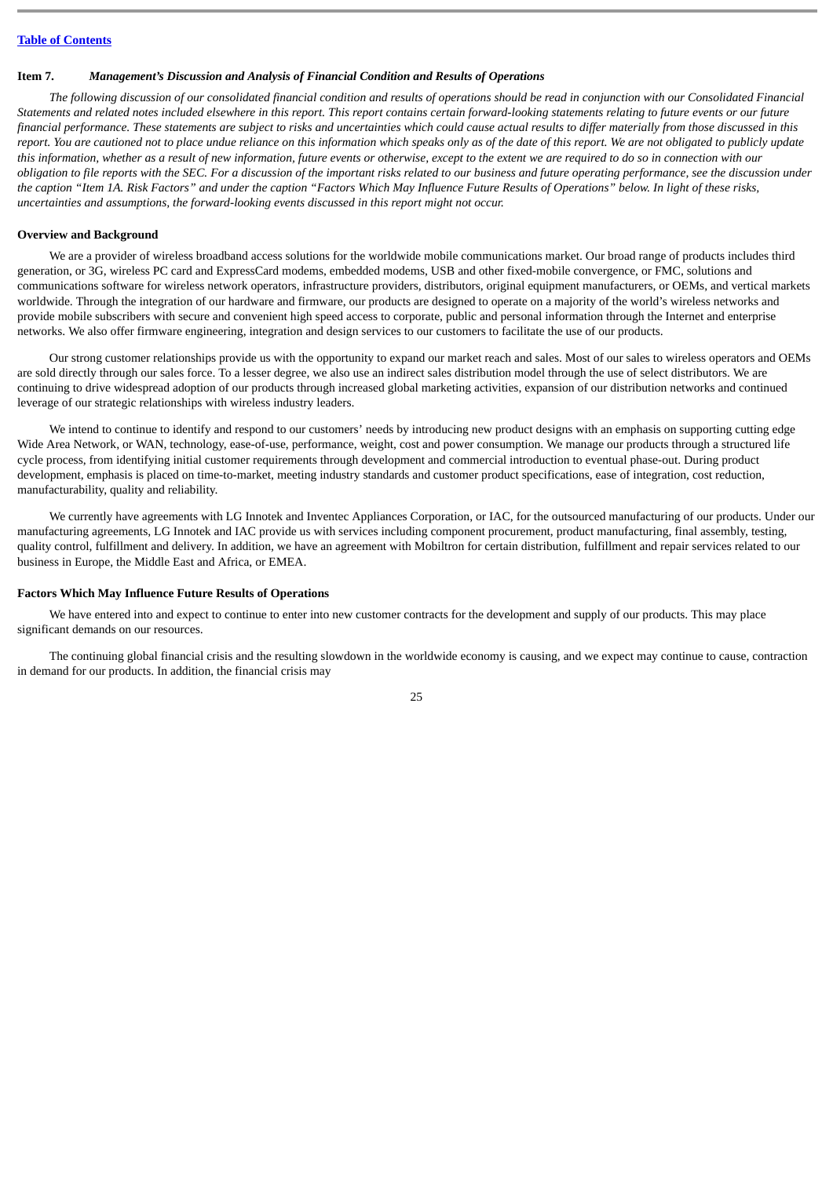#### <span id="page-27-0"></span>**Item 7.** *Management's Discussion and Analysis of Financial Condition and Results of Operations*

*The following discussion of our consolidated financial condition and results of operations should be read in conjunction with our Consolidated Financial Statements and related notes included elsewhere in this report. This report contains certain forward-looking statements relating to future events or our future financial performance. These statements are subject to risks and uncertainties which could cause actual results to differ materially from those discussed in this report. You are cautioned not to place undue reliance on this information which speaks only as of the date of this report. We are not obligated to publicly update this information, whether as a result of new information, future events or otherwise, except to the extent we are required to do so in connection with our obligation to file reports with the SEC. For a discussion of the important risks related to our business and future operating performance, see the discussion under the caption "Item 1A. Risk Factors" and under the caption "Factors Which May Influence Future Results of Operations" below. In light of these risks, uncertainties and assumptions, the forward-looking events discussed in this report might not occur.*

### **Overview and Background**

We are a provider of wireless broadband access solutions for the worldwide mobile communications market. Our broad range of products includes third generation, or 3G, wireless PC card and ExpressCard modems, embedded modems, USB and other fixed-mobile convergence, or FMC, solutions and communications software for wireless network operators, infrastructure providers, distributors, original equipment manufacturers, or OEMs, and vertical markets worldwide. Through the integration of our hardware and firmware, our products are designed to operate on a majority of the world's wireless networks and provide mobile subscribers with secure and convenient high speed access to corporate, public and personal information through the Internet and enterprise networks. We also offer firmware engineering, integration and design services to our customers to facilitate the use of our products.

Our strong customer relationships provide us with the opportunity to expand our market reach and sales. Most of our sales to wireless operators and OEMs are sold directly through our sales force. To a lesser degree, we also use an indirect sales distribution model through the use of select distributors. We are continuing to drive widespread adoption of our products through increased global marketing activities, expansion of our distribution networks and continued leverage of our strategic relationships with wireless industry leaders.

We intend to continue to identify and respond to our customers' needs by introducing new product designs with an emphasis on supporting cutting edge Wide Area Network, or WAN, technology, ease-of-use, performance, weight, cost and power consumption. We manage our products through a structured life cycle process, from identifying initial customer requirements through development and commercial introduction to eventual phase-out. During product development, emphasis is placed on time-to-market, meeting industry standards and customer product specifications, ease of integration, cost reduction, manufacturability, quality and reliability.

We currently have agreements with LG Innotek and Inventec Appliances Corporation, or IAC, for the outsourced manufacturing of our products. Under our manufacturing agreements, LG Innotek and IAC provide us with services including component procurement, product manufacturing, final assembly, testing, quality control, fulfillment and delivery. In addition, we have an agreement with Mobiltron for certain distribution, fulfillment and repair services related to our business in Europe, the Middle East and Africa, or EMEA.

# **Factors Which May Influence Future Results of Operations**

We have entered into and expect to continue to enter into new customer contracts for the development and supply of our products. This may place significant demands on our resources.

The continuing global financial crisis and the resulting slowdown in the worldwide economy is causing, and we expect may continue to cause, contraction in demand for our products. In addition, the financial crisis may

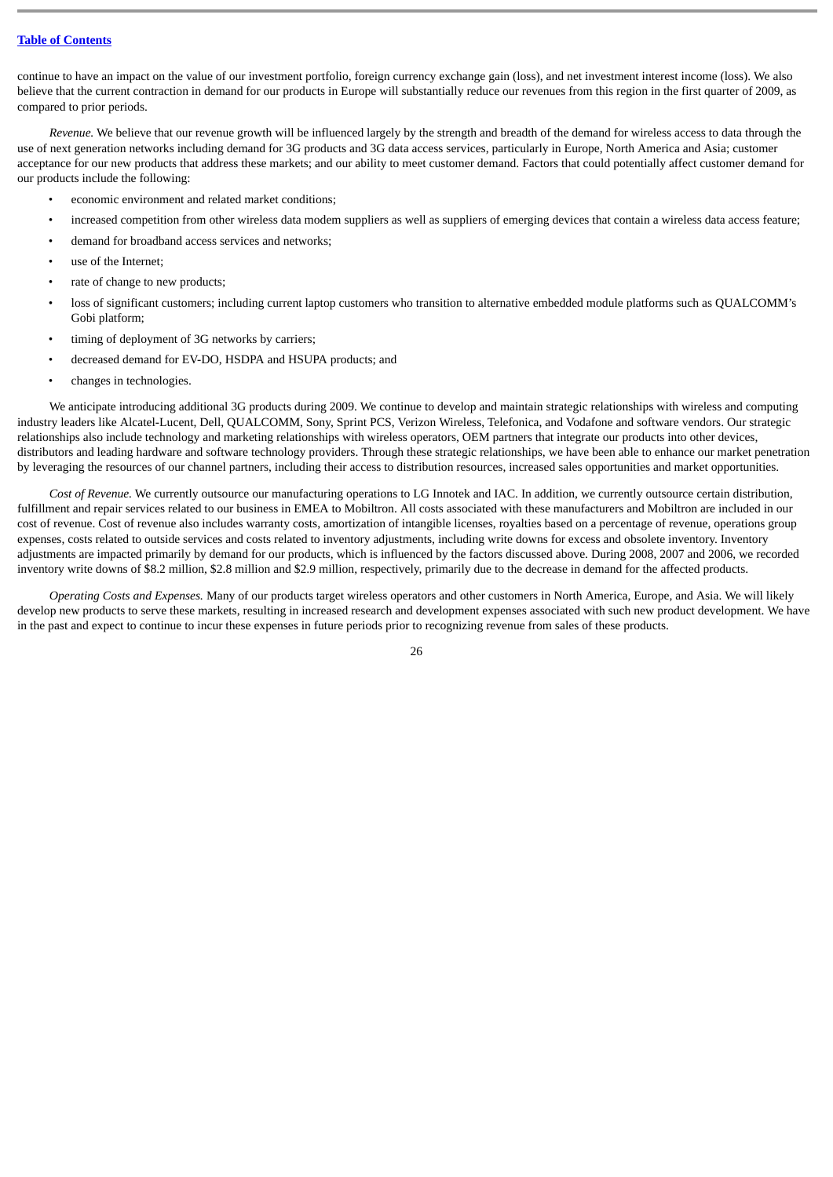continue to have an impact on the value of our investment portfolio, foreign currency exchange gain (loss), and net investment interest income (loss). We also believe that the current contraction in demand for our products in Europe will substantially reduce our revenues from this region in the first quarter of 2009, as compared to prior periods.

*Revenue.* We believe that our revenue growth will be influenced largely by the strength and breadth of the demand for wireless access to data through the use of next generation networks including demand for 3G products and 3G data access services, particularly in Europe, North America and Asia; customer acceptance for our new products that address these markets; and our ability to meet customer demand. Factors that could potentially affect customer demand for our products include the following:

- economic environment and related market conditions;
- increased competition from other wireless data modem suppliers as well as suppliers of emerging devices that contain a wireless data access feature;
- demand for broadband access services and networks;
- use of the Internet;
- rate of change to new products;
- loss of significant customers; including current laptop customers who transition to alternative embedded module platforms such as QUALCOMM's Gobi platform;
- timing of deployment of 3G networks by carriers;
- decreased demand for EV-DO, HSDPA and HSUPA products; and
- changes in technologies.

We anticipate introducing additional 3G products during 2009. We continue to develop and maintain strategic relationships with wireless and computing industry leaders like Alcatel-Lucent, Dell, QUALCOMM, Sony, Sprint PCS, Verizon Wireless, Telefonica, and Vodafone and software vendors. Our strategic relationships also include technology and marketing relationships with wireless operators, OEM partners that integrate our products into other devices, distributors and leading hardware and software technology providers. Through these strategic relationships, we have been able to enhance our market penetration by leveraging the resources of our channel partners, including their access to distribution resources, increased sales opportunities and market opportunities.

*Cost of Revenue.* We currently outsource our manufacturing operations to LG Innotek and IAC. In addition, we currently outsource certain distribution, fulfillment and repair services related to our business in EMEA to Mobiltron. All costs associated with these manufacturers and Mobiltron are included in our cost of revenue. Cost of revenue also includes warranty costs, amortization of intangible licenses, royalties based on a percentage of revenue, operations group expenses, costs related to outside services and costs related to inventory adjustments, including write downs for excess and obsolete inventory. Inventory adjustments are impacted primarily by demand for our products, which is influenced by the factors discussed above. During 2008, 2007 and 2006, we recorded inventory write downs of \$8.2 million, \$2.8 million and \$2.9 million, respectively, primarily due to the decrease in demand for the affected products.

*Operating Costs and Expenses.* Many of our products target wireless operators and other customers in North America, Europe, and Asia. We will likely develop new products to serve these markets, resulting in increased research and development expenses associated with such new product development. We have in the past and expect to continue to incur these expenses in future periods prior to recognizing revenue from sales of these products.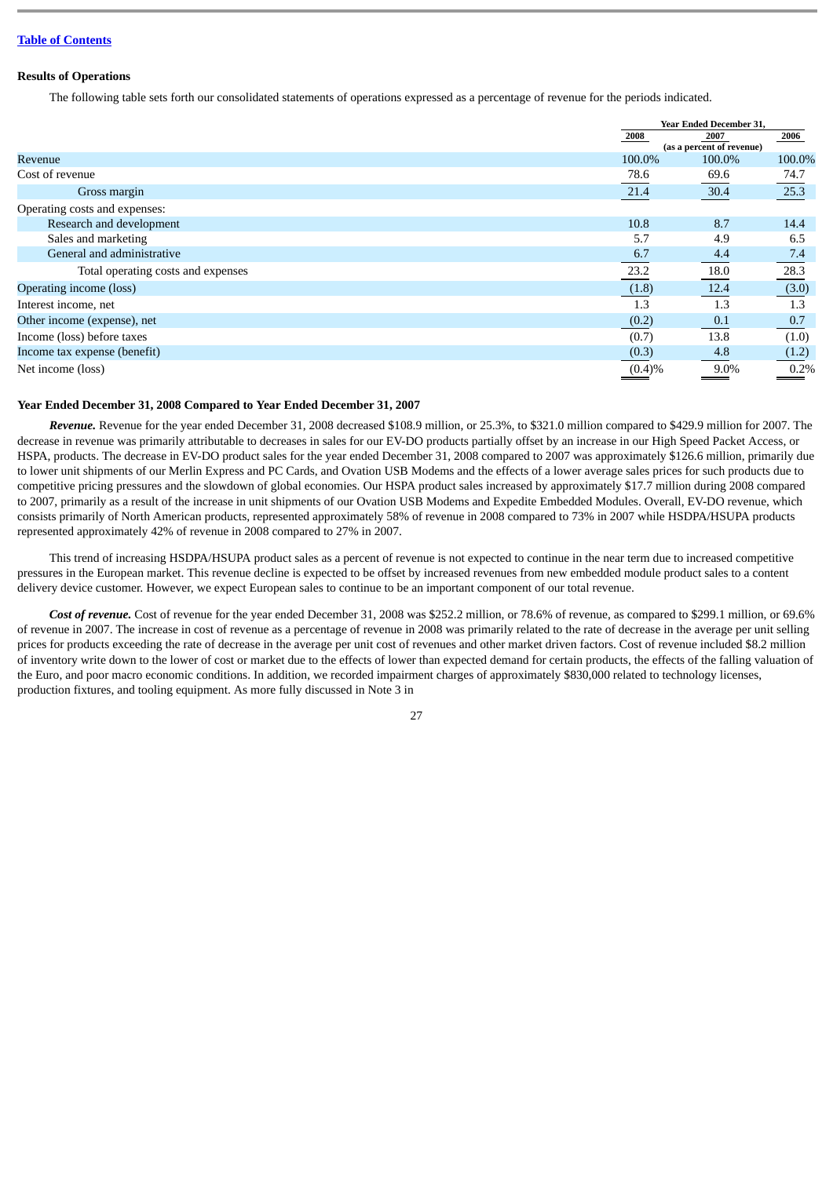### **Results of Operations**

The following table sets forth our consolidated statements of operations expressed as a percentage of revenue for the periods indicated.

|                                    | <b>Year Ended December 31,</b> |        |        |
|------------------------------------|--------------------------------|--------|--------|
|                                    | 2008                           | 2007   | 2006   |
|                                    | (as a percent of revenue)      |        |        |
| Revenue                            | 100.0%                         | 100.0% | 100.0% |
| Cost of revenue                    | 78.6                           | 69.6   | 74.7   |
| Gross margin                       | 21.4                           | 30.4   | 25.3   |
| Operating costs and expenses:      |                                |        |        |
| Research and development           | 10.8                           | 8.7    | 14.4   |
| Sales and marketing                | 5.7                            | 4.9    | 6.5    |
| General and administrative         | 6.7                            | 4,4    | 7.4    |
| Total operating costs and expenses | 23.2                           | 18.0   | 28.3   |
| Operating income (loss)            | (1.8)                          | 12.4   | (3.0)  |
| Interest income, net               | 1.3                            | 1.3    | 1.3    |
| Other income (expense), net        | (0.2)                          | 0.1    | 0.7    |
| Income (loss) before taxes         | (0.7)                          | 13.8   | (1.0)  |
| Income tax expense (benefit)       | (0.3)                          | 4.8    | (1.2)  |
| Net income (loss)                  | (0.4)%                         | 9.0%   | 0.2%   |

# **Year Ended December 31, 2008 Compared to Year Ended December 31, 2007**

*Revenue.* Revenue for the year ended December 31, 2008 decreased \$108.9 million, or 25.3%, to \$321.0 million compared to \$429.9 million for 2007. The decrease in revenue was primarily attributable to decreases in sales for our EV-DO products partially offset by an increase in our High Speed Packet Access, or HSPA, products. The decrease in EV-DO product sales for the year ended December 31, 2008 compared to 2007 was approximately \$126.6 million, primarily due to lower unit shipments of our Merlin Express and PC Cards, and Ovation USB Modems and the effects of a lower average sales prices for such products due to competitive pricing pressures and the slowdown of global economies. Our HSPA product sales increased by approximately \$17.7 million during 2008 compared to 2007, primarily as a result of the increase in unit shipments of our Ovation USB Modems and Expedite Embedded Modules. Overall, EV-DO revenue, which consists primarily of North American products, represented approximately 58% of revenue in 2008 compared to 73% in 2007 while HSDPA/HSUPA products represented approximately 42% of revenue in 2008 compared to 27% in 2007.

This trend of increasing HSDPA/HSUPA product sales as a percent of revenue is not expected to continue in the near term due to increased competitive pressures in the European market. This revenue decline is expected to be offset by increased revenues from new embedded module product sales to a content delivery device customer. However, we expect European sales to continue to be an important component of our total revenue.

*Cost of revenue.* Cost of revenue for the year ended December 31, 2008 was \$252.2 million, or 78.6% of revenue, as compared to \$299.1 million, or 69.6% of revenue in 2007. The increase in cost of revenue as a percentage of revenue in 2008 was primarily related to the rate of decrease in the average per unit selling prices for products exceeding the rate of decrease in the average per unit cost of revenues and other market driven factors. Cost of revenue included \$8.2 million of inventory write down to the lower of cost or market due to the effects of lower than expected demand for certain products, the effects of the falling valuation of the Euro, and poor macro economic conditions. In addition, we recorded impairment charges of approximately \$830,000 related to technology licenses, production fixtures, and tooling equipment. As more fully discussed in Note 3 in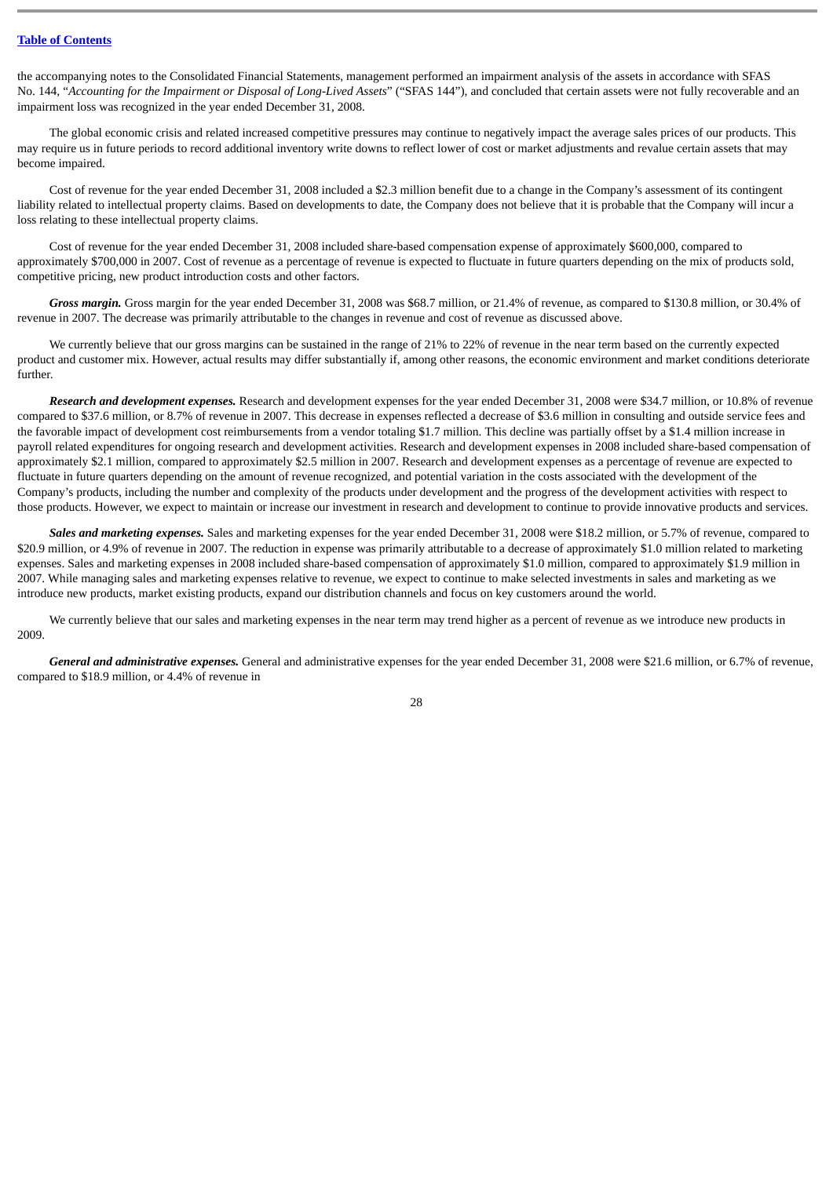the accompanying notes to the Consolidated Financial Statements, management performed an impairment analysis of the assets in accordance with SFAS No. 144, "*Accounting for the Impairment or Disposal of Long-Lived Assets*" ("SFAS 144"), and concluded that certain assets were not fully recoverable and an impairment loss was recognized in the year ended December 31, 2008.

The global economic crisis and related increased competitive pressures may continue to negatively impact the average sales prices of our products. This may require us in future periods to record additional inventory write downs to reflect lower of cost or market adjustments and revalue certain assets that may become impaired.

Cost of revenue for the year ended December 31, 2008 included a \$2.3 million benefit due to a change in the Company's assessment of its contingent liability related to intellectual property claims. Based on developments to date, the Company does not believe that it is probable that the Company will incur a loss relating to these intellectual property claims.

Cost of revenue for the year ended December 31, 2008 included share-based compensation expense of approximately \$600,000, compared to approximately \$700,000 in 2007. Cost of revenue as a percentage of revenue is expected to fluctuate in future quarters depending on the mix of products sold, competitive pricing, new product introduction costs and other factors.

*Gross margin.* Gross margin for the year ended December 31, 2008 was \$68.7 million, or 21.4% of revenue, as compared to \$130.8 million, or 30.4% of revenue in 2007. The decrease was primarily attributable to the changes in revenue and cost of revenue as discussed above.

We currently believe that our gross margins can be sustained in the range of 21% to 22% of revenue in the near term based on the currently expected product and customer mix. However, actual results may differ substantially if, among other reasons, the economic environment and market conditions deteriorate further.

*Research and development expenses.* Research and development expenses for the year ended December 31, 2008 were \$34.7 million, or 10.8% of revenue compared to \$37.6 million, or 8.7% of revenue in 2007. This decrease in expenses reflected a decrease of \$3.6 million in consulting and outside service fees and the favorable impact of development cost reimbursements from a vendor totaling \$1.7 million. This decline was partially offset by a \$1.4 million increase in payroll related expenditures for ongoing research and development activities. Research and development expenses in 2008 included share-based compensation of approximately \$2.1 million, compared to approximately \$2.5 million in 2007. Research and development expenses as a percentage of revenue are expected to fluctuate in future quarters depending on the amount of revenue recognized, and potential variation in the costs associated with the development of the Company's products, including the number and complexity of the products under development and the progress of the development activities with respect to those products. However, we expect to maintain or increase our investment in research and development to continue to provide innovative products and services.

*Sales and marketing expenses.* Sales and marketing expenses for the year ended December 31, 2008 were \$18.2 million, or 5.7% of revenue, compared to \$20.9 million, or 4.9% of revenue in 2007. The reduction in expense was primarily attributable to a decrease of approximately \$1.0 million related to marketing expenses. Sales and marketing expenses in 2008 included share-based compensation of approximately \$1.0 million, compared to approximately \$1.9 million in 2007. While managing sales and marketing expenses relative to revenue, we expect to continue to make selected investments in sales and marketing as we introduce new products, market existing products, expand our distribution channels and focus on key customers around the world.

We currently believe that our sales and marketing expenses in the near term may trend higher as a percent of revenue as we introduce new products in 2009.

*General and administrative expenses.* General and administrative expenses for the year ended December 31, 2008 were \$21.6 million, or 6.7% of revenue, compared to \$18.9 million, or 4.4% of revenue in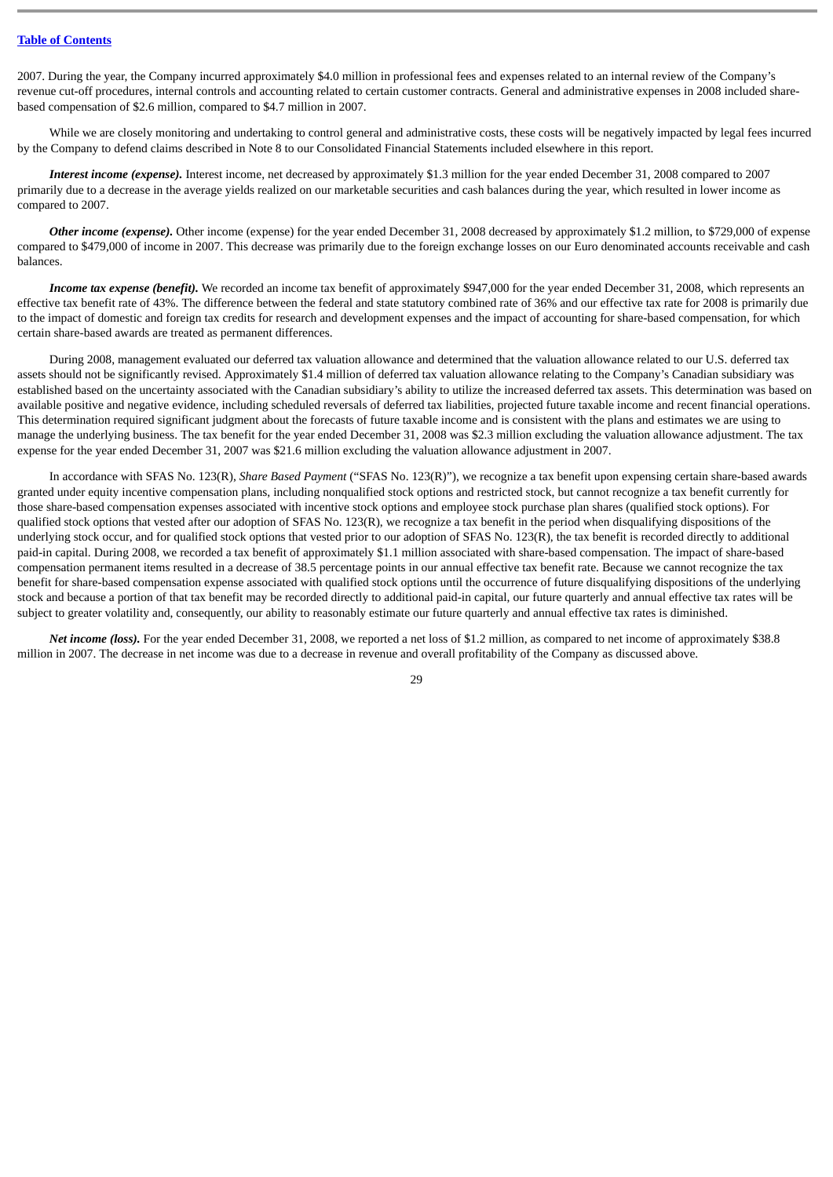2007. During the year, the Company incurred approximately \$4.0 million in professional fees and expenses related to an internal review of the Company's revenue cut-off procedures, internal controls and accounting related to certain customer contracts. General and administrative expenses in 2008 included sharebased compensation of \$2.6 million, compared to \$4.7 million in 2007.

While we are closely monitoring and undertaking to control general and administrative costs, these costs will be negatively impacted by legal fees incurred by the Company to defend claims described in Note 8 to our Consolidated Financial Statements included elsewhere in this report.

*Interest income (expense).* Interest income, net decreased by approximately \$1.3 million for the year ended December 31, 2008 compared to 2007 primarily due to a decrease in the average yields realized on our marketable securities and cash balances during the year, which resulted in lower income as compared to 2007.

*Other income (expense).* Other income (expense) for the year ended December 31, 2008 decreased by approximately \$1.2 million, to \$729,000 of expense compared to \$479,000 of income in 2007. This decrease was primarily due to the foreign exchange losses on our Euro denominated accounts receivable and cash balances.

Income tax expense (benefit). We recorded an income tax benefit of approximately \$947,000 for the year ended December 31, 2008, which represents an effective tax benefit rate of 43%. The difference between the federal and state statutory combined rate of 36% and our effective tax rate for 2008 is primarily due to the impact of domestic and foreign tax credits for research and development expenses and the impact of accounting for share-based compensation, for which certain share-based awards are treated as permanent differences.

During 2008, management evaluated our deferred tax valuation allowance and determined that the valuation allowance related to our U.S. deferred tax assets should not be significantly revised. Approximately \$1.4 million of deferred tax valuation allowance relating to the Company's Canadian subsidiary was established based on the uncertainty associated with the Canadian subsidiary's ability to utilize the increased deferred tax assets. This determination was based on available positive and negative evidence, including scheduled reversals of deferred tax liabilities, projected future taxable income and recent financial operations. This determination required significant judgment about the forecasts of future taxable income and is consistent with the plans and estimates we are using to manage the underlying business. The tax benefit for the year ended December 31, 2008 was \$2.3 million excluding the valuation allowance adjustment. The tax expense for the year ended December 31, 2007 was \$21.6 million excluding the valuation allowance adjustment in 2007.

In accordance with SFAS No. 123(R), *Share Based Payment* ("SFAS No. 123(R)"), we recognize a tax benefit upon expensing certain share-based awards granted under equity incentive compensation plans, including nonqualified stock options and restricted stock, but cannot recognize a tax benefit currently for those share-based compensation expenses associated with incentive stock options and employee stock purchase plan shares (qualified stock options). For qualified stock options that vested after our adoption of SFAS No. 123(R), we recognize a tax benefit in the period when disqualifying dispositions of the underlying stock occur, and for qualified stock options that vested prior to our adoption of SFAS No. 123(R), the tax benefit is recorded directly to additional paid-in capital. During 2008, we recorded a tax benefit of approximately \$1.1 million associated with share-based compensation. The impact of share-based compensation permanent items resulted in a decrease of 38.5 percentage points in our annual effective tax benefit rate. Because we cannot recognize the tax benefit for share-based compensation expense associated with qualified stock options until the occurrence of future disqualifying dispositions of the underlying stock and because a portion of that tax benefit may be recorded directly to additional paid-in capital, our future quarterly and annual effective tax rates will be subject to greater volatility and, consequently, our ability to reasonably estimate our future quarterly and annual effective tax rates is diminished.

*Net income (loss).* For the year ended December 31, 2008, we reported a net loss of \$1.2 million, as compared to net income of approximately \$38.8 million in 2007. The decrease in net income was due to a decrease in revenue and overall profitability of the Company as discussed above.

 $\overline{2}9$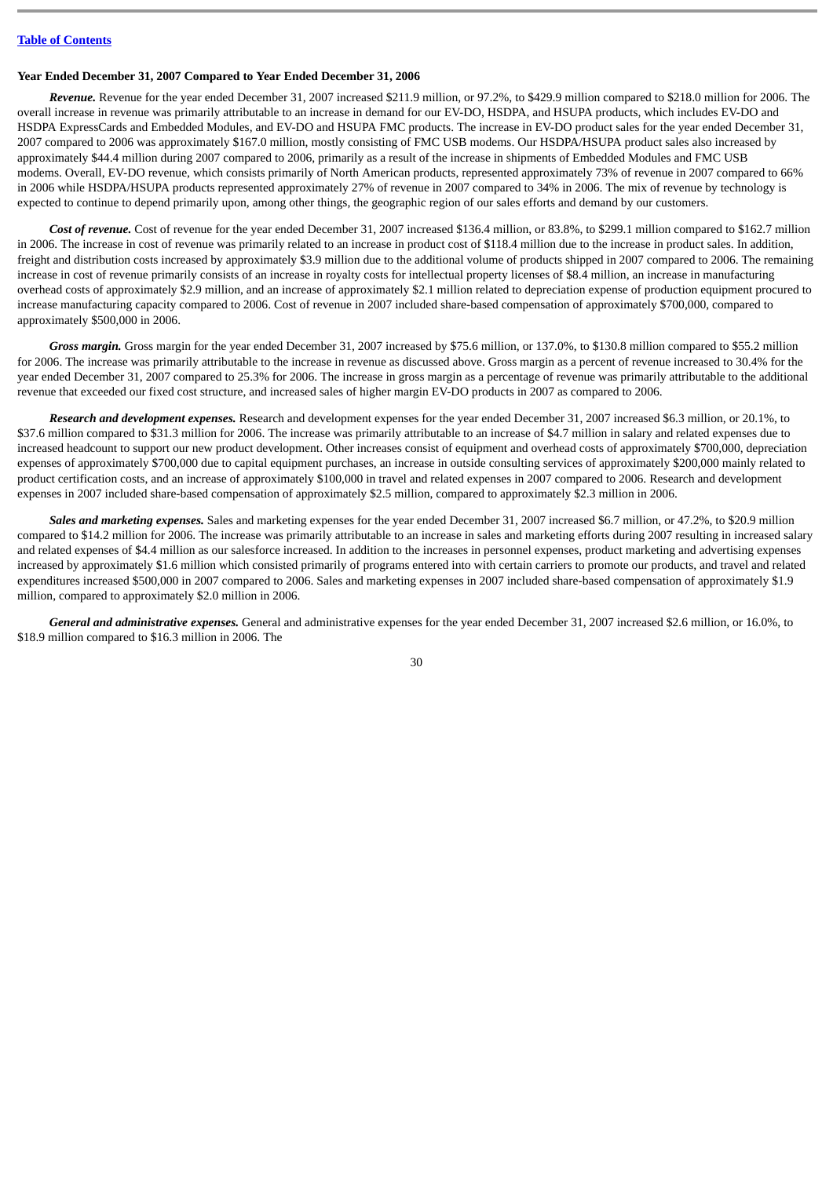#### **Year Ended December 31, 2007 Compared to Year Ended December 31, 2006**

*Revenue.* Revenue for the year ended December 31, 2007 increased \$211.9 million, or 97.2%, to \$429.9 million compared to \$218.0 million for 2006. The overall increase in revenue was primarily attributable to an increase in demand for our EV-DO, HSDPA, and HSUPA products, which includes EV-DO and HSDPA ExpressCards and Embedded Modules, and EV-DO and HSUPA FMC products. The increase in EV-DO product sales for the year ended December 31, 2007 compared to 2006 was approximately \$167.0 million, mostly consisting of FMC USB modems. Our HSDPA/HSUPA product sales also increased by approximately \$44.4 million during 2007 compared to 2006, primarily as a result of the increase in shipments of Embedded Modules and FMC USB modems. Overall, EV-DO revenue, which consists primarily of North American products, represented approximately 73% of revenue in 2007 compared to 66% in 2006 while HSDPA/HSUPA products represented approximately 27% of revenue in 2007 compared to 34% in 2006. The mix of revenue by technology is expected to continue to depend primarily upon, among other things, the geographic region of our sales efforts and demand by our customers.

Cost of revenue. Cost of revenue for the year ended December 31, 2007 increased \$136.4 million, or 83.8%, to \$299.1 million compared to \$162.7 million in 2006. The increase in cost of revenue was primarily related to an increase in product cost of \$118.4 million due to the increase in product sales. In addition, freight and distribution costs increased by approximately \$3.9 million due to the additional volume of products shipped in 2007 compared to 2006. The remaining increase in cost of revenue primarily consists of an increase in royalty costs for intellectual property licenses of \$8.4 million, an increase in manufacturing overhead costs of approximately \$2.9 million, and an increase of approximately \$2.1 million related to depreciation expense of production equipment procured to increase manufacturing capacity compared to 2006. Cost of revenue in 2007 included share-based compensation of approximately \$700,000, compared to approximately \$500,000 in 2006.

*Gross margin.* Gross margin for the year ended December 31, 2007 increased by \$75.6 million, or 137.0%, to \$130.8 million compared to \$55.2 million for 2006. The increase was primarily attributable to the increase in revenue as discussed above. Gross margin as a percent of revenue increased to 30.4% for the year ended December 31, 2007 compared to 25.3% for 2006. The increase in gross margin as a percentage of revenue was primarily attributable to the additional revenue that exceeded our fixed cost structure, and increased sales of higher margin EV-DO products in 2007 as compared to 2006.

*Research and development expenses.* Research and development expenses for the year ended December 31, 2007 increased \$6.3 million, or 20.1%, to \$37.6 million compared to \$31.3 million for 2006. The increase was primarily attributable to an increase of \$4.7 million in salary and related expenses due to increased headcount to support our new product development. Other increases consist of equipment and overhead costs of approximately \$700,000, depreciation expenses of approximately \$700,000 due to capital equipment purchases, an increase in outside consulting services of approximately \$200,000 mainly related to product certification costs, and an increase of approximately \$100,000 in travel and related expenses in 2007 compared to 2006. Research and development expenses in 2007 included share-based compensation of approximately \$2.5 million, compared to approximately \$2.3 million in 2006.

*Sales and marketing expenses.* Sales and marketing expenses for the year ended December 31, 2007 increased \$6.7 million, or 47.2%, to \$20.9 million compared to \$14.2 million for 2006. The increase was primarily attributable to an increase in sales and marketing efforts during 2007 resulting in increased salary and related expenses of \$4.4 million as our salesforce increased. In addition to the increases in personnel expenses, product marketing and advertising expenses increased by approximately \$1.6 million which consisted primarily of programs entered into with certain carriers to promote our products, and travel and related expenditures increased \$500,000 in 2007 compared to 2006. Sales and marketing expenses in 2007 included share-based compensation of approximately \$1.9 million, compared to approximately \$2.0 million in 2006.

*General and administrative expenses.* General and administrative expenses for the year ended December 31, 2007 increased \$2.6 million, or 16.0%, to \$18.9 million compared to \$16.3 million in 2006. The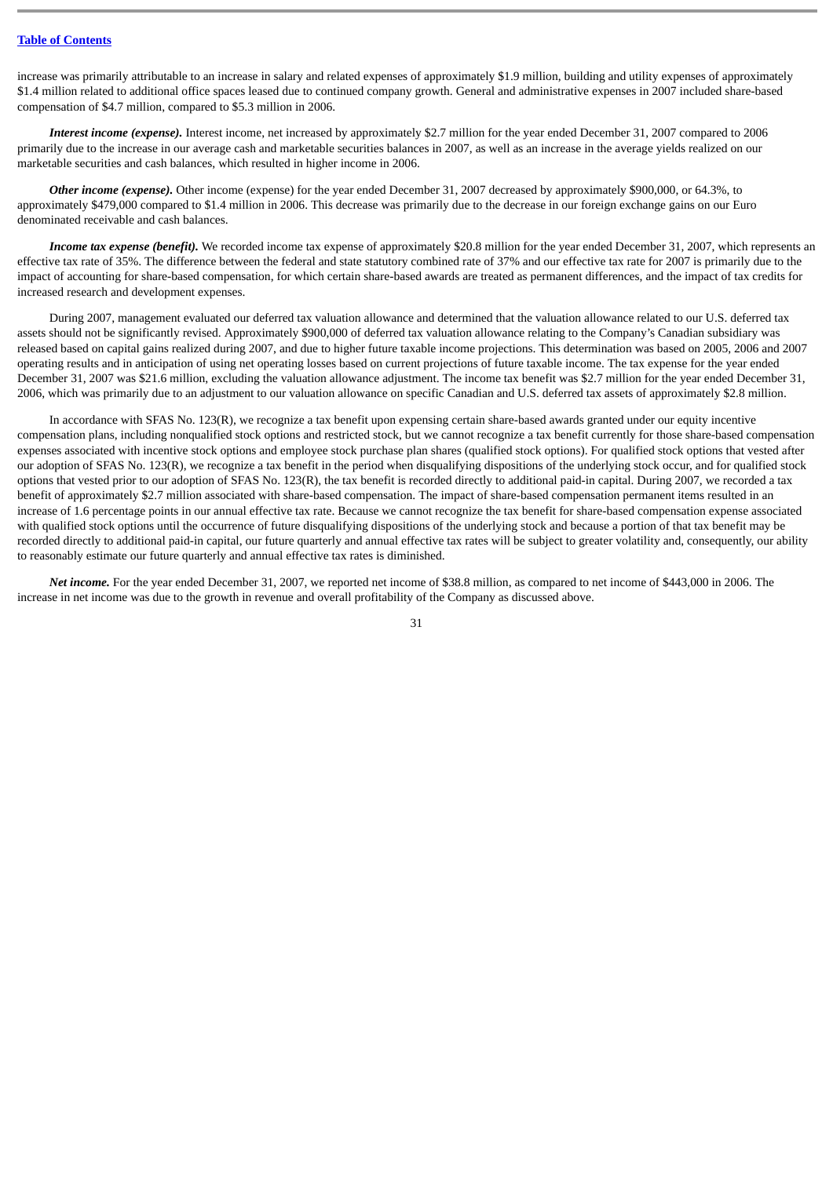increase was primarily attributable to an increase in salary and related expenses of approximately \$1.9 million, building and utility expenses of approximately \$1.4 million related to additional office spaces leased due to continued company growth. General and administrative expenses in 2007 included share-based compensation of \$4.7 million, compared to \$5.3 million in 2006.

*Interest income (expense).* Interest income, net increased by approximately \$2.7 million for the year ended December 31, 2007 compared to 2006 primarily due to the increase in our average cash and marketable securities balances in 2007, as well as an increase in the average yields realized on our marketable securities and cash balances, which resulted in higher income in 2006.

*Other income (expense).* Other income (expense) for the year ended December 31, 2007 decreased by approximately \$900,000, or 64.3%, to approximately \$479,000 compared to \$1.4 million in 2006. This decrease was primarily due to the decrease in our foreign exchange gains on our Euro denominated receivable and cash balances.

**Income tax expense (benefit).** We recorded income tax expense of approximately \$20.8 million for the year ended December 31, 2007, which represents an effective tax rate of 35%. The difference between the federal and state statutory combined rate of 37% and our effective tax rate for 2007 is primarily due to the impact of accounting for share-based compensation, for which certain share-based awards are treated as permanent differences, and the impact of tax credits for increased research and development expenses.

During 2007, management evaluated our deferred tax valuation allowance and determined that the valuation allowance related to our U.S. deferred tax assets should not be significantly revised. Approximately \$900,000 of deferred tax valuation allowance relating to the Company's Canadian subsidiary was released based on capital gains realized during 2007, and due to higher future taxable income projections. This determination was based on 2005, 2006 and 2007 operating results and in anticipation of using net operating losses based on current projections of future taxable income. The tax expense for the year ended December 31, 2007 was \$21.6 million, excluding the valuation allowance adjustment. The income tax benefit was \$2.7 million for the year ended December 31, 2006, which was primarily due to an adjustment to our valuation allowance on specific Canadian and U.S. deferred tax assets of approximately \$2.8 million.

In accordance with SFAS No. 123(R), we recognize a tax benefit upon expensing certain share-based awards granted under our equity incentive compensation plans, including nonqualified stock options and restricted stock, but we cannot recognize a tax benefit currently for those share-based compensation expenses associated with incentive stock options and employee stock purchase plan shares (qualified stock options). For qualified stock options that vested after our adoption of SFAS No. 123(R), we recognize a tax benefit in the period when disqualifying dispositions of the underlying stock occur, and for qualified stock options that vested prior to our adoption of SFAS No. 123(R), the tax benefit is recorded directly to additional paid-in capital. During 2007, we recorded a tax benefit of approximately \$2.7 million associated with share-based compensation. The impact of share-based compensation permanent items resulted in an increase of 1.6 percentage points in our annual effective tax rate. Because we cannot recognize the tax benefit for share-based compensation expense associated with qualified stock options until the occurrence of future disqualifying dispositions of the underlying stock and because a portion of that tax benefit may be recorded directly to additional paid-in capital, our future quarterly and annual effective tax rates will be subject to greater volatility and, consequently, our ability to reasonably estimate our future quarterly and annual effective tax rates is diminished.

*Net income.* For the year ended December 31, 2007, we reported net income of \$38.8 million, as compared to net income of \$443,000 in 2006. The increase in net income was due to the growth in revenue and overall profitability of the Company as discussed above.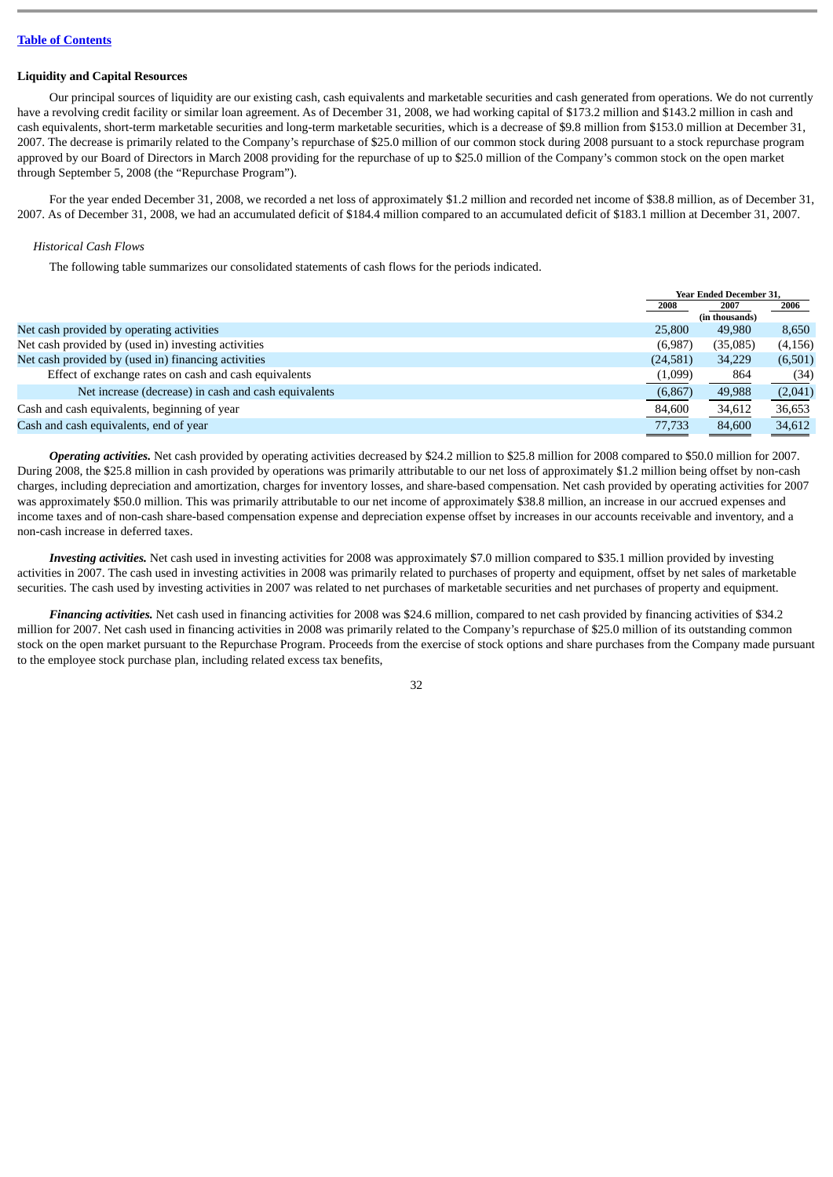# **Liquidity and Capital Resources**

Our principal sources of liquidity are our existing cash, cash equivalents and marketable securities and cash generated from operations. We do not currently have a revolving credit facility or similar loan agreement. As of December 31, 2008, we had working capital of \$173.2 million and \$143.2 million in cash and cash equivalents, short-term marketable securities and long-term marketable securities, which is a decrease of \$9.8 million from \$153.0 million at December 31, 2007. The decrease is primarily related to the Company's repurchase of \$25.0 million of our common stock during 2008 pursuant to a stock repurchase program approved by our Board of Directors in March 2008 providing for the repurchase of up to \$25.0 million of the Company's common stock on the open market through September 5, 2008 (the "Repurchase Program").

For the year ended December 31, 2008, we recorded a net loss of approximately \$1.2 million and recorded net income of \$38.8 million, as of December 31, 2007. As of December 31, 2008, we had an accumulated deficit of \$184.4 million compared to an accumulated deficit of \$183.1 million at December 31, 2007.

# *Historical Cash Flows*

The following table summarizes our consolidated statements of cash flows for the periods indicated.

|                                                       | <b>Year Ended December 31.</b> |                |         |  |
|-------------------------------------------------------|--------------------------------|----------------|---------|--|
|                                                       | 2008                           | 2007           | 2006    |  |
|                                                       |                                | (in thousands) |         |  |
| Net cash provided by operating activities             | 25,800                         | 49.980         | 8,650   |  |
| Net cash provided by (used in) investing activities   | (6,987)                        | (35,085)       | (4,156) |  |
| Net cash provided by (used in) financing activities   | (24, 581)                      | 34,229         | (6,501) |  |
| Effect of exchange rates on cash and cash equivalents | (1,099)                        | 864            | (34)    |  |
| Net increase (decrease) in cash and cash equivalents  | (6,867)                        | 49,988         | (2,041) |  |
| Cash and cash equivalents, beginning of year          | 84,600                         | 34,612         | 36,653  |  |
| Cash and cash equivalents, end of year                | 77,733                         | 84,600         | 34,612  |  |

*Operating activities.* Net cash provided by operating activities decreased by \$24.2 million to \$25.8 million for 2008 compared to \$50.0 million for 2007. During 2008, the \$25.8 million in cash provided by operations was primarily attributable to our net loss of approximately \$1.2 million being offset by non-cash charges, including depreciation and amortization, charges for inventory losses, and share-based compensation. Net cash provided by operating activities for 2007 was approximately \$50.0 million. This was primarily attributable to our net income of approximately \$38.8 million, an increase in our accrued expenses and income taxes and of non-cash share-based compensation expense and depreciation expense offset by increases in our accounts receivable and inventory, and a non-cash increase in deferred taxes.

*Investing activities.* Net cash used in investing activities for 2008 was approximately \$7.0 million compared to \$35.1 million provided by investing activities in 2007. The cash used in investing activities in 2008 was primarily related to purchases of property and equipment, offset by net sales of marketable securities. The cash used by investing activities in 2007 was related to net purchases of marketable securities and net purchases of property and equipment.

*Financing activities.* Net cash used in financing activities for 2008 was \$24.6 million, compared to net cash provided by financing activities of \$34.2 million for 2007. Net cash used in financing activities in 2008 was primarily related to the Company's repurchase of \$25.0 million of its outstanding common stock on the open market pursuant to the Repurchase Program. Proceeds from the exercise of stock options and share purchases from the Company made pursuant to the employee stock purchase plan, including related excess tax benefits,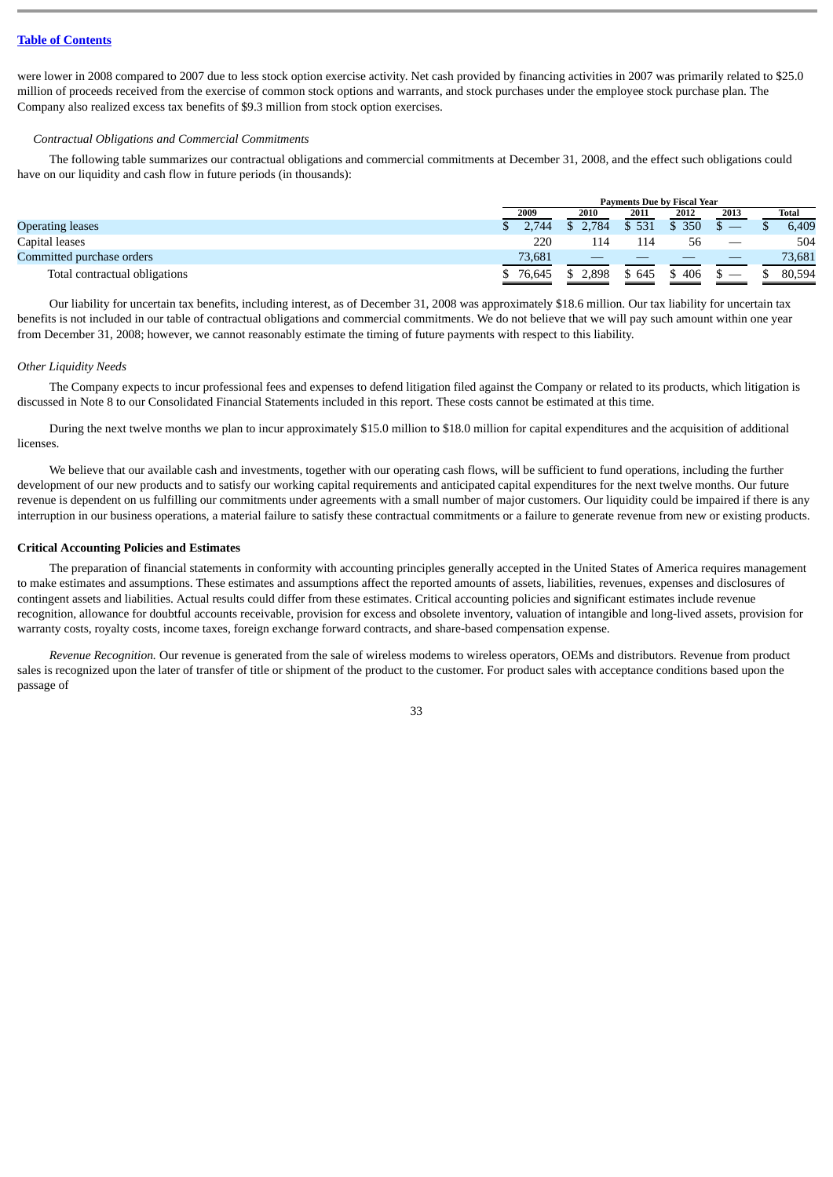were lower in 2008 compared to 2007 due to less stock option exercise activity. Net cash provided by financing activities in 2007 was primarily related to \$25.0 million of proceeds received from the exercise of common stock options and warrants, and stock purchases under the employee stock purchase plan. The Company also realized excess tax benefits of \$9.3 million from stock option exercises.

# *Contractual Obligations and Commercial Commitments*

The following table summarizes our contractual obligations and commercial commitments at December 31, 2008, and the effect such obligations could have on our liquidity and cash flow in future periods (in thousands):

|                               | <b>Payments Due by Fiscal Year</b> |       |       |       |      |  |        |  |
|-------------------------------|------------------------------------|-------|-------|-------|------|--|--------|--|
|                               | 2009                               | 2010  | 2011  | 2012  | 2013 |  | Total  |  |
| <b>Operating leases</b>       | 2.744                              | 2.784 | \$531 | \$350 |      |  | 6,409  |  |
| Capital leases                | 220                                | 114   | 114   | 56    |      |  | 504    |  |
| Committed purchase orders     | 73.681                             |       |       |       |      |  | 73,681 |  |
| Total contractual obligations | 76.645                             | 2,898 | 645   | 406   |      |  | 80,594 |  |

Our liability for uncertain tax benefits, including interest, as of December 31, 2008 was approximately \$18.6 million. Our tax liability for uncertain tax benefits is not included in our table of contractual obligations and commercial commitments. We do not believe that we will pay such amount within one year from December 31, 2008; however, we cannot reasonably estimate the timing of future payments with respect to this liability.

# *Other Liquidity Needs*

The Company expects to incur professional fees and expenses to defend litigation filed against the Company or related to its products, which litigation is discussed in Note 8 to our Consolidated Financial Statements included in this report. These costs cannot be estimated at this time.

During the next twelve months we plan to incur approximately \$15.0 million to \$18.0 million for capital expenditures and the acquisition of additional licenses.

We believe that our available cash and investments, together with our operating cash flows, will be sufficient to fund operations, including the further development of our new products and to satisfy our working capital requirements and anticipated capital expenditures for the next twelve months. Our future revenue is dependent on us fulfilling our commitments under agreements with a small number of major customers. Our liquidity could be impaired if there is any interruption in our business operations, a material failure to satisfy these contractual commitments or a failure to generate revenue from new or existing products.

# **Critical Accounting Policies and Estimates**

The preparation of financial statements in conformity with accounting principles generally accepted in the United States of America requires management to make estimates and assumptions. These estimates and assumptions affect the reported amounts of assets, liabilities, revenues, expenses and disclosures of contingent assets and liabilities. Actual results could differ from these estimates. Critical accounting policies and **s**ignificant estimates include revenue recognition, allowance for doubtful accounts receivable, provision for excess and obsolete inventory, valuation of intangible and long-lived assets, provision for warranty costs, royalty costs, income taxes, foreign exchange forward contracts, and share-based compensation expense.

*Revenue Recognition.* Our revenue is generated from the sale of wireless modems to wireless operators, OEMs and distributors. Revenue from product sales is recognized upon the later of transfer of title or shipment of the product to the customer. For product sales with acceptance conditions based upon the passage of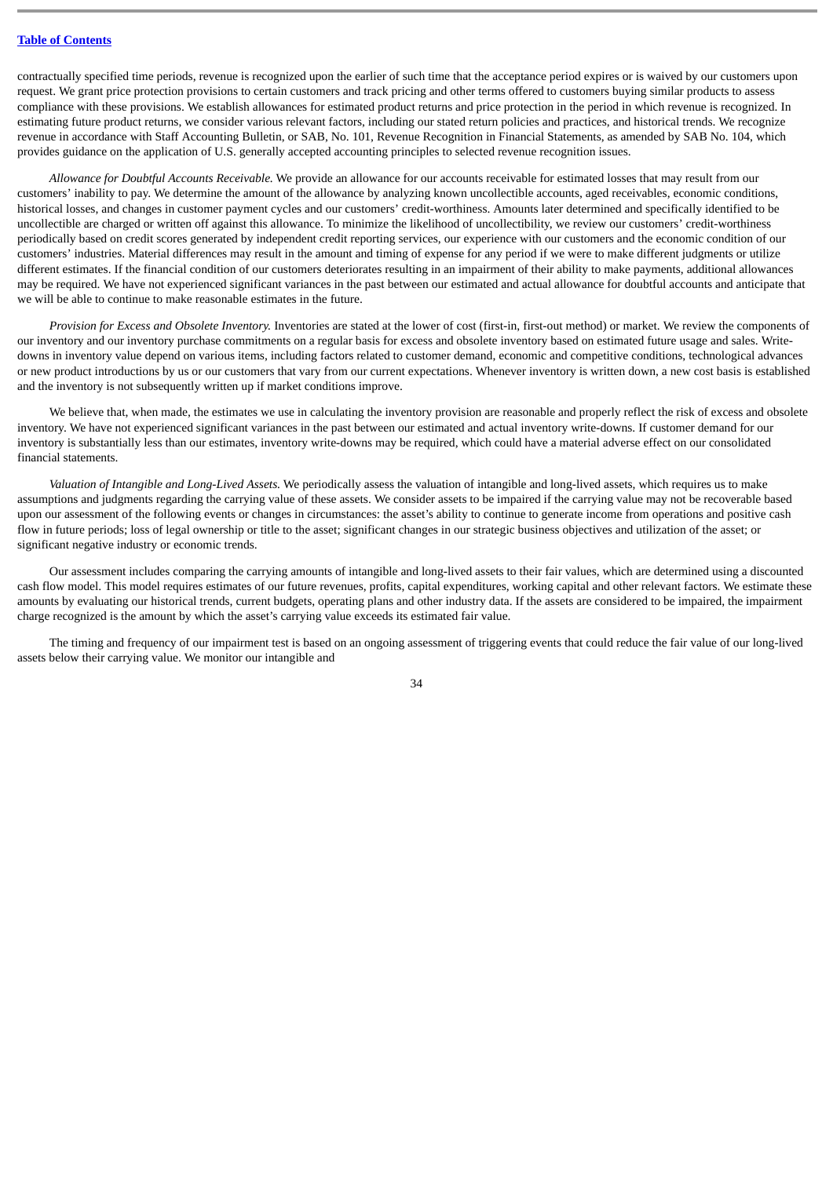contractually specified time periods, revenue is recognized upon the earlier of such time that the acceptance period expires or is waived by our customers upon request. We grant price protection provisions to certain customers and track pricing and other terms offered to customers buying similar products to assess compliance with these provisions. We establish allowances for estimated product returns and price protection in the period in which revenue is recognized. In estimating future product returns, we consider various relevant factors, including our stated return policies and practices, and historical trends. We recognize revenue in accordance with Staff Accounting Bulletin, or SAB, No. 101, Revenue Recognition in Financial Statements, as amended by SAB No. 104, which provides guidance on the application of U.S. generally accepted accounting principles to selected revenue recognition issues.

*Allowance for Doubtful Accounts Receivable.* We provide an allowance for our accounts receivable for estimated losses that may result from our customers' inability to pay. We determine the amount of the allowance by analyzing known uncollectible accounts, aged receivables, economic conditions, historical losses, and changes in customer payment cycles and our customers' credit-worthiness. Amounts later determined and specifically identified to be uncollectible are charged or written off against this allowance. To minimize the likelihood of uncollectibility, we review our customers' credit-worthiness periodically based on credit scores generated by independent credit reporting services, our experience with our customers and the economic condition of our customers' industries. Material differences may result in the amount and timing of expense for any period if we were to make different judgments or utilize different estimates. If the financial condition of our customers deteriorates resulting in an impairment of their ability to make payments, additional allowances may be required. We have not experienced significant variances in the past between our estimated and actual allowance for doubtful accounts and anticipate that we will be able to continue to make reasonable estimates in the future.

*Provision for Excess and Obsolete Inventory.* Inventories are stated at the lower of cost (first-in, first-out method) or market. We review the components of our inventory and our inventory purchase commitments on a regular basis for excess and obsolete inventory based on estimated future usage and sales. Writedowns in inventory value depend on various items, including factors related to customer demand, economic and competitive conditions, technological advances or new product introductions by us or our customers that vary from our current expectations. Whenever inventory is written down, a new cost basis is established and the inventory is not subsequently written up if market conditions improve.

We believe that, when made, the estimates we use in calculating the inventory provision are reasonable and properly reflect the risk of excess and obsolete inventory. We have not experienced significant variances in the past between our estimated and actual inventory write-downs. If customer demand for our inventory is substantially less than our estimates, inventory write-downs may be required, which could have a material adverse effect on our consolidated financial statements.

*Valuation of Intangible and Long-Lived Assets.* We periodically assess the valuation of intangible and long-lived assets, which requires us to make assumptions and judgments regarding the carrying value of these assets. We consider assets to be impaired if the carrying value may not be recoverable based upon our assessment of the following events or changes in circumstances: the asset's ability to continue to generate income from operations and positive cash flow in future periods; loss of legal ownership or title to the asset; significant changes in our strategic business objectives and utilization of the asset; or significant negative industry or economic trends.

Our assessment includes comparing the carrying amounts of intangible and long-lived assets to their fair values, which are determined using a discounted cash flow model. This model requires estimates of our future revenues, profits, capital expenditures, working capital and other relevant factors. We estimate these amounts by evaluating our historical trends, current budgets, operating plans and other industry data. If the assets are considered to be impaired, the impairment charge recognized is the amount by which the asset's carrying value exceeds its estimated fair value.

The timing and frequency of our impairment test is based on an ongoing assessment of triggering events that could reduce the fair value of our long-lived assets below their carrying value. We monitor our intangible and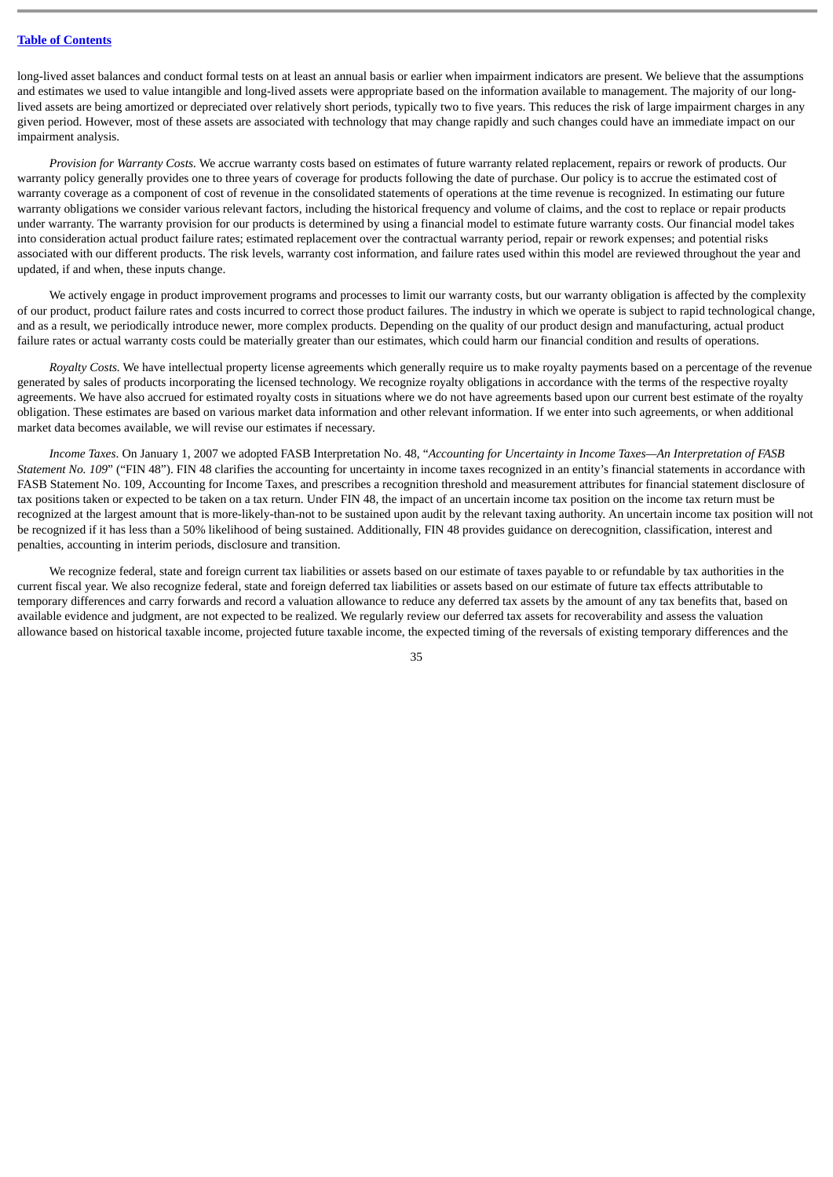long-lived asset balances and conduct formal tests on at least an annual basis or earlier when impairment indicators are present. We believe that the assumptions and estimates we used to value intangible and long-lived assets were appropriate based on the information available to management. The majority of our longlived assets are being amortized or depreciated over relatively short periods, typically two to five years. This reduces the risk of large impairment charges in any given period. However, most of these assets are associated with technology that may change rapidly and such changes could have an immediate impact on our impairment analysis.

*Provision for Warranty Costs.* We accrue warranty costs based on estimates of future warranty related replacement, repairs or rework of products. Our warranty policy generally provides one to three years of coverage for products following the date of purchase. Our policy is to accrue the estimated cost of warranty coverage as a component of cost of revenue in the consolidated statements of operations at the time revenue is recognized. In estimating our future warranty obligations we consider various relevant factors, including the historical frequency and volume of claims, and the cost to replace or repair products under warranty. The warranty provision for our products is determined by using a financial model to estimate future warranty costs. Our financial model takes into consideration actual product failure rates; estimated replacement over the contractual warranty period, repair or rework expenses; and potential risks associated with our different products. The risk levels, warranty cost information, and failure rates used within this model are reviewed throughout the year and updated, if and when, these inputs change.

We actively engage in product improvement programs and processes to limit our warranty costs, but our warranty obligation is affected by the complexity of our product, product failure rates and costs incurred to correct those product failures. The industry in which we operate is subject to rapid technological change, and as a result, we periodically introduce newer, more complex products. Depending on the quality of our product design and manufacturing, actual product failure rates or actual warranty costs could be materially greater than our estimates, which could harm our financial condition and results of operations.

*Royalty Costs.* We have intellectual property license agreements which generally require us to make royalty payments based on a percentage of the revenue generated by sales of products incorporating the licensed technology. We recognize royalty obligations in accordance with the terms of the respective royalty agreements. We have also accrued for estimated royalty costs in situations where we do not have agreements based upon our current best estimate of the royalty obligation. These estimates are based on various market data information and other relevant information. If we enter into such agreements, or when additional market data becomes available, we will revise our estimates if necessary.

*Income Taxes*. On January 1, 2007 we adopted FASB Interpretation No. 48, "*Accounting for Uncertainty in Income Taxes—An Interpretation of FASB Statement No. 109"* ("FIN 48"). FIN 48 clarifies the accounting for uncertainty in income taxes recognized in an entity's financial statements in accordance with FASB Statement No. 109, Accounting for Income Taxes, and prescribes a recognition threshold and measurement attributes for financial statement disclosure of tax positions taken or expected to be taken on a tax return. Under FIN 48, the impact of an uncertain income tax position on the income tax return must be recognized at the largest amount that is more-likely-than-not to be sustained upon audit by the relevant taxing authority. An uncertain income tax position will not be recognized if it has less than a 50% likelihood of being sustained. Additionally, FIN 48 provides guidance on derecognition, classification, interest and penalties, accounting in interim periods, disclosure and transition.

We recognize federal, state and foreign current tax liabilities or assets based on our estimate of taxes payable to or refundable by tax authorities in the current fiscal year. We also recognize federal, state and foreign deferred tax liabilities or assets based on our estimate of future tax effects attributable to temporary differences and carry forwards and record a valuation allowance to reduce any deferred tax assets by the amount of any tax benefits that, based on available evidence and judgment, are not expected to be realized. We regularly review our deferred tax assets for recoverability and assess the valuation allowance based on historical taxable income, projected future taxable income, the expected timing of the reversals of existing temporary differences and the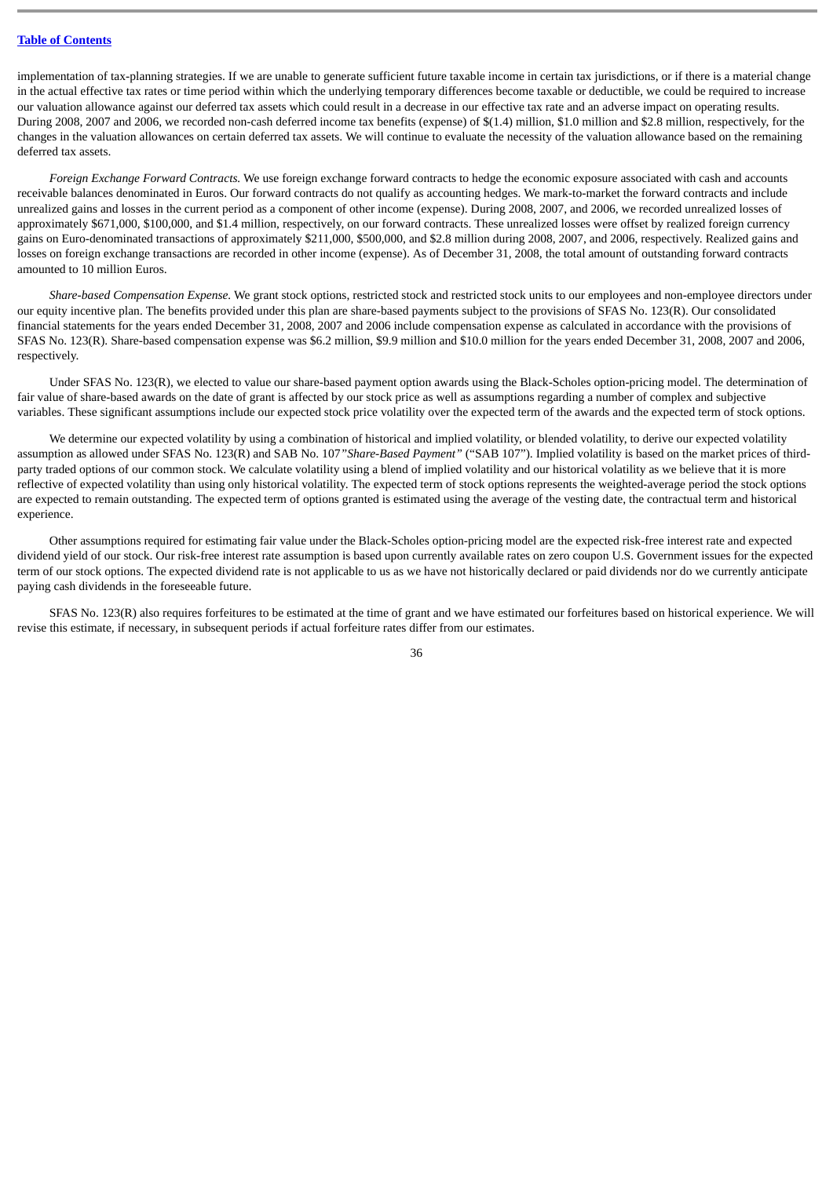implementation of tax-planning strategies. If we are unable to generate sufficient future taxable income in certain tax jurisdictions, or if there is a material change in the actual effective tax rates or time period within which the underlying temporary differences become taxable or deductible, we could be required to increase our valuation allowance against our deferred tax assets which could result in a decrease in our effective tax rate and an adverse impact on operating results. During 2008, 2007 and 2006, we recorded non-cash deferred income tax benefits (expense) of \$(1.4) million, \$1.0 million and \$2.8 million, respectively, for the changes in the valuation allowances on certain deferred tax assets. We will continue to evaluate the necessity of the valuation allowance based on the remaining deferred tax assets.

*Foreign Exchange Forward Contracts.* We use foreign exchange forward contracts to hedge the economic exposure associated with cash and accounts receivable balances denominated in Euros. Our forward contracts do not qualify as accounting hedges. We mark-to-market the forward contracts and include unrealized gains and losses in the current period as a component of other income (expense). During 2008, 2007, and 2006, we recorded unrealized losses of approximately \$671,000, \$100,000, and \$1.4 million, respectively, on our forward contracts. These unrealized losses were offset by realized foreign currency gains on Euro-denominated transactions of approximately \$211,000, \$500,000, and \$2.8 million during 2008, 2007, and 2006, respectively. Realized gains and losses on foreign exchange transactions are recorded in other income (expense). As of December 31, 2008, the total amount of outstanding forward contracts amounted to 10 million Euros.

*Share-based Compensation Expense.* We grant stock options, restricted stock and restricted stock units to our employees and non-employee directors under our equity incentive plan. The benefits provided under this plan are share-based payments subject to the provisions of SFAS No. 123(R). Our consolidated financial statements for the years ended December 31, 2008, 2007 and 2006 include compensation expense as calculated in accordance with the provisions of SFAS No. 123(R). Share-based compensation expense was \$6.2 million, \$9.9 million and \$10.0 million for the years ended December 31, 2008, 2007 and 2006, respectively.

Under SFAS No. 123(R), we elected to value our share-based payment option awards using the Black-Scholes option-pricing model. The determination of fair value of share-based awards on the date of grant is affected by our stock price as well as assumptions regarding a number of complex and subjective variables. These significant assumptions include our expected stock price volatility over the expected term of the awards and the expected term of stock options.

We determine our expected volatility by using a combination of historical and implied volatility, or blended volatility, to derive our expected volatility assumption as allowed under SFAS No. 123(R) and SAB No. 107*"Share-Based Payment"* ("SAB 107"). Implied volatility is based on the market prices of thirdparty traded options of our common stock. We calculate volatility using a blend of implied volatility and our historical volatility as we believe that it is more reflective of expected volatility than using only historical volatility. The expected term of stock options represents the weighted-average period the stock options are expected to remain outstanding. The expected term of options granted is estimated using the average of the vesting date, the contractual term and historical experience.

Other assumptions required for estimating fair value under the Black-Scholes option-pricing model are the expected risk-free interest rate and expected dividend yield of our stock. Our risk-free interest rate assumption is based upon currently available rates on zero coupon U.S. Government issues for the expected term of our stock options. The expected dividend rate is not applicable to us as we have not historically declared or paid dividends nor do we currently anticipate paying cash dividends in the foreseeable future.

SFAS No. 123(R) also requires forfeitures to be estimated at the time of grant and we have estimated our forfeitures based on historical experience. We will revise this estimate, if necessary, in subsequent periods if actual forfeiture rates differ from our estimates.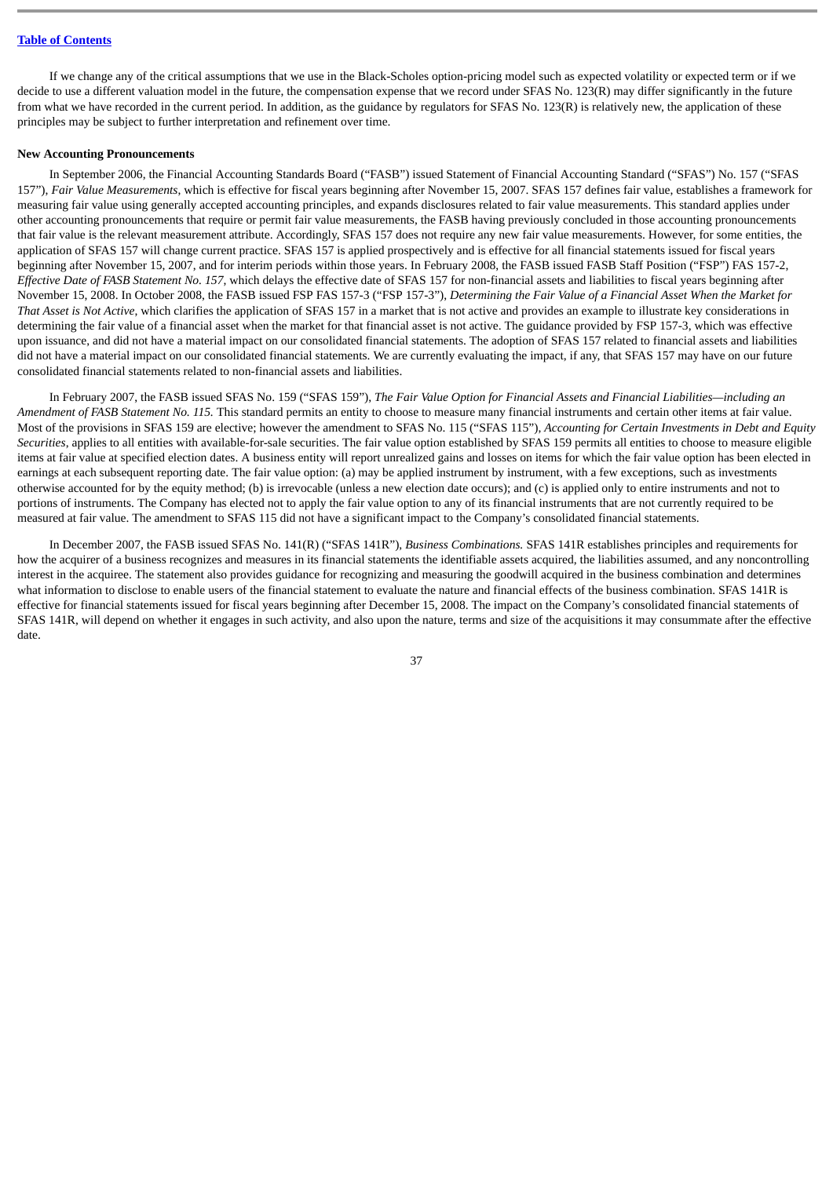If we change any of the critical assumptions that we use in the Black-Scholes option-pricing model such as expected volatility or expected term or if we decide to use a different valuation model in the future, the compensation expense that we record under SFAS No. 123(R) may differ significantly in the future from what we have recorded in the current period. In addition, as the guidance by regulators for SFAS No. 123(R) is relatively new, the application of these principles may be subject to further interpretation and refinement over time.

#### **New Accounting Pronouncements**

In September 2006, the Financial Accounting Standards Board ("FASB") issued Statement of Financial Accounting Standard ("SFAS") No. 157 ("SFAS 157"), *Fair Value Measurements*, which is effective for fiscal years beginning after November 15, 2007. SFAS 157 defines fair value, establishes a framework for measuring fair value using generally accepted accounting principles, and expands disclosures related to fair value measurements. This standard applies under other accounting pronouncements that require or permit fair value measurements, the FASB having previously concluded in those accounting pronouncements that fair value is the relevant measurement attribute. Accordingly, SFAS 157 does not require any new fair value measurements. However, for some entities, the application of SFAS 157 will change current practice. SFAS 157 is applied prospectively and is effective for all financial statements issued for fiscal years beginning after November 15, 2007, and for interim periods within those years. In February 2008, the FASB issued FASB Staff Position ("FSP") FAS 157-2, *Effective Date of FASB Statement No. 157*, which delays the effective date of SFAS 157 for non-financial assets and liabilities to fiscal years beginning after November 15, 2008. In October 2008, the FASB issued FSP FAS 157-3 ("FSP 157-3"), *Determining the Fair Value of a Financial Asset When the Market for That Asset is Not Active*, which clarifies the application of SFAS 157 in a market that is not active and provides an example to illustrate key considerations in determining the fair value of a financial asset when the market for that financial asset is not active. The guidance provided by FSP 157-3, which was effective upon issuance, and did not have a material impact on our consolidated financial statements. The adoption of SFAS 157 related to financial assets and liabilities did not have a material impact on our consolidated financial statements. We are currently evaluating the impact, if any, that SFAS 157 may have on our future consolidated financial statements related to non-financial assets and liabilities.

In February 2007, the FASB issued SFAS No. 159 ("SFAS 159"), *The Fair Value Option for Financial Assets and Financial Liabilities—including an Amendment of FASB Statement No. 115.* This standard permits an entity to choose to measure many financial instruments and certain other items at fair value. Most of the provisions in SFAS 159 are elective; however the amendment to SFAS No. 115 ("SFAS 115"), *Accounting for Certain Investments in Debt and Equity Securities*, applies to all entities with available-for-sale securities. The fair value option established by SFAS 159 permits all entities to choose to measure eligible items at fair value at specified election dates. A business entity will report unrealized gains and losses on items for which the fair value option has been elected in earnings at each subsequent reporting date. The fair value option: (a) may be applied instrument by instrument, with a few exceptions, such as investments otherwise accounted for by the equity method; (b) is irrevocable (unless a new election date occurs); and (c) is applied only to entire instruments and not to portions of instruments. The Company has elected not to apply the fair value option to any of its financial instruments that are not currently required to be measured at fair value. The amendment to SFAS 115 did not have a significant impact to the Company's consolidated financial statements.

In December 2007, the FASB issued SFAS No. 141(R) ("SFAS 141R"), *Business Combinations.* SFAS 141R establishes principles and requirements for how the acquirer of a business recognizes and measures in its financial statements the identifiable assets acquired, the liabilities assumed, and any noncontrolling interest in the acquiree. The statement also provides guidance for recognizing and measuring the goodwill acquired in the business combination and determines what information to disclose to enable users of the financial statement to evaluate the nature and financial effects of the business combination. SFAS 141R is effective for financial statements issued for fiscal years beginning after December 15, 2008. The impact on the Company's consolidated financial statements of SFAS 141R, will depend on whether it engages in such activity, and also upon the nature, terms and size of the acquisitions it may consummate after the effective date.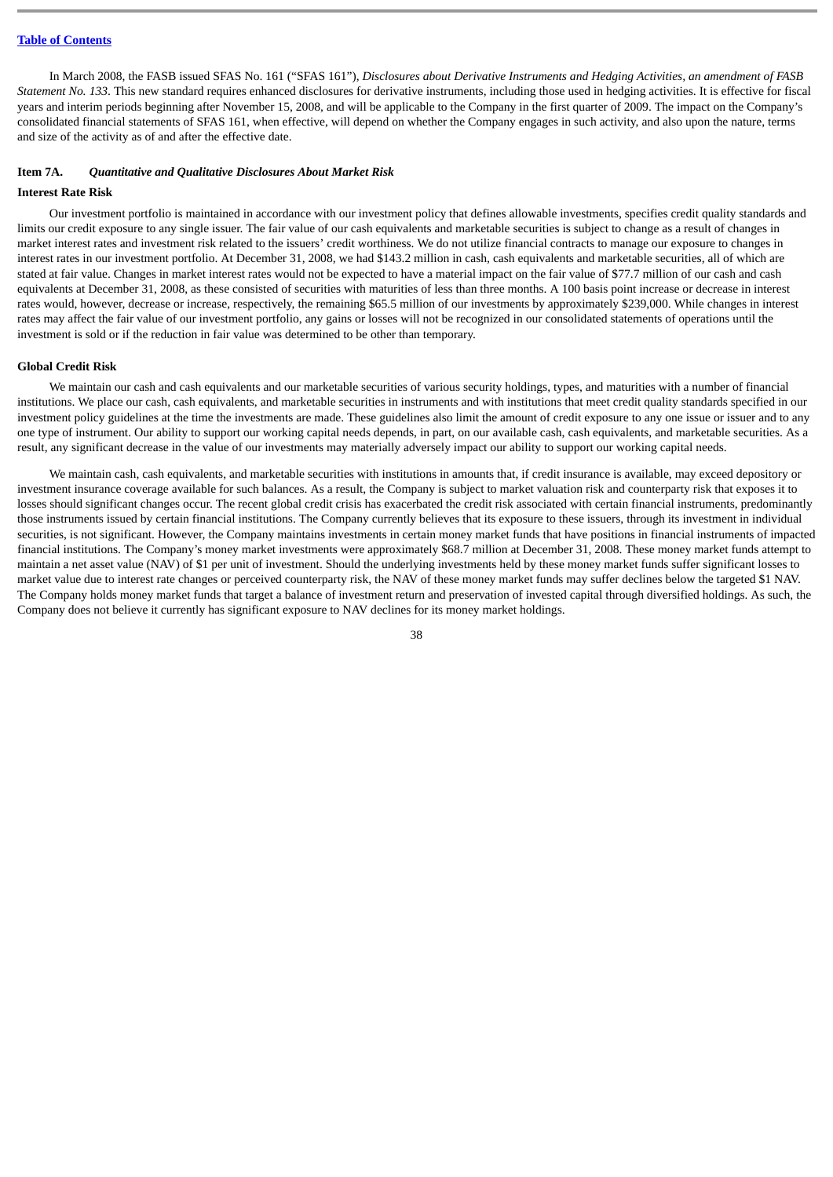In March 2008, the FASB issued SFAS No. 161 ("SFAS 161"), *Disclosures about Derivative Instruments and Hedging Activities, an amendment of FASB Statement No. 133*. This new standard requires enhanced disclosures for derivative instruments, including those used in hedging activities. It is effective for fiscal years and interim periods beginning after November 15, 2008, and will be applicable to the Company in the first quarter of 2009. The impact on the Company's consolidated financial statements of SFAS 161, when effective, will depend on whether the Company engages in such activity, and also upon the nature, terms and size of the activity as of and after the effective date.

#### **Item 7A.** *Quantitative and Qualitative Disclosures About Market Risk*

## **Interest Rate Risk**

Our investment portfolio is maintained in accordance with our investment policy that defines allowable investments, specifies credit quality standards and limits our credit exposure to any single issuer. The fair value of our cash equivalents and marketable securities is subject to change as a result of changes in market interest rates and investment risk related to the issuers' credit worthiness. We do not utilize financial contracts to manage our exposure to changes in interest rates in our investment portfolio. At December 31, 2008, we had \$143.2 million in cash, cash equivalents and marketable securities, all of which are stated at fair value. Changes in market interest rates would not be expected to have a material impact on the fair value of \$77.7 million of our cash and cash equivalents at December 31, 2008, as these consisted of securities with maturities of less than three months. A 100 basis point increase or decrease in interest rates would, however, decrease or increase, respectively, the remaining \$65.5 million of our investments by approximately \$239,000. While changes in interest rates may affect the fair value of our investment portfolio, any gains or losses will not be recognized in our consolidated statements of operations until the investment is sold or if the reduction in fair value was determined to be other than temporary.

## **Global Credit Risk**

We maintain our cash and cash equivalents and our marketable securities of various security holdings, types, and maturities with a number of financial institutions. We place our cash, cash equivalents, and marketable securities in instruments and with institutions that meet credit quality standards specified in our investment policy guidelines at the time the investments are made. These guidelines also limit the amount of credit exposure to any one issue or issuer and to any one type of instrument. Our ability to support our working capital needs depends, in part, on our available cash, cash equivalents, and marketable securities. As a result, any significant decrease in the value of our investments may materially adversely impact our ability to support our working capital needs.

We maintain cash, cash equivalents, and marketable securities with institutions in amounts that, if credit insurance is available, may exceed depository or investment insurance coverage available for such balances. As a result, the Company is subject to market valuation risk and counterparty risk that exposes it to losses should significant changes occur. The recent global credit crisis has exacerbated the credit risk associated with certain financial instruments, predominantly those instruments issued by certain financial institutions. The Company currently believes that its exposure to these issuers, through its investment in individual securities, is not significant. However, the Company maintains investments in certain money market funds that have positions in financial instruments of impacted financial institutions. The Company's money market investments were approximately \$68.7 million at December 31, 2008. These money market funds attempt to maintain a net asset value (NAV) of \$1 per unit of investment. Should the underlying investments held by these money market funds suffer significant losses to market value due to interest rate changes or perceived counterparty risk, the NAV of these money market funds may suffer declines below the targeted \$1 NAV. The Company holds money market funds that target a balance of investment return and preservation of invested capital through diversified holdings. As such, the Company does not believe it currently has significant exposure to NAV declines for its money market holdings.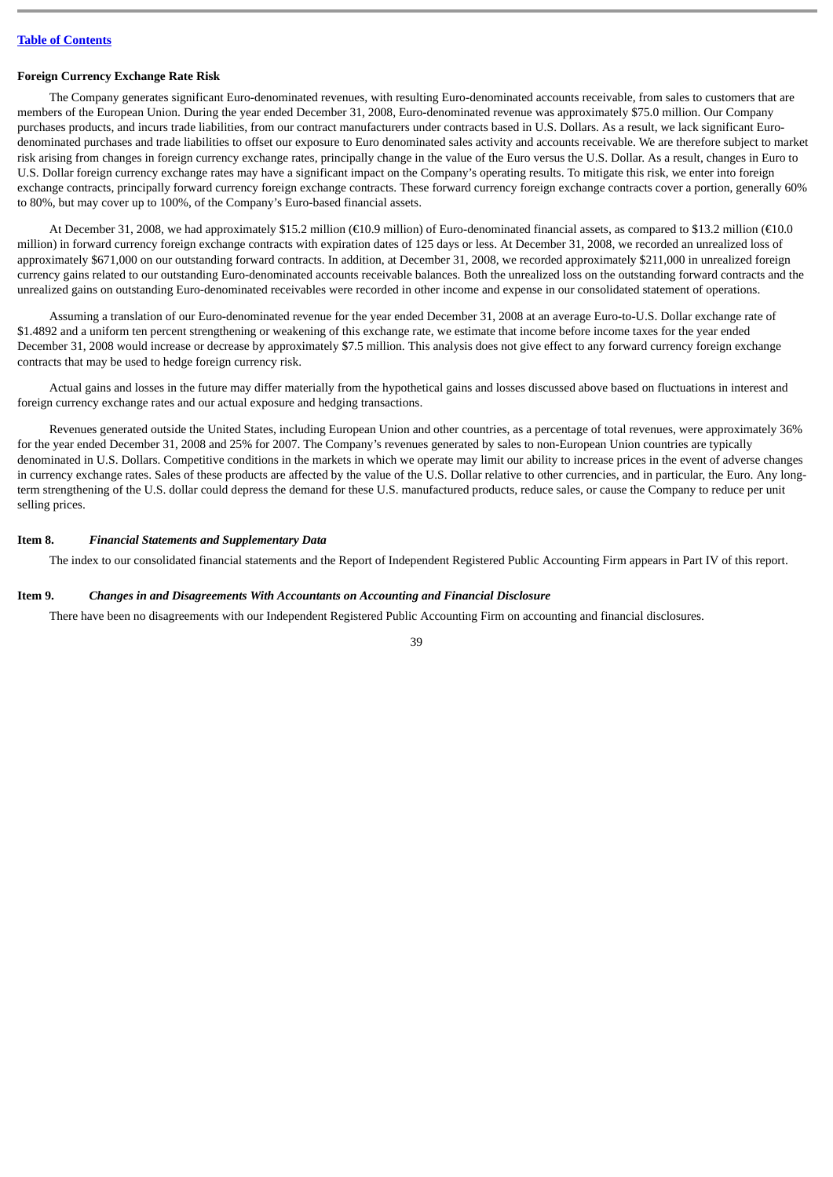#### **Foreign Currency Exchange Rate Risk**

The Company generates significant Euro-denominated revenues, with resulting Euro-denominated accounts receivable, from sales to customers that are members of the European Union. During the year ended December 31, 2008, Euro-denominated revenue was approximately \$75.0 million. Our Company purchases products, and incurs trade liabilities, from our contract manufacturers under contracts based in U.S. Dollars. As a result, we lack significant Eurodenominated purchases and trade liabilities to offset our exposure to Euro denominated sales activity and accounts receivable. We are therefore subject to market risk arising from changes in foreign currency exchange rates, principally change in the value of the Euro versus the U.S. Dollar. As a result, changes in Euro to U.S. Dollar foreign currency exchange rates may have a significant impact on the Company's operating results. To mitigate this risk, we enter into foreign exchange contracts, principally forward currency foreign exchange contracts. These forward currency foreign exchange contracts cover a portion, generally 60% to 80%, but may cover up to 100%, of the Company's Euro-based financial assets.

At December 31, 2008, we had approximately \$15.2 million (€10.9 million) of Euro-denominated financial assets, as compared to \$13.2 million (€10.0 million) in forward currency foreign exchange contracts with expiration dates of 125 days or less. At December 31, 2008, we recorded an unrealized loss of approximately \$671,000 on our outstanding forward contracts. In addition, at December 31, 2008, we recorded approximately \$211,000 in unrealized foreign currency gains related to our outstanding Euro-denominated accounts receivable balances. Both the unrealized loss on the outstanding forward contracts and the unrealized gains on outstanding Euro-denominated receivables were recorded in other income and expense in our consolidated statement of operations.

Assuming a translation of our Euro-denominated revenue for the year ended December 31, 2008 at an average Euro-to-U.S. Dollar exchange rate of \$1.4892 and a uniform ten percent strengthening or weakening of this exchange rate, we estimate that income before income taxes for the year ended December 31, 2008 would increase or decrease by approximately \$7.5 million. This analysis does not give effect to any forward currency foreign exchange contracts that may be used to hedge foreign currency risk.

Actual gains and losses in the future may differ materially from the hypothetical gains and losses discussed above based on fluctuations in interest and foreign currency exchange rates and our actual exposure and hedging transactions.

Revenues generated outside the United States, including European Union and other countries, as a percentage of total revenues, were approximately 36% for the year ended December 31, 2008 and 25% for 2007. The Company's revenues generated by sales to non-European Union countries are typically denominated in U.S. Dollars. Competitive conditions in the markets in which we operate may limit our ability to increase prices in the event of adverse changes in currency exchange rates. Sales of these products are affected by the value of the U.S. Dollar relative to other currencies, and in particular, the Euro. Any longterm strengthening of the U.S. dollar could depress the demand for these U.S. manufactured products, reduce sales, or cause the Company to reduce per unit selling prices.

### **Item 8.** *Financial Statements and Supplementary Data*

The index to our consolidated financial statements and the Report of Independent Registered Public Accounting Firm appears in Part IV of this report.

#### **Item 9.** *Changes in and Disagreements With Accountants on Accounting and Financial Disclosure*

There have been no disagreements with our Independent Registered Public Accounting Firm on accounting and financial disclosures.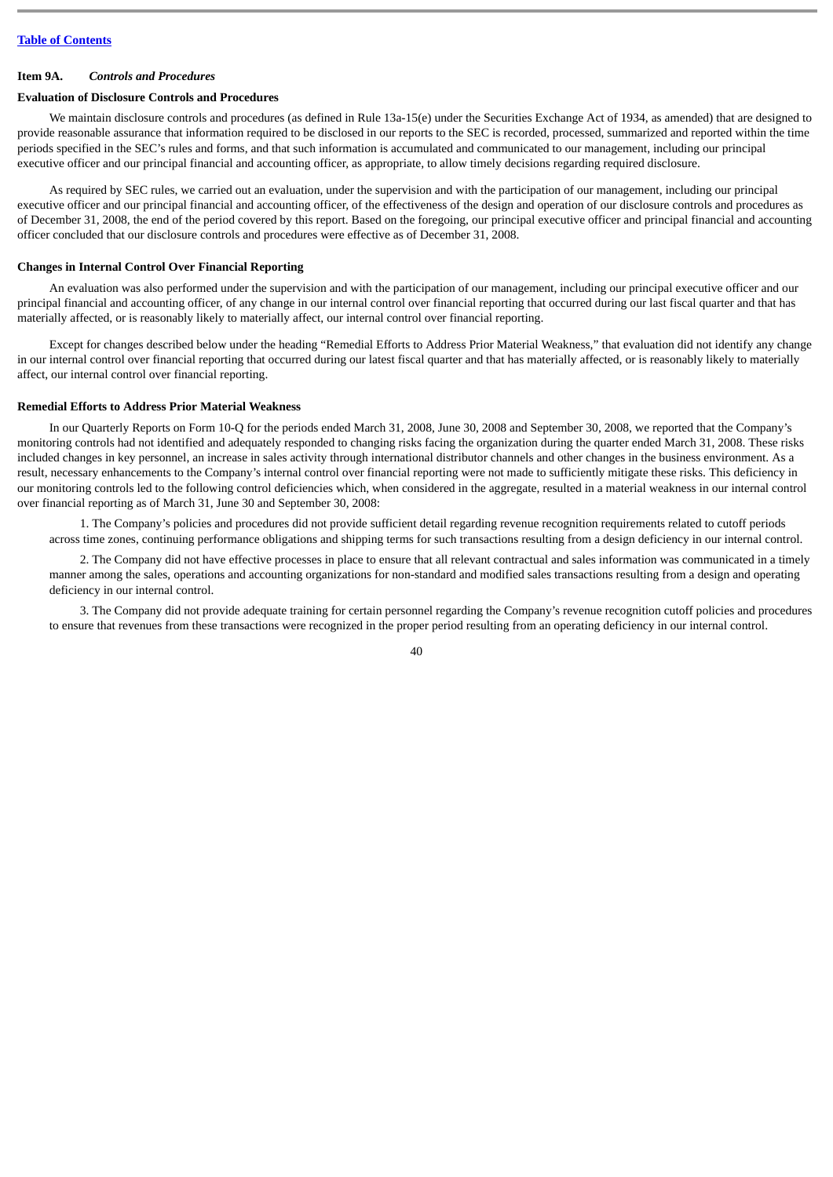## **Item 9A.** *Controls and Procedures*

## **Evaluation of Disclosure Controls and Procedures**

We maintain disclosure controls and procedures (as defined in Rule 13a-15(e) under the Securities Exchange Act of 1934, as amended) that are designed to provide reasonable assurance that information required to be disclosed in our reports to the SEC is recorded, processed, summarized and reported within the time periods specified in the SEC's rules and forms, and that such information is accumulated and communicated to our management, including our principal executive officer and our principal financial and accounting officer, as appropriate, to allow timely decisions regarding required disclosure.

As required by SEC rules, we carried out an evaluation, under the supervision and with the participation of our management, including our principal executive officer and our principal financial and accounting officer, of the effectiveness of the design and operation of our disclosure controls and procedures as of December 31, 2008, the end of the period covered by this report. Based on the foregoing, our principal executive officer and principal financial and accounting officer concluded that our disclosure controls and procedures were effective as of December 31, 2008.

### **Changes in Internal Control Over Financial Reporting**

An evaluation was also performed under the supervision and with the participation of our management, including our principal executive officer and our principal financial and accounting officer, of any change in our internal control over financial reporting that occurred during our last fiscal quarter and that has materially affected, or is reasonably likely to materially affect, our internal control over financial reporting.

Except for changes described below under the heading "Remedial Efforts to Address Prior Material Weakness," that evaluation did not identify any change in our internal control over financial reporting that occurred during our latest fiscal quarter and that has materially affected, or is reasonably likely to materially affect, our internal control over financial reporting.

#### **Remedial Efforts to Address Prior Material Weakness**

In our Quarterly Reports on Form 10-Q for the periods ended March 31, 2008, June 30, 2008 and September 30, 2008, we reported that the Company's monitoring controls had not identified and adequately responded to changing risks facing the organization during the quarter ended March 31, 2008. These risks included changes in key personnel, an increase in sales activity through international distributor channels and other changes in the business environment. As a result, necessary enhancements to the Company's internal control over financial reporting were not made to sufficiently mitigate these risks. This deficiency in our monitoring controls led to the following control deficiencies which, when considered in the aggregate, resulted in a material weakness in our internal control over financial reporting as of March 31, June 30 and September 30, 2008:

1. The Company's policies and procedures did not provide sufficient detail regarding revenue recognition requirements related to cutoff periods across time zones, continuing performance obligations and shipping terms for such transactions resulting from a design deficiency in our internal control.

2. The Company did not have effective processes in place to ensure that all relevant contractual and sales information was communicated in a timely manner among the sales, operations and accounting organizations for non-standard and modified sales transactions resulting from a design and operating deficiency in our internal control.

3. The Company did not provide adequate training for certain personnel regarding the Company's revenue recognition cutoff policies and procedures to ensure that revenues from these transactions were recognized in the proper period resulting from an operating deficiency in our internal control.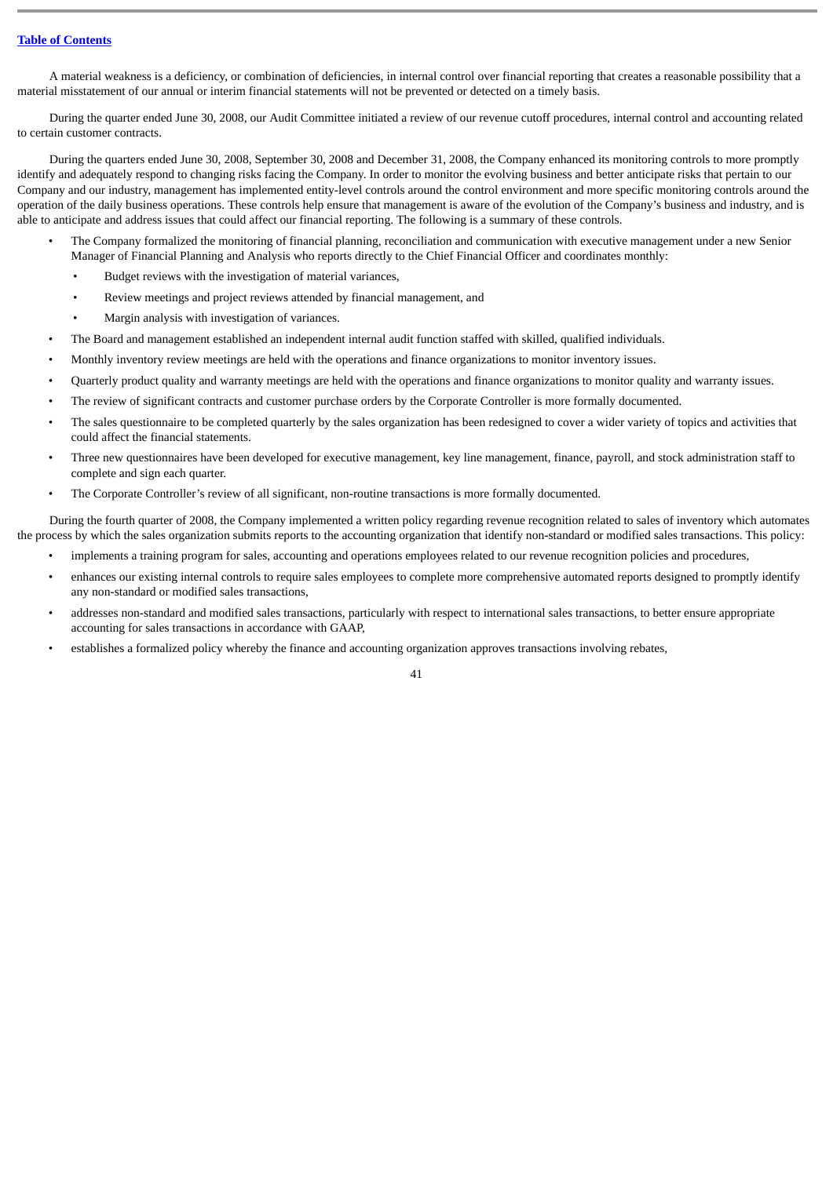A material weakness is a deficiency, or combination of deficiencies, in internal control over financial reporting that creates a reasonable possibility that a material misstatement of our annual or interim financial statements will not be prevented or detected on a timely basis.

During the quarter ended June 30, 2008, our Audit Committee initiated a review of our revenue cutoff procedures, internal control and accounting related to certain customer contracts.

During the quarters ended June 30, 2008, September 30, 2008 and December 31, 2008, the Company enhanced its monitoring controls to more promptly identify and adequately respond to changing risks facing the Company. In order to monitor the evolving business and better anticipate risks that pertain to our Company and our industry, management has implemented entity-level controls around the control environment and more specific monitoring controls around the operation of the daily business operations. These controls help ensure that management is aware of the evolution of the Company's business and industry, and is able to anticipate and address issues that could affect our financial reporting. The following is a summary of these controls.

- The Company formalized the monitoring of financial planning, reconciliation and communication with executive management under a new Senior Manager of Financial Planning and Analysis who reports directly to the Chief Financial Officer and coordinates monthly:
	- Budget reviews with the investigation of material variances,
	- Review meetings and project reviews attended by financial management, and
	- Margin analysis with investigation of variances.
- The Board and management established an independent internal audit function staffed with skilled, qualified individuals.
- Monthly inventory review meetings are held with the operations and finance organizations to monitor inventory issues.
- Quarterly product quality and warranty meetings are held with the operations and finance organizations to monitor quality and warranty issues.
- The review of significant contracts and customer purchase orders by the Corporate Controller is more formally documented.
- The sales questionnaire to be completed quarterly by the sales organization has been redesigned to cover a wider variety of topics and activities that could affect the financial statements.
- Three new questionnaires have been developed for executive management, key line management, finance, payroll, and stock administration staff to complete and sign each quarter.
- The Corporate Controller's review of all significant, non-routine transactions is more formally documented.

During the fourth quarter of 2008, the Company implemented a written policy regarding revenue recognition related to sales of inventory which automates the process by which the sales organization submits reports to the accounting organization that identify non-standard or modified sales transactions. This policy:

- implements a training program for sales, accounting and operations employees related to our revenue recognition policies and procedures,
- enhances our existing internal controls to require sales employees to complete more comprehensive automated reports designed to promptly identify any non-standard or modified sales transactions,
- addresses non-standard and modified sales transactions, particularly with respect to international sales transactions, to better ensure appropriate accounting for sales transactions in accordance with GAAP,
- establishes a formalized policy whereby the finance and accounting organization approves transactions involving rebates,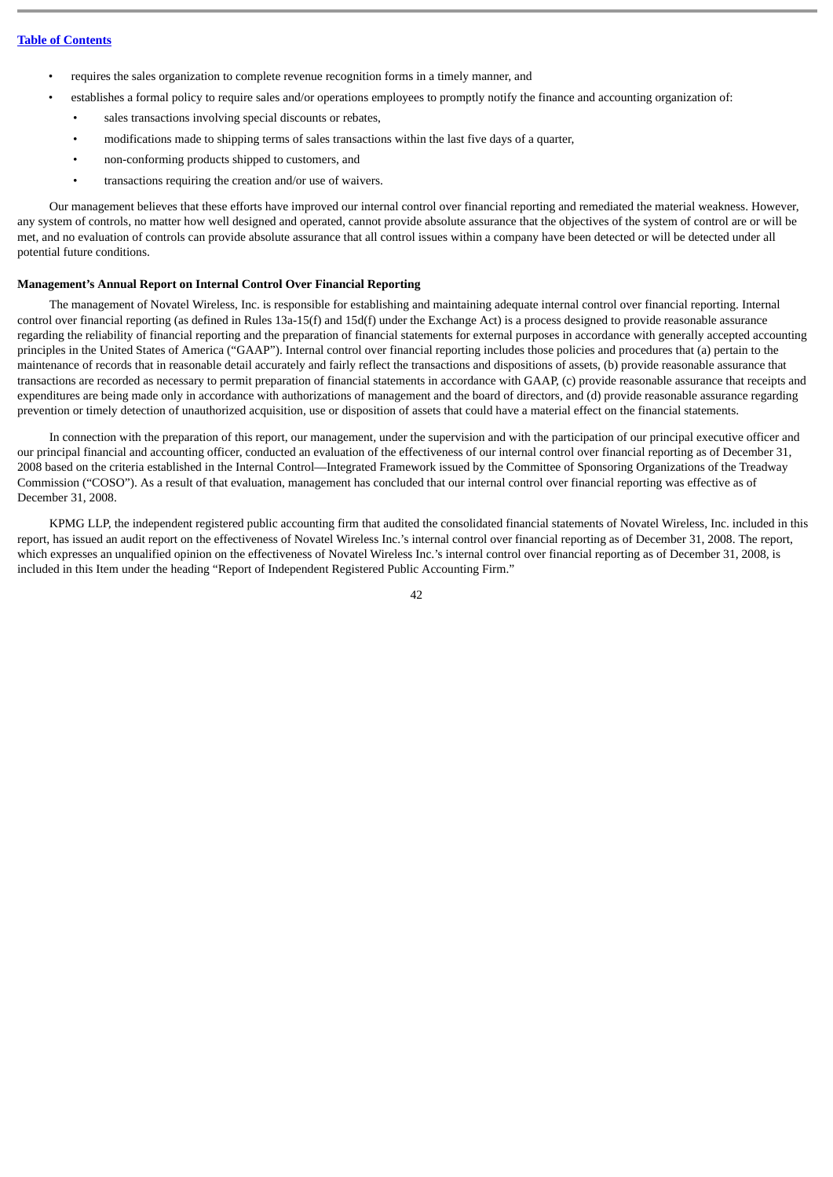- requires the sales organization to complete revenue recognition forms in a timely manner, and
	- establishes a formal policy to require sales and/or operations employees to promptly notify the finance and accounting organization of:
	- sales transactions involving special discounts or rebates,
	- modifications made to shipping terms of sales transactions within the last five days of a quarter,
	- non-conforming products shipped to customers, and
	- transactions requiring the creation and/or use of waivers.

Our management believes that these efforts have improved our internal control over financial reporting and remediated the material weakness. However, any system of controls, no matter how well designed and operated, cannot provide absolute assurance that the objectives of the system of control are or will be met, and no evaluation of controls can provide absolute assurance that all control issues within a company have been detected or will be detected under all potential future conditions.

## **Management's Annual Report on Internal Control Over Financial Reporting**

The management of Novatel Wireless, Inc. is responsible for establishing and maintaining adequate internal control over financial reporting. Internal control over financial reporting (as defined in Rules  $13a-15(f)$  and  $15df$ ) under the Exchange Act) is a process designed to provide reasonable assurance regarding the reliability of financial reporting and the preparation of financial statements for external purposes in accordance with generally accepted accounting principles in the United States of America ("GAAP"). Internal control over financial reporting includes those policies and procedures that (a) pertain to the maintenance of records that in reasonable detail accurately and fairly reflect the transactions and dispositions of assets, (b) provide reasonable assurance that transactions are recorded as necessary to permit preparation of financial statements in accordance with GAAP, (c) provide reasonable assurance that receipts and expenditures are being made only in accordance with authorizations of management and the board of directors, and (d) provide reasonable assurance regarding prevention or timely detection of unauthorized acquisition, use or disposition of assets that could have a material effect on the financial statements.

In connection with the preparation of this report, our management, under the supervision and with the participation of our principal executive officer and our principal financial and accounting officer, conducted an evaluation of the effectiveness of our internal control over financial reporting as of December 31, 2008 based on the criteria established in the Internal Control—Integrated Framework issued by the Committee of Sponsoring Organizations of the Treadway Commission ("COSO"). As a result of that evaluation, management has concluded that our internal control over financial reporting was effective as of December 31, 2008.

KPMG LLP, the independent registered public accounting firm that audited the consolidated financial statements of Novatel Wireless, Inc. included in this report, has issued an audit report on the effectiveness of Novatel Wireless Inc.'s internal control over financial reporting as of December 31, 2008. The report, which expresses an unqualified opinion on the effectiveness of Novatel Wireless Inc.'s internal control over financial reporting as of December 31, 2008, is included in this Item under the heading "Report of Independent Registered Public Accounting Firm."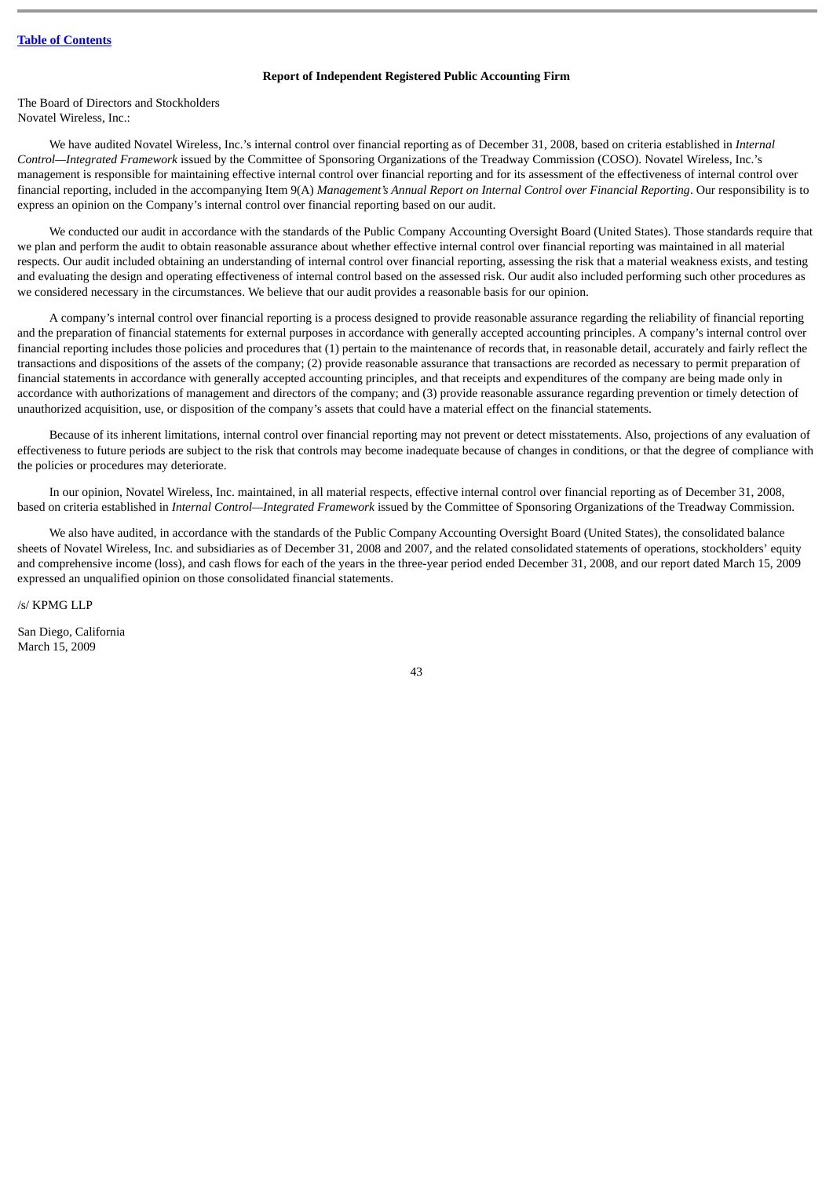#### **Report of Independent Registered Public Accounting Firm**

The Board of Directors and Stockholders Novatel Wireless, Inc.:

We have audited Novatel Wireless, Inc.'s internal control over financial reporting as of December 31, 2008, based on criteria established in *Internal Control—Integrated Framework* issued by the Committee of Sponsoring Organizations of the Treadway Commission (COSO). Novatel Wireless, Inc.'s management is responsible for maintaining effective internal control over financial reporting and for its assessment of the effectiveness of internal control over financial reporting, included in the accompanying Item 9(A) *Management's Annual Report on Internal Control over Financial Reporting*. Our responsibility is to express an opinion on the Company's internal control over financial reporting based on our audit.

We conducted our audit in accordance with the standards of the Public Company Accounting Oversight Board (United States). Those standards require that we plan and perform the audit to obtain reasonable assurance about whether effective internal control over financial reporting was maintained in all material respects. Our audit included obtaining an understanding of internal control over financial reporting, assessing the risk that a material weakness exists, and testing and evaluating the design and operating effectiveness of internal control based on the assessed risk. Our audit also included performing such other procedures as we considered necessary in the circumstances. We believe that our audit provides a reasonable basis for our opinion.

A company's internal control over financial reporting is a process designed to provide reasonable assurance regarding the reliability of financial reporting and the preparation of financial statements for external purposes in accordance with generally accepted accounting principles. A company's internal control over financial reporting includes those policies and procedures that (1) pertain to the maintenance of records that, in reasonable detail, accurately and fairly reflect the transactions and dispositions of the assets of the company; (2) provide reasonable assurance that transactions are recorded as necessary to permit preparation of financial statements in accordance with generally accepted accounting principles, and that receipts and expenditures of the company are being made only in accordance with authorizations of management and directors of the company; and (3) provide reasonable assurance regarding prevention or timely detection of unauthorized acquisition, use, or disposition of the company's assets that could have a material effect on the financial statements.

Because of its inherent limitations, internal control over financial reporting may not prevent or detect misstatements. Also, projections of any evaluation of effectiveness to future periods are subject to the risk that controls may become inadequate because of changes in conditions, or that the degree of compliance with the policies or procedures may deteriorate.

In our opinion, Novatel Wireless, Inc. maintained, in all material respects, effective internal control over financial reporting as of December 31, 2008, based on criteria established in *Internal Control—Integrated Framework* issued by the Committee of Sponsoring Organizations of the Treadway Commission.

We also have audited, in accordance with the standards of the Public Company Accounting Oversight Board (United States), the consolidated balance sheets of Novatel Wireless, Inc. and subsidiaries as of December 31, 2008 and 2007, and the related consolidated statements of operations, stockholders' equity and comprehensive income (loss), and cash flows for each of the years in the three-year period ended December 31, 2008, and our report dated March 15, 2009 expressed an unqualified opinion on those consolidated financial statements.

/s/ KPMG LLP

San Diego, California March 15, 2009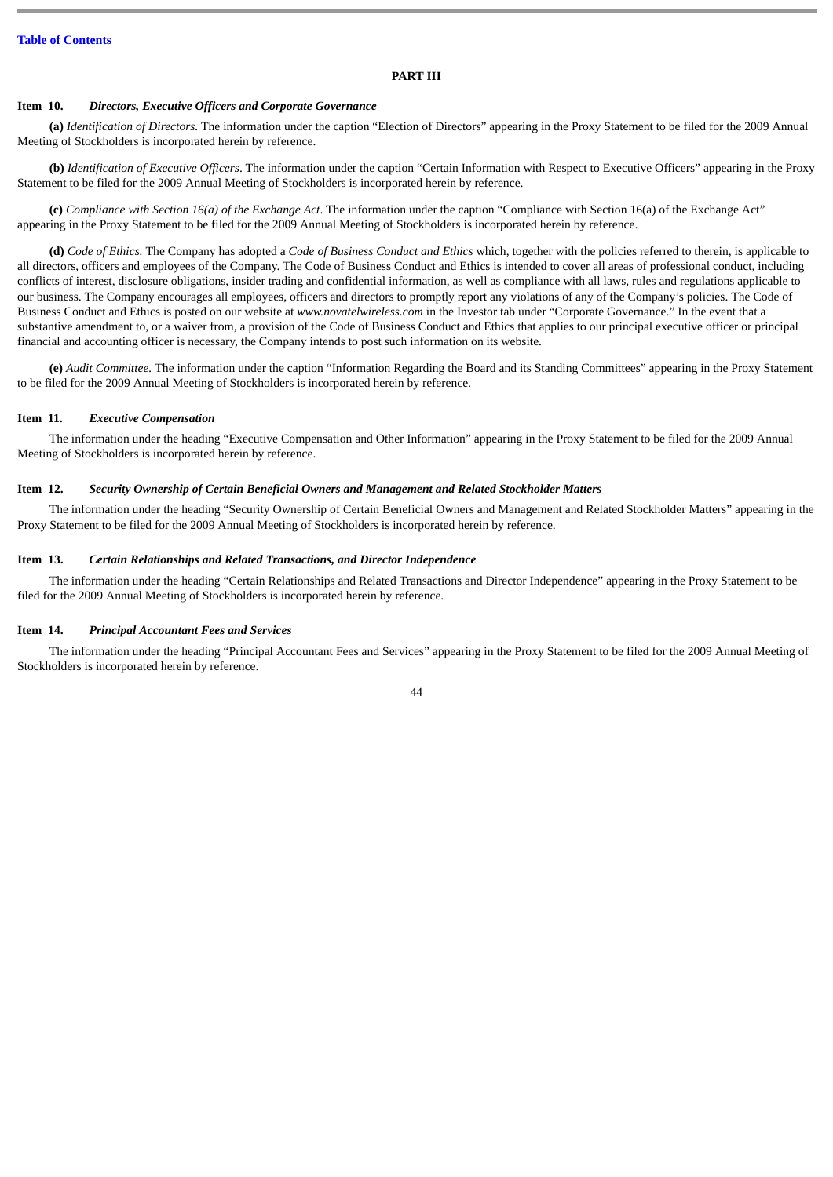## **PART III**

## **Item 10.** *Directors, Executive Officers and Corporate Governance*

**(a)** *Identification of Directors.* The information under the caption "Election of Directors" appearing in the Proxy Statement to be filed for the 2009 Annual Meeting of Stockholders is incorporated herein by reference.

**(b)** *Identification of Executive Officers*. The information under the caption "Certain Information with Respect to Executive Officers" appearing in the Proxy Statement to be filed for the 2009 Annual Meeting of Stockholders is incorporated herein by reference.

**(c)** *Compliance with Section 16(a) of the Exchange Act*. The information under the caption "Compliance with Section 16(a) of the Exchange Act" appearing in the Proxy Statement to be filed for the 2009 Annual Meeting of Stockholders is incorporated herein by reference.

**(d)** *Code of Ethics.* The Company has adopted a *Code of Business Conduct and Ethics* which, together with the policies referred to therein, is applicable to all directors, officers and employees of the Company. The Code of Business Conduct and Ethics is intended to cover all areas of professional conduct, including conflicts of interest, disclosure obligations, insider trading and confidential information, as well as compliance with all laws, rules and regulations applicable to our business. The Company encourages all employees, officers and directors to promptly report any violations of any of the Company's policies. The Code of Business Conduct and Ethics is posted on our website at *www.novatelwireless.com* in the Investor tab under "Corporate Governance." In the event that a substantive amendment to, or a waiver from, a provision of the Code of Business Conduct and Ethics that applies to our principal executive officer or principal financial and accounting officer is necessary, the Company intends to post such information on its website.

**(e)** *Audit Committee.* The information under the caption "Information Regarding the Board and its Standing Committees" appearing in the Proxy Statement to be filed for the 2009 Annual Meeting of Stockholders is incorporated herein by reference.

## **Item 11.** *Executive Compensation*

The information under the heading "Executive Compensation and Other Information" appearing in the Proxy Statement to be filed for the 2009 Annual Meeting of Stockholders is incorporated herein by reference.

## **Item 12.** *Security Ownership of Certain Beneficial Owners and Management and Related Stockholder Matters*

The information under the heading "Security Ownership of Certain Beneficial Owners and Management and Related Stockholder Matters" appearing in the Proxy Statement to be filed for the 2009 Annual Meeting of Stockholders is incorporated herein by reference.

## **Item 13.** *Certain Relationships and Related Transactions, and Director Independence*

The information under the heading "Certain Relationships and Related Transactions and Director Independence" appearing in the Proxy Statement to be filed for the 2009 Annual Meeting of Stockholders is incorporated herein by reference.

## **Item 14.** *Principal Accountant Fees and Services*

The information under the heading "Principal Accountant Fees and Services" appearing in the Proxy Statement to be filed for the 2009 Annual Meeting of Stockholders is incorporated herein by reference.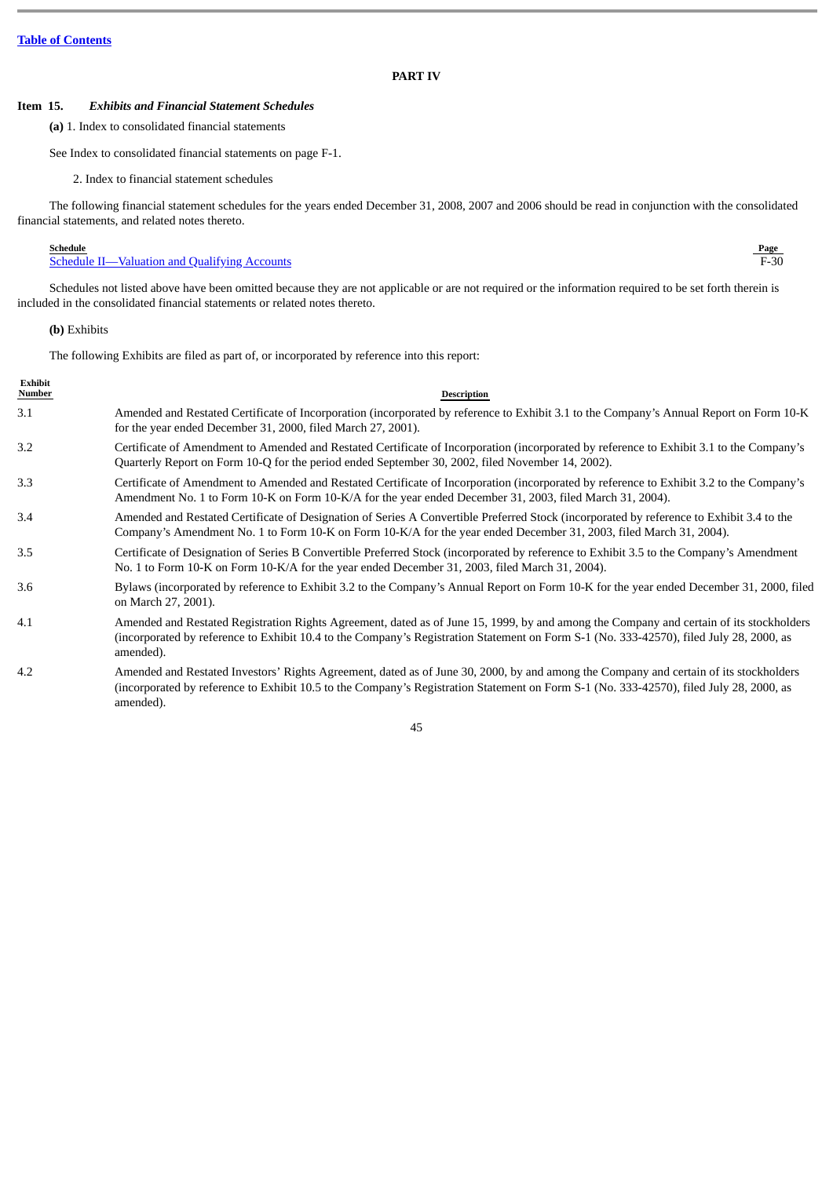## **PART IV**

## **Item 15.** *Exhibits and Financial Statement Schedules*

**(a)** 1. Index to consolidated financial statements

See Index to consolidated financial statements on page F-1.

2. Index to financial statement schedules

The following financial statement schedules for the years ended December 31, 2008, 2007 and 2006 should be read in conjunction with the consolidated financial statements, and related notes thereto.

#### **Schedule Page**

# [Schedule II—Valuation and Qualifying Accounts](#page-80-0) F-30 and Schedule II—Valuation and Qualifying Accounts F-30

Schedules not listed above have been omitted because they are not applicable or are not required or the information required to be set forth therein is included in the consolidated financial statements or related notes thereto.

## **(b)** Exhibits

The following Exhibits are filed as part of, or incorporated by reference into this report:

| Exhibit<br>Number | <b>Description</b>                                                                                                                                                                                                                                                                              |
|-------------------|-------------------------------------------------------------------------------------------------------------------------------------------------------------------------------------------------------------------------------------------------------------------------------------------------|
| 3.1               | Amended and Restated Certificate of Incorporation (incorporated by reference to Exhibit 3.1 to the Company's Annual Report on Form 10-K<br>for the year ended December 31, 2000, filed March 27, 2001).                                                                                         |
| 3.2               | Certificate of Amendment to Amended and Restated Certificate of Incorporation (incorporated by reference to Exhibit 3.1 to the Company's<br>Quarterly Report on Form 10-Q for the period ended September 30, 2002, filed November 14, 2002).                                                    |
| 3.3               | Certificate of Amendment to Amended and Restated Certificate of Incorporation (incorporated by reference to Exhibit 3.2 to the Company's<br>Amendment No. 1 to Form 10-K on Form 10-K/A for the year ended December 31, 2003, filed March 31, 2004).                                            |
| 3.4               | Amended and Restated Certificate of Designation of Series A Convertible Preferred Stock (incorporated by reference to Exhibit 3.4 to the<br>Company's Amendment No. 1 to Form 10-K on Form 10-K/A for the year ended December 31, 2003, filed March 31, 2004).                                  |
| 3.5               | Certificate of Designation of Series B Convertible Preferred Stock (incorporated by reference to Exhibit 3.5 to the Company's Amendment<br>No. 1 to Form 10-K on Form 10-K/A for the year ended December 31, 2003, filed March 31, 2004).                                                       |
| 3.6               | Bylaws (incorporated by reference to Exhibit 3.2 to the Company's Annual Report on Form 10-K for the year ended December 31, 2000, filed<br>on March 27, 2001).                                                                                                                                 |
| 4.1               | Amended and Restated Registration Rights Agreement, dated as of June 15, 1999, by and among the Company and certain of its stockholders<br>(incorporated by reference to Exhibit 10.4 to the Company's Registration Statement on Form S-1 (No. 333-42570), filed July 28, 2000, as<br>amended). |
| 4.2               | Amended and Restated Investors' Rights Agreement, dated as of June 30, 2000, by and among the Company and certain of its stockholders<br>(incorporated by reference to Exhibit 10.5 to the Company's Registration Statement on Form S-1 (No. 333-42570), filed July 28, 2000, as<br>amended).   |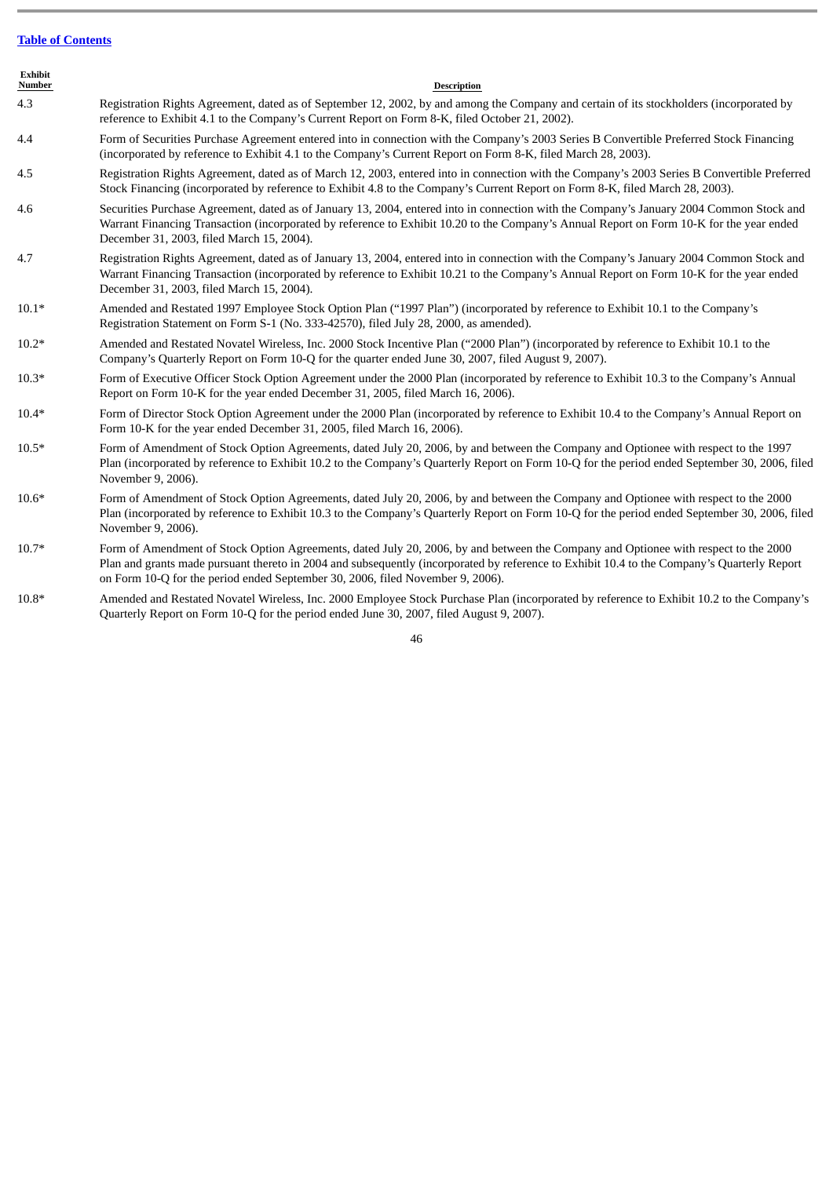| Exhibit<br><b>Number</b> | <b>Description</b>                                                                                                                                                                                                                                                                                                                |
|--------------------------|-----------------------------------------------------------------------------------------------------------------------------------------------------------------------------------------------------------------------------------------------------------------------------------------------------------------------------------|
| 4.3                      | Registration Rights Agreement, dated as of September 12, 2002, by and among the Company and certain of its stockholders (incorporated by<br>reference to Exhibit 4.1 to the Company's Current Report on Form 8-K, filed October 21, 2002).                                                                                        |
| 4.4                      | Form of Securities Purchase Agreement entered into in connection with the Company's 2003 Series B Convertible Preferred Stock Financing<br>(incorporated by reference to Exhibit 4.1 to the Company's Current Report on Form 8-K, filed March 28, 2003).                                                                          |
| 4.5                      | Registration Rights Agreement, dated as of March 12, 2003, entered into in connection with the Company's 2003 Series B Convertible Preferred<br>Stock Financing (incorporated by reference to Exhibit 4.8 to the Company's Current Report on Form 8-K, filed March 28, 2003).                                                     |
| 4.6                      | Securities Purchase Agreement, dated as of January 13, 2004, entered into in connection with the Company's January 2004 Common Stock and<br>Warrant Financing Transaction (incorporated by reference to Exhibit 10.20 to the Company's Annual Report on Form 10-K for the year ended<br>December 31, 2003, filed March 15, 2004). |
| 4.7                      | Registration Rights Agreement, dated as of January 13, 2004, entered into in connection with the Company's January 2004 Common Stock and<br>Warrant Financing Transaction (incorporated by reference to Exhibit 10.21 to the Company's Annual Report on Form 10-K for the year ended<br>December 31, 2003, filed March 15, 2004). |
| $10.1*$                  | Amended and Restated 1997 Employee Stock Option Plan ("1997 Plan") (incorporated by reference to Exhibit 10.1 to the Company's<br>Registration Statement on Form S-1 (No. 333-42570), filed July 28, 2000, as amended).                                                                                                           |
| $10.2*$                  | Amended and Restated Novatel Wireless, Inc. 2000 Stock Incentive Plan ("2000 Plan") (incorporated by reference to Exhibit 10.1 to the<br>Company's Quarterly Report on Form 10-Q for the quarter ended June 30, 2007, filed August 9, 2007).                                                                                      |
| $10.3*$                  | Form of Executive Officer Stock Option Agreement under the 2000 Plan (incorporated by reference to Exhibit 10.3 to the Company's Annual<br>Report on Form 10-K for the year ended December 31, 2005, filed March 16, 2006).                                                                                                       |
| $10.4*$                  | Form of Director Stock Option Agreement under the 2000 Plan (incorporated by reference to Exhibit 10.4 to the Company's Annual Report on<br>Form 10-K for the year ended December 31, 2005, filed March 16, 2006).                                                                                                                |
| $10.5*$                  | Form of Amendment of Stock Option Agreements, dated July 20, 2006, by and between the Company and Optionee with respect to the 1997<br>Plan (incorporated by reference to Exhibit 10.2 to the Company's Quarterly Report on Form 10-Q for the period ended September 30, 2006, filed<br>November 9, 2006).                        |
| $10.6*$                  | Form of Amendment of Stock Option Agreements, dated July 20, 2006, by and between the Company and Optionee with respect to the 2000<br>Plan (incorporated by reference to Exhibit 10.3 to the Company's Quarterly Report on Form 10-Q for the period ended September 30, 2006, filed<br>November 9, 2006).                        |
| $10.7*$                  | Form of Amendment of Stock Option Agreements, dated July 20, 2006, by and between the Company and Optionee with respect to the 2000<br>$\Omega$ and grape made pureup therete in 2004 and eubsequently (incorporated by reference to Exhibit 10 4 to the Company's Quarterly Pepert                                               |

Plan and grants made pursuant thereto in 2004 and subsequently (incorporated by reference to Exhibit 10.4 to the Company's Quarterly Report on Form 10-Q for the period ended September 30, 2006, filed November 9, 2006).

10.8\* Amended and Restated Novatel Wireless, Inc. 2000 Employee Stock Purchase Plan (incorporated by reference to Exhibit 10.2 to the Company's Quarterly Report on Form 10-Q for the period ended June 30, 2007, filed August 9, 2007).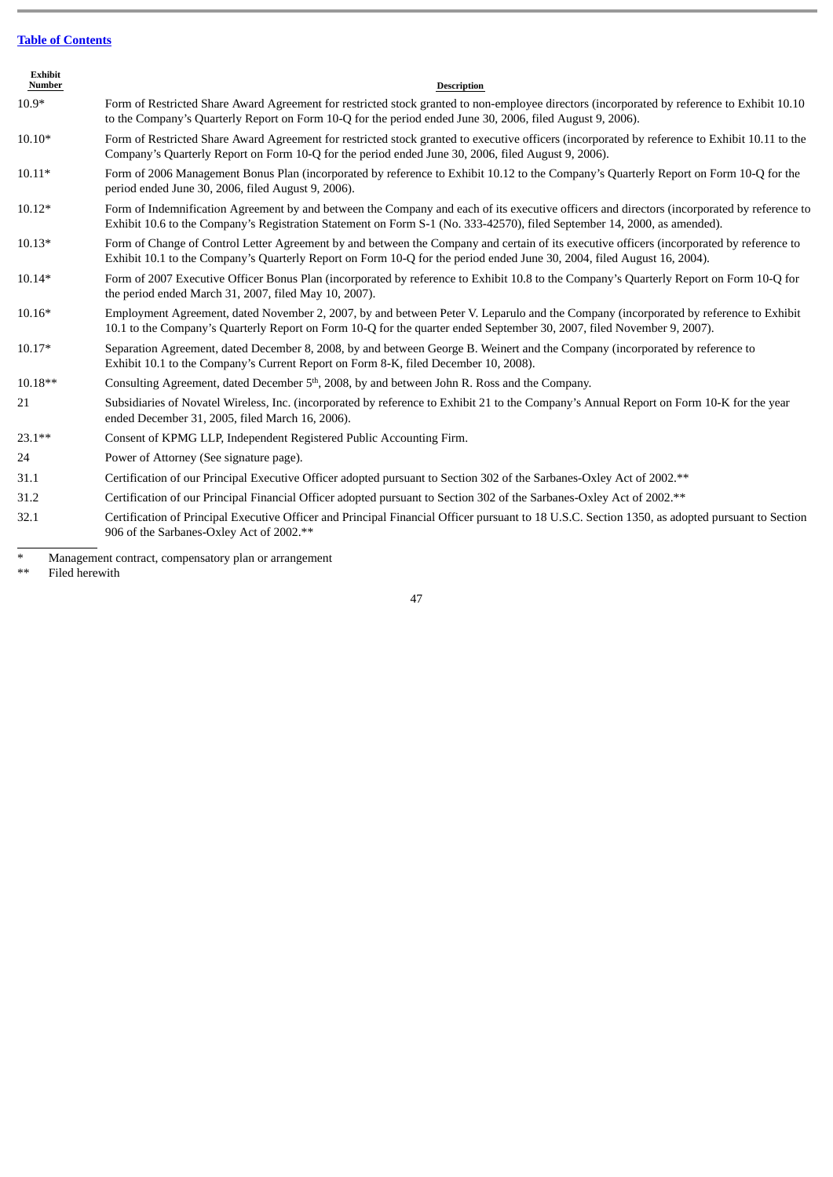| Exhibit<br>Number | <b>Description</b>                                                                                                                                                                                                                                                      |
|-------------------|-------------------------------------------------------------------------------------------------------------------------------------------------------------------------------------------------------------------------------------------------------------------------|
| $10.9*$           | Form of Restricted Share Award Agreement for restricted stock granted to non-employee directors (incorporated by reference to Exhibit 10.10<br>to the Company's Quarterly Report on Form 10-Q for the period ended June 30, 2006, filed August 9, 2006).                |
| $10.10*$          | Form of Restricted Share Award Agreement for restricted stock granted to executive officers (incorporated by reference to Exhibit 10.11 to the<br>Company's Quarterly Report on Form 10-Q for the period ended June 30, 2006, filed August 9, 2006).                    |
| $10.11*$          | Form of 2006 Management Bonus Plan (incorporated by reference to Exhibit 10.12 to the Company's Quarterly Report on Form 10-Q for the<br>period ended June 30, 2006, filed August 9, 2006).                                                                             |
| $10.12*$          | Form of Indemnification Agreement by and between the Company and each of its executive officers and directors (incorporated by reference to<br>Exhibit 10.6 to the Company's Registration Statement on Form S-1 (No. 333-42570), filed September 14, 2000, as amended). |
| $10.13*$          | Form of Change of Control Letter Agreement by and between the Company and certain of its executive officers (incorporated by reference to<br>Exhibit 10.1 to the Company's Quarterly Report on Form 10-Q for the period ended June 30, 2004, filed August 16, 2004).    |
| $10.14*$          | Form of 2007 Executive Officer Bonus Plan (incorporated by reference to Exhibit 10.8 to the Company's Quarterly Report on Form 10-Q for<br>the period ended March 31, 2007, filed May 10, 2007).                                                                        |
| $10.16*$          | Employment Agreement, dated November 2, 2007, by and between Peter V. Leparulo and the Company (incorporated by reference to Exhibit<br>10.1 to the Company's Quarterly Report on Form 10-Q for the quarter ended September 30, 2007, filed November 9, 2007).          |
| $10.17*$          | Separation Agreement, dated December 8, 2008, by and between George B. Weinert and the Company (incorporated by reference to<br>Exhibit 10.1 to the Company's Current Report on Form 8-K, filed December 10, 2008).                                                     |
| $10.18**$         | Consulting Agreement, dated December 5 <sup>th</sup> , 2008, by and between John R. Ross and the Company.                                                                                                                                                               |
| 21                | Subsidiaries of Novatel Wireless, Inc. (incorporated by reference to Exhibit 21 to the Company's Annual Report on Form 10-K for the year<br>ended December 31, 2005, filed March 16, 2006).                                                                             |
| $23.1***$         | Consent of KPMG LLP, Independent Registered Public Accounting Firm.                                                                                                                                                                                                     |
| 24                | Power of Attorney (See signature page).                                                                                                                                                                                                                                 |
| 31.1              | Certification of our Principal Executive Officer adopted pursuant to Section 302 of the Sarbanes-Oxley Act of 2002.**                                                                                                                                                   |
| 31.2              | Certification of our Principal Financial Officer adopted pursuant to Section 302 of the Sarbanes-Oxley Act of 2002.**                                                                                                                                                   |

32.1 Certification of Principal Executive Officer and Principal Financial Officer pursuant to 18 U.S.C. Section 1350, as adopted pursuant to Section 906 of the Sarbanes-Oxley Act of 2002.\*\*

\* Management contract, compensatory plan or arrangement

\*\* Filed herewith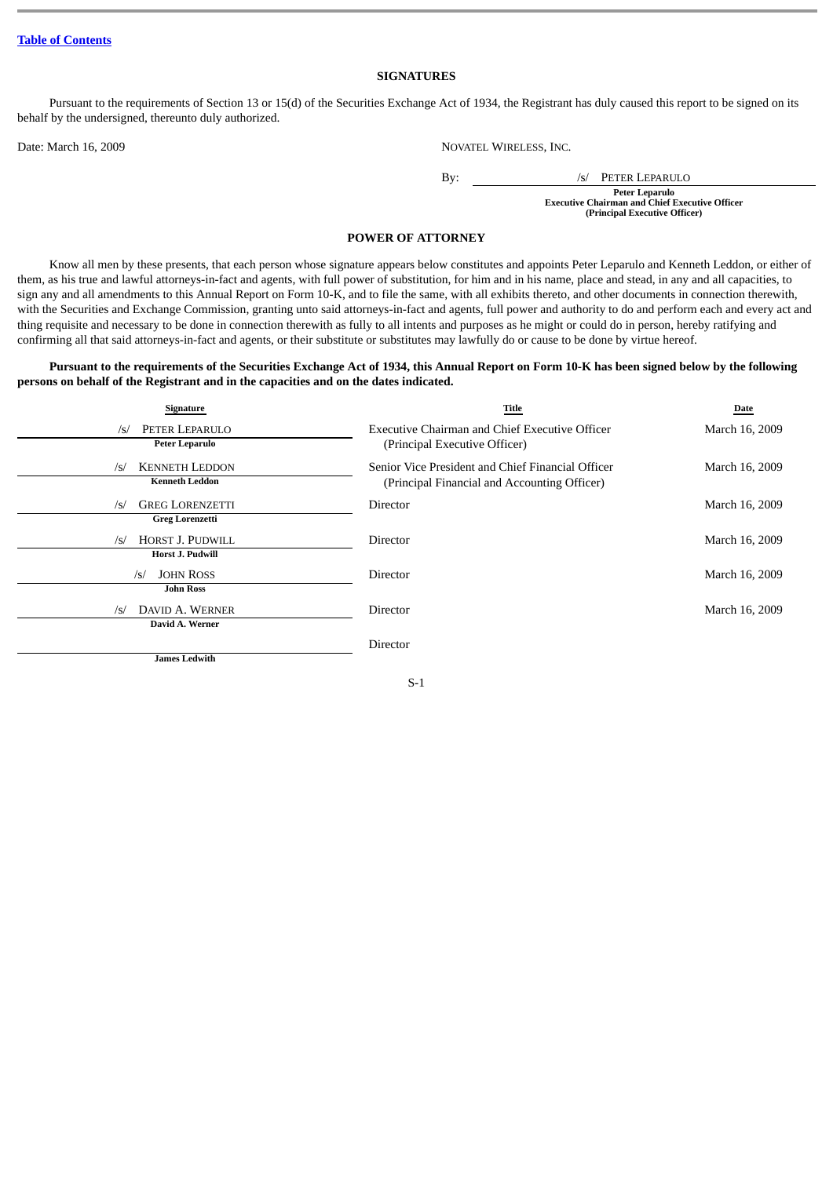## **SIGNATURES**

Pursuant to the requirements of Section 13 or 15(d) of the Securities Exchange Act of 1934, the Registrant has duly caused this report to be signed on its behalf by the undersigned, thereunto duly authorized.

Date: March 16, 2009 NOVATEL WIRELESS, INC.

By: /s/ PETER LEPARULO

**Peter Leparulo Executive Chairman and Chief Executive Officer (Principal Executive Officer)**

## **POWER OF ATTORNEY**

Know all men by these presents, that each person whose signature appears below constitutes and appoints Peter Leparulo and Kenneth Leddon, or either of them, as his true and lawful attorneys-in-fact and agents, with full power of substitution, for him and in his name, place and stead, in any and all capacities, to sign any and all amendments to this Annual Report on Form 10-K, and to file the same, with all exhibits thereto, and other documents in connection therewith, with the Securities and Exchange Commission, granting unto said attorneys-in-fact and agents, full power and authority to do and perform each and every act and thing requisite and necessary to be done in connection therewith as fully to all intents and purposes as he might or could do in person, hereby ratifying and confirming all that said attorneys-in-fact and agents, or their substitute or substitutes may lawfully do or cause to be done by virtue hereof.

## **Pursuant to the requirements of the Securities Exchange Act of 1934, this Annual Report on Form 10-K has been signed below by the following persons on behalf of the Registrant and in the capacities and on the dates indicated.**

| Signature                                                      | Title                                                                                             | Date           |
|----------------------------------------------------------------|---------------------------------------------------------------------------------------------------|----------------|
| PETER LEPARULO<br>$\sqrt{s}$<br><b>Peter Leparulo</b>          | <b>Executive Chairman and Chief Executive Officer</b><br>(Principal Executive Officer)            | March 16, 2009 |
| <b>KENNETH LEDDON</b><br>/s/<br><b>Kenneth Leddon</b>          | Senior Vice President and Chief Financial Officer<br>(Principal Financial and Accounting Officer) | March 16, 2009 |
| <b>GREG LORENZETTI</b><br>$\sqrt{s}$<br><b>Greg Lorenzetti</b> | Director                                                                                          | March 16, 2009 |
| HORST J. PUDWILL<br>/s/<br><b>Horst J. Pudwill</b>             | Director                                                                                          | March 16, 2009 |
| <b>JOHN ROSS</b><br>$\sqrt{s}$<br><b>John Ross</b>             | Director                                                                                          | March 16, 2009 |
| DAVID A. WERNER<br>$\sqrt{s}$<br>David A. Werner               | Director                                                                                          | March 16, 2009 |
| <b>James Ledwith</b>                                           | Director                                                                                          |                |

S-1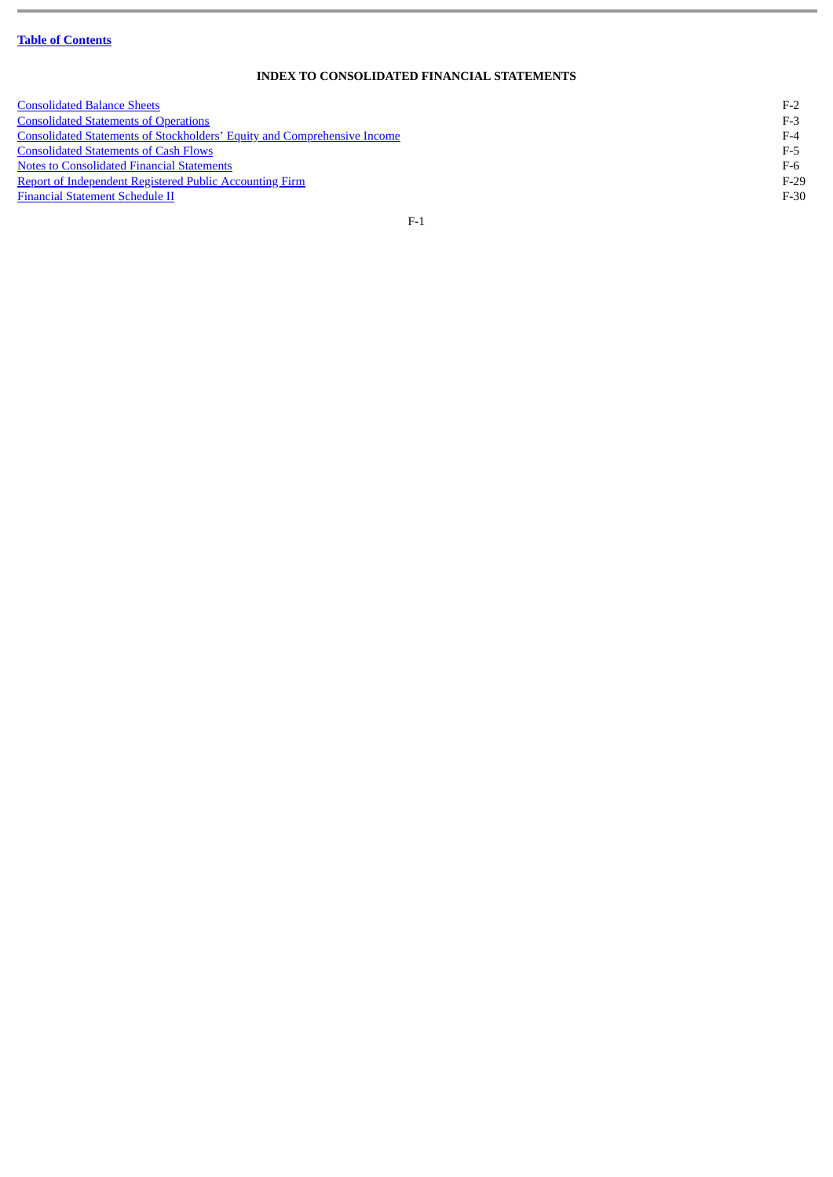$\overline{\phantom{a}}$ 

## **INDEX TO CONSOLIDATED FINANCIAL STATEMENTS**

| <b>Consolidated Balance Sheets</b>                                              | $F-2$  |
|---------------------------------------------------------------------------------|--------|
| <b>Consolidated Statements of Operations</b>                                    | $F-3$  |
| <b>Consolidated Statements of Stockholders' Equity and Comprehensive Income</b> | $F-4$  |
| <b>Consolidated Statements of Cash Flows</b>                                    | F-5    |
| <b>Notes to Consolidated Financial Statements</b>                               | F-6    |
| <b>Report of Independent Registered Public Accounting Firm</b>                  | $F-29$ |
| <b>Financial Statement Schedule II</b>                                          | $F-30$ |
|                                                                                 |        |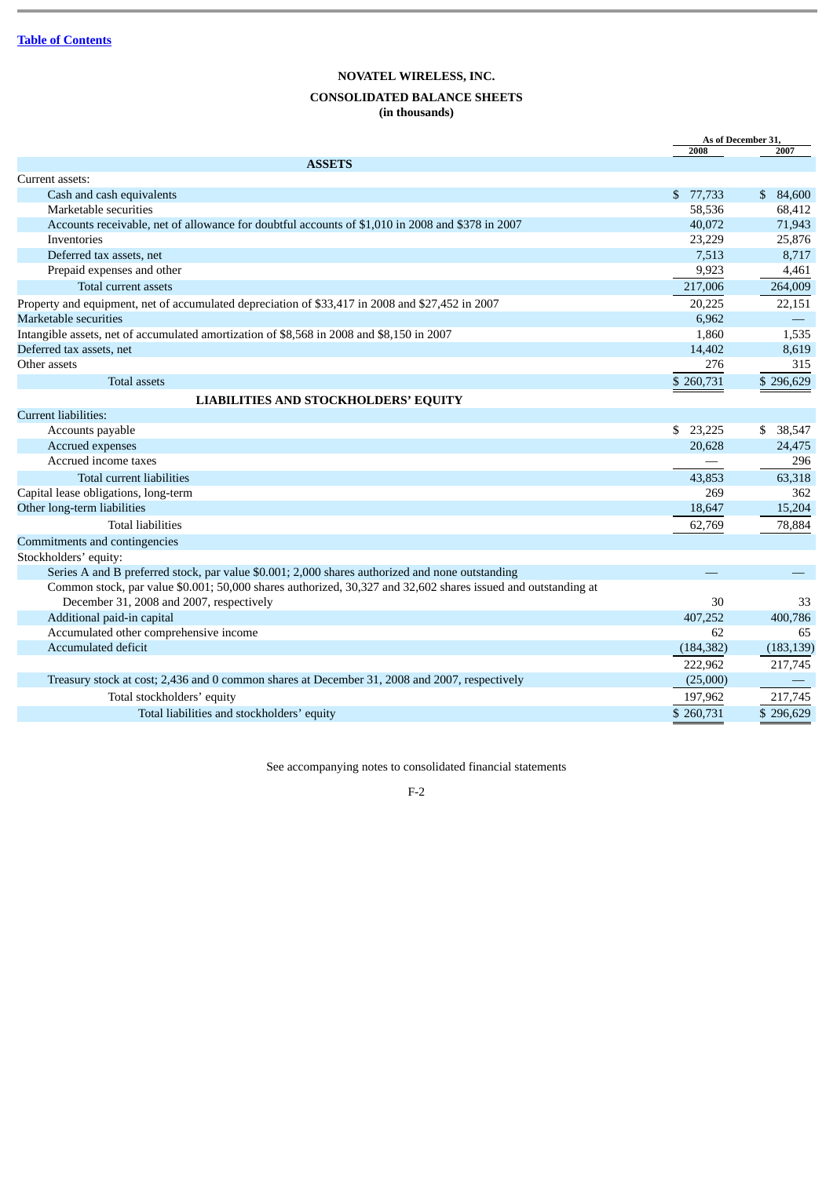## **CONSOLIDATED BALANCE SHEETS (in thousands)**

<span id="page-52-0"></span>

|                                                                                                               |              | As of December 31, |
|---------------------------------------------------------------------------------------------------------------|--------------|--------------------|
|                                                                                                               | 2008         | 2007               |
| <b>ASSETS</b>                                                                                                 |              |                    |
| Current assets:                                                                                               |              |                    |
| Cash and cash equivalents                                                                                     | \$77,733     | \$84,600           |
| Marketable securities                                                                                         | 58,536       | 68,412             |
| Accounts receivable, net of allowance for doubtful accounts of \$1,010 in 2008 and \$378 in 2007              | 40,072       | 71,943             |
| Inventories                                                                                                   | 23,229       | 25,876             |
| Deferred tax assets, net                                                                                      | 7,513        | 8,717              |
| Prepaid expenses and other                                                                                    | 9,923        | 4,461              |
| Total current assets                                                                                          | 217,006      | 264,009            |
| Property and equipment, net of accumulated depreciation of \$33,417 in 2008 and \$27,452 in 2007              | 20,225       | 22,151             |
| Marketable securities                                                                                         | 6,962        |                    |
| Intangible assets, net of accumulated amortization of \$8,568 in 2008 and \$8,150 in 2007                     | 1,860        | 1,535              |
| Deferred tax assets, net                                                                                      | 14,402       | 8,619              |
| Other assets                                                                                                  | 276          | 315                |
| <b>Total assets</b>                                                                                           | \$260,731    | \$296,629          |
| <b>LIABILITIES AND STOCKHOLDERS' EQUITY</b>                                                                   |              |                    |
| <b>Current liabilities:</b>                                                                                   |              |                    |
| Accounts payable                                                                                              | \$<br>23,225 | \$<br>38,547       |
| Accrued expenses                                                                                              | 20,628       | 24,475             |
| Accrued income taxes                                                                                          |              | 296                |
| Total current liabilities                                                                                     | 43,853       | 63,318             |
| Capital lease obligations, long-term                                                                          | 269          | 362                |
| Other long-term liabilities                                                                                   | 18,647       | 15,204             |
| <b>Total liabilities</b>                                                                                      | 62,769       | 78,884             |
| Commitments and contingencies                                                                                 |              |                    |
| Stockholders' equity:                                                                                         |              |                    |
| Series A and B preferred stock, par value \$0.001; 2,000 shares authorized and none outstanding               |              |                    |
| Common stock, par value \$0.001; 50,000 shares authorized, 30,327 and 32,602 shares issued and outstanding at |              |                    |
| December 31, 2008 and 2007, respectively                                                                      | 30           | 33                 |
| Additional paid-in capital                                                                                    | 407,252      | 400,786            |
| Accumulated other comprehensive income                                                                        | 62           | 65                 |
| Accumulated deficit                                                                                           | (184, 382)   | (183, 139)         |
|                                                                                                               | 222,962      | 217,745            |
| Treasury stock at cost; 2,436 and 0 common shares at December 31, 2008 and 2007, respectively                 | (25,000)     |                    |
| Total stockholders' equity                                                                                    | 197,962      | 217,745            |
| Total liabilities and stockholders' equity                                                                    | \$260,731    | \$296,629          |
|                                                                                                               |              |                    |

See accompanying notes to consolidated financial statements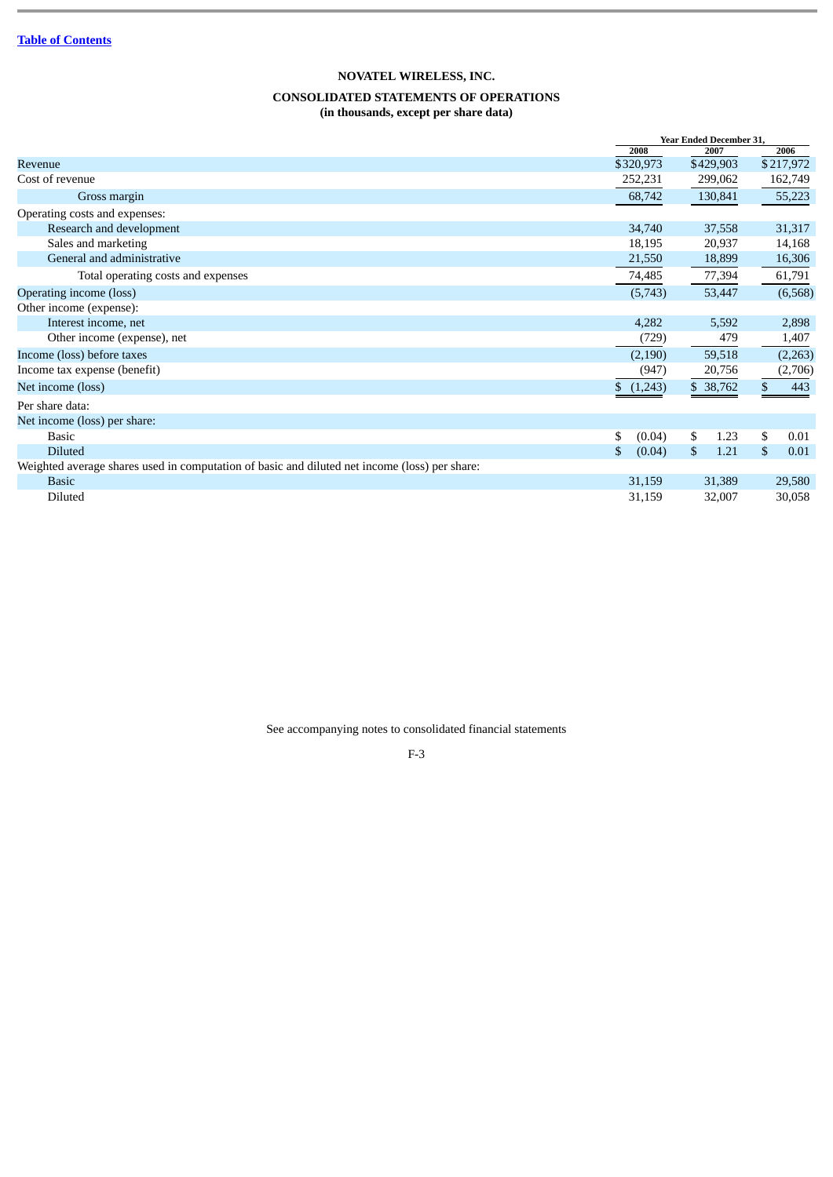## **CONSOLIDATED STATEMENTS OF OPERATIONS (in thousands, except per share data)**

<span id="page-53-0"></span>

|                                                                                               | <b>Year Ended December 31,</b> |            |            |  |  |
|-----------------------------------------------------------------------------------------------|--------------------------------|------------|------------|--|--|
|                                                                                               | 2008                           | 2007       | 2006       |  |  |
| Revenue                                                                                       | \$320,973                      | \$429,903  | \$217,972  |  |  |
| Cost of revenue                                                                               | 252,231                        | 299,062    | 162,749    |  |  |
| Gross margin                                                                                  | 68,742                         | 130,841    | 55,223     |  |  |
| Operating costs and expenses:                                                                 |                                |            |            |  |  |
| Research and development                                                                      | 34,740                         | 37,558     | 31,317     |  |  |
| Sales and marketing                                                                           | 18,195                         | 20,937     | 14,168     |  |  |
| General and administrative                                                                    | 21,550                         | 18,899     | 16,306     |  |  |
| Total operating costs and expenses                                                            | 74,485                         | 77,394     | 61,791     |  |  |
| Operating income (loss)                                                                       | (5,743)                        | 53,447     | (6,568)    |  |  |
| Other income (expense):                                                                       |                                |            |            |  |  |
| Interest income, net                                                                          | 4,282                          | 5,592      | 2,898      |  |  |
| Other income (expense), net                                                                   | (729)                          | 479        | 1,407      |  |  |
| Income (loss) before taxes                                                                    | (2,190)                        | 59,518     | (2,263)    |  |  |
| Income tax expense (benefit)                                                                  | (947)                          | 20,756     | (2,706)    |  |  |
| Net income (loss)                                                                             | (1,243)<br>\$                  | \$38,762   | \$<br>443  |  |  |
| Per share data:                                                                               |                                |            |            |  |  |
| Net income (loss) per share:                                                                  |                                |            |            |  |  |
| <b>Basic</b>                                                                                  | \$<br>(0.04)                   | \$<br>1.23 | \$<br>0.01 |  |  |
| <b>Diluted</b>                                                                                | \$<br>(0.04)                   | \$<br>1.21 | \$<br>0.01 |  |  |
| Weighted average shares used in computation of basic and diluted net income (loss) per share: |                                |            |            |  |  |
| <b>Basic</b>                                                                                  | 31,159                         | 31,389     | 29,580     |  |  |
| Diluted                                                                                       | 31,159                         | 32,007     | 30,058     |  |  |

See accompanying notes to consolidated financial statements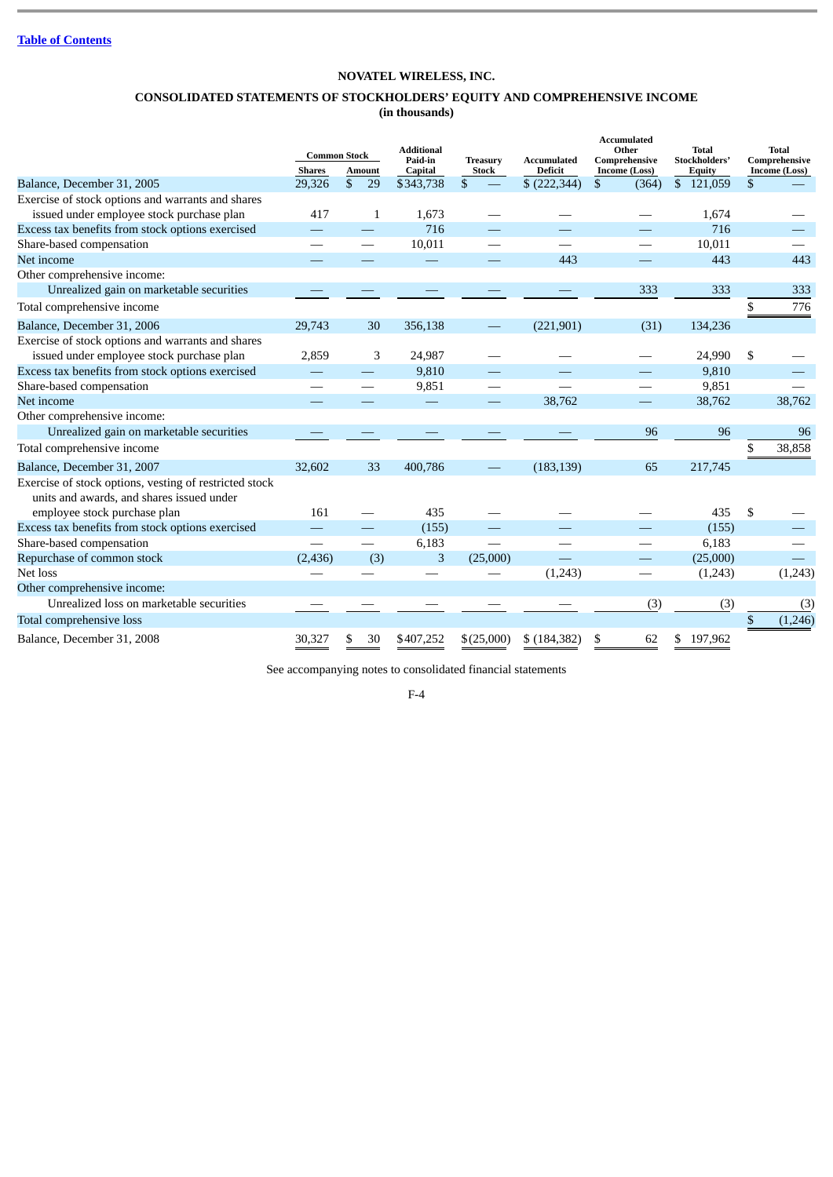## **CONSOLIDATED STATEMENTS OF STOCKHOLDERS' EQUITY AND COMPREHENSIVE INCOME (in thousands)**

<span id="page-54-0"></span>

|                                                                                                     | <b>Common Stock</b> |              | Additional<br>Paid-in |                          | <b>Treasury</b> | Accumulated | <b>Accumulated</b><br>Other<br>Comprehensive |               | <b>Total</b><br>Stockholders' | Total<br>Comprehensive  |    |                      |
|-----------------------------------------------------------------------------------------------------|---------------------|--------------|-----------------------|--------------------------|-----------------|-------------|----------------------------------------------|---------------|-------------------------------|-------------------------|----|----------------------|
|                                                                                                     | <b>Shares</b>       |              | Amount                | Capital                  |                 | Stock       | <b>Deficit</b>                               |               | <b>Income (Loss)</b>          | <b>Equity</b>           |    | <b>Income (Loss)</b> |
| Balance, December 31, 2005                                                                          | 29,326              | $\mathbb{S}$ | 29                    | \$343,738                | \$              |             | \$(222, 344)                                 | \$            | (364)                         | $\mathbb{S}$<br>121,059 | \$ |                      |
| Exercise of stock options and warrants and shares                                                   |                     |              |                       |                          |                 |             |                                              |               |                               |                         |    |                      |
| issued under employee stock purchase plan                                                           | 417                 |              | 1                     | 1,673                    |                 |             |                                              |               |                               | 1,674                   |    |                      |
| Excess tax benefits from stock options exercised                                                    |                     |              |                       | 716                      |                 |             |                                              |               |                               | 716                     |    |                      |
| Share-based compensation                                                                            |                     |              |                       | 10,011                   |                 |             |                                              |               |                               | 10,011                  |    |                      |
| Net income                                                                                          |                     |              |                       |                          |                 |             | 443                                          |               |                               | 443                     |    | 443                  |
| Other comprehensive income:                                                                         |                     |              |                       |                          |                 |             |                                              |               |                               |                         |    |                      |
| Unrealized gain on marketable securities                                                            |                     |              |                       |                          |                 |             |                                              |               | 333                           | 333                     |    | 333                  |
| Total comprehensive income                                                                          |                     |              |                       |                          |                 |             |                                              |               |                               |                         | \$ | 776                  |
| Balance, December 31, 2006                                                                          | 29,743              |              | 30                    | 356,138                  |                 |             | (221, 901)                                   |               | (31)                          | 134,236                 |    |                      |
| Exercise of stock options and warrants and shares                                                   |                     |              |                       |                          |                 |             |                                              |               |                               |                         |    |                      |
| issued under employee stock purchase plan                                                           | 2,859               |              | 3                     | 24,987                   |                 |             |                                              |               |                               | 24,990                  | \$ |                      |
| Excess tax benefits from stock options exercised                                                    |                     |              |                       | 9,810                    |                 |             |                                              |               |                               | 9,810                   |    |                      |
| Share-based compensation                                                                            |                     |              |                       | 9,851                    |                 |             |                                              |               |                               | 9,851                   |    |                      |
| Net income                                                                                          |                     |              |                       | $\overline{\phantom{m}}$ |                 |             | 38,762                                       |               |                               | 38,762                  |    | 38,762               |
| Other comprehensive income:                                                                         |                     |              |                       |                          |                 |             |                                              |               |                               |                         |    |                      |
| Unrealized gain on marketable securities                                                            |                     |              |                       |                          |                 |             |                                              |               | 96                            | 96                      |    | 96                   |
| Total comprehensive income                                                                          |                     |              |                       |                          |                 |             |                                              |               |                               |                         | \$ | 38,858               |
| Balance, December 31, 2007                                                                          | 32,602              |              | 33                    | 400,786                  |                 |             | (183, 139)                                   |               | 65                            | 217,745                 |    |                      |
| Exercise of stock options, vesting of restricted stock<br>units and awards, and shares issued under |                     |              |                       |                          |                 |             |                                              |               |                               |                         |    |                      |
| employee stock purchase plan                                                                        | 161                 |              |                       | 435                      |                 |             |                                              |               |                               | 435                     | \$ |                      |
| Excess tax benefits from stock options exercised                                                    |                     |              |                       | (155)                    |                 |             |                                              |               |                               | (155)                   |    |                      |
| Share-based compensation                                                                            |                     |              |                       | 6,183                    |                 |             |                                              |               |                               | 6,183                   |    |                      |
| Repurchase of common stock                                                                          | (2, 436)            |              | (3)                   | 3                        |                 | (25,000)    |                                              |               |                               | (25,000)                |    |                      |
| Net loss                                                                                            |                     |              |                       |                          |                 |             | (1,243)                                      |               |                               | (1,243)                 |    | (1,243)              |
| Other comprehensive income:                                                                         |                     |              |                       |                          |                 |             |                                              |               |                               |                         |    |                      |
| Unrealized loss on marketable securities                                                            |                     |              |                       |                          |                 |             |                                              |               | (3)                           | (3)                     |    | (3)                  |
| Total comprehensive loss                                                                            |                     |              |                       |                          |                 |             |                                              |               |                               |                         | \$ | (1,246)              |
| Balance, December 31, 2008                                                                          | 30,327              | \$           | 30                    | \$407,252                |                 | \$(25,000)  | \$ (184, 382)                                | <sup>\$</sup> | 62                            | 197,962<br>\$           |    |                      |

See accompanying notes to consolidated financial statements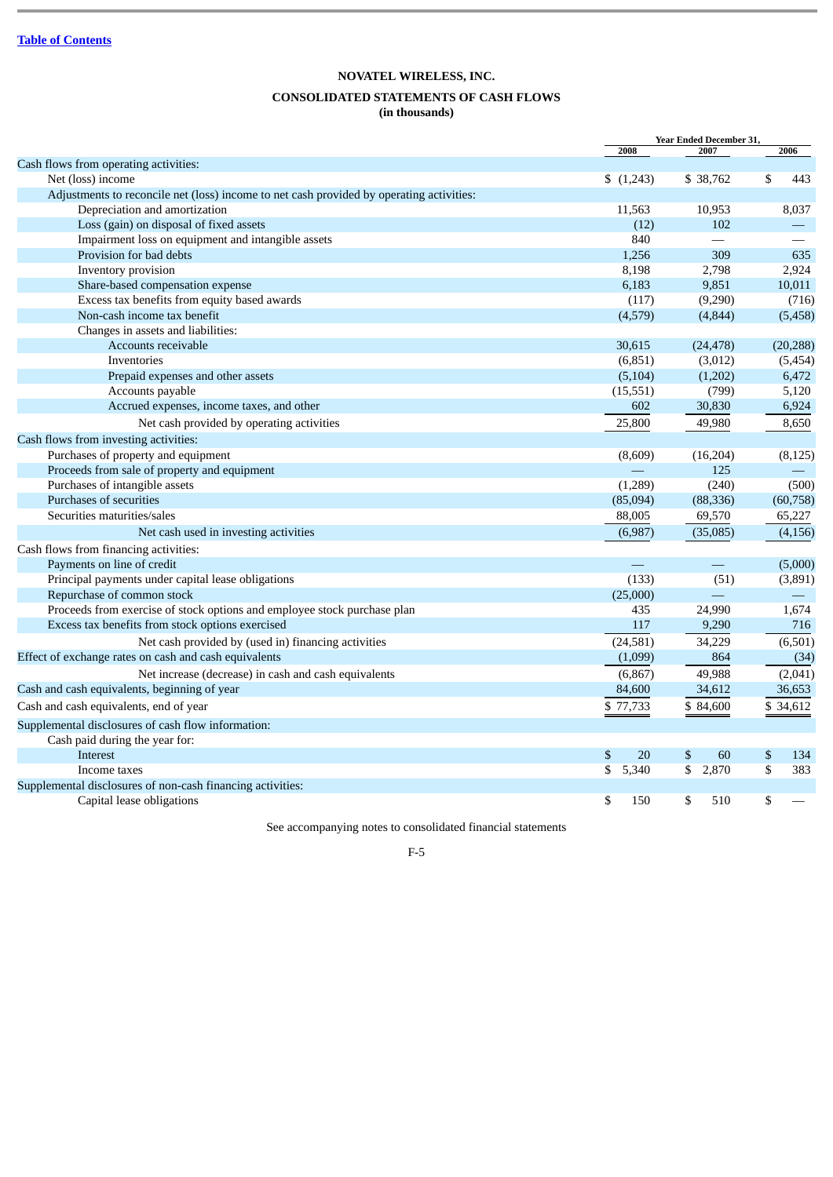## **CONSOLIDATED STATEMENTS OF CASH FLOWS**

**(in thousands)**

<span id="page-55-0"></span>

|                                                                                          |             | Year Ended December 31, |                    |  |  |
|------------------------------------------------------------------------------------------|-------------|-------------------------|--------------------|--|--|
|                                                                                          | 2008        | 2007                    | 2006               |  |  |
| Cash flows from operating activities:<br>Net (loss) income                               | (1,243)     | \$38,762                | \$                 |  |  |
| Adjustments to reconcile net (loss) income to net cash provided by operating activities: |             |                         | 443                |  |  |
| Depreciation and amortization                                                            | 11,563      | 10,953                  | 8,037              |  |  |
| Loss (gain) on disposal of fixed assets                                                  | (12)        | 102                     |                    |  |  |
| Impairment loss on equipment and intangible assets                                       | 840         |                         |                    |  |  |
| Provision for bad debts                                                                  | 1,256       | 309                     | 635                |  |  |
| Inventory provision                                                                      | 8,198       | 2,798                   | 2,924              |  |  |
| Share-based compensation expense                                                         | 6,183       | 9,851                   | 10,011             |  |  |
| Excess tax benefits from equity based awards                                             | (117)       | (9,290)                 | (716)              |  |  |
| Non-cash income tax benefit                                                              | (4,579)     | (4,844)                 | (5,458)            |  |  |
| Changes in assets and liabilities:                                                       |             |                         |                    |  |  |
| Accounts receivable                                                                      | 30,615      | (24, 478)               | (20, 288)          |  |  |
| Inventories                                                                              | (6, 851)    | (3,012)                 | (5, 454)           |  |  |
| Prepaid expenses and other assets                                                        | (5, 104)    | (1,202)                 | 6,472              |  |  |
| Accounts payable                                                                         | (15, 551)   | (799)                   | 5,120              |  |  |
| Accrued expenses, income taxes, and other                                                | 602         | 30,830                  | 6,924              |  |  |
| Net cash provided by operating activities                                                | 25,800      | 49,980                  | 8,650              |  |  |
|                                                                                          |             |                         |                    |  |  |
| Cash flows from investing activities:<br>Purchases of property and equipment             |             |                         |                    |  |  |
| Proceeds from sale of property and equipment                                             | (8,609)     | (16, 204)<br>125        | (8, 125)           |  |  |
| Purchases of intangible assets                                                           | (1, 289)    | (240)                   | (500)              |  |  |
| Purchases of securities                                                                  | (85,094)    | (88, 336)               |                    |  |  |
| Securities maturities/sales                                                              | 88,005      | 69,570                  | (60,758)<br>65,227 |  |  |
|                                                                                          |             |                         |                    |  |  |
| Net cash used in investing activities                                                    | (6,987)     | (35,085)                | (4, 156)           |  |  |
| Cash flows from financing activities:                                                    |             |                         |                    |  |  |
| Payments on line of credit                                                               |             |                         | (5,000)            |  |  |
| Principal payments under capital lease obligations                                       | (133)       | (51)                    | (3,891)            |  |  |
| Repurchase of common stock                                                               | (25,000)    |                         |                    |  |  |
| Proceeds from exercise of stock options and employee stock purchase plan                 | 435         | 24,990                  | 1,674              |  |  |
| Excess tax benefits from stock options exercised                                         | 117         | 9,290                   | 716                |  |  |
| Net cash provided by (used in) financing activities                                      | (24, 581)   | 34,229                  | (6,501)            |  |  |
| Effect of exchange rates on cash and cash equivalents                                    | (1,099)     | 864                     | (34)               |  |  |
| Net increase (decrease) in cash and cash equivalents                                     | (6, 867)    | 49,988                  | (2,041)            |  |  |
| Cash and cash equivalents, beginning of year                                             | 84,600      | 34,612                  | 36,653             |  |  |
| Cash and cash equivalents, end of year                                                   | \$77,733    | \$84,600                | \$34,612           |  |  |
| Supplemental disclosures of cash flow information:                                       |             |                         |                    |  |  |
| Cash paid during the year for:                                                           |             |                         |                    |  |  |
| Interest                                                                                 | \$<br>20    | \$<br>60                | \$<br>134          |  |  |
| Income taxes                                                                             | \$<br>5,340 | 2,870<br>\$             | \$<br>383          |  |  |
| Supplemental disclosures of non-cash financing activities:                               |             |                         |                    |  |  |
| Capital lease obligations                                                                | \$<br>150   | \$<br>510               | \$                 |  |  |

See accompanying notes to consolidated financial statements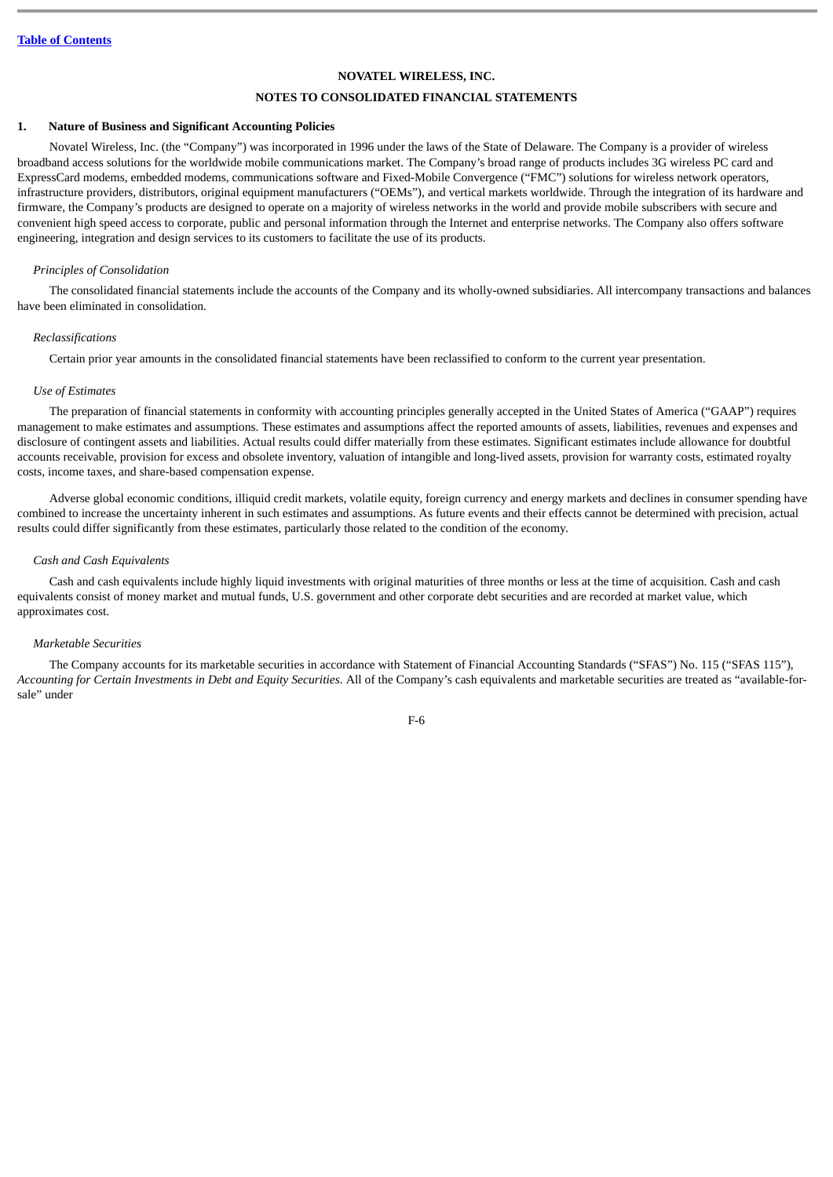## **NOTES TO CONSOLIDATED FINANCIAL STATEMENTS**

#### <span id="page-56-0"></span>**1. Nature of Business and Significant Accounting Policies**

Novatel Wireless, Inc. (the "Company") was incorporated in 1996 under the laws of the State of Delaware. The Company is a provider of wireless broadband access solutions for the worldwide mobile communications market. The Company's broad range of products includes 3G wireless PC card and ExpressCard modems, embedded modems, communications software and Fixed-Mobile Convergence ("FMC") solutions for wireless network operators, infrastructure providers, distributors, original equipment manufacturers ("OEMs"), and vertical markets worldwide. Through the integration of its hardware and firmware, the Company's products are designed to operate on a majority of wireless networks in the world and provide mobile subscribers with secure and convenient high speed access to corporate, public and personal information through the Internet and enterprise networks. The Company also offers software engineering, integration and design services to its customers to facilitate the use of its products.

## *Principles of Consolidation*

The consolidated financial statements include the accounts of the Company and its wholly-owned subsidiaries. All intercompany transactions and balances have been eliminated in consolidation.

#### *Reclassifications*

Certain prior year amounts in the consolidated financial statements have been reclassified to conform to the current year presentation.

#### *Use of Estimates*

The preparation of financial statements in conformity with accounting principles generally accepted in the United States of America ("GAAP") requires management to make estimates and assumptions. These estimates and assumptions affect the reported amounts of assets, liabilities, revenues and expenses and disclosure of contingent assets and liabilities. Actual results could differ materially from these estimates. Significant estimates include allowance for doubtful accounts receivable, provision for excess and obsolete inventory, valuation of intangible and long-lived assets, provision for warranty costs, estimated royalty costs, income taxes, and share-based compensation expense.

Adverse global economic conditions, illiquid credit markets, volatile equity, foreign currency and energy markets and declines in consumer spending have combined to increase the uncertainty inherent in such estimates and assumptions. As future events and their effects cannot be determined with precision, actual results could differ significantly from these estimates, particularly those related to the condition of the economy.

## *Cash and Cash Equivalents*

Cash and cash equivalents include highly liquid investments with original maturities of three months or less at the time of acquisition. Cash and cash equivalents consist of money market and mutual funds, U.S. government and other corporate debt securities and are recorded at market value, which approximates cost.

## *Marketable Securities*

The Company accounts for its marketable securities in accordance with Statement of Financial Accounting Standards ("SFAS") No. 115 ("SFAS 115"), *Accounting for Certain Investments in Debt and Equity Securities.* All of the Company's cash equivalents and marketable securities are treated as "available-forsale" under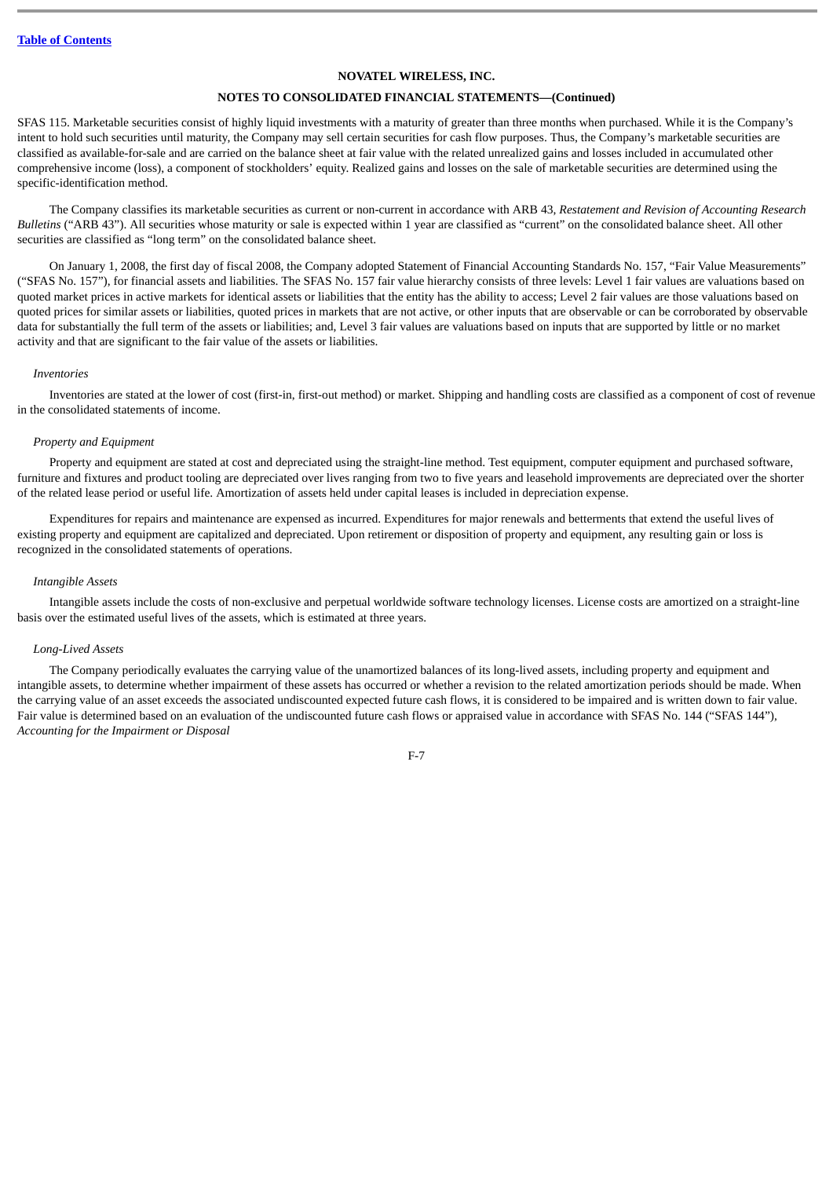## **NOTES TO CONSOLIDATED FINANCIAL STATEMENTS—(Continued)**

SFAS 115. Marketable securities consist of highly liquid investments with a maturity of greater than three months when purchased. While it is the Company's intent to hold such securities until maturity, the Company may sell certain securities for cash flow purposes. Thus, the Company's marketable securities are classified as available-for-sale and are carried on the balance sheet at fair value with the related unrealized gains and losses included in accumulated other comprehensive income (loss), a component of stockholders' equity. Realized gains and losses on the sale of marketable securities are determined using the specific-identification method.

The Company classifies its marketable securities as current or non-current in accordance with ARB 43, *Restatement and Revision of Accounting Research Bulletins* ("ARB 43"). All securities whose maturity or sale is expected within 1 year are classified as "current" on the consolidated balance sheet. All other securities are classified as "long term" on the consolidated balance sheet.

On January 1, 2008, the first day of fiscal 2008, the Company adopted Statement of Financial Accounting Standards No. 157, "Fair Value Measurements" ("SFAS No. 157"), for financial assets and liabilities. The SFAS No. 157 fair value hierarchy consists of three levels: Level 1 fair values are valuations based on quoted market prices in active markets for identical assets or liabilities that the entity has the ability to access; Level 2 fair values are those valuations based on quoted prices for similar assets or liabilities, quoted prices in markets that are not active, or other inputs that are observable or can be corroborated by observable data for substantially the full term of the assets or liabilities; and, Level 3 fair values are valuations based on inputs that are supported by little or no market activity and that are significant to the fair value of the assets or liabilities.

#### *Inventories*

Inventories are stated at the lower of cost (first-in, first-out method) or market. Shipping and handling costs are classified as a component of cost of revenue in the consolidated statements of income.

#### *Property and Equipment*

Property and equipment are stated at cost and depreciated using the straight-line method. Test equipment, computer equipment and purchased software, furniture and fixtures and product tooling are depreciated over lives ranging from two to five years and leasehold improvements are depreciated over the shorter of the related lease period or useful life. Amortization of assets held under capital leases is included in depreciation expense.

Expenditures for repairs and maintenance are expensed as incurred. Expenditures for major renewals and betterments that extend the useful lives of existing property and equipment are capitalized and depreciated. Upon retirement or disposition of property and equipment, any resulting gain or loss is recognized in the consolidated statements of operations.

#### *Intangible Assets*

Intangible assets include the costs of non-exclusive and perpetual worldwide software technology licenses. License costs are amortized on a straight-line basis over the estimated useful lives of the assets, which is estimated at three years.

#### *Long-Lived Assets*

The Company periodically evaluates the carrying value of the unamortized balances of its long-lived assets, including property and equipment and intangible assets, to determine whether impairment of these assets has occurred or whether a revision to the related amortization periods should be made. When the carrying value of an asset exceeds the associated undiscounted expected future cash flows, it is considered to be impaired and is written down to fair value. Fair value is determined based on an evaluation of the undiscounted future cash flows or appraised value in accordance with SFAS No. 144 ("SFAS 144"), *Accounting for the Impairment or Disposal*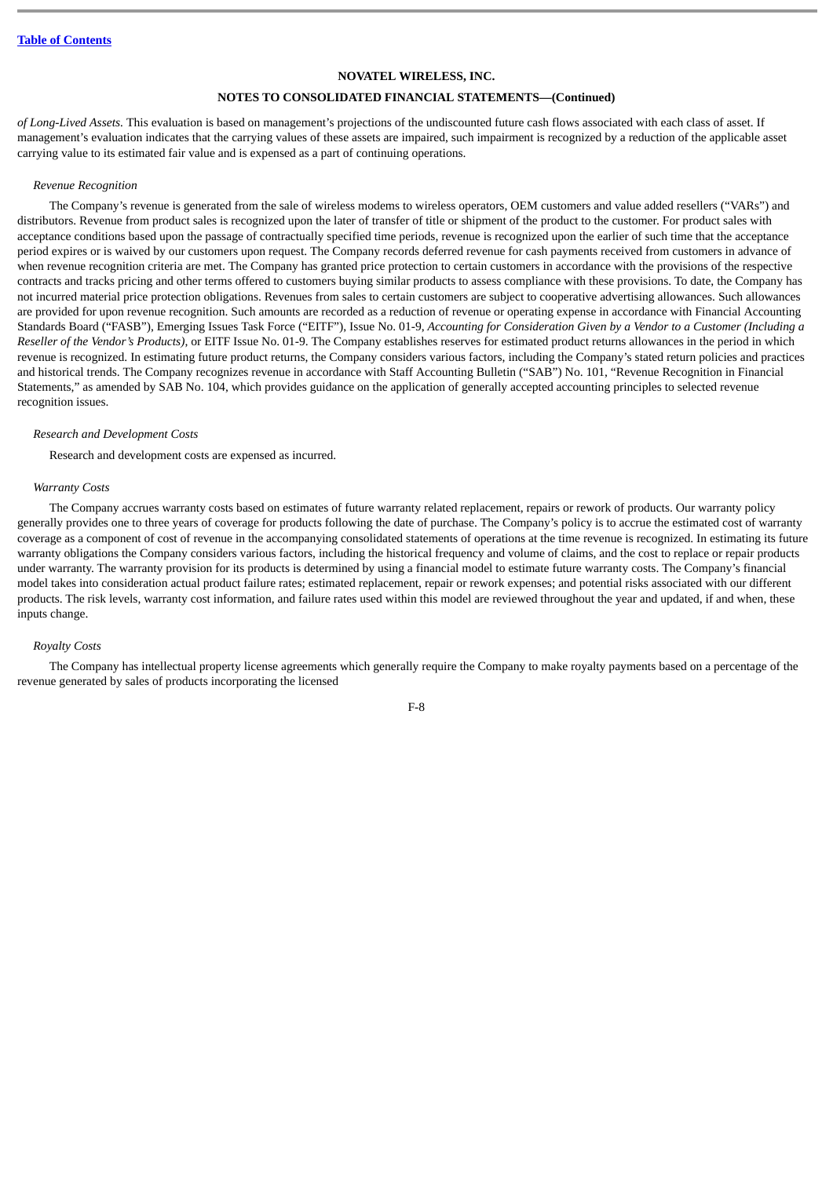### **NOTES TO CONSOLIDATED FINANCIAL STATEMENTS—(Continued)**

*of Long-Lived Assets.* This evaluation is based on management's projections of the undiscounted future cash flows associated with each class of asset. If management's evaluation indicates that the carrying values of these assets are impaired, such impairment is recognized by a reduction of the applicable asset carrying value to its estimated fair value and is expensed as a part of continuing operations.

### *Revenue Recognition*

The Company's revenue is generated from the sale of wireless modems to wireless operators, OEM customers and value added resellers ("VARs") and distributors. Revenue from product sales is recognized upon the later of transfer of title or shipment of the product to the customer. For product sales with acceptance conditions based upon the passage of contractually specified time periods, revenue is recognized upon the earlier of such time that the acceptance period expires or is waived by our customers upon request. The Company records deferred revenue for cash payments received from customers in advance of when revenue recognition criteria are met. The Company has granted price protection to certain customers in accordance with the provisions of the respective contracts and tracks pricing and other terms offered to customers buying similar products to assess compliance with these provisions. To date, the Company has not incurred material price protection obligations. Revenues from sales to certain customers are subject to cooperative advertising allowances. Such allowances are provided for upon revenue recognition. Such amounts are recorded as a reduction of revenue or operating expense in accordance with Financial Accounting Standards Board ("FASB"), Emerging Issues Task Force ("EITF"), Issue No. 01-9, *Accounting for Consideration Given by a Vendor to a Customer (Including a Reseller of the Vendor's Products)*, or EITF Issue No. 01-9. The Company establishes reserves for estimated product returns allowances in the period in which revenue is recognized. In estimating future product returns, the Company considers various factors, including the Company's stated return policies and practices and historical trends. The Company recognizes revenue in accordance with Staff Accounting Bulletin ("SAB") No. 101, "Revenue Recognition in Financial Statements," as amended by SAB No. 104, which provides guidance on the application of generally accepted accounting principles to selected revenue recognition issues.

#### *Research and Development Costs*

Research and development costs are expensed as incurred.

#### *Warranty Costs*

The Company accrues warranty costs based on estimates of future warranty related replacement, repairs or rework of products. Our warranty policy generally provides one to three years of coverage for products following the date of purchase. The Company's policy is to accrue the estimated cost of warranty coverage as a component of cost of revenue in the accompanying consolidated statements of operations at the time revenue is recognized. In estimating its future warranty obligations the Company considers various factors, including the historical frequency and volume of claims, and the cost to replace or repair products under warranty. The warranty provision for its products is determined by using a financial model to estimate future warranty costs. The Company's financial model takes into consideration actual product failure rates; estimated replacement, repair or rework expenses; and potential risks associated with our different products. The risk levels, warranty cost information, and failure rates used within this model are reviewed throughout the year and updated, if and when, these inputs change.

#### *Royalty Costs*

The Company has intellectual property license agreements which generally require the Company to make royalty payments based on a percentage of the revenue generated by sales of products incorporating the licensed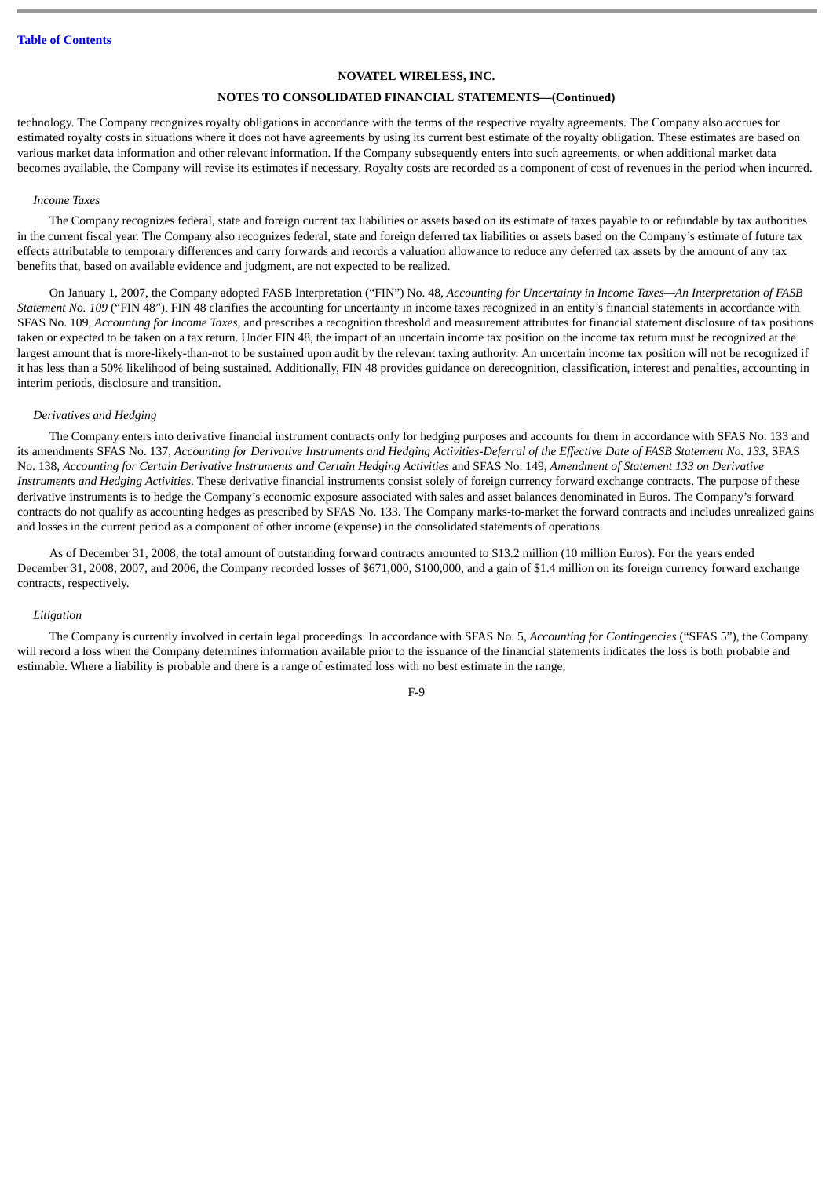### **NOTES TO CONSOLIDATED FINANCIAL STATEMENTS—(Continued)**

technology. The Company recognizes royalty obligations in accordance with the terms of the respective royalty agreements. The Company also accrues for estimated royalty costs in situations where it does not have agreements by using its current best estimate of the royalty obligation. These estimates are based on various market data information and other relevant information. If the Company subsequently enters into such agreements, or when additional market data becomes available, the Company will revise its estimates if necessary. Royalty costs are recorded as a component of cost of revenues in the period when incurred.

## *Income Taxes*

The Company recognizes federal, state and foreign current tax liabilities or assets based on its estimate of taxes payable to or refundable by tax authorities in the current fiscal year. The Company also recognizes federal, state and foreign deferred tax liabilities or assets based on the Company's estimate of future tax effects attributable to temporary differences and carry forwards and records a valuation allowance to reduce any deferred tax assets by the amount of any tax benefits that, based on available evidence and judgment, are not expected to be realized.

On January 1, 2007, the Company adopted FASB Interpretation ("FIN") No. 48, *Accounting for Uncertainty in Income Taxes—An Interpretation of FASB Statement No. 109* ("FIN 48"). FIN 48 clarifies the accounting for uncertainty in income taxes recognized in an entity's financial statements in accordance with SFAS No. 109, *Accounting for Income Taxes*, and prescribes a recognition threshold and measurement attributes for financial statement disclosure of tax positions taken or expected to be taken on a tax return. Under FIN 48, the impact of an uncertain income tax position on the income tax return must be recognized at the largest amount that is more-likely-than-not to be sustained upon audit by the relevant taxing authority. An uncertain income tax position will not be recognized if it has less than a 50% likelihood of being sustained. Additionally, FIN 48 provides guidance on derecognition, classification, interest and penalties, accounting in interim periods, disclosure and transition.

#### *Derivatives and Hedging*

The Company enters into derivative financial instrument contracts only for hedging purposes and accounts for them in accordance with SFAS No. 133 and its amendments SFAS No. 137, *Accounting for Derivative Instruments and Hedging Activities-Deferral of the Effective Date of FASB Statement No. 133*, SFAS No. 138, *Accounting for Certain Derivative Instruments and Certain Hedging Activities* and SFAS No. 149, *Amendment of Statement 133 on Derivative Instruments and Hedging Activities*. These derivative financial instruments consist solely of foreign currency forward exchange contracts. The purpose of these derivative instruments is to hedge the Company's economic exposure associated with sales and asset balances denominated in Euros. The Company's forward contracts do not qualify as accounting hedges as prescribed by SFAS No. 133. The Company marks-to-market the forward contracts and includes unrealized gains and losses in the current period as a component of other income (expense) in the consolidated statements of operations.

As of December 31, 2008, the total amount of outstanding forward contracts amounted to \$13.2 million (10 million Euros). For the years ended December 31, 2008, 2007, and 2006, the Company recorded losses of \$671,000, \$100,000, and a gain of \$1.4 million on its foreign currency forward exchange contracts, respectively.

#### *Litigation*

The Company is currently involved in certain legal proceedings. In accordance with SFAS No. 5, *Accounting for Contingencies* ("SFAS 5"), the Company will record a loss when the Company determines information available prior to the issuance of the financial statements indicates the loss is both probable and estimable. Where a liability is probable and there is a range of estimated loss with no best estimate in the range,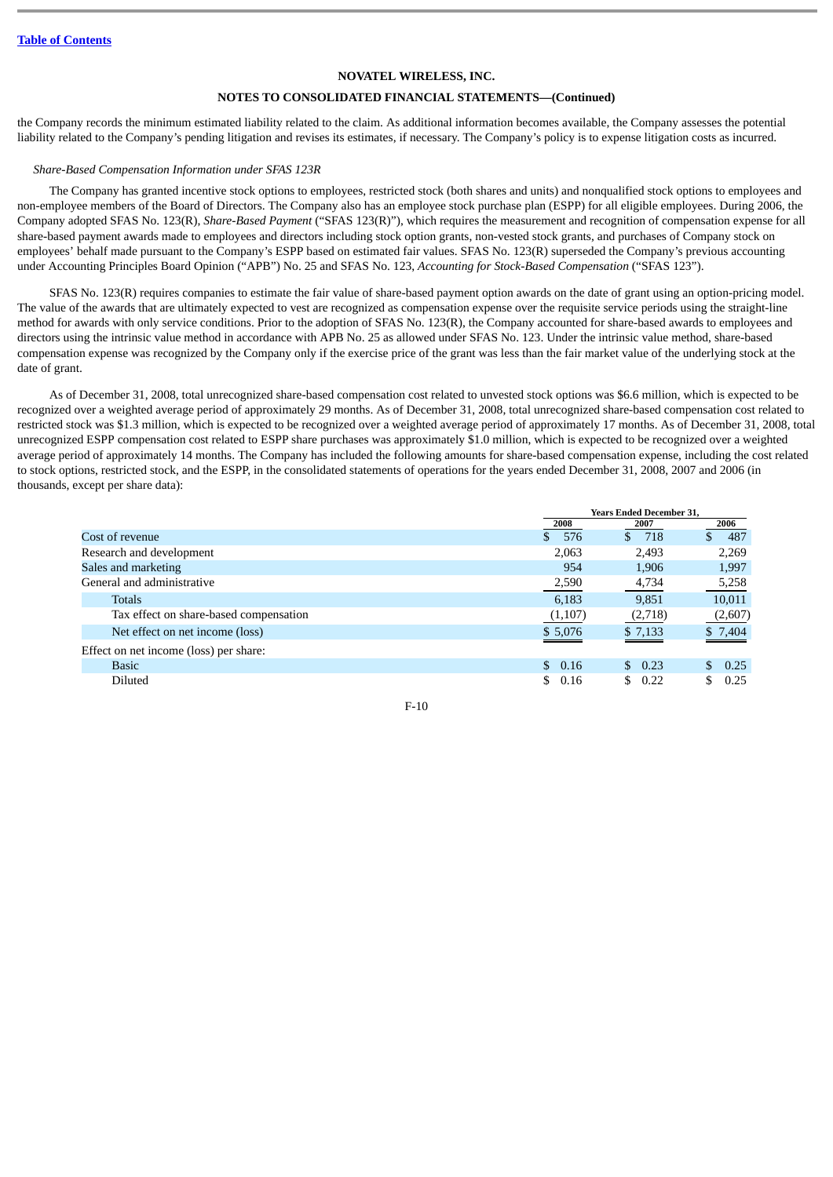## **NOTES TO CONSOLIDATED FINANCIAL STATEMENTS—(Continued)**

the Company records the minimum estimated liability related to the claim. As additional information becomes available, the Company assesses the potential liability related to the Company's pending litigation and revises its estimates, if necessary. The Company's policy is to expense litigation costs as incurred.

### *Share-Based Compensation Information under SFAS 123R*

The Company has granted incentive stock options to employees, restricted stock (both shares and units) and nonqualified stock options to employees and non-employee members of the Board of Directors. The Company also has an employee stock purchase plan (ESPP) for all eligible employees. During 2006, the Company adopted SFAS No. 123(R), *Share-Based Payment* ("SFAS 123(R)"), which requires the measurement and recognition of compensation expense for all share-based payment awards made to employees and directors including stock option grants, non-vested stock grants, and purchases of Company stock on employees' behalf made pursuant to the Company's ESPP based on estimated fair values. SFAS No. 123(R) superseded the Company's previous accounting under Accounting Principles Board Opinion ("APB") No. 25 and SFAS No. 123, *Accounting for Stock-Based Compensation* ("SFAS 123").

SFAS No. 123(R) requires companies to estimate the fair value of share-based payment option awards on the date of grant using an option-pricing model. The value of the awards that are ultimately expected to vest are recognized as compensation expense over the requisite service periods using the straight-line method for awards with only service conditions. Prior to the adoption of SFAS No. 123(R), the Company accounted for share-based awards to employees and directors using the intrinsic value method in accordance with APB No. 25 as allowed under SFAS No. 123. Under the intrinsic value method, share-based compensation expense was recognized by the Company only if the exercise price of the grant was less than the fair market value of the underlying stock at the date of grant.

As of December 31, 2008, total unrecognized share-based compensation cost related to unvested stock options was \$6.6 million, which is expected to be recognized over a weighted average period of approximately 29 months. As of December 31, 2008, total unrecognized share-based compensation cost related to restricted stock was \$1.3 million, which is expected to be recognized over a weighted average period of approximately 17 months. As of December 31, 2008, total unrecognized ESPP compensation cost related to ESPP share purchases was approximately \$1.0 million, which is expected to be recognized over a weighted average period of approximately 14 months. The Company has included the following amounts for share-based compensation expense, including the cost related to stock options, restricted stock, and the ESPP, in the consolidated statements of operations for the years ended December 31, 2008, 2007 and 2006 (in thousands, except per share data):

|                                        | <b>Years Ended December 31.</b> |                      |         |
|----------------------------------------|---------------------------------|----------------------|---------|
|                                        | 2008                            | 2007                 | 2006    |
| Cost of revenue                        | 576                             | 718<br><sup>\$</sup> | 487     |
| Research and development               | 2,063                           | 2,493                | 2,269   |
| Sales and marketing                    | 954                             | 1,906                | 1,997   |
| General and administrative             | 2,590                           | 4,734                | 5,258   |
| <b>Totals</b>                          | 6,183                           | 9,851                | 10,011  |
| Tax effect on share-based compensation | (1,107)                         | (2,718)              | (2,607) |
| Net effect on net income (loss)        | \$5,076                         | \$7,133              | \$7,404 |
| Effect on net income (loss) per share: |                                 |                      |         |
| <b>Basic</b>                           | \$0.16                          | \$0.23               | 0.25    |
| <b>Diluted</b>                         | \$<br>0.16                      | 0.22                 | 0.25    |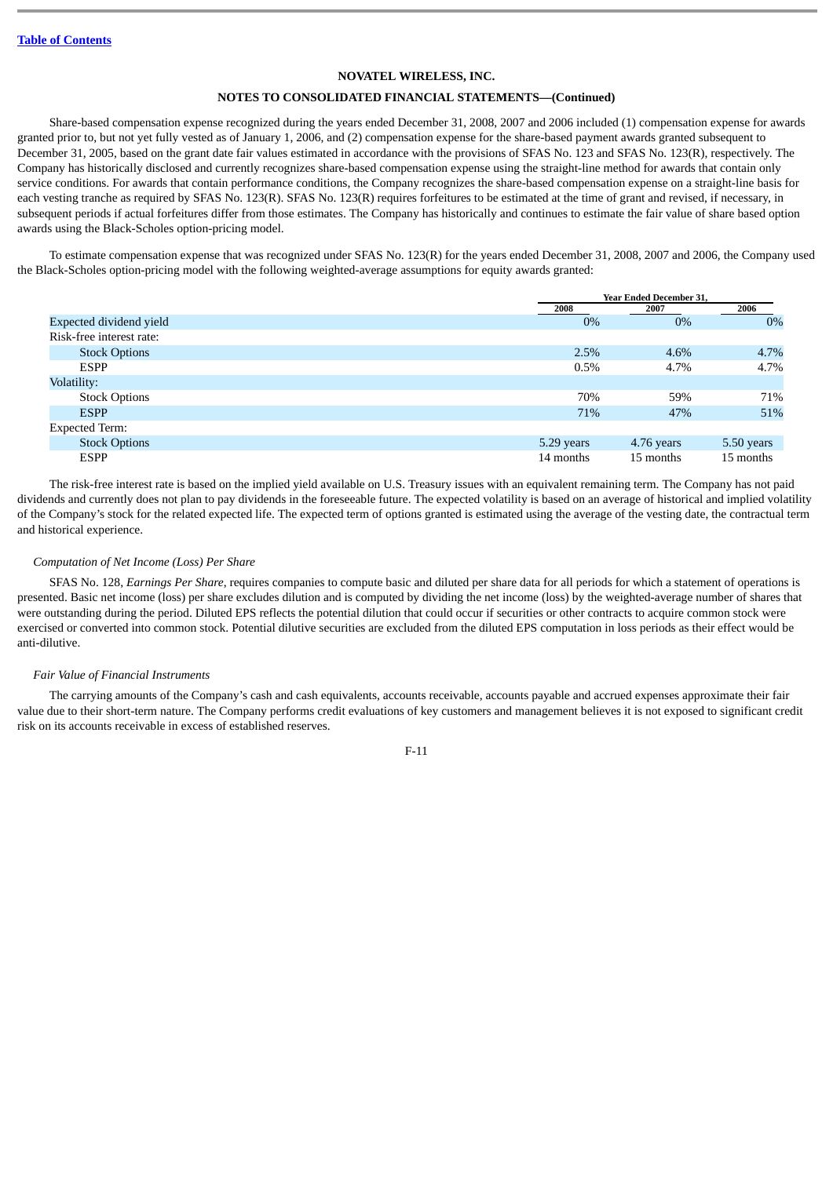### **NOTES TO CONSOLIDATED FINANCIAL STATEMENTS—(Continued)**

Share-based compensation expense recognized during the years ended December 31, 2008, 2007 and 2006 included (1) compensation expense for awards granted prior to, but not yet fully vested as of January 1, 2006, and (2) compensation expense for the share-based payment awards granted subsequent to December 31, 2005, based on the grant date fair values estimated in accordance with the provisions of SFAS No. 123 and SFAS No. 123(R), respectively. The Company has historically disclosed and currently recognizes share-based compensation expense using the straight-line method for awards that contain only service conditions. For awards that contain performance conditions, the Company recognizes the share-based compensation expense on a straight-line basis for each vesting tranche as required by SFAS No. 123(R). SFAS No. 123(R) requires forfeitures to be estimated at the time of grant and revised, if necessary, in subsequent periods if actual forfeitures differ from those estimates. The Company has historically and continues to estimate the fair value of share based option awards using the Black-Scholes option-pricing model.

To estimate compensation expense that was recognized under SFAS No. 123(R) for the years ended December 31, 2008, 2007 and 2006, the Company used the Black-Scholes option-pricing model with the following weighted-average assumptions for equity awards granted:

|                          | <b>Year Ended December 31.</b> |            |            |
|--------------------------|--------------------------------|------------|------------|
|                          | 2008                           | 2007       | 2006       |
| Expected dividend yield  | $0\%$                          | $0\%$      | 0%         |
| Risk-free interest rate: |                                |            |            |
| <b>Stock Options</b>     | 2.5%                           | 4.6%       | 4.7%       |
| <b>ESPP</b>              | 0.5%                           | 4.7%       | 4.7%       |
| Volatility:              |                                |            |            |
| <b>Stock Options</b>     | 70%                            | 59%        | 71%        |
| <b>ESPP</b>              | 71%                            | 47%        | 51%        |
| <b>Expected Term:</b>    |                                |            |            |
| <b>Stock Options</b>     | 5.29 years                     | 4.76 years | 5.50 years |
| <b>ESPP</b>              | 14 months                      | 15 months  | 15 months  |

The risk-free interest rate is based on the implied yield available on U.S. Treasury issues with an equivalent remaining term. The Company has not paid dividends and currently does not plan to pay dividends in the foreseeable future. The expected volatility is based on an average of historical and implied volatility of the Company's stock for the related expected life. The expected term of options granted is estimated using the average of the vesting date, the contractual term and historical experience.

## *Computation of Net Income (Loss) Per Share*

SFAS No. 128, *Earnings Per Share*, requires companies to compute basic and diluted per share data for all periods for which a statement of operations is presented. Basic net income (loss) per share excludes dilution and is computed by dividing the net income (loss) by the weighted-average number of shares that were outstanding during the period. Diluted EPS reflects the potential dilution that could occur if securities or other contracts to acquire common stock were exercised or converted into common stock. Potential dilutive securities are excluded from the diluted EPS computation in loss periods as their effect would be anti-dilutive.

#### *Fair Value of Financial Instruments*

The carrying amounts of the Company's cash and cash equivalents, accounts receivable, accounts payable and accrued expenses approximate their fair value due to their short-term nature. The Company performs credit evaluations of key customers and management believes it is not exposed to significant credit risk on its accounts receivable in excess of established reserves.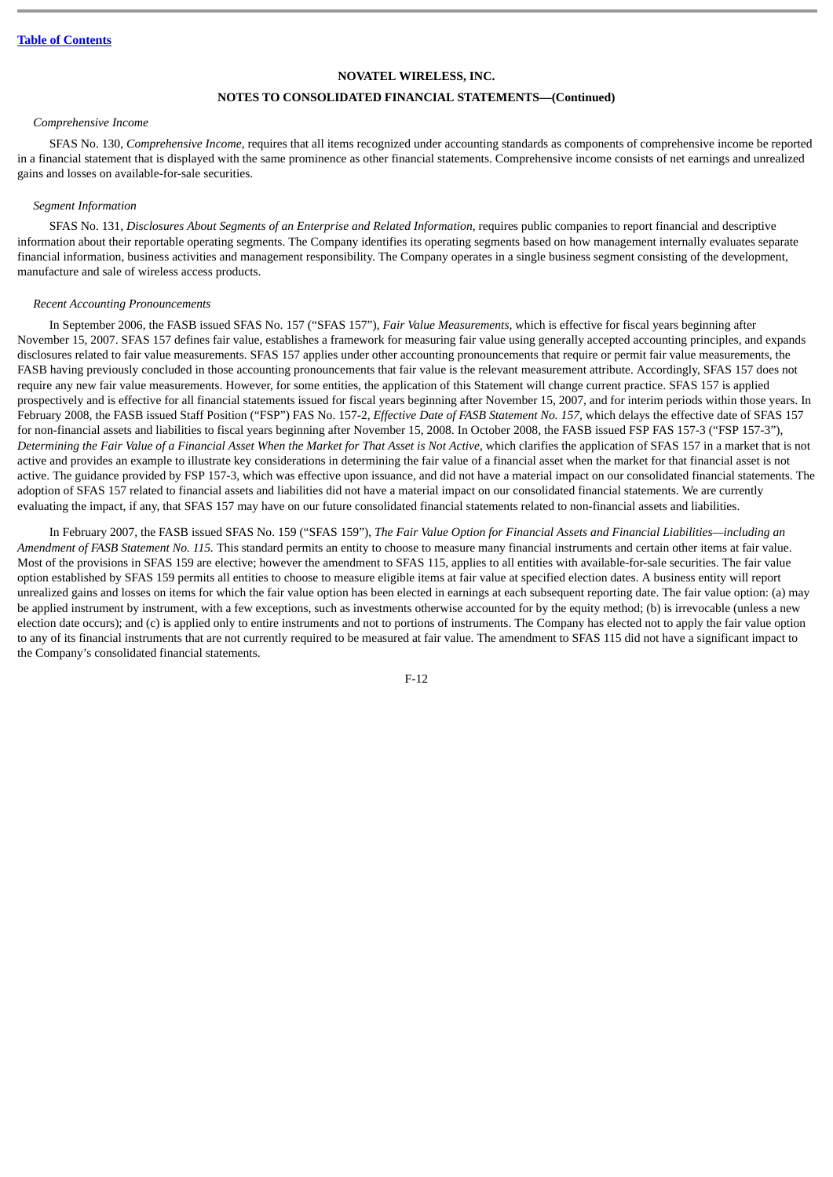## **NOTES TO CONSOLIDATED FINANCIAL STATEMENTS—(Continued)**

#### *Comprehensive Income*

SFAS No. 130, *Comprehensive Income*, requires that all items recognized under accounting standards as components of comprehensive income be reported in a financial statement that is displayed with the same prominence as other financial statements. Comprehensive income consists of net earnings and unrealized gains and losses on available-for-sale securities.

## *Segment Information*

SFAS No. 131, *Disclosures About Segments of an Enterprise and Related Information*, requires public companies to report financial and descriptive information about their reportable operating segments. The Company identifies its operating segments based on how management internally evaluates separate financial information, business activities and management responsibility. The Company operates in a single business segment consisting of the development, manufacture and sale of wireless access products.

#### *Recent Accounting Pronouncements*

In September 2006, the FASB issued SFAS No. 157 ("SFAS 157"), *Fair Value Measurements*, which is effective for fiscal years beginning after November 15, 2007. SFAS 157 defines fair value, establishes a framework for measuring fair value using generally accepted accounting principles, and expands disclosures related to fair value measurements. SFAS 157 applies under other accounting pronouncements that require or permit fair value measurements, the FASB having previously concluded in those accounting pronouncements that fair value is the relevant measurement attribute. Accordingly, SFAS 157 does not require any new fair value measurements. However, for some entities, the application of this Statement will change current practice. SFAS 157 is applied prospectively and is effective for all financial statements issued for fiscal years beginning after November 15, 2007, and for interim periods within those years. In February 2008, the FASB issued Staff Position ("FSP") FAS No. 157-2, *Effective Date of FASB Statement No. 157*, which delays the effective date of SFAS 157 for non-financial assets and liabilities to fiscal years beginning after November 15, 2008. In October 2008, the FASB issued FSP FAS 157-3 ("FSP 157-3"), *Determining the Fair Value of a Financial Asset When the Market for That Asset is Not Active*, which clarifies the application of SFAS 157 in a market that is not active and provides an example to illustrate key considerations in determining the fair value of a financial asset when the market for that financial asset is not active. The guidance provided by FSP 157-3, which was effective upon issuance, and did not have a material impact on our consolidated financial statements. The adoption of SFAS 157 related to financial assets and liabilities did not have a material impact on our consolidated financial statements. We are currently evaluating the impact, if any, that SFAS 157 may have on our future consolidated financial statements related to non-financial assets and liabilities.

In February 2007, the FASB issued SFAS No. 159 ("SFAS 159"), *The Fair Value Option for Financial Assets and Financial Liabilities—including an Amendment of FASB Statement No. 115.* This standard permits an entity to choose to measure many financial instruments and certain other items at fair value. Most of the provisions in SFAS 159 are elective; however the amendment to SFAS 115, applies to all entities with available-for-sale securities. The fair value option established by SFAS 159 permits all entities to choose to measure eligible items at fair value at specified election dates. A business entity will report unrealized gains and losses on items for which the fair value option has been elected in earnings at each subsequent reporting date. The fair value option: (a) may be applied instrument by instrument, with a few exceptions, such as investments otherwise accounted for by the equity method; (b) is irrevocable (unless a new election date occurs); and (c) is applied only to entire instruments and not to portions of instruments. The Company has elected not to apply the fair value option to any of its financial instruments that are not currently required to be measured at fair value. The amendment to SFAS 115 did not have a significant impact to the Company's consolidated financial statements.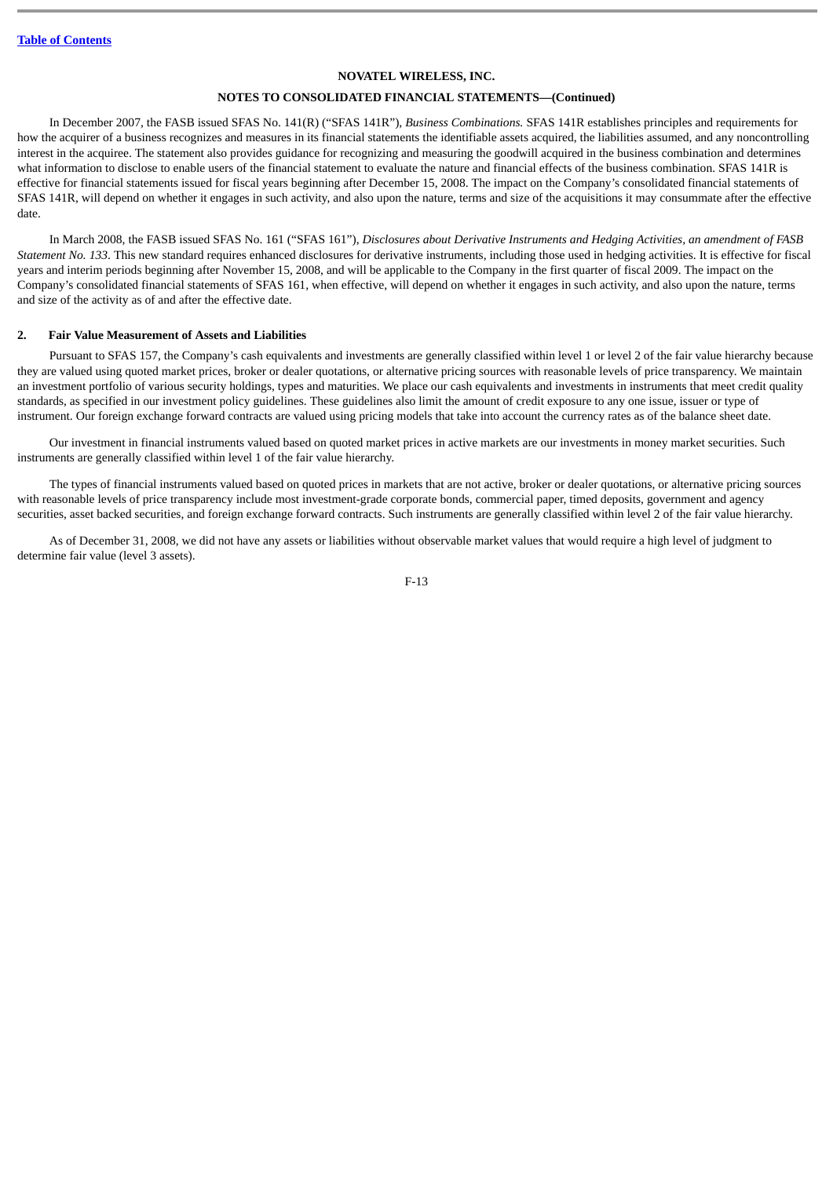### **NOTES TO CONSOLIDATED FINANCIAL STATEMENTS—(Continued)**

In December 2007, the FASB issued SFAS No. 141(R) ("SFAS 141R"), *Business Combinations.* SFAS 141R establishes principles and requirements for how the acquirer of a business recognizes and measures in its financial statements the identifiable assets acquired, the liabilities assumed, and any noncontrolling interest in the acquiree. The statement also provides guidance for recognizing and measuring the goodwill acquired in the business combination and determines what information to disclose to enable users of the financial statement to evaluate the nature and financial effects of the business combination. SFAS 141R is effective for financial statements issued for fiscal years beginning after December 15, 2008. The impact on the Company's consolidated financial statements of SFAS 141R, will depend on whether it engages in such activity, and also upon the nature, terms and size of the acquisitions it may consummate after the effective date.

In March 2008, the FASB issued SFAS No. 161 ("SFAS 161"), *Disclosures about Derivative Instruments and Hedging Activities, an amendment of FASB Statement No. 133*. This new standard requires enhanced disclosures for derivative instruments, including those used in hedging activities. It is effective for fiscal years and interim periods beginning after November 15, 2008, and will be applicable to the Company in the first quarter of fiscal 2009. The impact on the Company's consolidated financial statements of SFAS 161, when effective, will depend on whether it engages in such activity, and also upon the nature, terms and size of the activity as of and after the effective date.

#### **2. Fair Value Measurement of Assets and Liabilities**

Pursuant to SFAS 157, the Company's cash equivalents and investments are generally classified within level 1 or level 2 of the fair value hierarchy because they are valued using quoted market prices, broker or dealer quotations, or alternative pricing sources with reasonable levels of price transparency. We maintain an investment portfolio of various security holdings, types and maturities. We place our cash equivalents and investments in instruments that meet credit quality standards, as specified in our investment policy guidelines. These guidelines also limit the amount of credit exposure to any one issue, issuer or type of instrument. Our foreign exchange forward contracts are valued using pricing models that take into account the currency rates as of the balance sheet date.

Our investment in financial instruments valued based on quoted market prices in active markets are our investments in money market securities. Such instruments are generally classified within level 1 of the fair value hierarchy.

The types of financial instruments valued based on quoted prices in markets that are not active, broker or dealer quotations, or alternative pricing sources with reasonable levels of price transparency include most investment-grade corporate bonds, commercial paper, timed deposits, government and agency securities, asset backed securities, and foreign exchange forward contracts. Such instruments are generally classified within level 2 of the fair value hierarchy.

As of December 31, 2008, we did not have any assets or liabilities without observable market values that would require a high level of judgment to determine fair value (level 3 assets).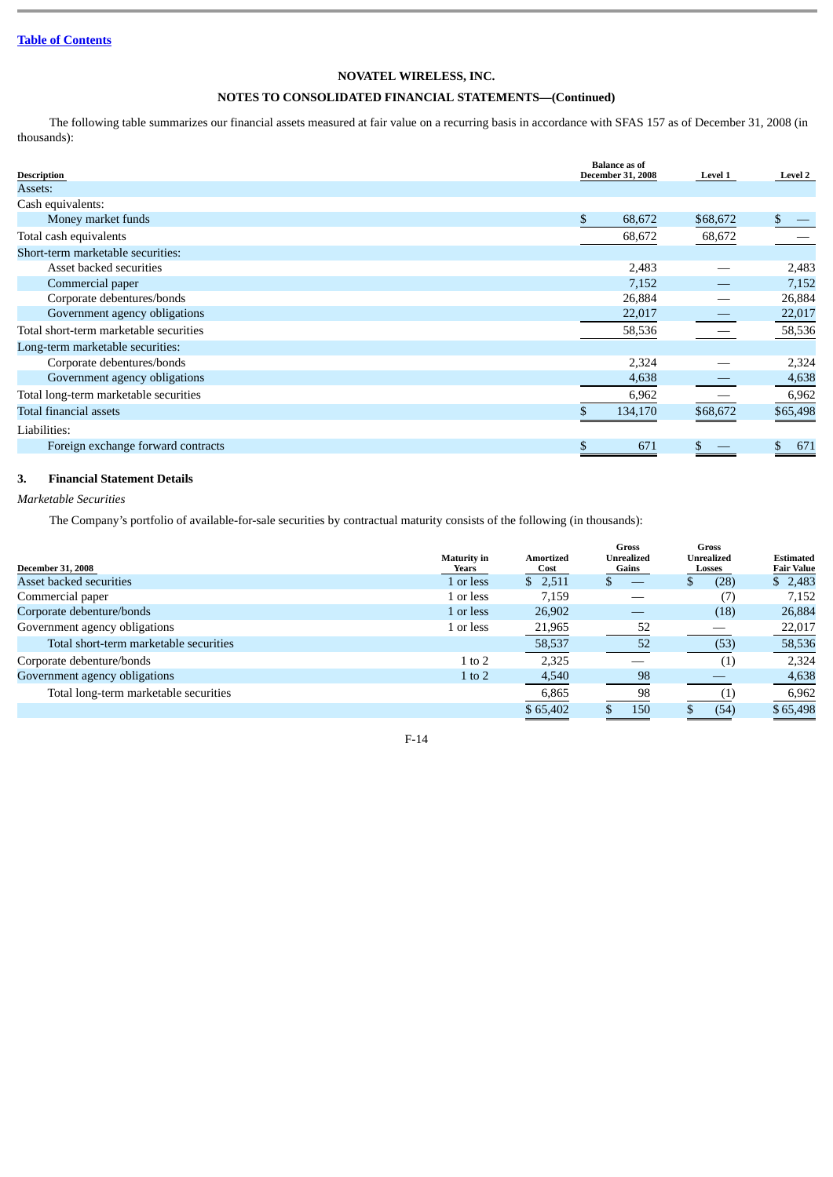## **NOTES TO CONSOLIDATED FINANCIAL STATEMENTS—(Continued)**

The following table summarizes our financial assets measured at fair value on a recurring basis in accordance with SFAS 157 as of December 31, 2008 (in thousands):

| <b>Description</b>                     | <b>Balance as of</b><br><b>December 31, 2008</b> | <b>Level 1</b><br><b>Level 2</b> |
|----------------------------------------|--------------------------------------------------|----------------------------------|
| Assets:                                |                                                  |                                  |
| Cash equivalents:                      |                                                  |                                  |
| Money market funds                     | \$<br>68,672                                     | \$68,672                         |
| Total cash equivalents                 | 68,672                                           | 68,672                           |
| Short-term marketable securities:      |                                                  |                                  |
| Asset backed securities                | 2,483                                            | 2,483                            |
| Commercial paper                       | 7,152                                            | 7,152                            |
| Corporate debentures/bonds             | 26,884                                           | 26,884                           |
| Government agency obligations          | 22,017                                           | 22,017                           |
| Total short-term marketable securities | 58,536                                           | 58,536                           |
| Long-term marketable securities:       |                                                  |                                  |
| Corporate debentures/bonds             | 2,324                                            | 2,324                            |
| Government agency obligations          | 4,638                                            | 4,638                            |
| Total long-term marketable securities  | 6,962                                            | 6,962                            |
| Total financial assets                 | 134,170                                          | \$65,498<br>\$68,672             |
| Liabilities:                           |                                                  |                                  |
| Foreign exchange forward contracts     | 671                                              | \$<br>671                        |

## **3. Financial Statement Details**

*Marketable Securities*

The Company's portfolio of available-for-sale securities by contractual maturity consists of the following (in thousands):

| <b>December 31, 2008</b>               | <b>Maturity</b> in<br><b>Years</b> | <b>Amortized</b> | <b>Gross</b><br>Unrealized<br>Gains | Gross<br><b>Unrealized</b><br>Losses | Estimated<br><b>Fair Value</b> |
|----------------------------------------|------------------------------------|------------------|-------------------------------------|--------------------------------------|--------------------------------|
|                                        |                                    | Cost             |                                     |                                      |                                |
| Asset backed securities                | 1 or less                          | \$2,511          |                                     | (28)                                 | \$2,483                        |
| Commercial paper                       | l or less                          | 7,159            |                                     | (7)                                  | 7,152                          |
| Corporate debenture/bonds              | 1 or less                          | 26,902           |                                     | (18)                                 | 26,884                         |
| Government agency obligations          | l or less                          | 21,965           | 52                                  |                                      | 22,017                         |
| Total short-term marketable securities |                                    | 58,537           | 52                                  | (53)                                 | 58,536                         |
| Corporate debenture/bonds              | $1$ to $2$                         | 2,325            |                                     | $\left( 1\right)$                    | 2,324                          |
| Government agency obligations          | $1$ to $2$                         | 4,540            | 98                                  |                                      | 4,638                          |
| Total long-term marketable securities  |                                    | 6,865            | 98                                  |                                      | 6,962                          |
|                                        |                                    | \$65,402         | 150                                 | (54)                                 | \$65,498                       |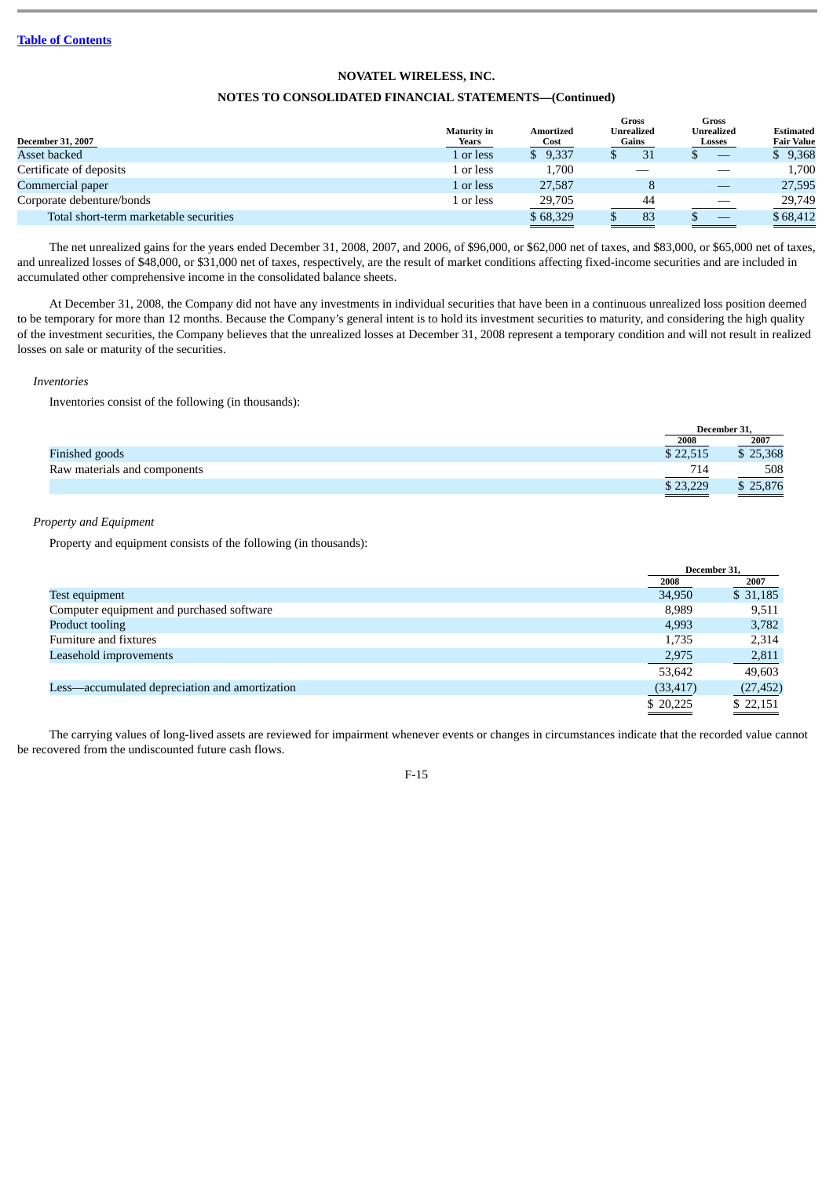## **NOTES TO CONSOLIDATED FINANCIAL STATEMENTS—(Continued)**

| <b>December 31, 2007</b>               | <b>Maturity in</b><br><b>Years</b> | Amortized<br>Cost | <b>Gross</b><br>Unrealized<br>Gains | Gross<br>Unrealized<br>Losses | Estimated<br><b>Fair Value</b> |
|----------------------------------------|------------------------------------|-------------------|-------------------------------------|-------------------------------|--------------------------------|
| Asset backed                           | 1 or less                          | \$9,337           | 31                                  |                               | \$9,368                        |
| Certificate of deposits                | 1 or less                          | 1,700             |                                     |                               | 1,700                          |
| Commercial paper                       | 1 or less                          | 27,587            |                                     |                               | 27,595                         |
| Corporate debenture/bonds              | 1 or less                          | 29,705            | 44                                  |                               | 29,749                         |
| Total short-term marketable securities |                                    | \$68,329          | 83                                  |                               | \$68,412                       |

The net unrealized gains for the years ended December 31, 2008, 2007, and 2006, of \$96,000, or \$62,000 net of taxes, and \$83,000, or \$65,000 net of taxes, and unrealized losses of \$48,000, or \$31,000 net of taxes, respectively, are the result of market conditions affecting fixed-income securities and are included in accumulated other comprehensive income in the consolidated balance sheets.

At December 31, 2008, the Company did not have any investments in individual securities that have been in a continuous unrealized loss position deemed to be temporary for more than 12 months. Because the Company's general intent is to hold its investment securities to maturity, and considering the high quality of the investment securities, the Company believes that the unrealized losses at December 31, 2008 represent a temporary condition and will not result in realized losses on sale or maturity of the securities.

## *Inventories*

Inventories consist of the following (in thousands):

|                              |          | December 31. |
|------------------------------|----------|--------------|
|                              | 2008     | 2007         |
| Finished goods               | \$22.515 | \$25,368     |
| Raw materials and components | 714      | 508          |
|                              | \$23,229 | 25,876       |

## *Property and Equipment*

Property and equipment consists of the following (in thousands):

|                                                |           | December 31.        |
|------------------------------------------------|-----------|---------------------|
|                                                | 2008      | 2007                |
| Test equipment                                 | 34,950    | $\overline{31,185}$ |
| Computer equipment and purchased software      | 8,989     | 9,511               |
| <b>Product tooling</b>                         | 4,993     | 3,782               |
| Furniture and fixtures                         | 1.735     | 2,314               |
| Leasehold improvements                         | 2,975     | 2,811               |
|                                                | 53.642    | 49.603              |
| Less-accumulated depreciation and amortization | (33, 417) | (27, 452)           |
|                                                | \$20,225  | \$22,151            |
|                                                |           |                     |

The carrying values of long-lived assets are reviewed for impairment whenever events or changes in circumstances indicate that the recorded value cannot be recovered from the undiscounted future cash flows.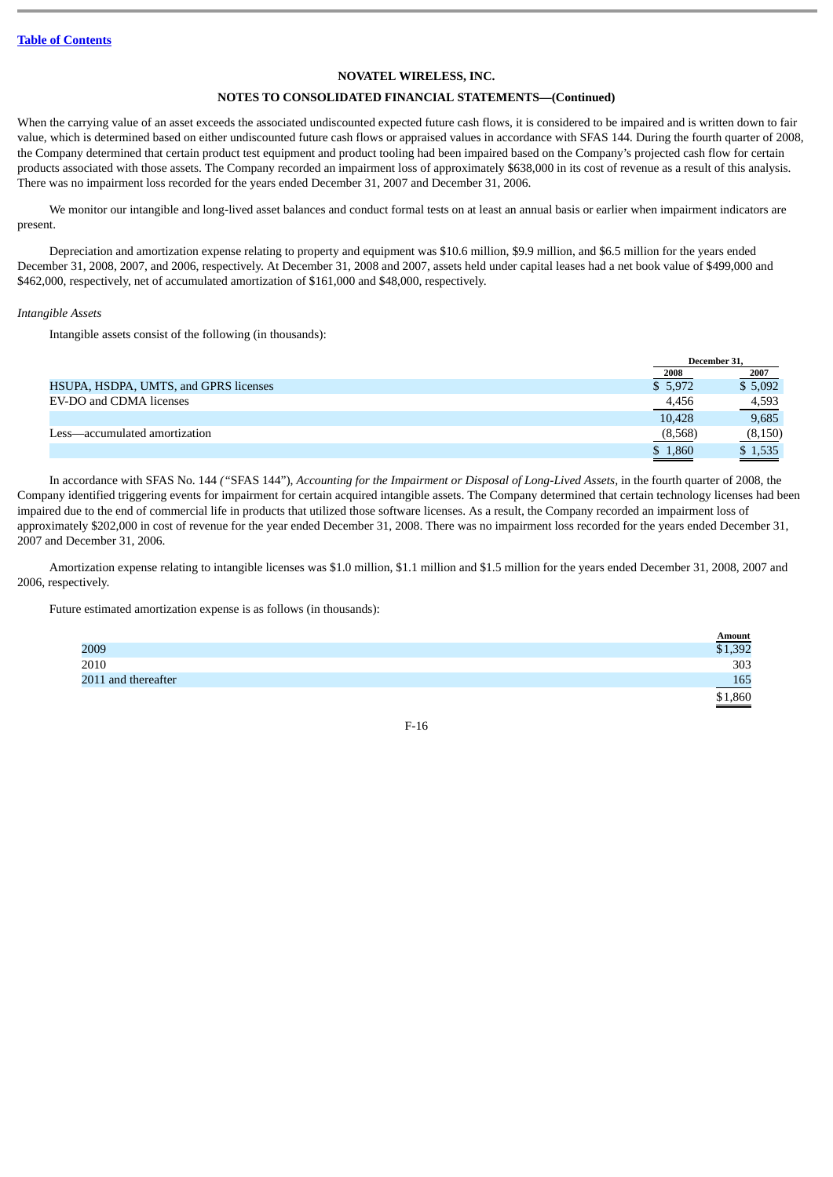### **NOTES TO CONSOLIDATED FINANCIAL STATEMENTS—(Continued)**

When the carrying value of an asset exceeds the associated undiscounted expected future cash flows, it is considered to be impaired and is written down to fair value, which is determined based on either undiscounted future cash flows or appraised values in accordance with SFAS 144*.* During the fourth quarter of 2008, the Company determined that certain product test equipment and product tooling had been impaired based on the Company's projected cash flow for certain products associated with those assets. The Company recorded an impairment loss of approximately \$638,000 in its cost of revenue as a result of this analysis. There was no impairment loss recorded for the years ended December 31, 2007 and December 31, 2006.

We monitor our intangible and long-lived asset balances and conduct formal tests on at least an annual basis or earlier when impairment indicators are present.

Depreciation and amortization expense relating to property and equipment was \$10.6 million, \$9.9 million, and \$6.5 million for the years ended December 31, 2008, 2007, and 2006, respectively. At December 31, 2008 and 2007, assets held under capital leases had a net book value of \$499,000 and \$462,000, respectively, net of accumulated amortization of \$161,000 and \$48,000, respectively.

## *Intangible Assets*

Intangible assets consist of the following (in thousands):

|                                       | December 31. |         |
|---------------------------------------|--------------|---------|
|                                       | 2008         | 2007    |
| HSUPA, HSDPA, UMTS, and GPRS licenses | \$5,972      | \$5,092 |
| EV-DO and CDMA licenses               | 4,456        | 4,593   |
|                                       | 10,428       | 9,685   |
| Less—accumulated amortization         | (8,568)      | (8,150) |
|                                       | \$1,860      | \$1,535 |

In accordance with SFAS No. 144 *("*SFAS 144"), *Accounting for the Impairment or Disposal of Long-Lived Assets,* in the fourth quarter of 2008, the Company identified triggering events for impairment for certain acquired intangible assets. The Company determined that certain technology licenses had been impaired due to the end of commercial life in products that utilized those software licenses. As a result, the Company recorded an impairment loss of approximately \$202,000 in cost of revenue for the year ended December 31, 2008. There was no impairment loss recorded for the years ended December 31, 2007 and December 31, 2006.

Amortization expense relating to intangible licenses was \$1.0 million, \$1.1 million and \$1.5 million for the years ended December 31, 2008, 2007 and 2006, respectively.

Future estimated amortization expense is as follows (in thousands):

|                     | Amount  |
|---------------------|---------|
| 2009                | \$1,392 |
| 2010                | 303     |
| 2011 and thereafter | 165     |
|                     | ,860    |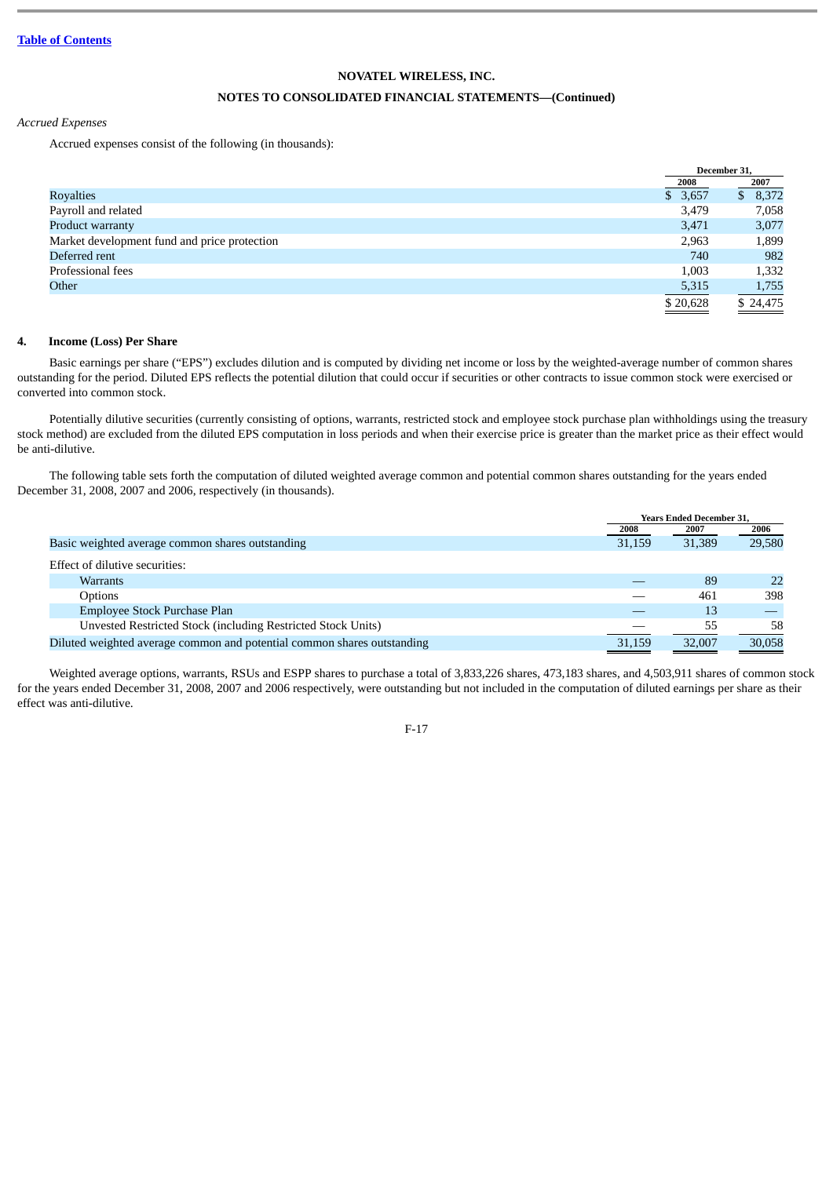## **NOTES TO CONSOLIDATED FINANCIAL STATEMENTS—(Continued)**

## *Accrued Expenses*

Accrued expenses consist of the following (in thousands):

|                                              |                                                                                                                         | December 31, |
|----------------------------------------------|-------------------------------------------------------------------------------------------------------------------------|--------------|
|                                              | 2008                                                                                                                    | 2007         |
| <b>Royalties</b>                             | \$3,657                                                                                                                 | \$8,372      |
| Payroll and related                          | 3,479                                                                                                                   | 7,058        |
| Product warranty                             | 3,471                                                                                                                   | 3,077        |
| Market development fund and price protection | 2,963                                                                                                                   | 1,899        |
| Deferred rent                                | 740                                                                                                                     | 982          |
| Professional fees                            | 1,003                                                                                                                   | 1,332        |
| Other                                        | 5,315                                                                                                                   | 1,755        |
|                                              | \$20,628                                                                                                                | \$24,475     |
|                                              | <u> The Communication of the Communication of the Communication of the Communication of the Communication of the Co</u> |              |

## **4. Income (Loss) Per Share**

Basic earnings per share ("EPS") excludes dilution and is computed by dividing net income or loss by the weighted-average number of common shares outstanding for the period. Diluted EPS reflects the potential dilution that could occur if securities or other contracts to issue common stock were exercised or converted into common stock.

Potentially dilutive securities (currently consisting of options, warrants, restricted stock and employee stock purchase plan withholdings using the treasury stock method) are excluded from the diluted EPS computation in loss periods and when their exercise price is greater than the market price as their effect would be anti-dilutive.

The following table sets forth the computation of diluted weighted average common and potential common shares outstanding for the years ended December 31, 2008, 2007 and 2006, respectively (in thousands).

|                                                                         | <b>Years Ended December 31,</b> |        |        |
|-------------------------------------------------------------------------|---------------------------------|--------|--------|
|                                                                         | 2008                            | 2007   | 2006   |
| Basic weighted average common shares outstanding                        | 31,159                          | 31,389 | 29,580 |
| Effect of dilutive securities:                                          |                                 |        |        |
| Warrants                                                                |                                 | 89     | 22     |
| Options                                                                 |                                 | 461    | 398    |
| Employee Stock Purchase Plan                                            |                                 | 13     |        |
| Unvested Restricted Stock (including Restricted Stock Units)            |                                 | 55     | 58     |
| Diluted weighted average common and potential common shares outstanding | 31,159                          | 32,007 | 30,058 |

Weighted average options, warrants, RSUs and ESPP shares to purchase a total of 3,833,226 shares, 473,183 shares, and 4,503,911 shares of common stock for the years ended December 31, 2008, 2007 and 2006 respectively, were outstanding but not included in the computation of diluted earnings per share as their effect was anti-dilutive.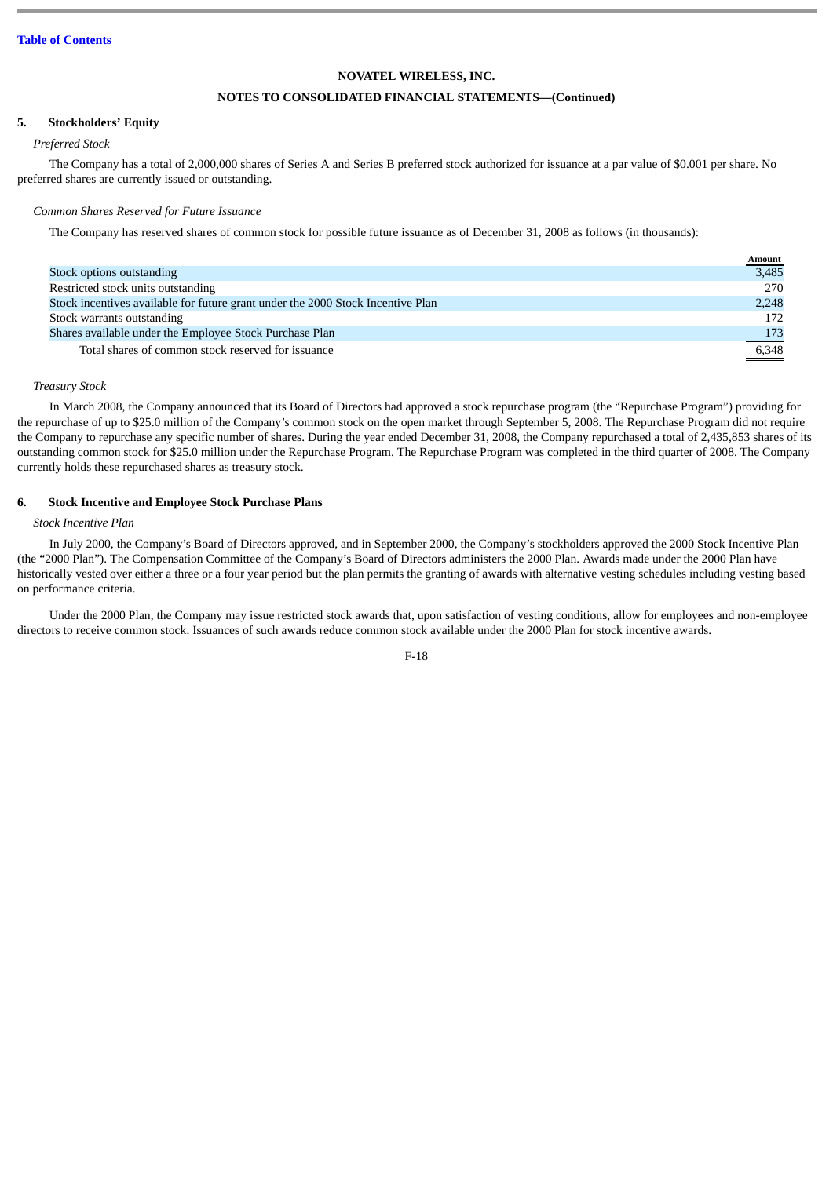## **NOTES TO CONSOLIDATED FINANCIAL STATEMENTS—(Continued)**

### **5. Stockholders' Equity**

## *Preferred Stock*

The Company has a total of 2,000,000 shares of Series A and Series B preferred stock authorized for issuance at a par value of \$0.001 per share. No preferred shares are currently issued or outstanding.

## *Common Shares Reserved for Future Issuance*

The Company has reserved shares of common stock for possible future issuance as of December 31, 2008 as follows (in thousands):

| Stock options outstanding                                                       | $\frac{\text{Amount}}{3,485}$ |
|---------------------------------------------------------------------------------|-------------------------------|
| Restricted stock units outstanding                                              | 270                           |
| Stock incentives available for future grant under the 2000 Stock Incentive Plan | 2,248                         |
| Stock warrants outstanding                                                      | 172                           |
| Shares available under the Employee Stock Purchase Plan                         | 173                           |
| Total shares of common stock reserved for issuance                              | 6,348                         |

## *Treasury Stock*

In March 2008, the Company announced that its Board of Directors had approved a stock repurchase program (the "Repurchase Program") providing for the repurchase of up to \$25.0 million of the Company's common stock on the open market through September 5, 2008. The Repurchase Program did not require the Company to repurchase any specific number of shares. During the year ended December 31, 2008, the Company repurchased a total of 2,435,853 shares of its outstanding common stock for \$25.0 million under the Repurchase Program. The Repurchase Program was completed in the third quarter of 2008. The Company currently holds these repurchased shares as treasury stock.

### **6. Stock Incentive and Employee Stock Purchase Plans**

#### *Stock Incentive Plan*

In July 2000, the Company's Board of Directors approved, and in September 2000, the Company's stockholders approved the 2000 Stock Incentive Plan (the "2000 Plan"). The Compensation Committee of the Company's Board of Directors administers the 2000 Plan. Awards made under the 2000 Plan have historically vested over either a three or a four year period but the plan permits the granting of awards with alternative vesting schedules including vesting based on performance criteria.

Under the 2000 Plan, the Company may issue restricted stock awards that, upon satisfaction of vesting conditions, allow for employees and non-employee directors to receive common stock. Issuances of such awards reduce common stock available under the 2000 Plan for stock incentive awards.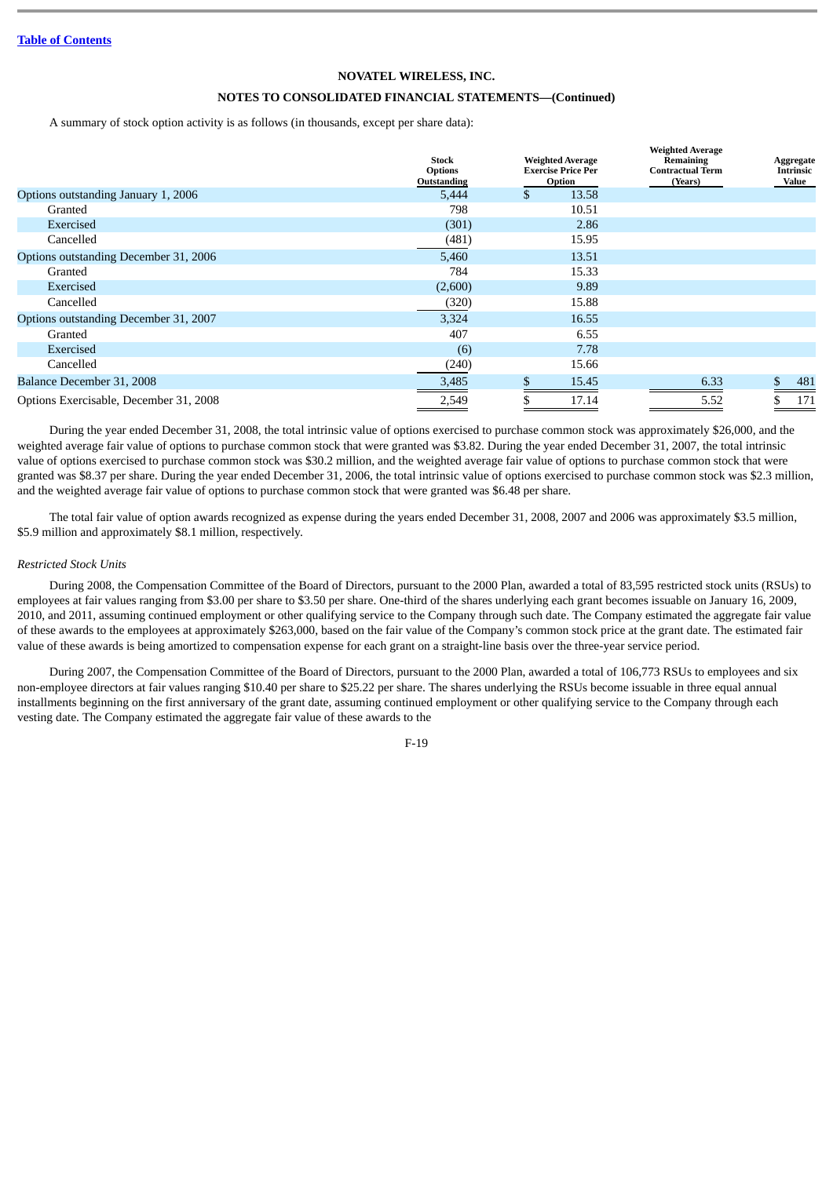## **NOTES TO CONSOLIDATED FINANCIAL STATEMENTS—(Continued)**

A summary of stock option activity is as follows (in thousands, except per share data):

|                                        | <b>Stock</b><br><b>Options</b><br>Outstanding |     | <b>Weighted Average</b><br><b>Exercise Price Per</b><br>Option | <b>Weighted Average</b><br>Remaining<br><b>Contractual Term</b><br>(Years) | Aggregate<br>Intrinsic<br>Value |
|----------------------------------------|-----------------------------------------------|-----|----------------------------------------------------------------|----------------------------------------------------------------------------|---------------------------------|
| Options outstanding January 1, 2006    | 5,444                                         |     | 13.58                                                          |                                                                            |                                 |
| Granted                                | 798                                           |     | 10.51                                                          |                                                                            |                                 |
| Exercised                              | (301)                                         |     | 2.86                                                           |                                                                            |                                 |
| Cancelled                              | (481)                                         |     | 15.95                                                          |                                                                            |                                 |
| Options outstanding December 31, 2006  | 5,460                                         |     | 13.51                                                          |                                                                            |                                 |
| Granted                                | 784                                           |     | 15.33                                                          |                                                                            |                                 |
| Exercised                              | (2,600)                                       |     | 9.89                                                           |                                                                            |                                 |
| Cancelled                              | (320)                                         |     | 15.88                                                          |                                                                            |                                 |
| Options outstanding December 31, 2007  | 3,324                                         |     | 16.55                                                          |                                                                            |                                 |
| Granted                                | 407                                           |     | 6.55                                                           |                                                                            |                                 |
| Exercised                              | (6)                                           |     | 7.78                                                           |                                                                            |                                 |
| Cancelled                              | (240)                                         |     | 15.66                                                          |                                                                            |                                 |
| Balance December 31, 2008              | 3,485                                         | \$. | 15.45                                                          | 6.33                                                                       | 481                             |
| Options Exercisable, December 31, 2008 | 2,549                                         |     | 17.14                                                          | 5.52                                                                       | 171                             |

During the year ended December 31, 2008, the total intrinsic value of options exercised to purchase common stock was approximately \$26,000, and the weighted average fair value of options to purchase common stock that were granted was \$3.82. During the year ended December 31, 2007, the total intrinsic value of options exercised to purchase common stock was \$30.2 million, and the weighted average fair value of options to purchase common stock that were granted was \$8.37 per share. During the year ended December 31, 2006, the total intrinsic value of options exercised to purchase common stock was \$2.3 million, and the weighted average fair value of options to purchase common stock that were granted was \$6.48 per share.

The total fair value of option awards recognized as expense during the years ended December 31, 2008, 2007 and 2006 was approximately \$3.5 million, \$5.9 million and approximately \$8.1 million, respectively.

## *Restricted Stock Units*

During 2008, the Compensation Committee of the Board of Directors, pursuant to the 2000 Plan, awarded a total of 83,595 restricted stock units (RSUs) to employees at fair values ranging from \$3.00 per share to \$3.50 per share. One-third of the shares underlying each grant becomes issuable on January 16, 2009, 2010, and 2011, assuming continued employment or other qualifying service to the Company through such date. The Company estimated the aggregate fair value of these awards to the employees at approximately \$263,000, based on the fair value of the Company's common stock price at the grant date. The estimated fair value of these awards is being amortized to compensation expense for each grant on a straight-line basis over the three-year service period.

During 2007, the Compensation Committee of the Board of Directors, pursuant to the 2000 Plan, awarded a total of 106,773 RSUs to employees and six non-employee directors at fair values ranging \$10.40 per share to \$25.22 per share. The shares underlying the RSUs become issuable in three equal annual installments beginning on the first anniversary of the grant date, assuming continued employment or other qualifying service to the Company through each vesting date. The Company estimated the aggregate fair value of these awards to the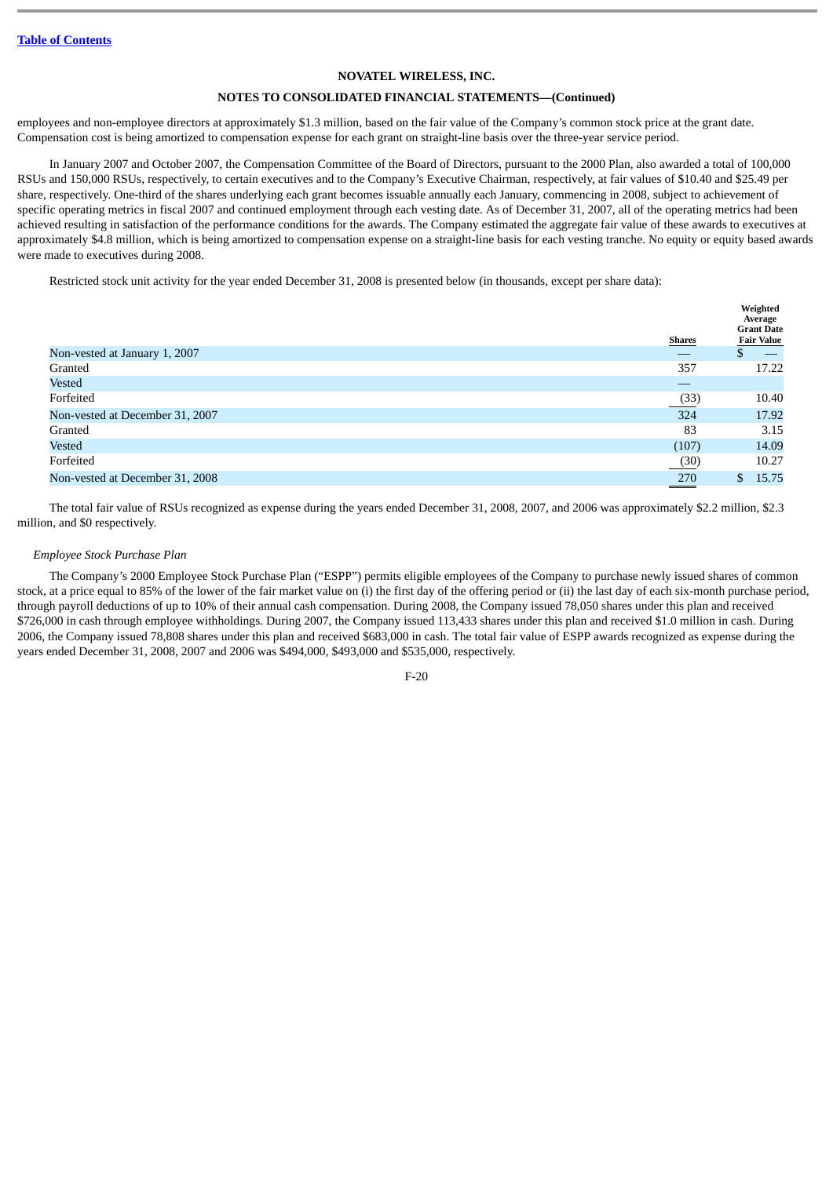## **NOTES TO CONSOLIDATED FINANCIAL STATEMENTS—(Continued)**

employees and non-employee directors at approximately \$1.3 million, based on the fair value of the Company's common stock price at the grant date. Compensation cost is being amortized to compensation expense for each grant on straight-line basis over the three-year service period.

In January 2007 and October 2007, the Compensation Committee of the Board of Directors, pursuant to the 2000 Plan, also awarded a total of 100,000 RSUs and 150,000 RSUs, respectively, to certain executives and to the Company's Executive Chairman, respectively, at fair values of \$10.40 and \$25.49 per share, respectively. One-third of the shares underlying each grant becomes issuable annually each January, commencing in 2008, subject to achievement of specific operating metrics in fiscal 2007 and continued employment through each vesting date. As of December 31, 2007, all of the operating metrics had been achieved resulting in satisfaction of the performance conditions for the awards. The Company estimated the aggregate fair value of these awards to executives at approximately \$4.8 million, which is being amortized to compensation expense on a straight-line basis for each vesting tranche. No equity or equity based awards were made to executives during 2008.

Restricted stock unit activity for the year ended December 31, 2008 is presented below (in thousands, except per share data):

|                                 | <b>Shares</b>                           | Weighted<br>Average<br><b>Grant Date</b><br><b>Fair Value</b> |
|---------------------------------|-----------------------------------------|---------------------------------------------------------------|
| Non-vested at January 1, 2007   |                                         |                                                               |
| Granted                         | 357                                     | 17.22                                                         |
| <b>Vested</b>                   | __                                      |                                                               |
| Forfeited                       | (33)                                    | 10.40                                                         |
| Non-vested at December 31, 2007 | 324                                     | 17.92                                                         |
| Granted                         | 83                                      | 3.15                                                          |
| <b>Vested</b>                   | (107)                                   | 14.09                                                         |
| Forfeited                       | (30)                                    | 10.27                                                         |
| Non-vested at December 31, 2008 | 270<br><b>Service Contract Contract</b> | 15.75<br><sup>\$</sup>                                        |

The total fair value of RSUs recognized as expense during the years ended December 31, 2008, 2007, and 2006 was approximately \$2.2 million, \$2.3 million, and \$0 respectively.

#### *Employee Stock Purchase Plan*

The Company's 2000 Employee Stock Purchase Plan ("ESPP") permits eligible employees of the Company to purchase newly issued shares of common stock, at a price equal to 85% of the lower of the fair market value on (i) the first day of the offering period or (ii) the last day of each six-month purchase period, through payroll deductions of up to 10% of their annual cash compensation. During 2008, the Company issued 78,050 shares under this plan and received \$726,000 in cash through employee withholdings. During 2007, the Company issued 113,433 shares under this plan and received \$1.0 million in cash. During 2006, the Company issued 78,808 shares under this plan and received \$683,000 in cash. The total fair value of ESPP awards recognized as expense during the years ended December 31, 2008, 2007 and 2006 was \$494,000, \$493,000 and \$535,000, respectively.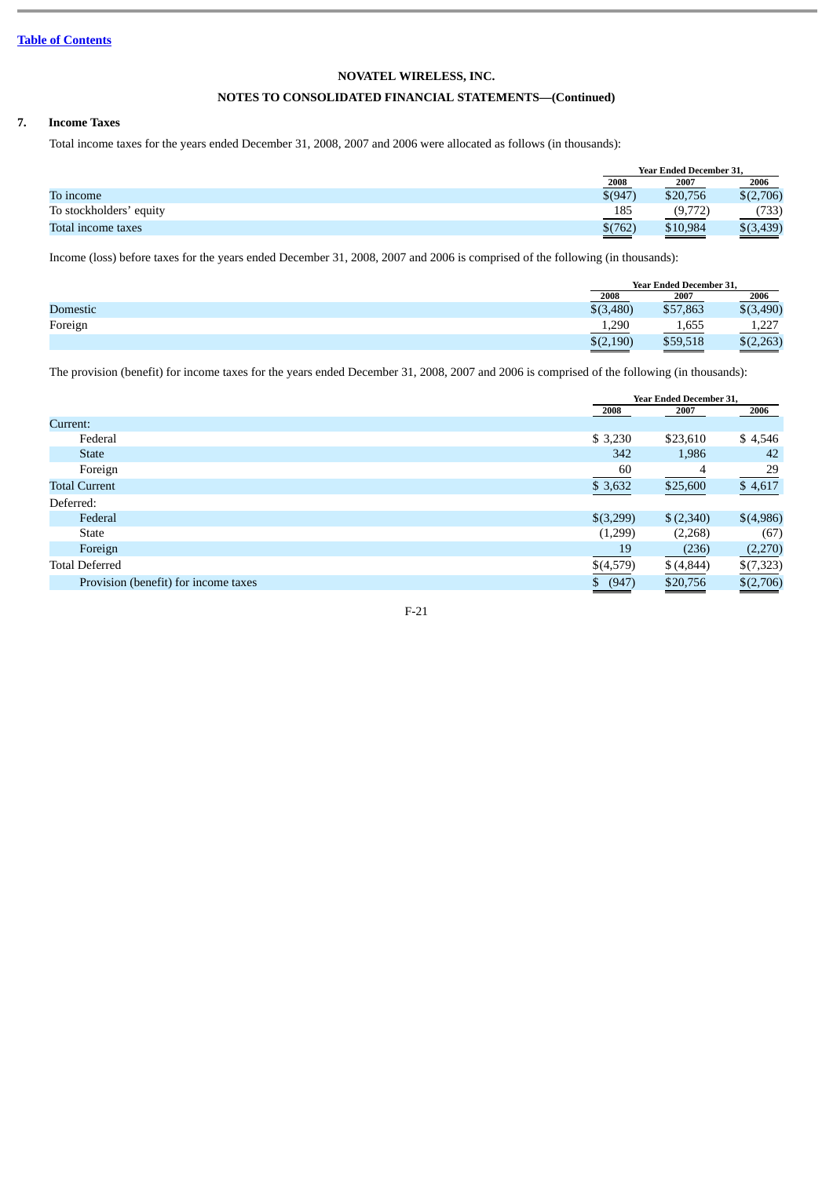## **NOTES TO CONSOLIDATED FINANCIAL STATEMENTS—(Continued)**

## **7. Income Taxes**

Total income taxes for the years ended December 31, 2008, 2007 and 2006 were allocated as follows (in thousands):

|                         |             | <b>Year Ended December 31.</b> |           |  |
|-------------------------|-------------|--------------------------------|-----------|--|
|                         | <b>2008</b> | 2007                           | 2006      |  |
| To income               | \$(947)     | \$20,756                       | \$(2,706) |  |
| To stockholders' equity | 185         | (9,772)                        | (733)     |  |
| Total income taxes      | \$(762)     | \$10,984                       | \$(3,439) |  |

Income (loss) before taxes for the years ended December 31, 2008, 2007 and 2006 is comprised of the following (in thousands):

|          |           | <b>Year Ended December 31.</b> |                 |  |
|----------|-----------|--------------------------------|-----------------|--|
|          | 2008      | <b>2007</b>                    | 2006            |  |
| Domestic | \$(3,480) | \$57,863                       | ,490)           |  |
| Foreign  | 1,290     | 1,655                          | דרר<br>، ے جو ح |  |
|          | \$(2,190) | \$59,518                       | \$(2,263)       |  |

The provision (benefit) for income taxes for the years ended December 31, 2008, 2007 and 2006 is comprised of the following (in thousands):

|                                      |           | <b>Year Ended December 31.</b> |           |  |
|--------------------------------------|-----------|--------------------------------|-----------|--|
|                                      | 2008      | 2007                           | 2006      |  |
| Current:                             |           |                                |           |  |
| Federal                              | \$3,230   | \$23,610                       | \$4,546   |  |
| <b>State</b>                         | 342       | 1,986                          | 42        |  |
| Foreign                              | 60        | 4                              | 29        |  |
| <b>Total Current</b>                 | \$3,632   | \$25,600                       | \$4,617   |  |
| Deferred:                            |           |                                |           |  |
| Federal                              | \$(3,299) | \$(2,340)                      | \$(4,986) |  |
| <b>State</b>                         | (1,299)   | (2,268)                        | (67)      |  |
| Foreign                              | 19        | (236)                          | (2,270)   |  |
| <b>Total Deferred</b>                | \$(4,579) | \$ (4,844)                     | \$(7,323) |  |
| Provision (benefit) for income taxes | \$ (947)  | \$20,756                       | \$(2,706) |  |
|                                      |           |                                |           |  |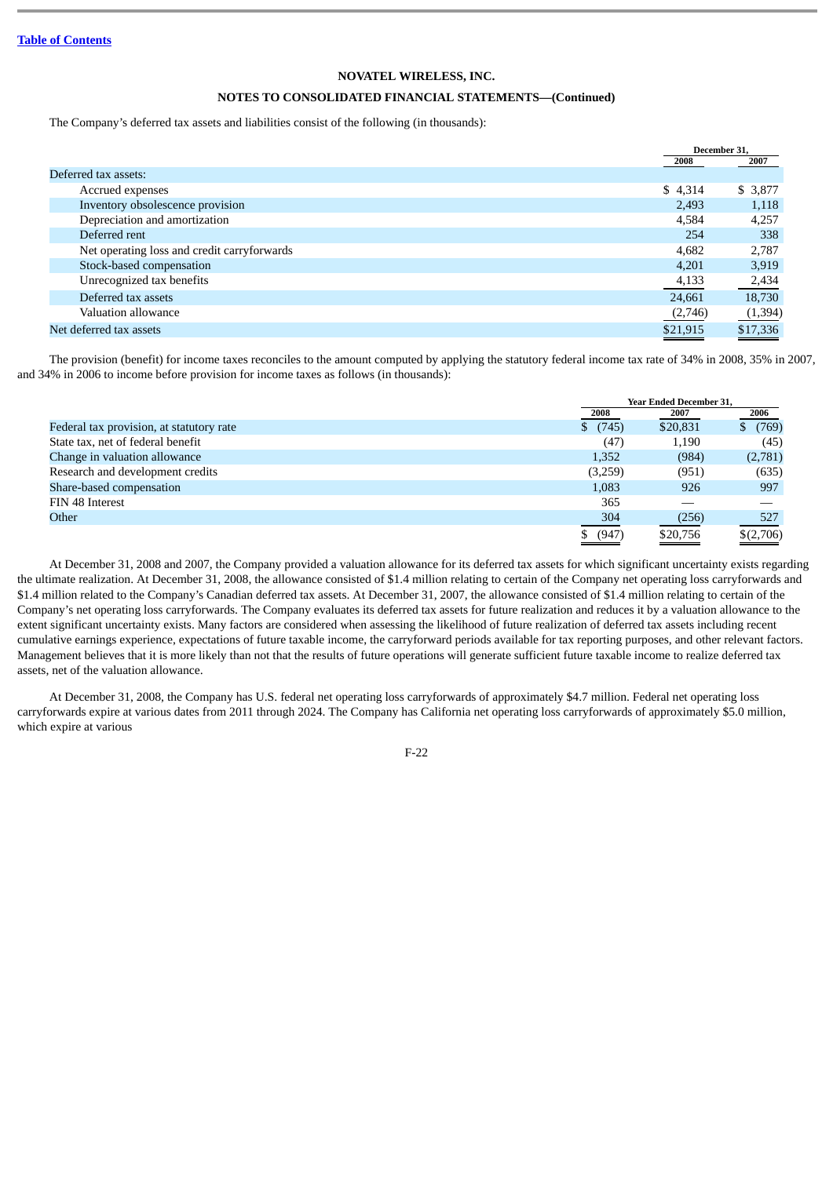## **NOTES TO CONSOLIDATED FINANCIAL STATEMENTS—(Continued)**

The Company's deferred tax assets and liabilities consist of the following (in thousands):

|                                             | December 31. |          |
|---------------------------------------------|--------------|----------|
|                                             | 2008         | 2007     |
| Deferred tax assets:                        |              |          |
| Accrued expenses                            | \$4,314      | \$ 3,877 |
| Inventory obsolescence provision            | 2,493        | 1,118    |
| Depreciation and amortization               | 4,584        | 4,257    |
| Deferred rent                               | 254          | 338      |
| Net operating loss and credit carryforwards | 4,682        | 2,787    |
| Stock-based compensation                    | 4,201        | 3,919    |
| Unrecognized tax benefits                   | 4,133        | 2,434    |
| Deferred tax assets                         | 24,661       | 18,730   |
| Valuation allowance                         | (2,746)      | (1, 394) |
| Net deferred tax assets                     | \$21.915     | \$17,336 |

The provision (benefit) for income taxes reconciles to the amount computed by applying the statutory federal income tax rate of 34% in 2008, 35% in 2007, and 34% in 2006 to income before provision for income taxes as follows (in thousands):

|                                          | <b>Year Ended December 31.</b> |          |             |
|------------------------------------------|--------------------------------|----------|-------------|
|                                          | 2008                           | 2007     | 2006        |
| Federal tax provision, at statutory rate | (745)                          | \$20,831 | (769)<br>S. |
| State tax, net of federal benefit        | (47)                           | 1,190    | (45)        |
| Change in valuation allowance            | 1,352                          | (984)    | (2,781)     |
| Research and development credits         | (3,259)                        | (951)    | (635)       |
| Share-based compensation                 | 1,083                          | 926      | 997         |
| FIN 48 Interest                          | 365                            |          |             |
| Other                                    | 304                            | (256)    | 527         |
|                                          | (947)                          | \$20,756 | \$(2,706)   |

At December 31, 2008 and 2007, the Company provided a valuation allowance for its deferred tax assets for which significant uncertainty exists regarding the ultimate realization. At December 31, 2008, the allowance consisted of \$1.4 million relating to certain of the Company net operating loss carryforwards and \$1.4 million related to the Company's Canadian deferred tax assets. At December 31, 2007, the allowance consisted of \$1.4 million relating to certain of the Company's net operating loss carryforwards. The Company evaluates its deferred tax assets for future realization and reduces it by a valuation allowance to the extent significant uncertainty exists. Many factors are considered when assessing the likelihood of future realization of deferred tax assets including recent cumulative earnings experience, expectations of future taxable income, the carryforward periods available for tax reporting purposes, and other relevant factors. Management believes that it is more likely than not that the results of future operations will generate sufficient future taxable income to realize deferred tax assets, net of the valuation allowance.

At December 31, 2008, the Company has U.S. federal net operating loss carryforwards of approximately \$4.7 million. Federal net operating loss carryforwards expire at various dates from 2011 through 2024. The Company has California net operating loss carryforwards of approximately \$5.0 million, which expire at various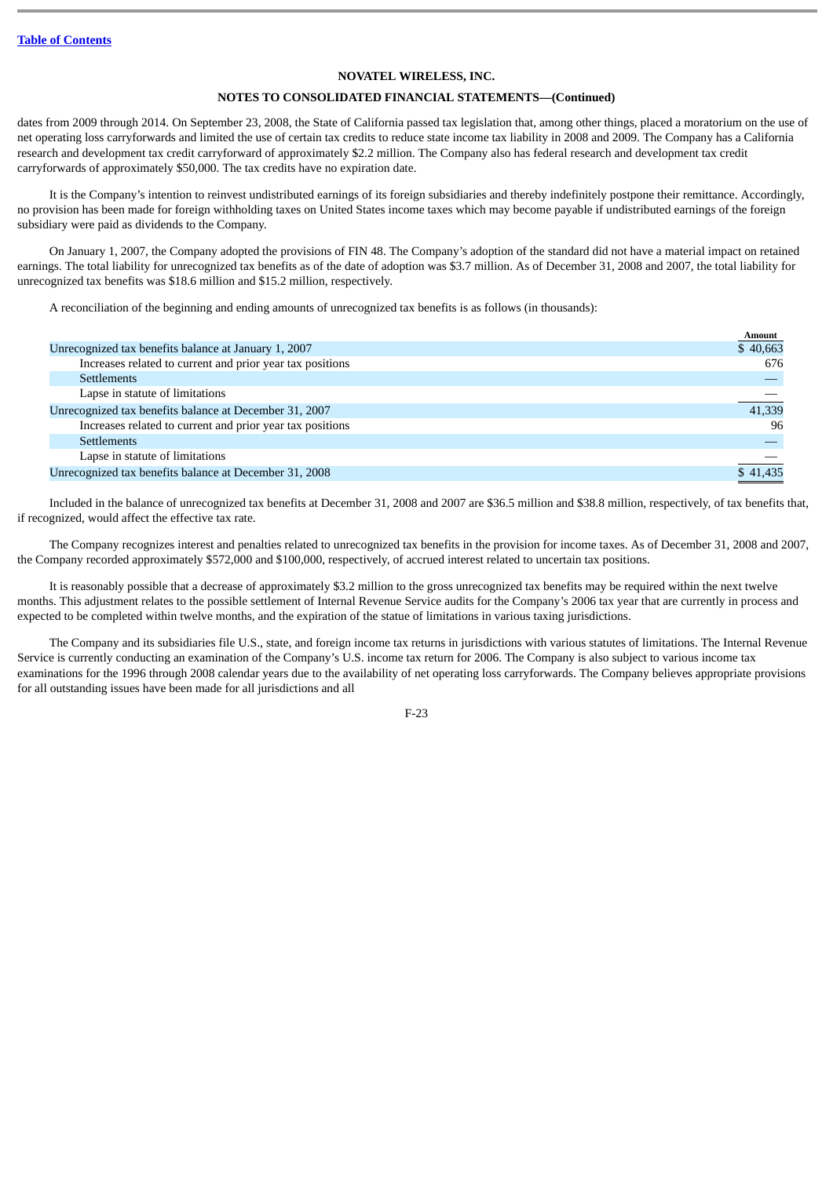### **NOTES TO CONSOLIDATED FINANCIAL STATEMENTS—(Continued)**

dates from 2009 through 2014. On September 23, 2008, the State of California passed tax legislation that, among other things, placed a moratorium on the use of net operating loss carryforwards and limited the use of certain tax credits to reduce state income tax liability in 2008 and 2009. The Company has a California research and development tax credit carryforward of approximately \$2.2 million. The Company also has federal research and development tax credit carryforwards of approximately \$50,000. The tax credits have no expiration date.

It is the Company's intention to reinvest undistributed earnings of its foreign subsidiaries and thereby indefinitely postpone their remittance. Accordingly, no provision has been made for foreign withholding taxes on United States income taxes which may become payable if undistributed earnings of the foreign subsidiary were paid as dividends to the Company.

On January 1, 2007, the Company adopted the provisions of FIN 48. The Company's adoption of the standard did not have a material impact on retained earnings. The total liability for unrecognized tax benefits as of the date of adoption was \$3.7 million. As of December 31, 2008 and 2007, the total liability for unrecognized tax benefits was \$18.6 million and \$15.2 million, respectively.

A reconciliation of the beginning and ending amounts of unrecognized tax benefits is as follows (in thousands):

|                                                           | <b>Amount</b> |
|-----------------------------------------------------------|---------------|
| Unrecognized tax benefits balance at January 1, 2007      | \$40,663      |
| Increases related to current and prior year tax positions | 676           |
| <b>Settlements</b>                                        |               |
| Lapse in statute of limitations                           |               |
| Unrecognized tax benefits balance at December 31, 2007    | 41,339        |
| Increases related to current and prior year tax positions | 96            |
| <b>Settlements</b>                                        |               |
| Lapse in statute of limitations                           |               |
| Unrecognized tax benefits balance at December 31, 2008    |               |

Included in the balance of unrecognized tax benefits at December 31, 2008 and 2007 are \$36.5 million and \$38.8 million, respectively, of tax benefits that, if recognized, would affect the effective tax rate.

The Company recognizes interest and penalties related to unrecognized tax benefits in the provision for income taxes. As of December 31, 2008 and 2007, the Company recorded approximately \$572,000 and \$100,000, respectively, of accrued interest related to uncertain tax positions.

It is reasonably possible that a decrease of approximately \$3.2 million to the gross unrecognized tax benefits may be required within the next twelve months. This adjustment relates to the possible settlement of Internal Revenue Service audits for the Company's 2006 tax year that are currently in process and expected to be completed within twelve months, and the expiration of the statue of limitations in various taxing jurisdictions.

The Company and its subsidiaries file U.S., state, and foreign income tax returns in jurisdictions with various statutes of limitations. The Internal Revenue Service is currently conducting an examination of the Company's U.S. income tax return for 2006. The Company is also subject to various income tax examinations for the 1996 through 2008 calendar years due to the availability of net operating loss carryforwards. The Company believes appropriate provisions for all outstanding issues have been made for all jurisdictions and all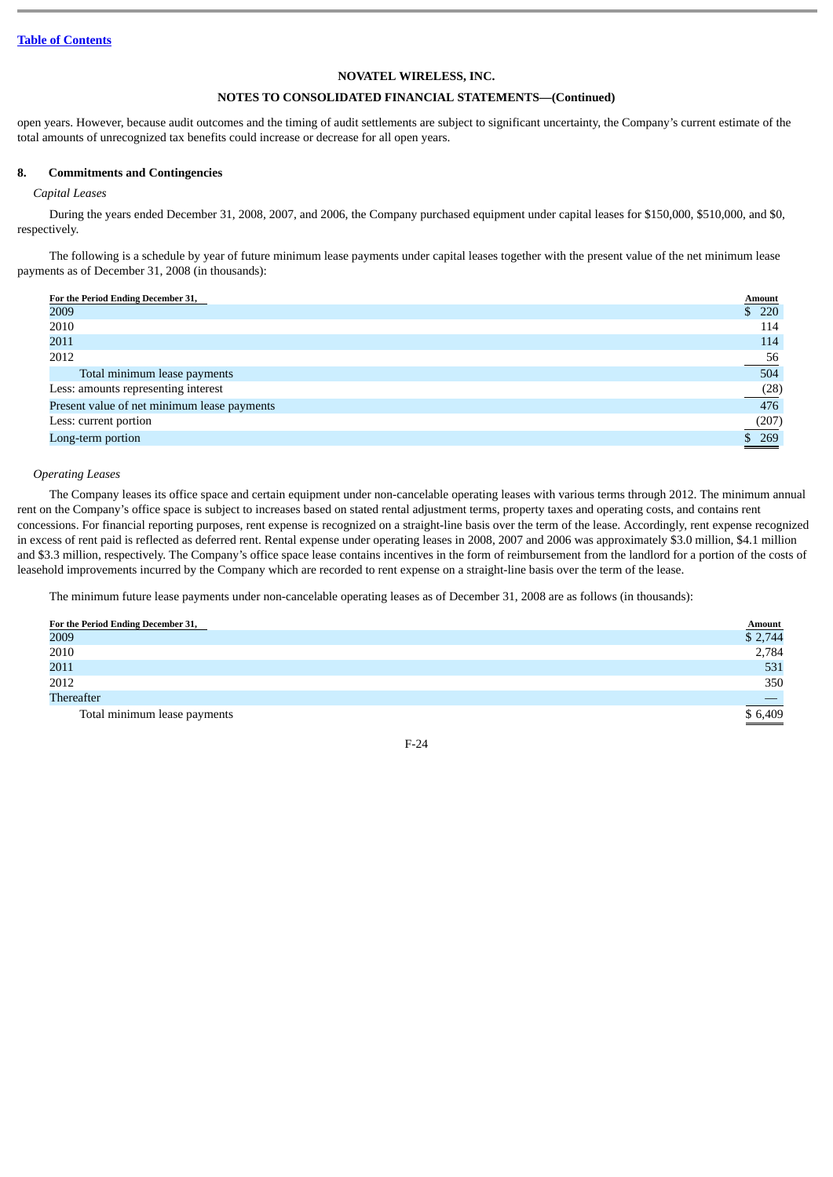### **NOTES TO CONSOLIDATED FINANCIAL STATEMENTS—(Continued)**

open years. However, because audit outcomes and the timing of audit settlements are subject to significant uncertainty, the Company's current estimate of the total amounts of unrecognized tax benefits could increase or decrease for all open years.

#### **8. Commitments and Contingencies**

## *Capital Leases*

During the years ended December 31, 2008, 2007, and 2006, the Company purchased equipment under capital leases for \$150,000, \$510,000, and \$0, respectively.

The following is a schedule by year of future minimum lease payments under capital leases together with the present value of the net minimum lease payments as of December 31, 2008 (in thousands):

| For the Period Ending December 31,          | Amount          |
|---------------------------------------------|-----------------|
| 2009                                        | \$220           |
| 2010                                        | 114             |
| 2011                                        | 114             |
| 2012                                        | 56              |
| Total minimum lease payments                | 504             |
| Less: amounts representing interest         | (28)            |
| Present value of net minimum lease payments | 476             |
| Less: current portion                       | (207)           |
| Long-term portion                           | $\frac{$269}{}$ |
|                                             |                 |

#### *Operating Leases*

The Company leases its office space and certain equipment under non-cancelable operating leases with various terms through 2012. The minimum annual rent on the Company's office space is subject to increases based on stated rental adjustment terms, property taxes and operating costs, and contains rent concessions. For financial reporting purposes, rent expense is recognized on a straight-line basis over the term of the lease. Accordingly, rent expense recognized in excess of rent paid is reflected as deferred rent. Rental expense under operating leases in 2008, 2007 and 2006 was approximately \$3.0 million, \$4.1 million and \$3.3 million, respectively. The Company's office space lease contains incentives in the form of reimbursement from the landlord for a portion of the costs of leasehold improvements incurred by the Company which are recorded to rent expense on a straight-line basis over the term of the lease.

The minimum future lease payments under non-cancelable operating leases as of December 31, 2008 are as follows (in thousands):

| For the Period Ending December 31, |                                 |
|------------------------------------|---------------------------------|
| 2009                               | $\frac{\text{Amount}}{\$2,744}$ |
| 2010                               | 2,784                           |
| 2011                               | 531                             |
| 2012                               | 350                             |
| Thereafter                         |                                 |
| Total minimum lease payments       | $\frac{1}{$6,409}$              |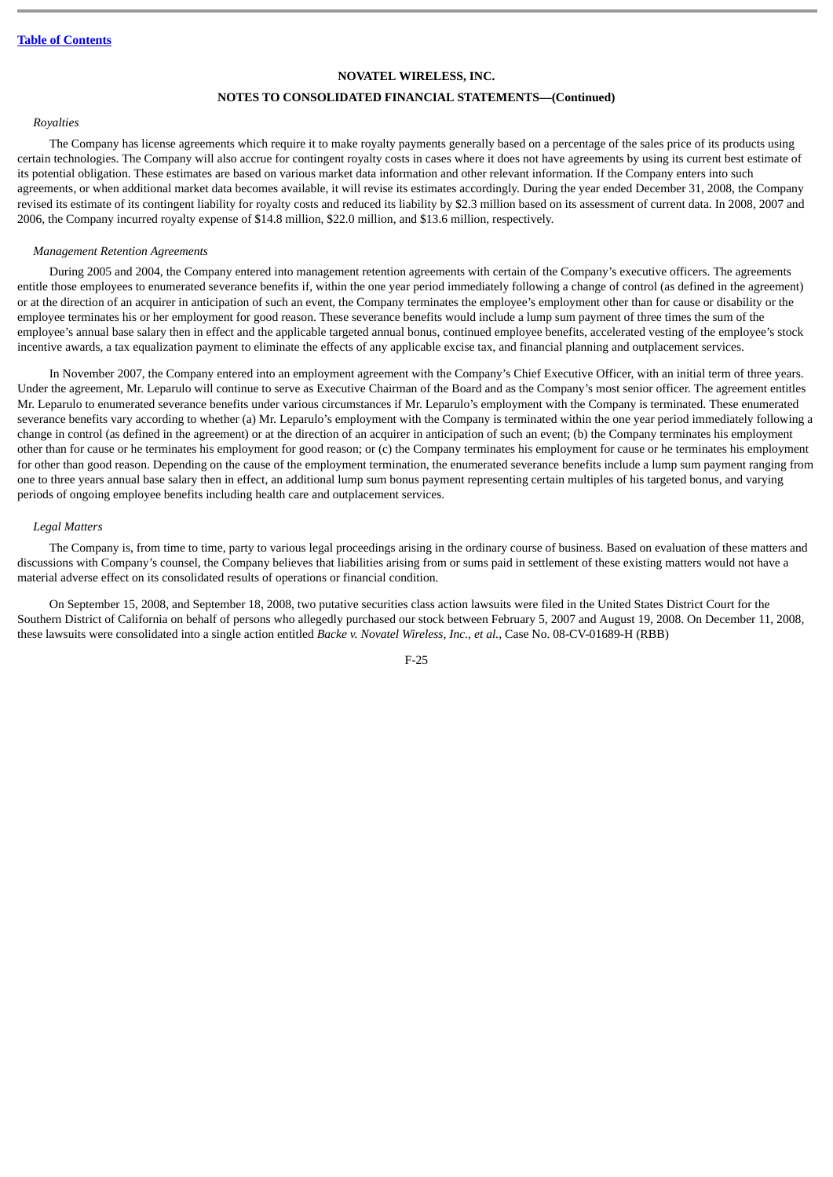## **NOTES TO CONSOLIDATED FINANCIAL STATEMENTS—(Continued)**

### *Royalties*

The Company has license agreements which require it to make royalty payments generally based on a percentage of the sales price of its products using certain technologies. The Company will also accrue for contingent royalty costs in cases where it does not have agreements by using its current best estimate of its potential obligation. These estimates are based on various market data information and other relevant information. If the Company enters into such agreements, or when additional market data becomes available, it will revise its estimates accordingly. During the year ended December 31, 2008, the Company revised its estimate of its contingent liability for royalty costs and reduced its liability by \$2.3 million based on its assessment of current data. In 2008, 2007 and 2006, the Company incurred royalty expense of \$14.8 million, \$22.0 million, and \$13.6 million, respectively.

#### *Management Retention Agreements*

During 2005 and 2004, the Company entered into management retention agreements with certain of the Company's executive officers. The agreements entitle those employees to enumerated severance benefits if, within the one year period immediately following a change of control (as defined in the agreement) or at the direction of an acquirer in anticipation of such an event, the Company terminates the employee's employment other than for cause or disability or the employee terminates his or her employment for good reason. These severance benefits would include a lump sum payment of three times the sum of the employee's annual base salary then in effect and the applicable targeted annual bonus, continued employee benefits, accelerated vesting of the employee's stock incentive awards, a tax equalization payment to eliminate the effects of any applicable excise tax, and financial planning and outplacement services.

In November 2007, the Company entered into an employment agreement with the Company's Chief Executive Officer, with an initial term of three years. Under the agreement, Mr. Leparulo will continue to serve as Executive Chairman of the Board and as the Company's most senior officer. The agreement entitles Mr. Leparulo to enumerated severance benefits under various circumstances if Mr. Leparulo's employment with the Company is terminated. These enumerated severance benefits vary according to whether (a) Mr. Leparulo's employment with the Company is terminated within the one year period immediately following a change in control (as defined in the agreement) or at the direction of an acquirer in anticipation of such an event; (b) the Company terminates his employment other than for cause or he terminates his employment for good reason; or (c) the Company terminates his employment for cause or he terminates his employment for other than good reason. Depending on the cause of the employment termination, the enumerated severance benefits include a lump sum payment ranging from one to three years annual base salary then in effect, an additional lump sum bonus payment representing certain multiples of his targeted bonus, and varying periods of ongoing employee benefits including health care and outplacement services.

#### *Legal Matters*

The Company is, from time to time, party to various legal proceedings arising in the ordinary course of business. Based on evaluation of these matters and discussions with Company's counsel, the Company believes that liabilities arising from or sums paid in settlement of these existing matters would not have a material adverse effect on its consolidated results of operations or financial condition.

On September 15, 2008, and September 18, 2008, two putative securities class action lawsuits were filed in the United States District Court for the Southern District of California on behalf of persons who allegedly purchased our stock between February 5, 2007 and August 19, 2008. On December 11, 2008, these lawsuits were consolidated into a single action entitled *Backe v. Novatel Wireless, Inc., et al.*, Case No. 08-CV-01689-H (RBB)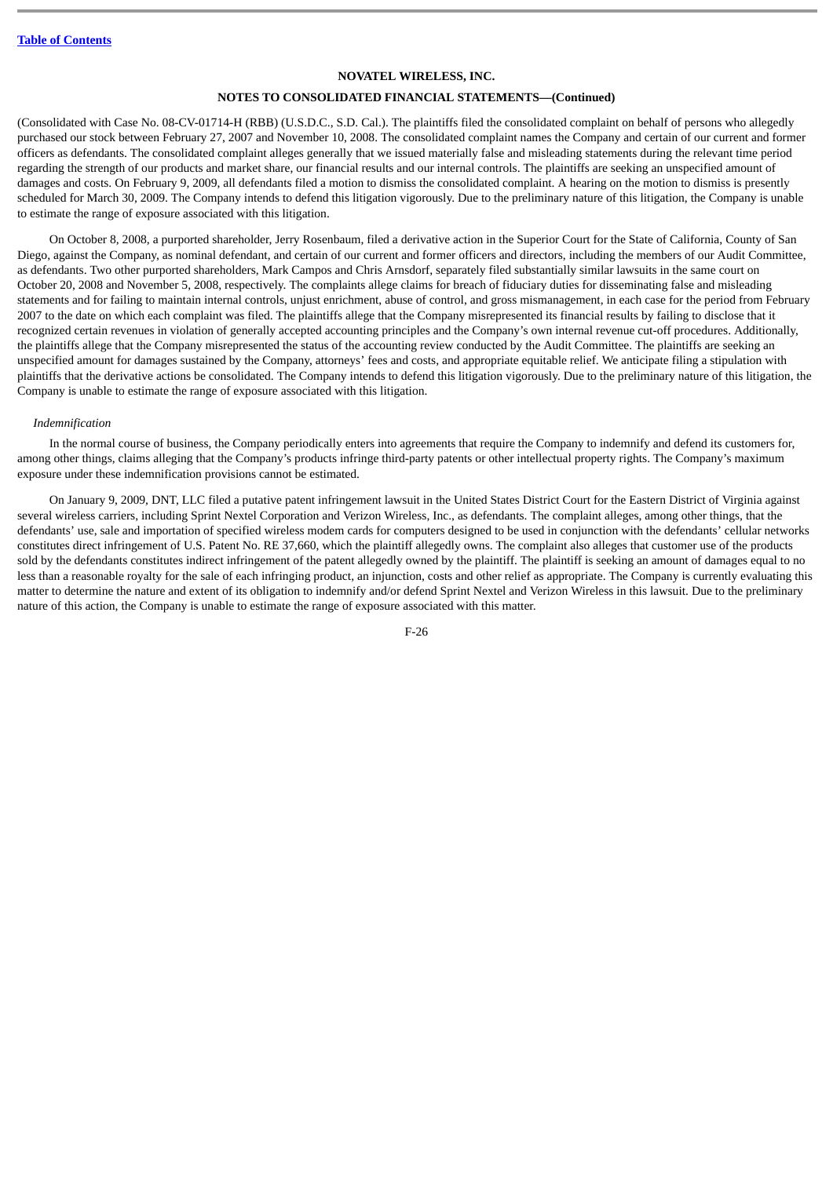### **NOTES TO CONSOLIDATED FINANCIAL STATEMENTS—(Continued)**

(Consolidated with Case No. 08-CV-01714-H (RBB) (U.S.D.C., S.D. Cal.). The plaintiffs filed the consolidated complaint on behalf of persons who allegedly purchased our stock between February 27, 2007 and November 10, 2008. The consolidated complaint names the Company and certain of our current and former officers as defendants. The consolidated complaint alleges generally that we issued materially false and misleading statements during the relevant time period regarding the strength of our products and market share, our financial results and our internal controls. The plaintiffs are seeking an unspecified amount of damages and costs. On February 9, 2009, all defendants filed a motion to dismiss the consolidated complaint. A hearing on the motion to dismiss is presently scheduled for March 30, 2009. The Company intends to defend this litigation vigorously. Due to the preliminary nature of this litigation, the Company is unable to estimate the range of exposure associated with this litigation.

On October 8, 2008, a purported shareholder, Jerry Rosenbaum, filed a derivative action in the Superior Court for the State of California, County of San Diego, against the Company, as nominal defendant, and certain of our current and former officers and directors, including the members of our Audit Committee, as defendants. Two other purported shareholders, Mark Campos and Chris Arnsdorf, separately filed substantially similar lawsuits in the same court on October 20, 2008 and November 5, 2008, respectively. The complaints allege claims for breach of fiduciary duties for disseminating false and misleading statements and for failing to maintain internal controls, unjust enrichment, abuse of control, and gross mismanagement, in each case for the period from February 2007 to the date on which each complaint was filed. The plaintiffs allege that the Company misrepresented its financial results by failing to disclose that it recognized certain revenues in violation of generally accepted accounting principles and the Company's own internal revenue cut-off procedures. Additionally, the plaintiffs allege that the Company misrepresented the status of the accounting review conducted by the Audit Committee. The plaintiffs are seeking an unspecified amount for damages sustained by the Company, attorneys' fees and costs, and appropriate equitable relief. We anticipate filing a stipulation with plaintiffs that the derivative actions be consolidated. The Company intends to defend this litigation vigorously. Due to the preliminary nature of this litigation, the Company is unable to estimate the range of exposure associated with this litigation.

#### *Indemnification*

In the normal course of business, the Company periodically enters into agreements that require the Company to indemnify and defend its customers for, among other things, claims alleging that the Company's products infringe third-party patents or other intellectual property rights. The Company's maximum exposure under these indemnification provisions cannot be estimated.

On January 9, 2009, DNT, LLC filed a putative patent infringement lawsuit in the United States District Court for the Eastern District of Virginia against several wireless carriers, including Sprint Nextel Corporation and Verizon Wireless, Inc., as defendants. The complaint alleges, among other things, that the defendants' use, sale and importation of specified wireless modem cards for computers designed to be used in conjunction with the defendants' cellular networks constitutes direct infringement of U.S. Patent No. RE 37,660, which the plaintiff allegedly owns. The complaint also alleges that customer use of the products sold by the defendants constitutes indirect infringement of the patent allegedly owned by the plaintiff. The plaintiff is seeking an amount of damages equal to no less than a reasonable royalty for the sale of each infringing product, an injunction, costs and other relief as appropriate. The Company is currently evaluating this matter to determine the nature and extent of its obligation to indemnify and/or defend Sprint Nextel and Verizon Wireless in this lawsuit. Due to the preliminary nature of this action, the Company is unable to estimate the range of exposure associated with this matter.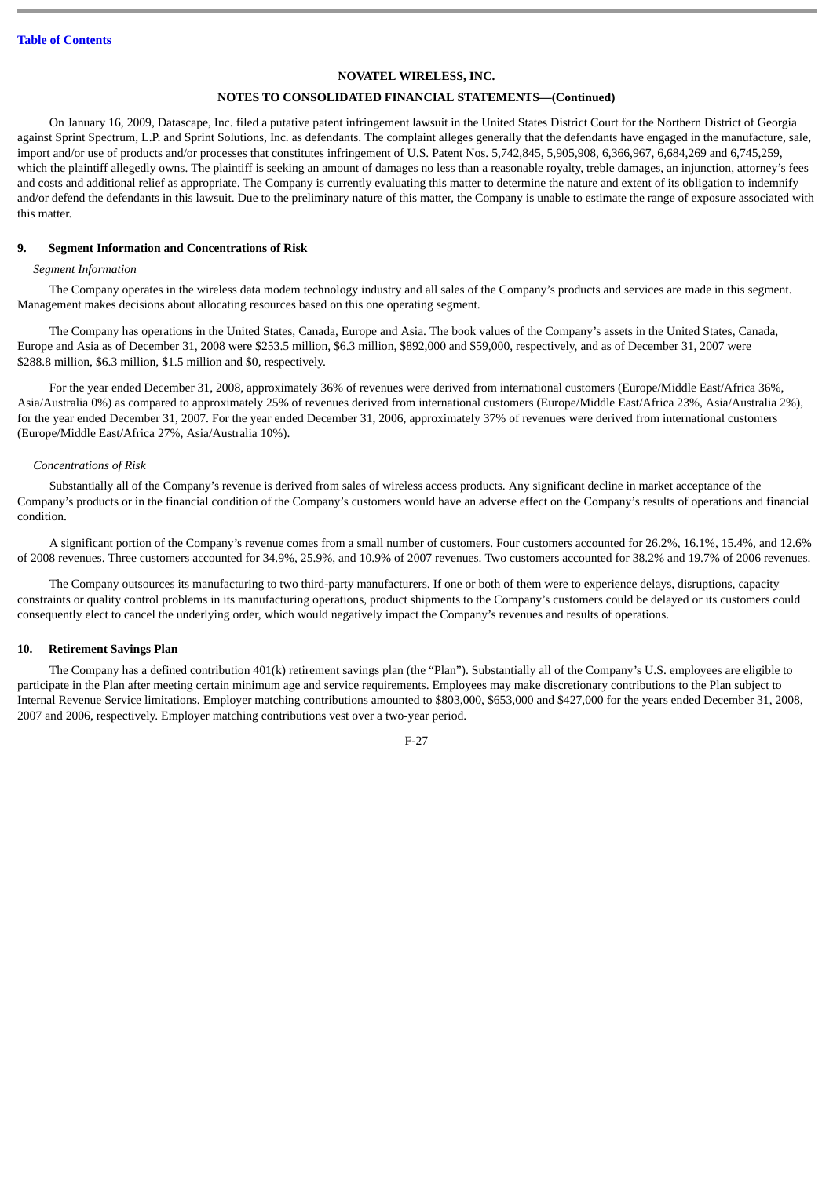## **NOTES TO CONSOLIDATED FINANCIAL STATEMENTS—(Continued)**

On January 16, 2009, Datascape, Inc. filed a putative patent infringement lawsuit in the United States District Court for the Northern District of Georgia against Sprint Spectrum, L.P. and Sprint Solutions, Inc. as defendants. The complaint alleges generally that the defendants have engaged in the manufacture, sale, import and/or use of products and/or processes that constitutes infringement of U.S. Patent Nos. 5,742,845, 5,905,908, 6,366,967, 6,684,269 and 6,745,259, which the plaintiff allegedly owns. The plaintiff is seeking an amount of damages no less than a reasonable royalty, treble damages, an injunction, attorney's fees and costs and additional relief as appropriate. The Company is currently evaluating this matter to determine the nature and extent of its obligation to indemnify and/or defend the defendants in this lawsuit. Due to the preliminary nature of this matter, the Company is unable to estimate the range of exposure associated with this matter.

#### **9. Segment Information and Concentrations of Risk**

#### *Segment Information*

The Company operates in the wireless data modem technology industry and all sales of the Company's products and services are made in this segment. Management makes decisions about allocating resources based on this one operating segment.

The Company has operations in the United States, Canada, Europe and Asia. The book values of the Company's assets in the United States, Canada, Europe and Asia as of December 31, 2008 were \$253.5 million, \$6.3 million, \$892,000 and \$59,000, respectively, and as of December 31, 2007 were \$288.8 million, \$6.3 million, \$1.5 million and \$0, respectively.

For the year ended December 31, 2008, approximately 36% of revenues were derived from international customers (Europe/Middle East/Africa 36%, Asia/Australia 0%) as compared to approximately 25% of revenues derived from international customers (Europe/Middle East/Africa 23%, Asia/Australia 2%), for the year ended December 31, 2007. For the year ended December 31, 2006, approximately 37% of revenues were derived from international customers (Europe/Middle East/Africa 27%, Asia/Australia 10%).

#### *Concentrations of Risk*

Substantially all of the Company's revenue is derived from sales of wireless access products. Any significant decline in market acceptance of the Company's products or in the financial condition of the Company's customers would have an adverse effect on the Company's results of operations and financial condition.

A significant portion of the Company's revenue comes from a small number of customers. Four customers accounted for 26.2%, 16.1%, 15.4%, and 12.6% of 2008 revenues. Three customers accounted for 34.9%, 25.9%, and 10.9% of 2007 revenues. Two customers accounted for 38.2% and 19.7% of 2006 revenues.

The Company outsources its manufacturing to two third-party manufacturers. If one or both of them were to experience delays, disruptions, capacity constraints or quality control problems in its manufacturing operations, product shipments to the Company's customers could be delayed or its customers could consequently elect to cancel the underlying order, which would negatively impact the Company's revenues and results of operations.

#### **10. Retirement Savings Plan**

The Company has a defined contribution 401(k) retirement savings plan (the "Plan"). Substantially all of the Company's U.S. employees are eligible to participate in the Plan after meeting certain minimum age and service requirements. Employees may make discretionary contributions to the Plan subject to Internal Revenue Service limitations. Employer matching contributions amounted to \$803,000, \$653,000 and \$427,000 for the years ended December 31, 2008, 2007 and 2006, respectively. Employer matching contributions vest over a two-year period.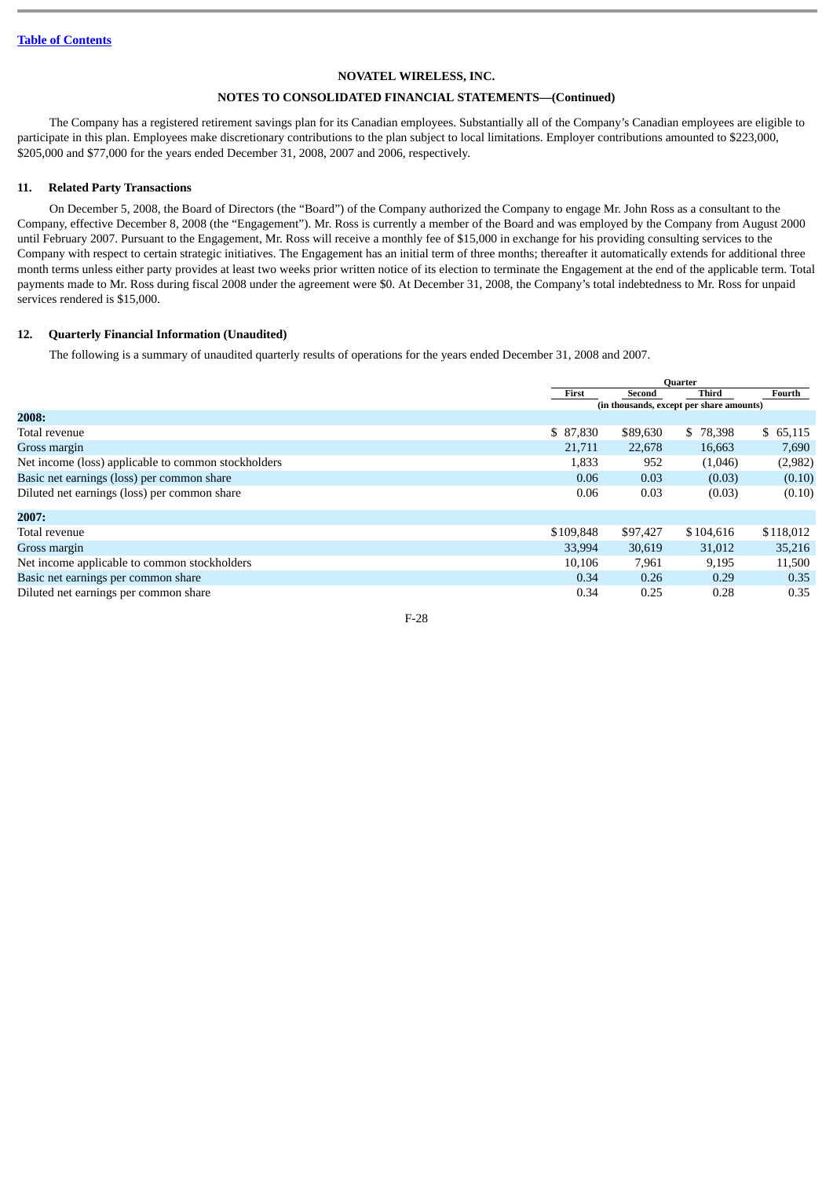## **NOTES TO CONSOLIDATED FINANCIAL STATEMENTS—(Continued)**

The Company has a registered retirement savings plan for its Canadian employees. Substantially all of the Company's Canadian employees are eligible to participate in this plan. Employees make discretionary contributions to the plan subject to local limitations. Employer contributions amounted to \$223,000, \$205,000 and \$77,000 for the years ended December 31, 2008, 2007 and 2006, respectively.

## **11. Related Party Transactions**

On December 5, 2008, the Board of Directors (the "Board") of the Company authorized the Company to engage Mr. John Ross as a consultant to the Company, effective December 8, 2008 (the "Engagement"). Mr. Ross is currently a member of the Board and was employed by the Company from August 2000 until February 2007. Pursuant to the Engagement, Mr. Ross will receive a monthly fee of \$15,000 in exchange for his providing consulting services to the Company with respect to certain strategic initiatives. The Engagement has an initial term of three months; thereafter it automatically extends for additional three month terms unless either party provides at least two weeks prior written notice of its election to terminate the Engagement at the end of the applicable term. Total payments made to Mr. Ross during fiscal 2008 under the agreement were \$0. At December 31, 2008, the Company's total indebtedness to Mr. Ross for unpaid services rendered is \$15,000.

## **12. Quarterly Financial Information (Unaudited)**

The following is a summary of unaudited quarterly results of operations for the years ended December 31, 2008 and 2007.

|                                                     | Quarter   |          |                                          |           |
|-----------------------------------------------------|-----------|----------|------------------------------------------|-----------|
|                                                     | First     | Second   | <b>Third</b>                             | Fourth    |
|                                                     |           |          | (in thousands, except per share amounts) |           |
| 2008:                                               |           |          |                                          |           |
| Total revenue                                       | \$87,830  | \$89,630 | \$78,398                                 | \$65,115  |
| Gross margin                                        | 21,711    | 22,678   | 16,663                                   | 7,690     |
| Net income (loss) applicable to common stockholders | 1,833     | 952      | (1,046)                                  | (2,982)   |
| Basic net earnings (loss) per common share          | 0.06      | 0.03     | (0.03)                                   | (0.10)    |
| Diluted net earnings (loss) per common share        | 0.06      | 0.03     | (0.03)                                   | (0.10)    |
| 2007:                                               |           |          |                                          |           |
| Total revenue                                       | \$109,848 | \$97,427 | \$104,616                                | \$118,012 |
| Gross margin                                        | 33.994    | 30.619   | 31,012                                   | 35,216    |
| Net income applicable to common stockholders        | 10.106    | 7,961    | 9,195                                    | 11,500    |
| Basic net earnings per common share                 | 0.34      | 0.26     | 0.29                                     | 0.35      |
| Diluted net earnings per common share               | 0.34      | 0.25     | 0.28                                     | 0.35      |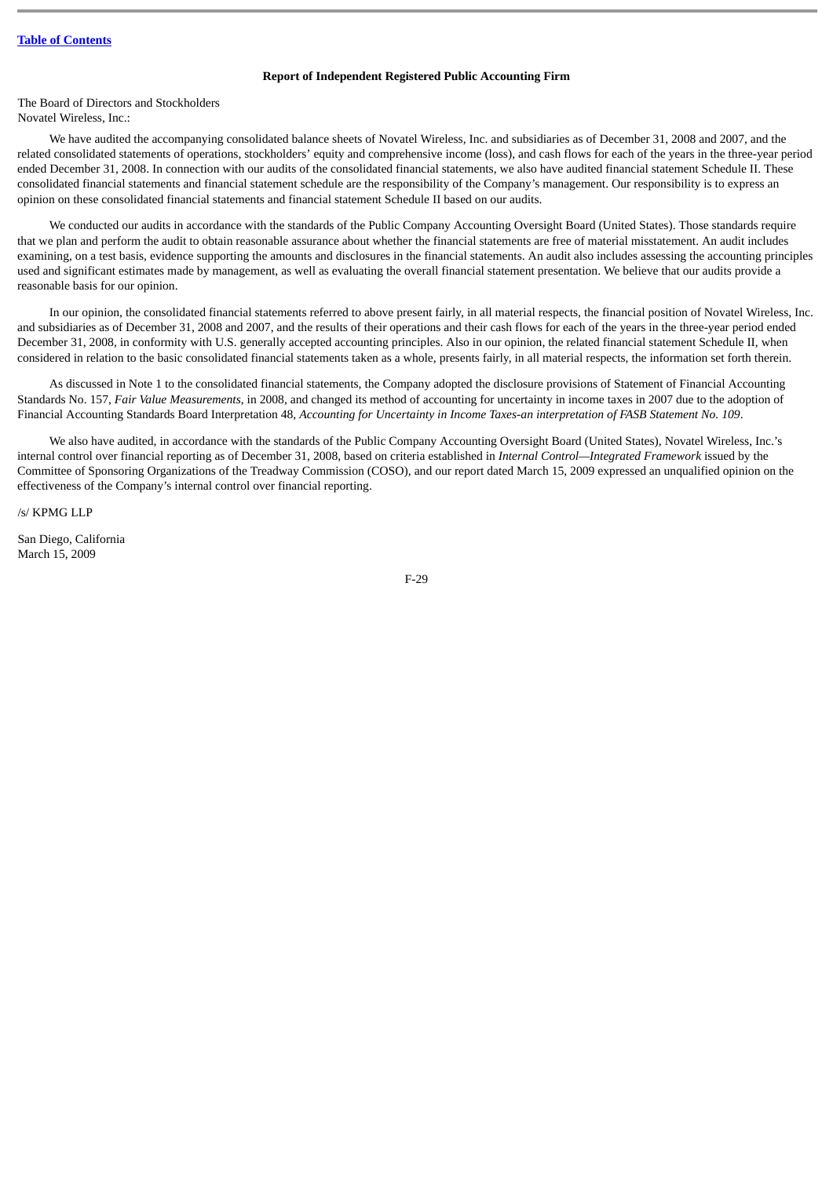#### **Report of Independent Registered Public Accounting Firm**

The Board of Directors and Stockholders Novatel Wireless, Inc.:

We have audited the accompanying consolidated balance sheets of Novatel Wireless, Inc. and subsidiaries as of December 31, 2008 and 2007, and the related consolidated statements of operations, stockholders' equity and comprehensive income (loss), and cash flows for each of the years in the three-year period ended December 31, 2008. In connection with our audits of the consolidated financial statements, we also have audited financial statement Schedule II. These consolidated financial statements and financial statement schedule are the responsibility of the Company's management. Our responsibility is to express an opinion on these consolidated financial statements and financial statement Schedule II based on our audits.

We conducted our audits in accordance with the standards of the Public Company Accounting Oversight Board (United States). Those standards require that we plan and perform the audit to obtain reasonable assurance about whether the financial statements are free of material misstatement. An audit includes examining, on a test basis, evidence supporting the amounts and disclosures in the financial statements. An audit also includes assessing the accounting principles used and significant estimates made by management, as well as evaluating the overall financial statement presentation. We believe that our audits provide a reasonable basis for our opinion.

In our opinion, the consolidated financial statements referred to above present fairly, in all material respects, the financial position of Novatel Wireless, Inc. and subsidiaries as of December 31, 2008 and 2007, and the results of their operations and their cash flows for each of the years in the three-year period ended December 31, 2008, in conformity with U.S. generally accepted accounting principles. Also in our opinion, the related financial statement Schedule II, when considered in relation to the basic consolidated financial statements taken as a whole, presents fairly, in all material respects, the information set forth therein.

As discussed in Note 1 to the consolidated financial statements, the Company adopted the disclosure provisions of Statement of Financial Accounting Standards No. 157, *Fair Value Measurements*, in 2008, and changed its method of accounting for uncertainty in income taxes in 2007 due to the adoption of Financial Accounting Standards Board Interpretation 48, *Accounting for Uncertainty in Income Taxes-an interpretation of FASB Statement No. 109*.

We also have audited, in accordance with the standards of the Public Company Accounting Oversight Board (United States), Novatel Wireless, Inc.'s internal control over financial reporting as of December 31, 2008, based on criteria established in *Internal Control—Integrated Framework* issued by the Committee of Sponsoring Organizations of the Treadway Commission (COSO), and our report dated March 15, 2009 expressed an unqualified opinion on the effectiveness of the Company's internal control over financial reporting.

/s/ KPMG LLP

San Diego, California March 15, 2009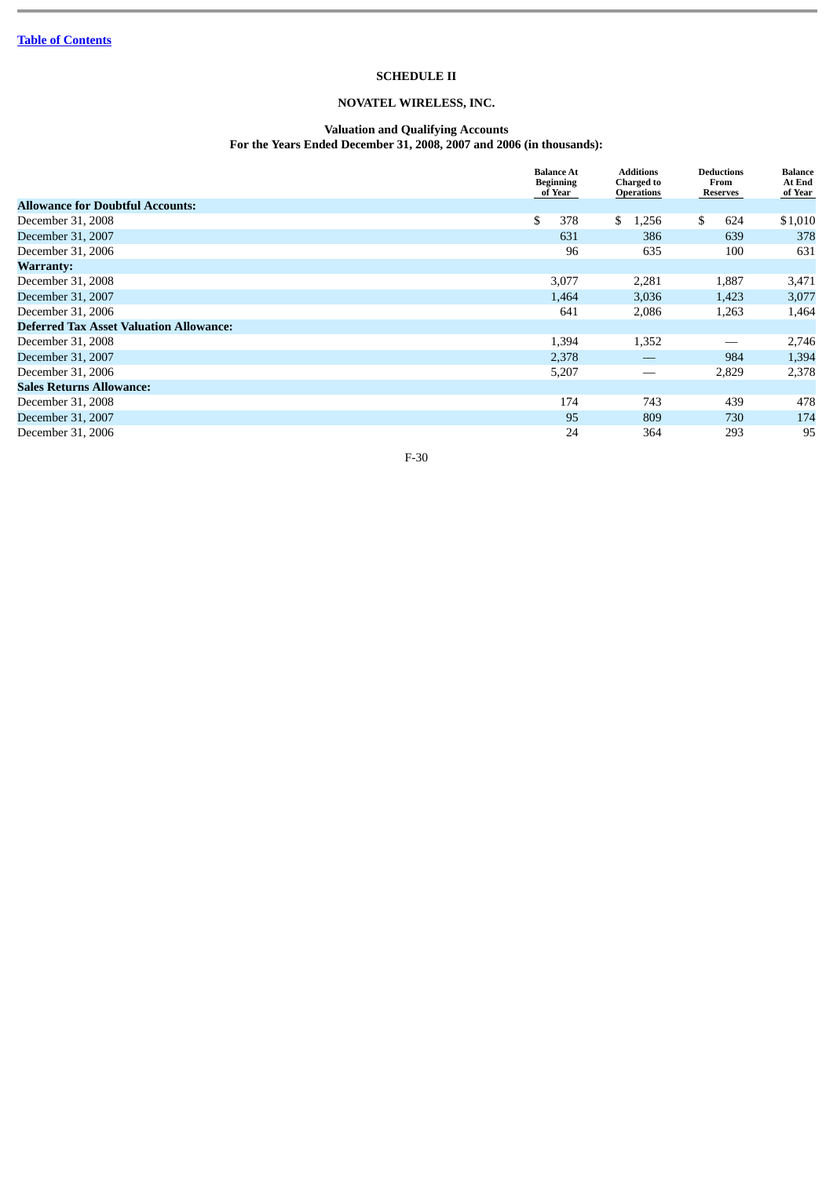# **SCHEDULE II**

# **NOVATEL WIRELESS, INC.**

#### **Valuation and Qualifying Accounts For the Years Ended December 31, 2008, 2007 and 2006 (in thousands):**

|                                                | <b>Balance At</b><br><b>Beginning</b><br>of Year | Additions<br><b>Charged to</b><br><b>Operations</b> | <b>Deductions</b><br>From<br><b>Reserves</b> | <b>Balance</b><br>At End<br>of Year |
|------------------------------------------------|--------------------------------------------------|-----------------------------------------------------|----------------------------------------------|-------------------------------------|
| <b>Allowance for Doubtful Accounts:</b>        |                                                  |                                                     |                                              |                                     |
| December 31, 2008                              | \$<br>378                                        | \$<br>1,256                                         | \$<br>624                                    | \$1,010                             |
| December 31, 2007                              | 631                                              | 386                                                 | 639                                          | 378                                 |
| December 31, 2006                              | 96                                               | 635                                                 | 100                                          | 631                                 |
| <b>Warranty:</b>                               |                                                  |                                                     |                                              |                                     |
| December 31, 2008                              | 3,077                                            | 2,281                                               | 1,887                                        | 3,471                               |
| December 31, 2007                              | 1,464                                            | 3,036                                               | 1,423                                        | 3,077                               |
| December 31, 2006                              | 641                                              | 2,086                                               | 1,263                                        | 1,464                               |
| <b>Deferred Tax Asset Valuation Allowance:</b> |                                                  |                                                     |                                              |                                     |
| December 31, 2008                              | 1,394                                            | 1,352                                               |                                              | 2,746                               |
| December 31, 2007                              | 2,378                                            |                                                     | 984                                          | 1,394                               |
| December 31, 2006                              | 5,207                                            |                                                     | 2,829                                        | 2,378                               |
| <b>Sales Returns Allowance:</b>                |                                                  |                                                     |                                              |                                     |
| December 31, 2008                              | 174                                              | 743                                                 | 439                                          | 478                                 |
| December 31, 2007                              | 95                                               | 809                                                 | 730                                          | 174                                 |
| December 31, 2006                              | 24                                               | 364                                                 | 293                                          | 95                                  |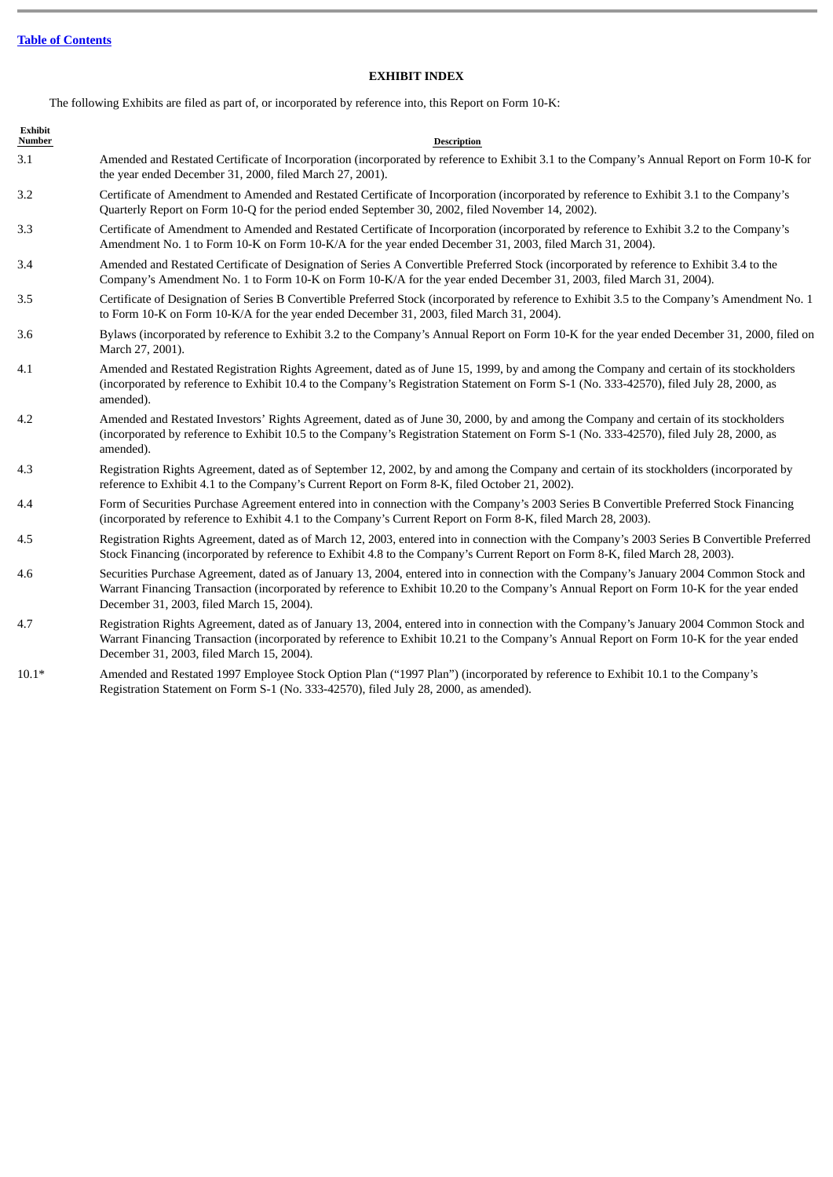# **EXHIBIT INDEX**

The following Exhibits are filed as part of, or incorporated by reference into, this Report on Form 10-K:

| Exhibit<br>Number | <b>Description</b>                                                                                                                                                                                                                                                                                                                |
|-------------------|-----------------------------------------------------------------------------------------------------------------------------------------------------------------------------------------------------------------------------------------------------------------------------------------------------------------------------------|
| 3.1               | Amended and Restated Certificate of Incorporation (incorporated by reference to Exhibit 3.1 to the Company's Annual Report on Form 10-K for<br>the year ended December 31, 2000, filed March 27, 2001).                                                                                                                           |
| 3.2               | Certificate of Amendment to Amended and Restated Certificate of Incorporation (incorporated by reference to Exhibit 3.1 to the Company's<br>Quarterly Report on Form 10-Q for the period ended September 30, 2002, filed November 14, 2002).                                                                                      |
| 3.3               | Certificate of Amendment to Amended and Restated Certificate of Incorporation (incorporated by reference to Exhibit 3.2 to the Company's<br>Amendment No. 1 to Form 10-K on Form 10-K/A for the year ended December 31, 2003, filed March 31, 2004).                                                                              |
| 3.4               | Amended and Restated Certificate of Designation of Series A Convertible Preferred Stock (incorporated by reference to Exhibit 3.4 to the<br>Company's Amendment No. 1 to Form 10-K on Form 10-K/A for the year ended December 31, 2003, filed March 31, 2004).                                                                    |
| 3.5               | Certificate of Designation of Series B Convertible Preferred Stock (incorporated by reference to Exhibit 3.5 to the Company's Amendment No. 1<br>to Form 10-K on Form 10-K/A for the year ended December 31, 2003, filed March 31, 2004).                                                                                         |
| 3.6               | Bylaws (incorporated by reference to Exhibit 3.2 to the Company's Annual Report on Form 10-K for the year ended December 31, 2000, filed on<br>March 27, 2001).                                                                                                                                                                   |
| 4.1               | Amended and Restated Registration Rights Agreement, dated as of June 15, 1999, by and among the Company and certain of its stockholders<br>(incorporated by reference to Exhibit 10.4 to the Company's Registration Statement on Form S-1 (No. 333-42570), filed July 28, 2000, as<br>amended).                                   |
| 4.2               | Amended and Restated Investors' Rights Agreement, dated as of June 30, 2000, by and among the Company and certain of its stockholders<br>(incorporated by reference to Exhibit 10.5 to the Company's Registration Statement on Form S-1 (No. 333-42570), filed July 28, 2000, as<br>amended).                                     |
| 4.3               | Registration Rights Agreement, dated as of September 12, 2002, by and among the Company and certain of its stockholders (incorporated by<br>reference to Exhibit 4.1 to the Company's Current Report on Form 8-K, filed October 21, 2002).                                                                                        |
| 4.4               | Form of Securities Purchase Agreement entered into in connection with the Company's 2003 Series B Convertible Preferred Stock Financing<br>(incorporated by reference to Exhibit 4.1 to the Company's Current Report on Form 8-K, filed March 28, 2003).                                                                          |
| 4.5               | Registration Rights Agreement, dated as of March 12, 2003, entered into in connection with the Company's 2003 Series B Convertible Preferred<br>Stock Financing (incorporated by reference to Exhibit 4.8 to the Company's Current Report on Form 8-K, filed March 28, 2003).                                                     |
| 4.6               | Securities Purchase Agreement, dated as of January 13, 2004, entered into in connection with the Company's January 2004 Common Stock and<br>Warrant Financing Transaction (incorporated by reference to Exhibit 10.20 to the Company's Annual Report on Form 10-K for the year ended<br>December 31, 2003, filed March 15, 2004). |
| 4.7               | Registration Rights Agreement, dated as of January 13, 2004, entered into in connection with the Company's January 2004 Common Stock and<br>Warrant Financing Transaction (incorporated by reference to Exhibit 10.21 to the Company's Annual Report on Form 10-K for the year ended<br>December 31, 2003, filed March 15, 2004). |
| $10.1*$           | Amended and Restated 1997 Employee Stock Option Plan ("1997 Plan") (incorporated by reference to Exhibit 10.1 to the Company's<br>Registration Statement on Form S-1 (No. 333-42570), filed July 28, 2000, as amended).                                                                                                           |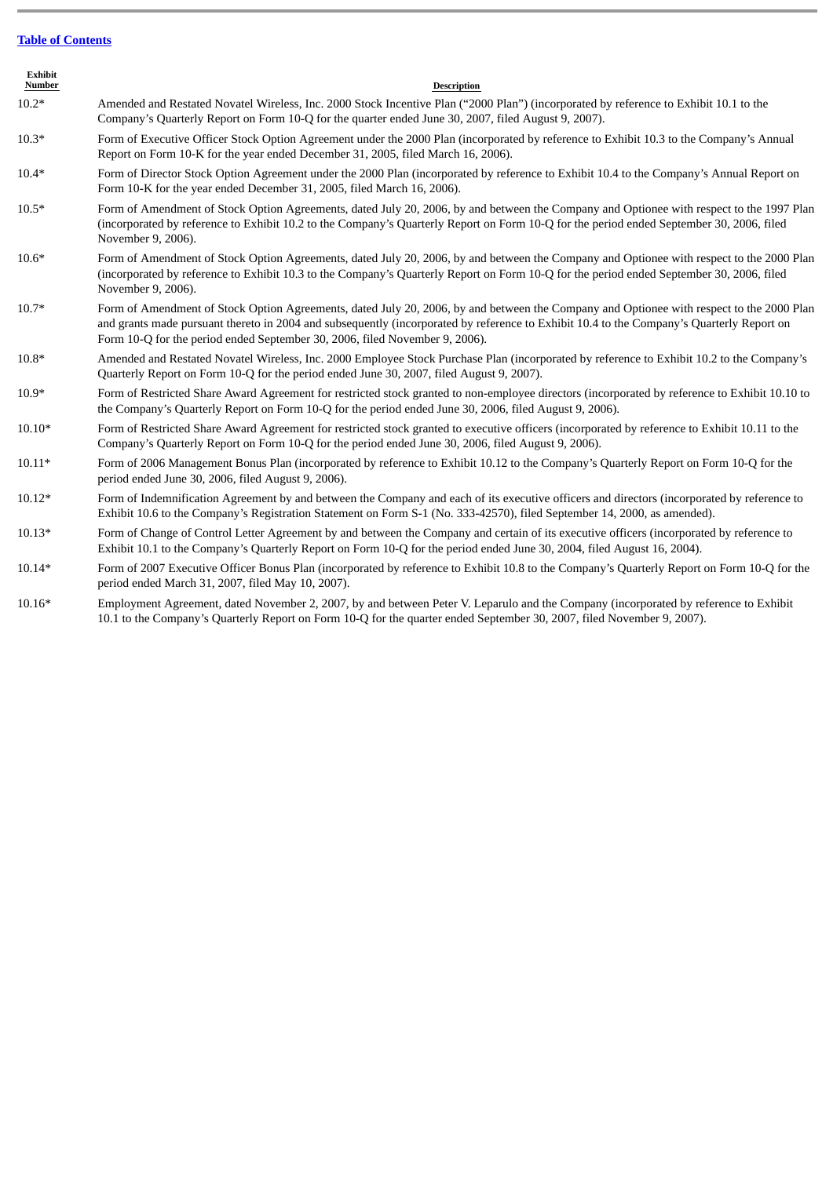# **Table of [Contents](#page-1-0)**

| <b>Exhibit</b><br>Number | <b>Description</b>                                                                                                                                                                                                                                                                                                                                                   |
|--------------------------|----------------------------------------------------------------------------------------------------------------------------------------------------------------------------------------------------------------------------------------------------------------------------------------------------------------------------------------------------------------------|
| $10.2*$                  | Amended and Restated Novatel Wireless, Inc. 2000 Stock Incentive Plan ("2000 Plan") (incorporated by reference to Exhibit 10.1 to the<br>Company's Quarterly Report on Form 10-Q for the quarter ended June 30, 2007, filed August 9, 2007).                                                                                                                         |
| $10.3*$                  | Form of Executive Officer Stock Option Agreement under the 2000 Plan (incorporated by reference to Exhibit 10.3 to the Company's Annual<br>Report on Form 10-K for the year ended December 31, 2005, filed March 16, 2006).                                                                                                                                          |
| $10.4*$                  | Form of Director Stock Option Agreement under the 2000 Plan (incorporated by reference to Exhibit 10.4 to the Company's Annual Report on<br>Form 10-K for the year ended December 31, 2005, filed March 16, 2006).                                                                                                                                                   |
| $10.5*$                  | Form of Amendment of Stock Option Agreements, dated July 20, 2006, by and between the Company and Optionee with respect to the 1997 Plan<br>(incorporated by reference to Exhibit 10.2 to the Company's Quarterly Report on Form 10-Q for the period ended September 30, 2006, filed<br>November 9, 2006).                                                           |
| $10.6*$                  | Form of Amendment of Stock Option Agreements, dated July 20, 2006, by and between the Company and Optionee with respect to the 2000 Plan<br>(incorporated by reference to Exhibit 10.3 to the Company's Quarterly Report on Form 10-Q for the period ended September 30, 2006, filed<br>November 9, 2006).                                                           |
| $10.7*$                  | Form of Amendment of Stock Option Agreements, dated July 20, 2006, by and between the Company and Optionee with respect to the 2000 Plan<br>and grants made pursuant thereto in 2004 and subsequently (incorporated by reference to Exhibit 10.4 to the Company's Quarterly Report on<br>Form 10-Q for the period ended September 30, 2006, filed November 9, 2006). |
| $10.8*$                  | Amended and Restated Novatel Wireless, Inc. 2000 Employee Stock Purchase Plan (incorporated by reference to Exhibit 10.2 to the Company's<br>Quarterly Report on Form 10-Q for the period ended June 30, 2007, filed August 9, 2007).                                                                                                                                |
| $10.9*$                  | Form of Restricted Share Award Agreement for restricted stock granted to non-employee directors (incorporated by reference to Exhibit 10.10 to<br>the Company's Quarterly Report on Form 10-Q for the period ended June 30, 2006, filed August 9, 2006).                                                                                                             |
| $10.10*$                 | Form of Restricted Share Award Agreement for restricted stock granted to executive officers (incorporated by reference to Exhibit 10.11 to the<br>Company's Quarterly Report on Form 10-Q for the period ended June 30, 2006, filed August 9, 2006).                                                                                                                 |
| $10.11*$                 | Form of 2006 Management Bonus Plan (incorporated by reference to Exhibit 10.12 to the Company's Quarterly Report on Form 10-Q for the<br>period ended June 30, 2006, filed August 9, 2006).                                                                                                                                                                          |
| $10.12*$                 | Form of Indemnification Agreement by and between the Company and each of its executive officers and directors (incorporated by reference to<br>Exhibit 10.6 to the Company's Registration Statement on Form S-1 (No. 333-42570), filed September 14, 2000, as amended).                                                                                              |
| $10.13*$                 | Form of Change of Control Letter Agreement by and between the Company and certain of its executive officers (incorporated by reference to<br>Exhibit 10.1 to the Company's Quarterly Report on Form 10-Q for the period ended June 30, 2004, filed August 16, 2004).                                                                                                 |
| $10.14*$                 | Form of 2007 Executive Officer Bonus Plan (incorporated by reference to Exhibit 10.8 to the Company's Quarterly Report on Form 10-Q for the<br>period ended March 31, 2007, filed May 10, 2007).                                                                                                                                                                     |

10.16\* Employment Agreement, dated November 2, 2007, by and between Peter V. Leparulo and the Company (incorporated by reference to Exhibit 10.1 to the Company's Quarterly Report on Form 10-Q for the quarter ended September 30, 2007, filed November 9, 2007).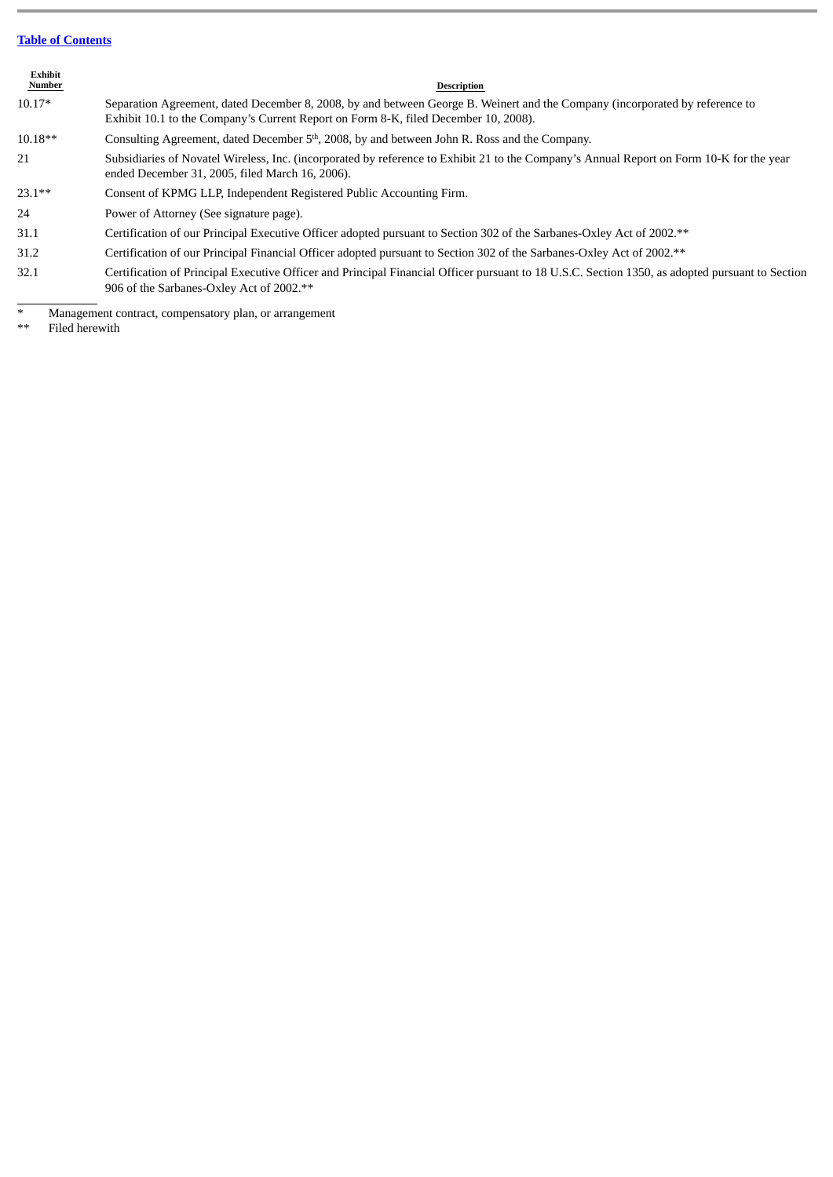# **Table of [Contents](#page-1-0)**

| Exhibit<br>Number | <b>Description</b>                                                                                                                                                                                                  |
|-------------------|---------------------------------------------------------------------------------------------------------------------------------------------------------------------------------------------------------------------|
| $10.17*$          | Separation Agreement, dated December 8, 2008, by and between George B. Weinert and the Company (incorporated by reference to<br>Exhibit 10.1 to the Company's Current Report on Form 8-K, filed December 10, 2008). |
| $10.18**$         | Consulting Agreement, dated December 5 <sup>th</sup> , 2008, by and between John R. Ross and the Company.                                                                                                           |
| 21                | Subsidiaries of Novatel Wireless, Inc. (incorporated by reference to Exhibit 21 to the Company's Annual Report on Form 10-K for the year<br>ended December 31, 2005, filed March 16, 2006).                         |
| $23.1**$          | Consent of KPMG LLP, Independent Registered Public Accounting Firm.                                                                                                                                                 |
| 24                | Power of Attorney (See signature page).                                                                                                                                                                             |
| 31.1              | Certification of our Principal Executive Officer adopted pursuant to Section 302 of the Sarbanes-Oxley Act of 2002.**                                                                                               |
| 31.2              | Certification of our Principal Financial Officer adopted pursuant to Section 302 of the Sarbanes-Oxley Act of 2002.**                                                                                               |
| 32.1              | Certification of Principal Executive Officer and Principal Financial Officer pursuant to 18 U.S.C. Section 1350, as adopted pursuant to Section<br>906 of the Sarbanes-Oxley Act of 2002.**                         |

\* Management contract, compensatory plan, or arrangement

\*\* Filed herewith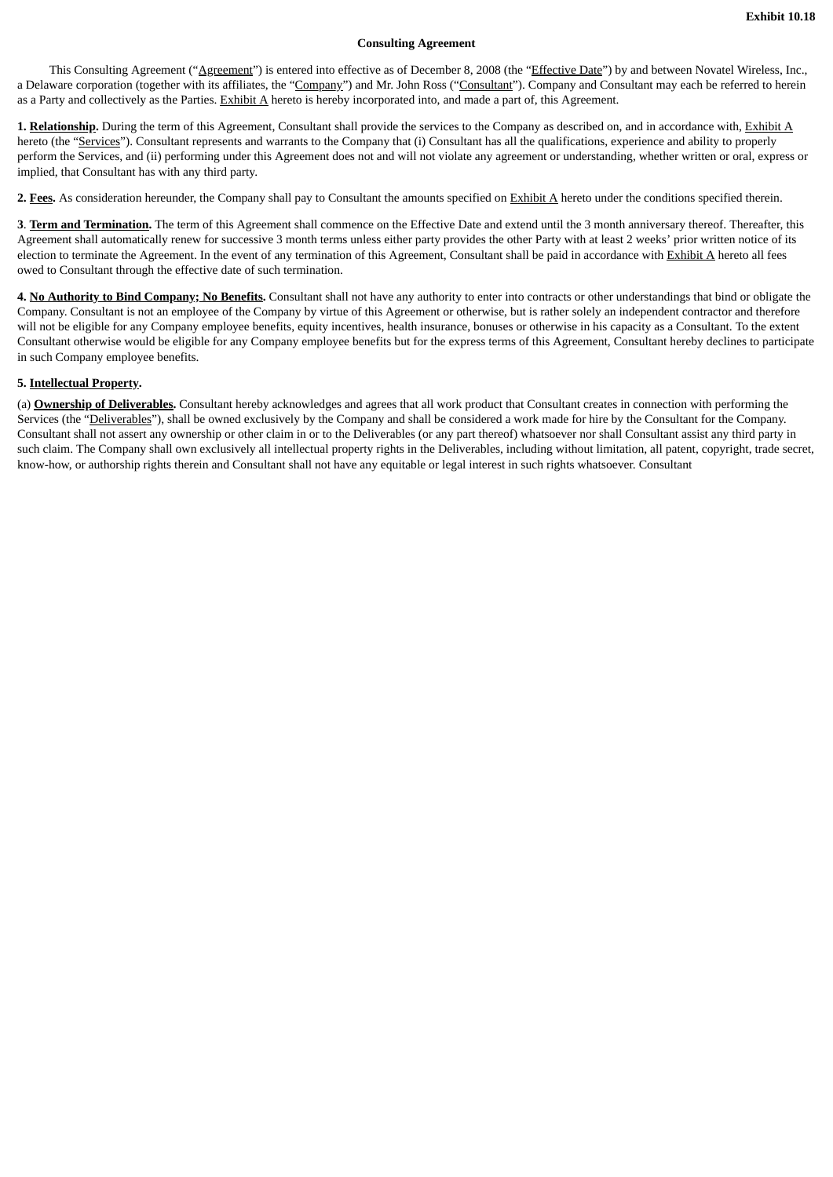## **Consulting Agreement**

This Consulting Agreement ("Agreement") is entered into effective as of December 8, 2008 (the "Effective Date") by and between Novatel Wireless, Inc., a Delaware corporation (together with its affiliates, the "Company") and Mr. John Ross ("Consultant"). Company and Consultant may each be referred to herein as a Party and collectively as the Parties. Exhibit A hereto is hereby incorporated into, and made a part of, this Agreement.

**1. Relationship.** During the term of this Agreement, Consultant shall provide the services to the Company as described on, and in accordance with, Exhibit A hereto (the "Services"). Consultant represents and warrants to the Company that (i) Consultant has all the qualifications, experience and ability to properly perform the Services, and (ii) performing under this Agreement does not and will not violate any agreement or understanding, whether written or oral, express or implied, that Consultant has with any third party.

**2. Fees.** As consideration hereunder, the Company shall pay to Consultant the amounts specified on Exhibit A hereto under the conditions specified therein.

**3**. **Term and Termination.** The term of this Agreement shall commence on the Effective Date and extend until the 3 month anniversary thereof. Thereafter, this Agreement shall automatically renew for successive 3 month terms unless either party provides the other Party with at least 2 weeks' prior written notice of its election to terminate the Agreement. In the event of any termination of this Agreement, Consultant shall be paid in accordance with Exhibit A hereto all fees owed to Consultant through the effective date of such termination.

4. No Authority to Bind Company; No Benefits. Consultant shall not have any authority to enter into contracts or other understandings that bind or obligate the Company. Consultant is not an employee of the Company by virtue of this Agreement or otherwise, but is rather solely an independent contractor and therefore will not be eligible for any Company employee benefits, equity incentives, health insurance, bonuses or otherwise in his capacity as a Consultant. To the extent Consultant otherwise would be eligible for any Company employee benefits but for the express terms of this Agreement, Consultant hereby declines to participate in such Company employee benefits.

## **5. Intellectual Property.**

(a) **Ownership of Deliverables.** Consultant hereby acknowledges and agrees that all work product that Consultant creates in connection with performing the Services (the "Deliverables"), shall be owned exclusively by the Company and shall be considered a work made for hire by the Consultant for the Company. Consultant shall not assert any ownership or other claim in or to the Deliverables (or any part thereof) whatsoever nor shall Consultant assist any third party in such claim. The Company shall own exclusively all intellectual property rights in the Deliverables, including without limitation, all patent, copyright, trade secret, know-how, or authorship rights therein and Consultant shall not have any equitable or legal interest in such rights whatsoever. Consultant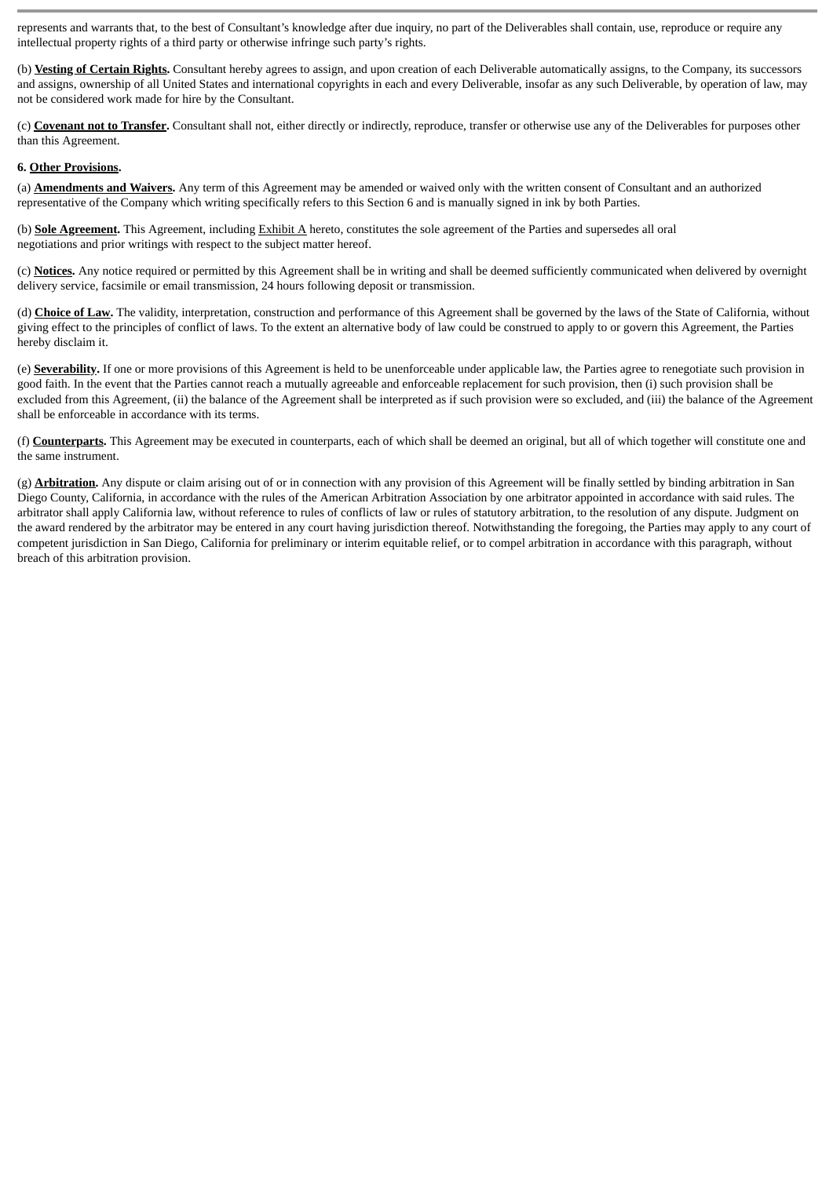represents and warrants that, to the best of Consultant's knowledge after due inquiry, no part of the Deliverables shall contain, use, reproduce or require any intellectual property rights of a third party or otherwise infringe such party's rights.

(b) **Vesting of Certain Rights.** Consultant hereby agrees to assign, and upon creation of each Deliverable automatically assigns, to the Company, its successors and assigns, ownership of all United States and international copyrights in each and every Deliverable, insofar as any such Deliverable, by operation of law, may not be considered work made for hire by the Consultant.

(c) **Covenant not to Transfer.** Consultant shall not, either directly or indirectly, reproduce, transfer or otherwise use any of the Deliverables for purposes other than this Agreement.

## **6. Other Provisions.**

(a) **Amendments and Waivers.** Any term of this Agreement may be amended or waived only with the written consent of Consultant and an authorized representative of the Company which writing specifically refers to this Section 6 and is manually signed in ink by both Parties.

(b) **Sole Agreement.** This Agreement, including Exhibit A hereto, constitutes the sole agreement of the Parties and supersedes all oral negotiations and prior writings with respect to the subject matter hereof.

(c) **Notices.** Any notice required or permitted by this Agreement shall be in writing and shall be deemed sufficiently communicated when delivered by overnight delivery service, facsimile or email transmission, 24 hours following deposit or transmission.

(d) **Choice of Law.** The validity, interpretation, construction and performance of this Agreement shall be governed by the laws of the State of California, without giving effect to the principles of conflict of laws. To the extent an alternative body of law could be construed to apply to or govern this Agreement, the Parties hereby disclaim it.

(e) **Severability.** If one or more provisions of this Agreement is held to be unenforceable under applicable law, the Parties agree to renegotiate such provision in good faith. In the event that the Parties cannot reach a mutually agreeable and enforceable replacement for such provision, then (i) such provision shall be excluded from this Agreement, (ii) the balance of the Agreement shall be interpreted as if such provision were so excluded, and (iii) the balance of the Agreement shall be enforceable in accordance with its terms.

(f) **Counterparts.** This Agreement may be executed in counterparts, each of which shall be deemed an original, but all of which together will constitute one and the same instrument.

(g) **Arbitration**. Any dispute or claim arising out of or in connection with any provision of this Agreement will be finally settled by binding arbitration in San Diego County, California, in accordance with the rules of the American Arbitration Association by one arbitrator appointed in accordance with said rules. The arbitrator shall apply California law, without reference to rules of conflicts of law or rules of statutory arbitration, to the resolution of any dispute. Judgment on the award rendered by the arbitrator may be entered in any court having jurisdiction thereof. Notwithstanding the foregoing, the Parties may apply to any court of competent jurisdiction in San Diego, California for preliminary or interim equitable relief, or to compel arbitration in accordance with this paragraph, without breach of this arbitration provision.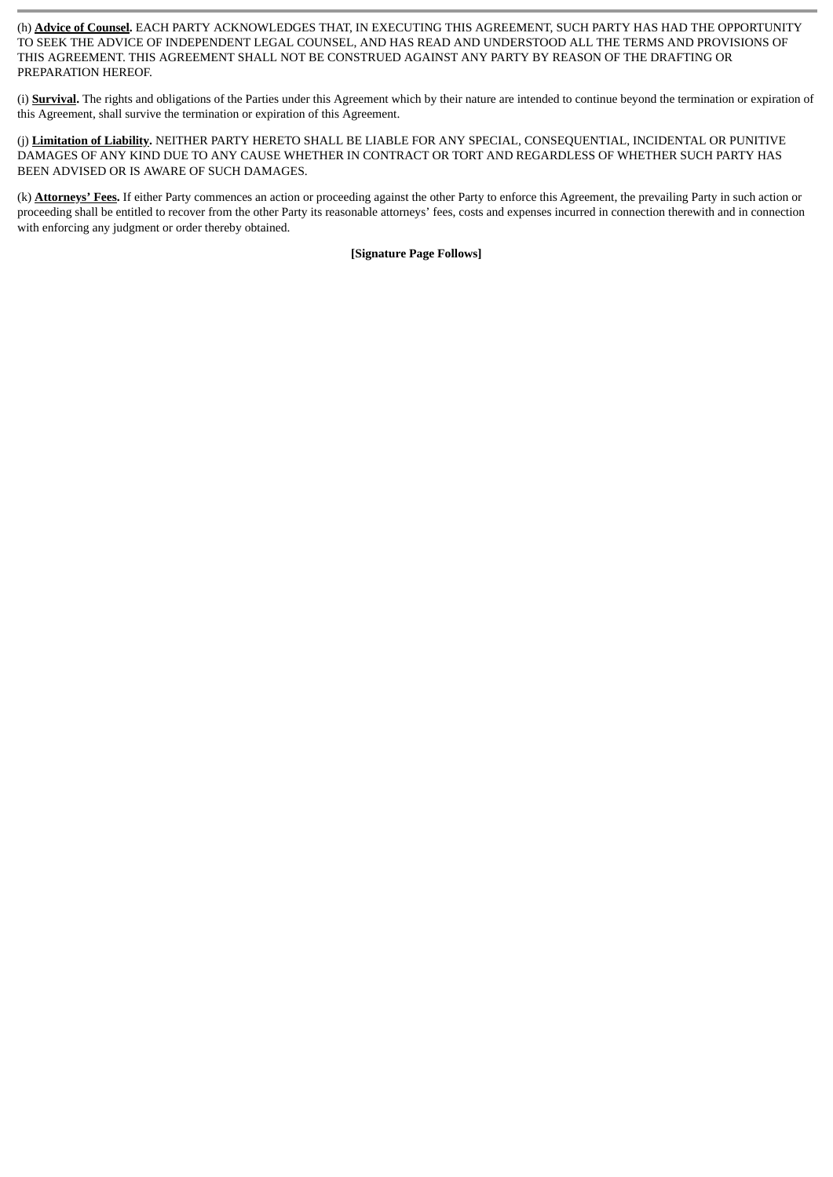(h) **Advice of Counsel.** EACH PARTY ACKNOWLEDGES THAT, IN EXECUTING THIS AGREEMENT, SUCH PARTY HAS HAD THE OPPORTUNITY TO SEEK THE ADVICE OF INDEPENDENT LEGAL COUNSEL, AND HAS READ AND UNDERSTOOD ALL THE TERMS AND PROVISIONS OF THIS AGREEMENT. THIS AGREEMENT SHALL NOT BE CONSTRUED AGAINST ANY PARTY BY REASON OF THE DRAFTING OR PREPARATION HEREOF.

(i) **Survival.** The rights and obligations of the Parties under this Agreement which by their nature are intended to continue beyond the termination or expiration of this Agreement, shall survive the termination or expiration of this Agreement.

(j) **Limitation of Liability.** NEITHER PARTY HERETO SHALL BE LIABLE FOR ANY SPECIAL, CONSEQUENTIAL, INCIDENTAL OR PUNITIVE DAMAGES OF ANY KIND DUE TO ANY CAUSE WHETHER IN CONTRACT OR TORT AND REGARDLESS OF WHETHER SUCH PARTY HAS BEEN ADVISED OR IS AWARE OF SUCH DAMAGES.

(k) **Attorneys' Fees.** If either Party commences an action or proceeding against the other Party to enforce this Agreement, the prevailing Party in such action or proceeding shall be entitled to recover from the other Party its reasonable attorneys' fees, costs and expenses incurred in connection therewith and in connection with enforcing any judgment or order thereby obtained.

**[Signature Page Follows]**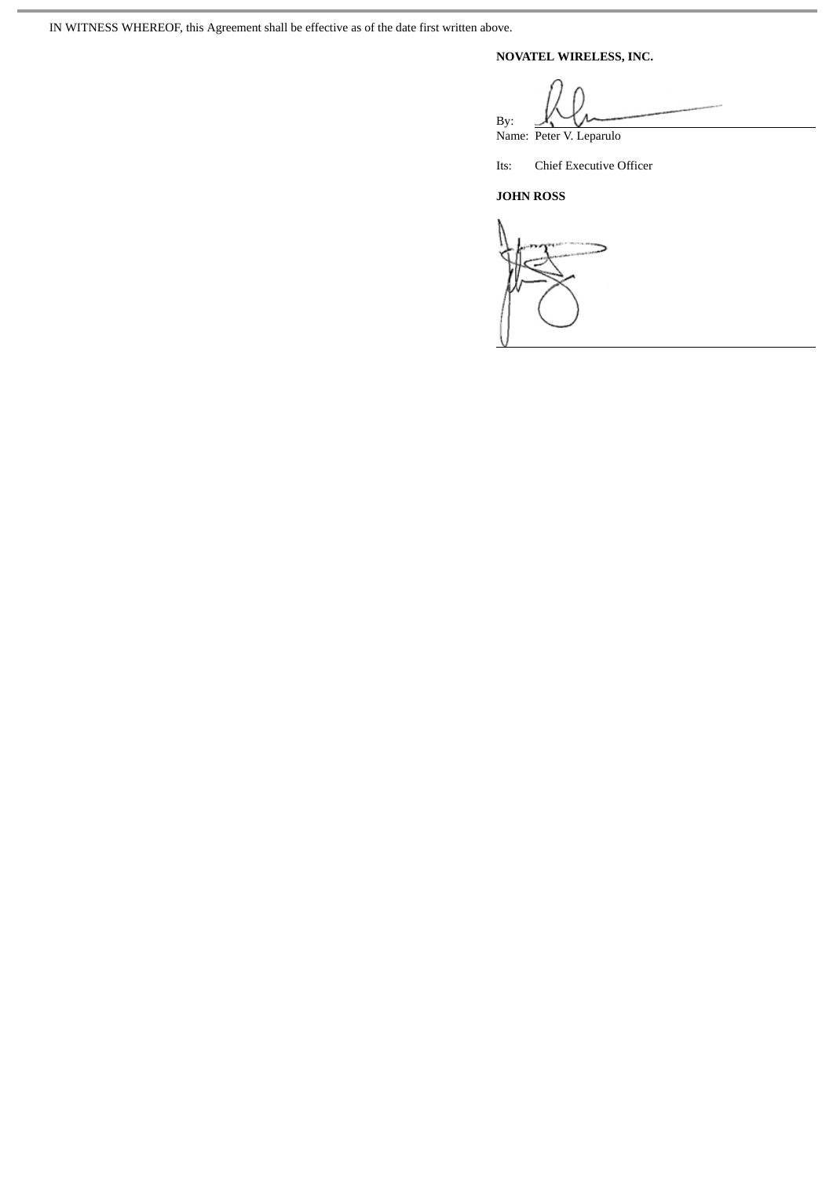IN WITNESS WHEREOF, this Agreement shall be effective as of the date first written above.

**NOVATEL WIRELESS, INC.**

By:

Name: Peter V. Leparulo

Its: Chief Executive Officer

**JOHN ROSS**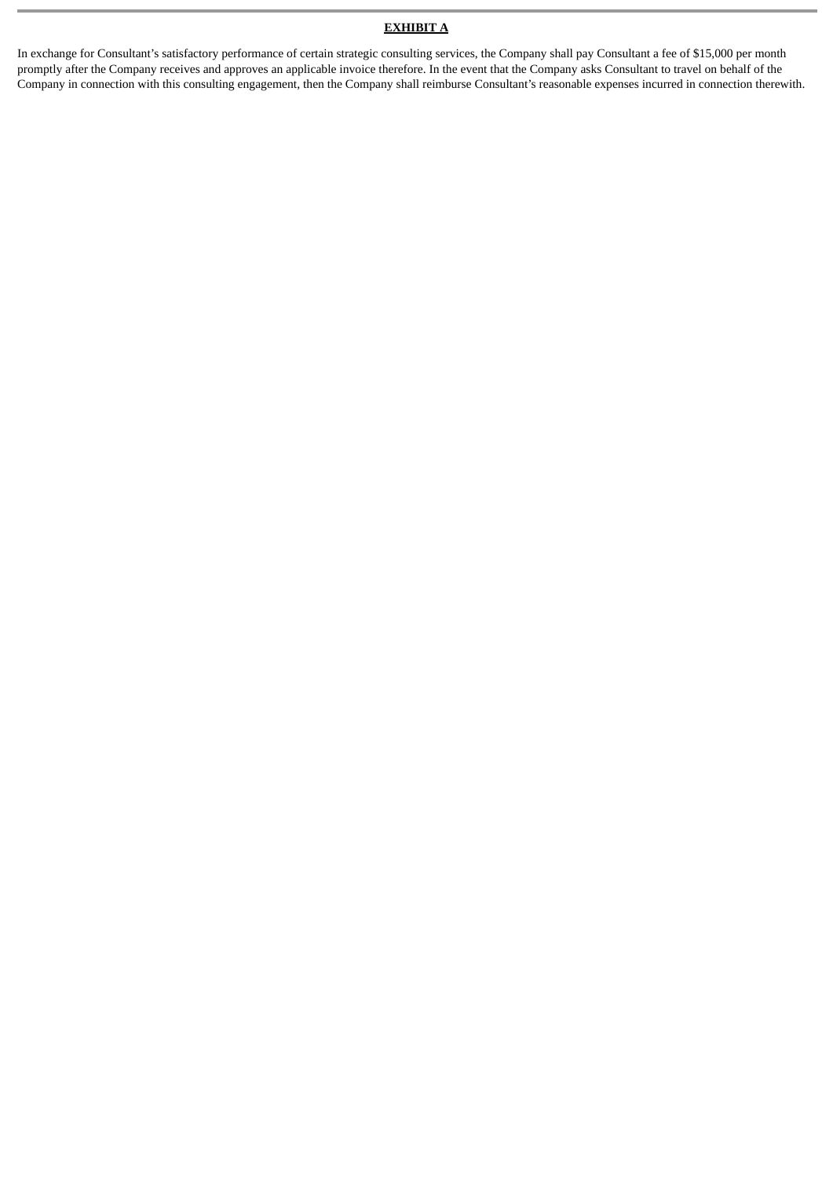# **EXHIBIT A**

In exchange for Consultant's satisfactory performance of certain strategic consulting services, the Company shall pay Consultant a fee of \$15,000 per month promptly after the Company receives and approves an applicable invoice therefore. In the event that the Company asks Consultant to travel on behalf of the Company in connection with this consulting engagement, then the Company shall reimburse Consultant's reasonable expenses incurred in connection therewith.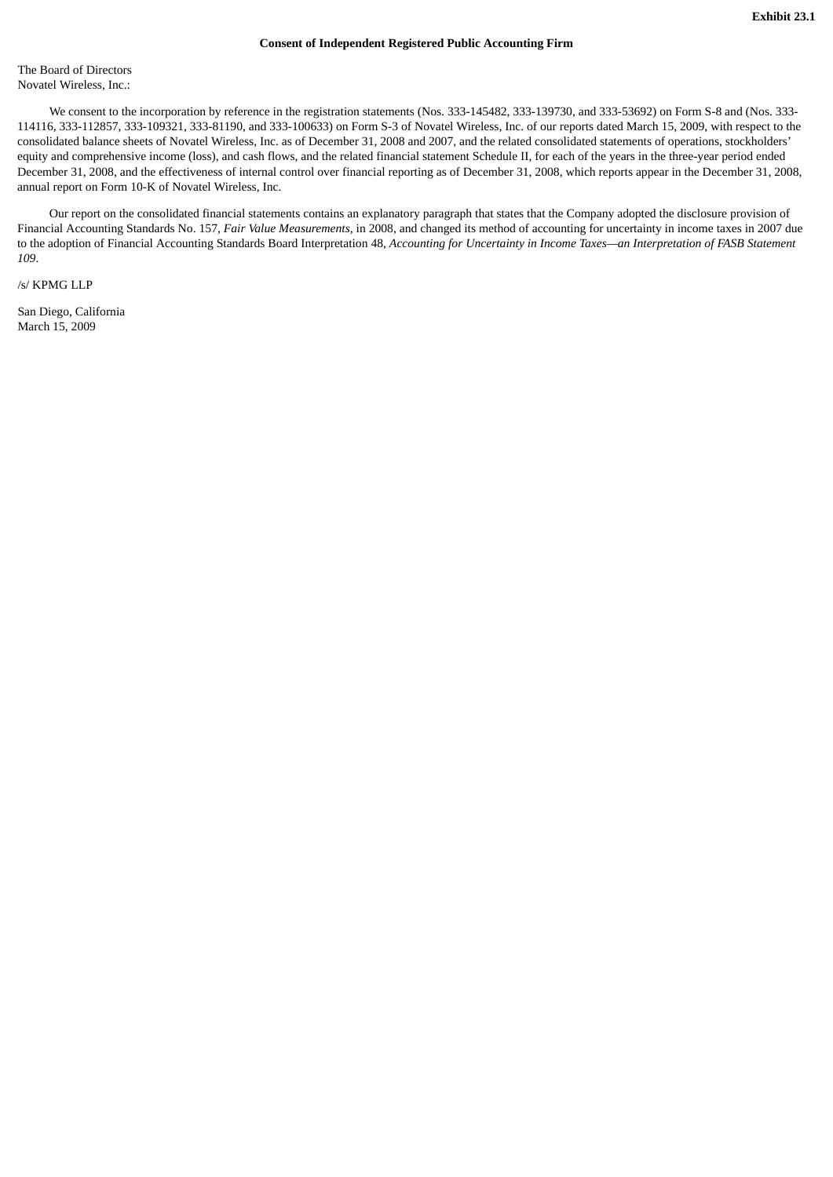## **Consent of Independent Registered Public Accounting Firm**

The Board of Directors Novatel Wireless, Inc.:

We consent to the incorporation by reference in the registration statements (Nos. 333-145482, 333-139730, and 333-53692) on Form S-8 and (Nos. 333- 114116, 333-112857, 333-109321, 333-81190, and 333-100633) on Form S-3 of Novatel Wireless, Inc. of our reports dated March 15, 2009, with respect to the consolidated balance sheets of Novatel Wireless, Inc. as of December 31, 2008 and 2007, and the related consolidated statements of operations, stockholders' equity and comprehensive income (loss), and cash flows, and the related financial statement Schedule II, for each of the years in the three-year period ended December 31, 2008, and the effectiveness of internal control over financial reporting as of December 31, 2008, which reports appear in the December 31, 2008, annual report on Form 10-K of Novatel Wireless, Inc.

Our report on the consolidated financial statements contains an explanatory paragraph that states that the Company adopted the disclosure provision of Financial Accounting Standards No. 157, *Fair Value Measurements*, in 2008, and changed its method of accounting for uncertainty in income taxes in 2007 due to the adoption of Financial Accounting Standards Board Interpretation 48, *Accounting for Uncertainty in Income Taxes—an Interpretation of FASB Statement 109*.

/s/ KPMG LLP

San Diego, California March 15, 2009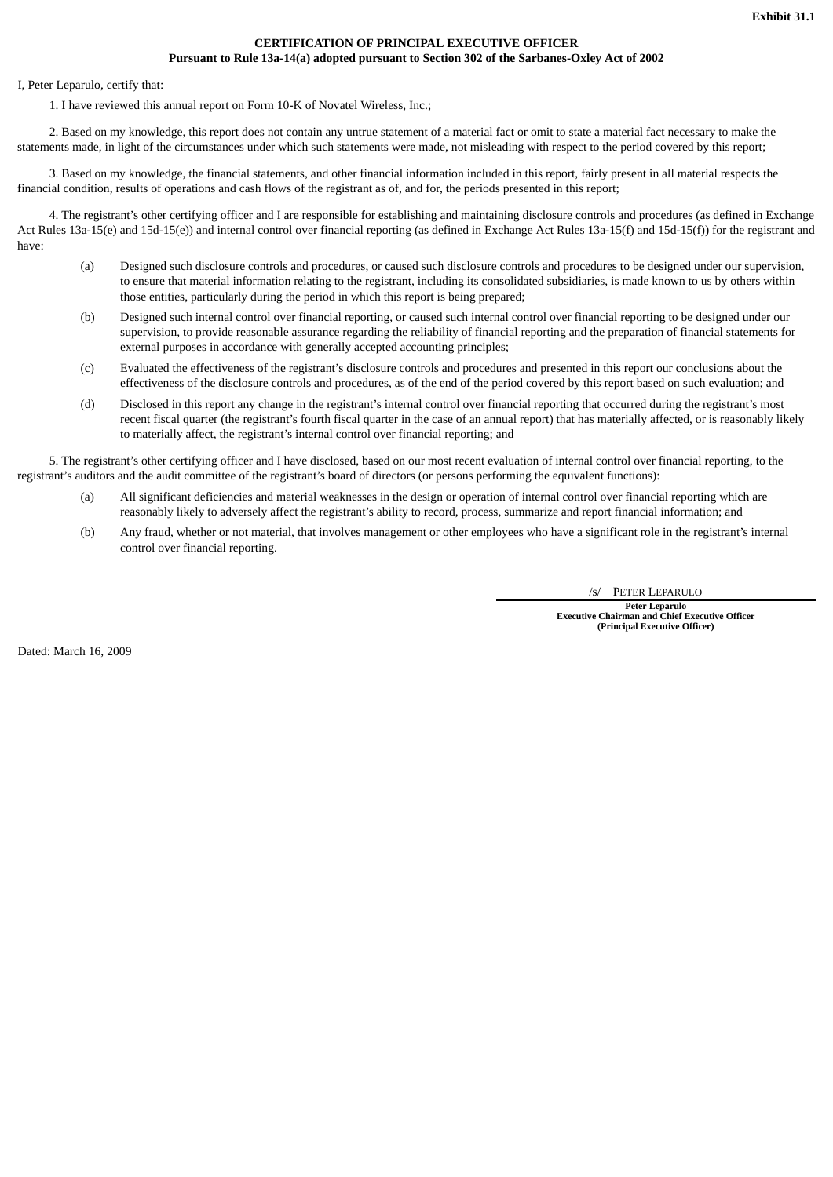## **CERTIFICATION OF PRINCIPAL EXECUTIVE OFFICER Pursuant to Rule 13a-14(a) adopted pursuant to Section 302 of the Sarbanes-Oxley Act of 2002**

I, Peter Leparulo, certify that:

1. I have reviewed this annual report on Form 10-K of Novatel Wireless, Inc.;

2. Based on my knowledge, this report does not contain any untrue statement of a material fact or omit to state a material fact necessary to make the statements made, in light of the circumstances under which such statements were made, not misleading with respect to the period covered by this report;

3. Based on my knowledge, the financial statements, and other financial information included in this report, fairly present in all material respects the financial condition, results of operations and cash flows of the registrant as of, and for, the periods presented in this report;

4. The registrant's other certifying officer and I are responsible for establishing and maintaining disclosure controls and procedures (as defined in Exchange Act Rules 13a-15(e) and 15d-15(e)) and internal control over financial reporting (as defined in Exchange Act Rules 13a-15(f) and 15d-15(f)) for the registrant and have:

- (a) Designed such disclosure controls and procedures, or caused such disclosure controls and procedures to be designed under our supervision, to ensure that material information relating to the registrant, including its consolidated subsidiaries, is made known to us by others within those entities, particularly during the period in which this report is being prepared;
- (b) Designed such internal control over financial reporting, or caused such internal control over financial reporting to be designed under our supervision, to provide reasonable assurance regarding the reliability of financial reporting and the preparation of financial statements for external purposes in accordance with generally accepted accounting principles;
- (c) Evaluated the effectiveness of the registrant's disclosure controls and procedures and presented in this report our conclusions about the effectiveness of the disclosure controls and procedures, as of the end of the period covered by this report based on such evaluation; and
- (d) Disclosed in this report any change in the registrant's internal control over financial reporting that occurred during the registrant's most recent fiscal quarter (the registrant's fourth fiscal quarter in the case of an annual report) that has materially affected, or is reasonably likely to materially affect, the registrant's internal control over financial reporting; and

5. The registrant's other certifying officer and I have disclosed, based on our most recent evaluation of internal control over financial reporting, to the registrant's auditors and the audit committee of the registrant's board of directors (or persons performing the equivalent functions):

- (a) All significant deficiencies and material weaknesses in the design or operation of internal control over financial reporting which are reasonably likely to adversely affect the registrant's ability to record, process, summarize and report financial information; and
- (b) Any fraud, whether or not material, that involves management or other employees who have a significant role in the registrant's internal control over financial reporting.

/s/ PETER LEPARULO

**Peter Leparulo Executive Chairman and Chief Executive Officer (Principal Executive Officer)**

Dated: March 16, 2009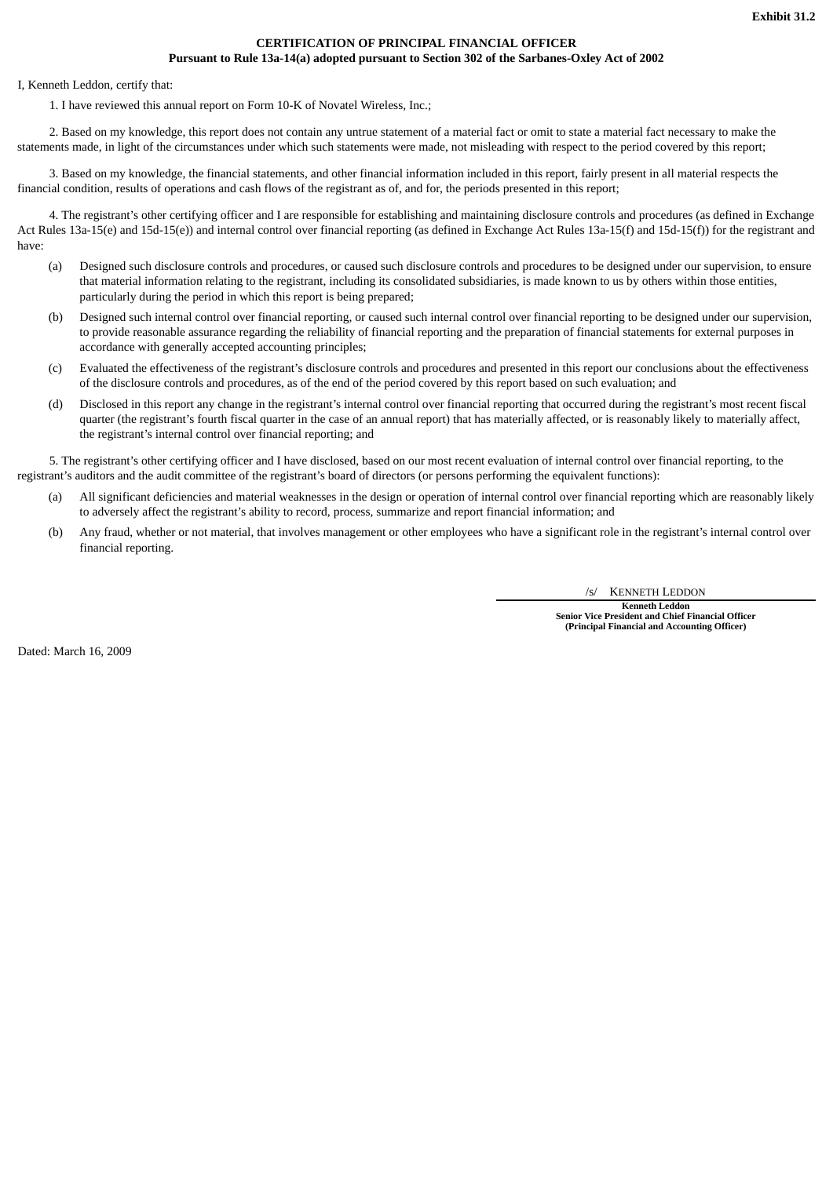## **CERTIFICATION OF PRINCIPAL FINANCIAL OFFICER Pursuant to Rule 13a-14(a) adopted pursuant to Section 302 of the Sarbanes-Oxley Act of 2002**

## I, Kenneth Leddon, certify that:

1. I have reviewed this annual report on Form 10-K of Novatel Wireless, Inc.;

2. Based on my knowledge, this report does not contain any untrue statement of a material fact or omit to state a material fact necessary to make the statements made, in light of the circumstances under which such statements were made, not misleading with respect to the period covered by this report;

3. Based on my knowledge, the financial statements, and other financial information included in this report, fairly present in all material respects the financial condition, results of operations and cash flows of the registrant as of, and for, the periods presented in this report;

4. The registrant's other certifying officer and I are responsible for establishing and maintaining disclosure controls and procedures (as defined in Exchange Act Rules 13a-15(e) and 15d-15(e)) and internal control over financial reporting (as defined in Exchange Act Rules 13a-15(f) and 15d-15(f)) for the registrant and have:

- (a) Designed such disclosure controls and procedures, or caused such disclosure controls and procedures to be designed under our supervision, to ensure that material information relating to the registrant, including its consolidated subsidiaries, is made known to us by others within those entities, particularly during the period in which this report is being prepared;
- (b) Designed such internal control over financial reporting, or caused such internal control over financial reporting to be designed under our supervision, to provide reasonable assurance regarding the reliability of financial reporting and the preparation of financial statements for external purposes in accordance with generally accepted accounting principles;
- (c) Evaluated the effectiveness of the registrant's disclosure controls and procedures and presented in this report our conclusions about the effectiveness of the disclosure controls and procedures, as of the end of the period covered by this report based on such evaluation; and
- (d) Disclosed in this report any change in the registrant's internal control over financial reporting that occurred during the registrant's most recent fiscal quarter (the registrant's fourth fiscal quarter in the case of an annual report) that has materially affected, or is reasonably likely to materially affect, the registrant's internal control over financial reporting; and

5. The registrant's other certifying officer and I have disclosed, based on our most recent evaluation of internal control over financial reporting, to the registrant's auditors and the audit committee of the registrant's board of directors (or persons performing the equivalent functions):

- (a) All significant deficiencies and material weaknesses in the design or operation of internal control over financial reporting which are reasonably likely to adversely affect the registrant's ability to record, process, summarize and report financial information; and
- (b) Any fraud, whether or not material, that involves management or other employees who have a significant role in the registrant's internal control over financial reporting.

/s/ KENNETH LEDDON

**Kenneth Leddon Senior Vice President and Chief Financial Officer (Principal Financial and Accounting Officer)**

Dated: March 16, 2009